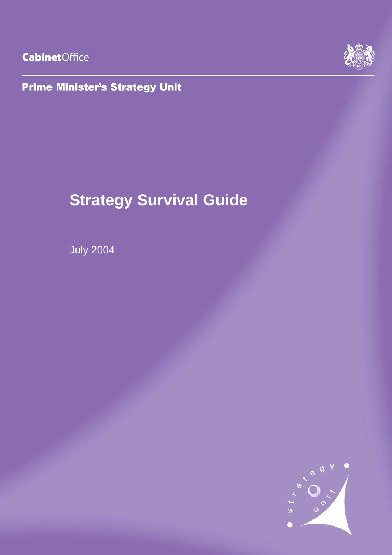**CabinetOffice** 



# **Prime Minister's Strategy Unit**

# **Strategy Survival Guide Strategy Survival Guide**

 $\sqrt{1 + 200}$ July 2004

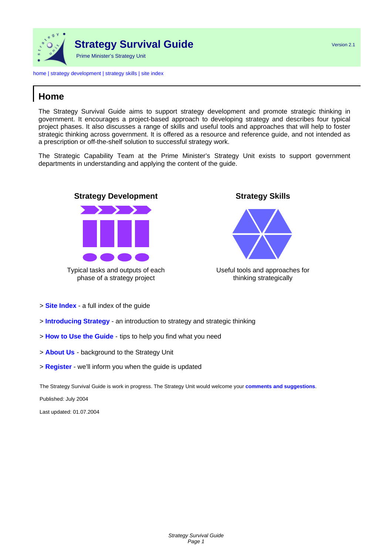

## **Home**

The Strategy Survival Guide aims to support strategy development and promote strategic thinking in government. It encourages a project-based approach to developing strategy and describes four typical project phases. It also discusses a range of skills and useful tools and approaches that will help to foster strategic thinking across government. It is offered as a resource and reference guide, and not intended as a prescription or off-the-shelf solution to successful strategy work.

The Strategic Capability Team at the Prime Minister's Strategy Unit exists to support government departments in understanding and applying the content of the guide.



Typical tasks and outputs of each phase of a strategy project

**Strategy Skills** 



Useful tools and approaches for thinking strategically

- > **Site Index** a full index of the guide
- > **Introducing Strategy** an introduction to strategy and strategic thinking
- > **How to Use the Guide** tips to help you find what you need
- > **About Us** background to the Strategy Unit
- > **Register** we'll inform you when the guide is updated

The Strategy Survival Guide is work in progress. The Strategy Unit would welcome your **comments and suggestions**.

Published: July 2004

Last updated: 01.07.2004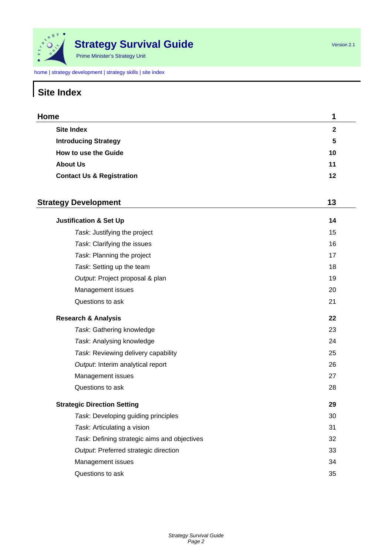

# **Site Index**

| Home                                         | 1            |
|----------------------------------------------|--------------|
| <b>Site Index</b>                            | $\mathbf{2}$ |
| <b>Introducing Strategy</b>                  | 5            |
| How to use the Guide                         | 10           |
| <b>About Us</b>                              | 11           |
| <b>Contact Us &amp; Registration</b>         | 12           |
| <b>Strategy Development</b>                  | 13           |
| <b>Justification &amp; Set Up</b>            | 14           |
| Task: Justifying the project                 | 15           |
| Task: Clarifying the issues                  | 16           |
| Task: Planning the project                   | 17           |
| Task: Setting up the team                    | 18           |
| Output: Project proposal & plan              | 19           |
| Management issues                            | 20           |
| Questions to ask                             | 21           |
| <b>Research &amp; Analysis</b>               | 22           |
| Task: Gathering knowledge                    | 23           |
| Task: Analysing knowledge                    | 24           |
| Task: Reviewing delivery capability          | 25           |
| Output: Interim analytical report            | 26           |
| Management issues                            | 27           |
| Questions to ask                             | 28           |
| <b>Strategic Direction Setting</b>           | 29           |
| Task: Developing guiding principles          | 30           |
| Task: Articulating a vision                  | 31           |
| Task: Defining strategic aims and objectives | 32           |
| Output: Preferred strategic direction        | 33           |
| Management issues                            | 34           |
| Questions to ask                             | 35           |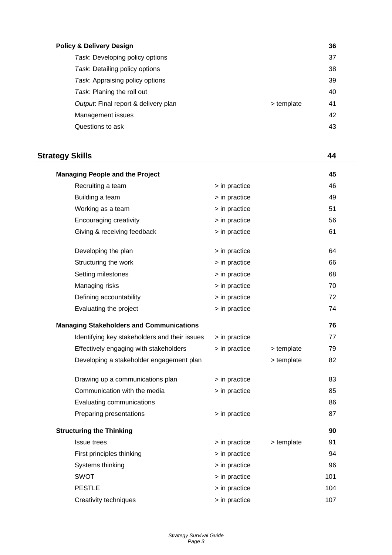| <b>Policy &amp; Delivery Design</b>  |            | 36 |
|--------------------------------------|------------|----|
| Task: Developing policy options      |            | 37 |
| Task: Detailing policy options       |            | 38 |
| Task: Appraising policy options      |            | 39 |
| Task: Planing the roll out           |            | 40 |
| Output. Final report & delivery plan | > template | 41 |
| Management issues                    |            | 42 |
| Questions to ask                     |            | 43 |

# **Strategy Skills** 44

| <b>Managing People and the Project</b>          |               |            | 45  |
|-------------------------------------------------|---------------|------------|-----|
| Recruiting a team                               | > in practice |            | 46  |
| Building a team                                 | > in practice |            | 49  |
| Working as a team                               | > in practice |            | 51  |
| Encouraging creativity                          | > in practice |            | 56  |
| Giving & receiving feedback                     | > in practice |            | 61  |
| Developing the plan                             | > in practice |            | 64  |
| Structuring the work                            | > in practice |            | 66  |
| Setting milestones                              | > in practice |            | 68  |
| Managing risks                                  | > in practice |            | 70  |
| Defining accountability                         | > in practice |            | 72  |
| Evaluating the project                          | > in practice |            | 74  |
| <b>Managing Stakeholders and Communications</b> |               |            | 76  |
| Identifying key stakeholders and their issues   | > in practice |            | 77  |
| Effectively engaging with stakeholders          | > in practice | > template | 79  |
| Developing a stakeholder engagement plan        |               | > template | 82  |
| Drawing up a communications plan                | > in practice |            | 83  |
| Communication with the media                    | > in practice |            | 85  |
| Evaluating communications                       |               |            | 86  |
| Preparing presentations                         | > in practice |            | 87  |
| <b>Structuring the Thinking</b>                 |               |            | 90  |
| <b>Issue trees</b>                              | > in practice | > template | 91  |
| First principles thinking                       | > in practice |            | 94  |
| Systems thinking                                | > in practice |            | 96  |
| <b>SWOT</b>                                     | > in practice |            | 101 |
| <b>PESTLE</b>                                   | > in practice |            | 104 |
| Creativity techniques                           | > in practice |            | 107 |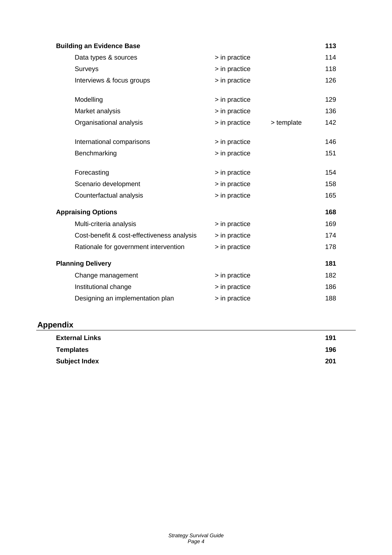| <b>Building an Evidence Base</b>           |               |            | 113 |
|--------------------------------------------|---------------|------------|-----|
| Data types & sources                       | > in practice |            | 114 |
| Surveys                                    | > in practice |            | 118 |
| Interviews & focus groups                  | > in practice |            | 126 |
| Modelling                                  | > in practice |            | 129 |
| Market analysis                            | > in practice |            | 136 |
| Organisational analysis                    | > in practice | > template | 142 |
| International comparisons                  | > in practice |            | 146 |
| Benchmarking                               | > in practice |            | 151 |
| Forecasting                                | > in practice |            | 154 |
| Scenario development                       | > in practice |            | 158 |
| Counterfactual analysis                    | > in practice |            | 165 |
| <b>Appraising Options</b>                  |               |            | 168 |
| Multi-criteria analysis                    | > in practice |            | 169 |
| Cost-benefit & cost-effectiveness analysis | > in practice |            | 174 |
| Rationale for government intervention      | > in practice |            | 178 |
| <b>Planning Delivery</b>                   |               |            | 181 |
| Change management                          | > in practice |            | 182 |
| Institutional change                       | > in practice |            | 186 |
| Designing an implementation plan           | > in practice |            | 188 |

# **Appendix**

| <b>External Links</b> | 191 |
|-----------------------|-----|
| <b>Templates</b>      | 196 |
| <b>Subject Index</b>  | 201 |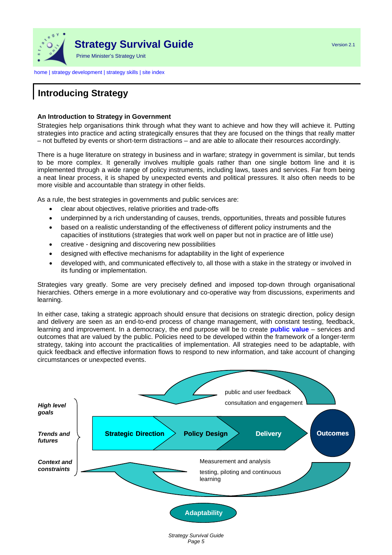

# **Introducing Strategy**

### **An Introduction to Strategy in Government**

Strategies help organisations think through what they want to achieve and how they will achieve it. Putting strategies into practice and acting strategically ensures that they are focused on the things that really matter – not buffeted by events or short-term distractions – and are able to allocate their resources accordingly.

There is a huge literature on strategy in business and in warfare; strategy in government is similar, but tends to be more complex. It generally involves multiple goals rather than one single bottom line and it is implemented through a wide range of policy instruments, including laws, taxes and services. Far from being a neat linear process, it is shaped by unexpected events and political pressures. It also often needs to be more visible and accountable than strategy in other fields.

As a rule, the best strategies in governments and public services are:

- clear about objectives, relative priorities and trade-offs
- underpinned by a rich understanding of causes, trends, opportunities, threats and possible futures
- based on a realistic understanding of the effectiveness of different policy instruments and the capacities of institutions (strategies that work well on paper but not in practice are of little use)
- creative designing and discovering new possibilities
- designed with effective mechanisms for adaptability in the light of experience
- developed with, and communicated effectively to, all those with a stake in the strategy or involved in its funding or implementation.

Strategies vary greatly. Some are very precisely defined and imposed top-down through organisational hierarchies. Others emerge in a more evolutionary and co-operative way from discussions, experiments and learning.

In either case, taking a strategic approach should ensure that decisions on strategic direction, policy design and delivery are seen as an end-to-end process of change management, with constant testing, feedback, learning and improvement. In a democracy, the end purpose will be to create **public value** – services and outcomes that are valued by the public. Policies need to be developed within the framework of a longer-term strategy, taking into account the practicalities of implementation. All strategies need to be adaptable, with quick feedback and effective information flows to respond to new information, and take account of changing circumstances or unexpected events.

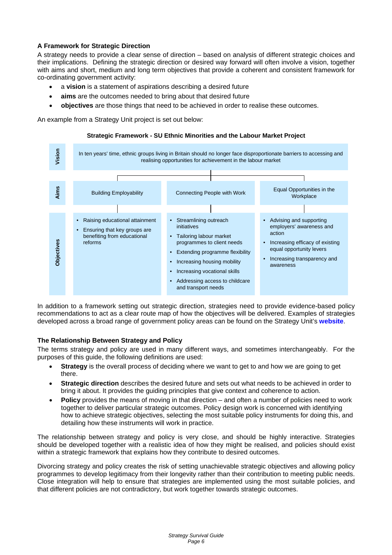### **A Framework for Strategic Direction**

A strategy needs to provide a clear sense of direction – based on analysis of different strategic choices and their implications. Defining the strategic direction or desired way forward will often involve a vision, together with aims and short, medium and long term objectives that provide a coherent and consistent framework for co-ordinating government activity:

- a **vision** is a statement of aspirations describing a desired future
- **aims** are the outcomes needed to bring about that desired future
- **objectives** are those things that need to be achieved in order to realise these outcomes.

An example from a Strategy Unit project is set out below:



### **Strategic Framework - SU Ethnic Minorities and the Labour Market Project**

In addition to a framework setting out strategic direction, strategies need to provide evidence-based policy recommendations to act as a clear route map of how the objectives will be delivered. Examples of strategies developed across a broad range of government policy areas can be found on the Strategy Unit's **website**.

### **The Relationship Between Strategy and Policy**

The terms strategy and policy are used in many different ways, and sometimes interchangeably. For the purposes of this guide, the following definitions are used:

- **Strategy** is the overall process of deciding where we want to get to and how we are going to get there.
- **Strategic direction** describes the desired future and sets out what needs to be achieved in order to bring it about. It provides the guiding principles that give context and coherence to action.
- **Policy** provides the means of moving in that direction and often a number of policies need to work together to deliver particular strategic outcomes. Policy design work is concerned with identifying how to achieve strategic objectives, selecting the most suitable policy instruments for doing this, and detailing how these instruments will work in practice.

The relationship between strategy and policy is very close, and should be highly interactive. Strategies should be developed together with a realistic idea of how they might be realised, and policies should exist within a strategic framework that explains how they contribute to desired outcomes.

Divorcing strategy and policy creates the risk of setting unachievable strategic objectives and allowing policy programmes to develop legitimacy from their longevity rather than their contribution to meeting public needs. Close integration will help to ensure that strategies are implemented using the most suitable policies, and that different policies are not contradictory, but work together towards strategic outcomes.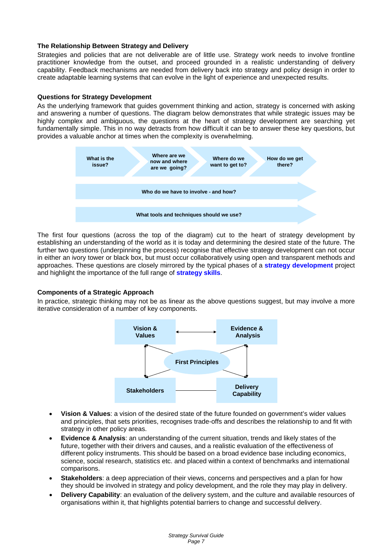### **The Relationship Between Strategy and Delivery**

Strategies and policies that are not deliverable are of little use. Strategy work needs to involve frontline practitioner knowledge from the outset, and proceed grounded in a realistic understanding of delivery capability. Feedback mechanisms are needed from delivery back into strategy and policy design in order to create adaptable learning systems that can evolve in the light of experience and unexpected results.

### **Questions for Strategy Development**

As the underlying framework that guides government thinking and action, strategy is concerned with asking and answering a number of questions. The diagram below demonstrates that while strategic issues may be highly complex and ambiguous, the questions at the heart of strategy development are searching yet fundamentally simple. This in no way detracts from how difficult it can be to answer these key questions, but provides a valuable anchor at times when the complexity is overwhelming.



The first four questions (across the top of the diagram) cut to the heart of strategy development by establishing an understanding of the world as it is today and determining the desired state of the future. The further two questions (underpinning the process) recognise that effective strategy development can not occur in either an ivory tower or black box, but must occur collaboratively using open and transparent methods and approaches. These questions are closely mirrored by the typical phases of a **strategy development** project and highlight the importance of the full range of **strategy skills**.

### **Components of a Strategic Approach**

In practice, strategic thinking may not be as linear as the above questions suggest, but may involve a more iterative consideration of a number of key components.



- **Vision & Values**: a vision of the desired state of the future founded on government's wider values and principles, that sets priorities, recognises trade-offs and describes the relationship to and fit with strategy in other policy areas.
- **Evidence & Analysis**: an understanding of the current situation, trends and likely states of the future, together with their drivers and causes, and a realistic evaluation of the effectiveness of different policy instruments. This should be based on a broad evidence base including economics, science, social research, statistics etc. and placed within a context of benchmarks and international comparisons.
- **Stakeholders**: a deep appreciation of their views, concerns and perspectives and a plan for how they should be involved in strategy and policy development, and the role they may play in delivery.
- **Delivery Capability**: an evaluation of the delivery system, and the culture and available resources of organisations within it, that highlights potential barriers to change and successful delivery.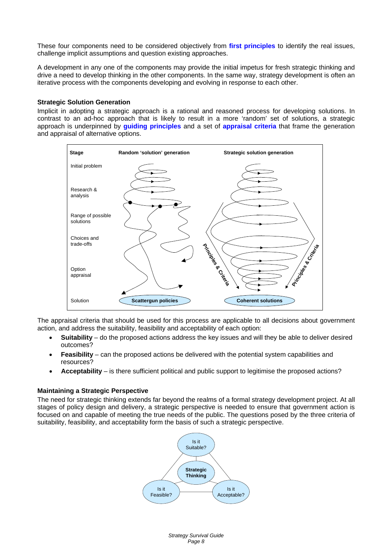These four components need to be considered objectively from **first principles** to identify the real issues, challenge implicit assumptions and question existing approaches.

A development in any one of the components may provide the initial impetus for fresh strategic thinking and drive a need to develop thinking in the other components. In the same way, strategy development is often an iterative process with the components developing and evolving in response to each other.

### **Strategic Solution Generation**

Implicit in adopting a strategic approach is a rational and reasoned process for developing solutions. In contrast to an ad-hoc approach that is likely to result in a more 'random' set of solutions, a strategic approach is underpinned by **guiding principles** and a set of **appraisal criteria** that frame the generation and appraisal of alternative options.



The appraisal criteria that should be used for this process are applicable to all decisions about government action, and address the suitability, feasibility and acceptability of each option:

- **Suitability** do the proposed actions address the key issues and will they be able to deliver desired outcomes?
- **Feasibility** can the proposed actions be delivered with the potential system capabilities and resources?
- **Acceptability** is there sufficient political and public support to legitimise the proposed actions?

### **Maintaining a Strategic Perspective**

The need for strategic thinking extends far beyond the realms of a formal strategy development project. At all stages of policy design and delivery, a strategic perspective is needed to ensure that government action is focused on and capable of meeting the true needs of the public. The questions posed by the three criteria of suitability, feasibility, and acceptability form the basis of such a strategic perspective.

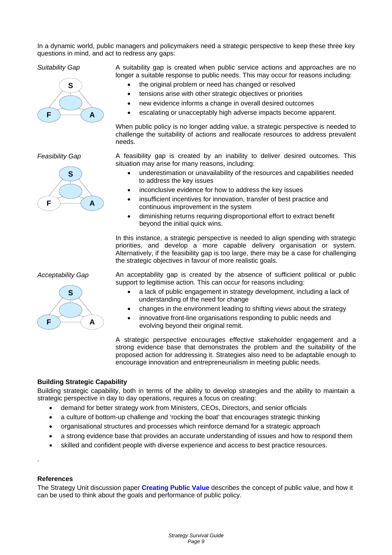In a dynamic world, public managers and policymakers need a strategic perspective to keep these three key questions in mind, and act to redress any gaps:

*Suitability Gap* 

**S F A**

*Feasibility Gap* 

**S F A** A suitability gap is created when public service actions and approaches are no longer a suitable response to public needs. This may occur for reasons including:

- the original problem or need has changed or resolved
- tensions arise with other strategic objectives or priorities
- new evidence informs a change in overall desired outcomes
- escalating or unacceptably high adverse impacts become apparent.

When public policy is no longer adding value, a strategic perspective is needed to challenge the suitability of actions and reallocate resources to address prevalent needs.

A feasibility gap is created by an inability to deliver desired outcomes. This situation may arise for many reasons, including:

- underestimation or unavailability of the resources and capabilities needed to address the key issues
- inconclusive evidence for how to address the key issues
- insufficient incentives for innovation, transfer of best practice and continuous improvement in the system
- diminishing returns requiring disproportional effort to extract benefit beyond the initial quick wins.

In this instance, a strategic perspective is needed to align spending with strategic priorities, and develop a more capable delivery organisation or system. Alternatively, if the feasibility gap is too large, there may be a case for challenging the strategic objectives in favour of more realistic goals.

An acceptability gap is created by the absence of sufficient political or public support to legitimise action. This can occur for reasons including:

- a lack of public engagement in strategy development, including a lack of understanding of the need for change
- changes in the environment leading to shifting views about the strategy
- innovative front-line organisations responding to public needs and evolving beyond their original remit.

A strategic perspective encourages effective stakeholder engagement and a strong evidence base that demonstrates the problem and the suitability of the proposed action for addressing it. Strategies also need to be adaptable enough to encourage innovation and entrepreneurialism in meeting public needs.

### **Building Strategic Capability**

Building strategic capability, both in terms of the ability to develop strategies and the ability to maintain a strategic perspective in day to day operations, requires a focus on creating:

- demand for better strategy work from Ministers, CEOs, Directors, and senior officials
- a culture of bottom-up challenge and 'rocking the boat' that encourages strategic thinking
- organisational structures and processes which reinforce demand for a strategic approach
- a strong evidence base that provides an accurate understanding of issues and how to respond them
- skilled and confident people with diverse experience and access to best practice resources.

### **References**

.

The Strategy Unit discussion paper **Creating Public Value** describes the concept of public value, and how it can be used to think about the goals and performance of public policy.

*Acceptability Gap* 

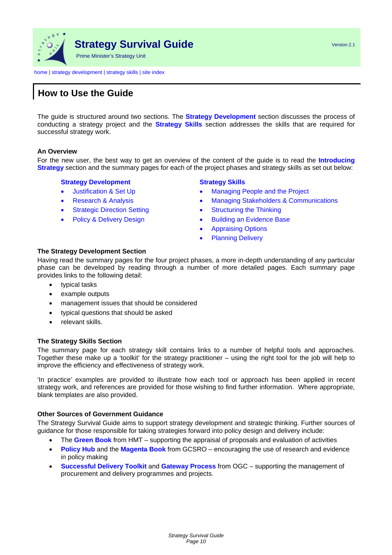

## **How to Use the Guide**

The guide is structured around two sections. The **Strategy Development** section discusses the process of conducting a strategy project and the **Strategy Skills** section addresses the skills that are required for successful strategy work.

### **An Overview**

For the new user, the best way to get an overview of the content of the guide is to read the **Introducing Strategy** section and the summary pages for each of the project phases and strategy skills as set out below:

### **Strategy Development**

- Justification & Set Up
- Research & Analysis
- **Strategic Direction Setting**
- Policy & Delivery Design

### **Strategy Skills**

- Managing People and the Project
- Managing Stakeholders & Communications
- **Structuring the Thinking**
- Building an Evidence Base
- Appraising Options
- **Planning Delivery**

### **The Strategy Development Section**

Having read the summary pages for the four project phases, a more in-depth understanding of any particular phase can be developed by reading through a number of more detailed pages. Each summary page provides links to the following detail:

- typical tasks
- example outputs
- management issues that should be considered
- typical questions that should be asked
- relevant skills.

### **The Strategy Skills Section**

The summary page for each strategy skill contains links to a number of helpful tools and approaches. Together these make up a 'toolkit' for the strategy practitioner – using the right tool for the job will help to improve the efficiency and effectiveness of strategy work.

'In practice' examples are provided to illustrate how each tool or approach has been applied in recent strategy work, and references are provided for those wishing to find further information. Where appropriate, blank templates are also provided.

### **Other Sources of Government Guidance**

The Strategy Survival Guide aims to support strategy development and strategic thinking. Further sources of guidance for those responsible for taking strategies forward into policy design and delivery include:

- The **Green Book** from HMT supporting the appraisal of proposals and evaluation of activities
- **Policy Hub** and the **Magenta Book** from GCSRO encouraging the use of research and evidence in policy making
- **Successful Delivery Toolkit** and **Gateway Process** from OGC supporting the management of procurement and delivery programmes and projects.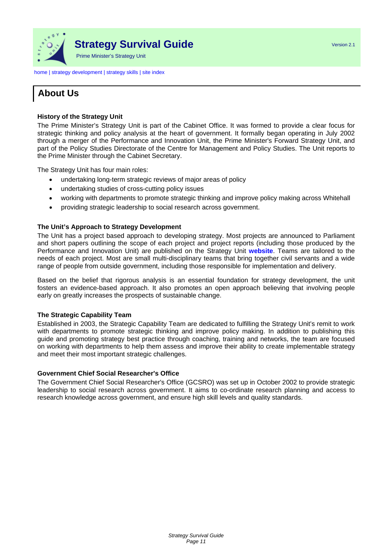

## **About Us**

### **History of the Strategy Unit**

The Prime Minister's Strategy Unit is part of the Cabinet Office. It was formed to provide a clear focus for strategic thinking and policy analysis at the heart of government. It formally began operating in July 2002 through a merger of the Performance and Innovation Unit, the Prime Minister's Forward Strategy Unit, and part of the Policy Studies Directorate of the Centre for Management and Policy Studies. The Unit reports to the Prime Minister through the Cabinet Secretary.

The Strategy Unit has four main roles:

- undertaking long-term strategic reviews of major areas of policy
- undertaking studies of cross-cutting policy issues
- working with departments to promote strategic thinking and improve policy making across Whitehall
- providing strategic leadership to social research across government.

#### **The Unit's Approach to Strategy Development**

The Unit has a project based approach to developing strategy. Most projects are announced to Parliament and short papers outlining the scope of each project and project reports (including those produced by the Performance and Innovation Unit) are published on the Strategy Unit **website**. Teams are tailored to the needs of each project. Most are small multi-disciplinary teams that bring together civil servants and a wide range of people from outside government, including those responsible for implementation and delivery.

Based on the belief that rigorous analysis is an essential foundation for strategy development, the unit fosters an evidence-based approach. It also promotes an open approach believing that involving people early on greatly increases the prospects of sustainable change.

### **The Strategic Capability Team**

Established in 2003, the Strategic Capability Team are dedicated to fulfilling the Strategy Unit's remit to work with departments to promote strategic thinking and improve policy making. In addition to publishing this guide and promoting strategy best practice through coaching, training and networks, the team are focused on working with departments to help them assess and improve their ability to create implementable strategy and meet their most important strategic challenges.

#### **Government Chief Social Researcher's Office**

The Government Chief Social Researcher's Office (GCSRO) was set up in October 2002 to provide strategic leadership to social research across government. It aims to co-ordinate research planning and access to research knowledge across government, and ensure high skill levels and quality standards.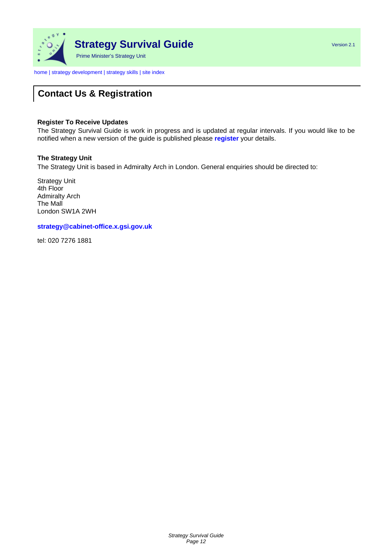

# **Contact Us & Registration**

### **Register To Receive Updates**

The Strategy Survival Guide is work in progress and is updated at regular intervals. If you would like to be notified when a new version of the guide is published please **register** your details.

### **The Strategy Unit**

The Strategy Unit is based in Admiralty Arch in London. General enquiries should be directed to:

Strategy Unit 4th Floor Admiralty Arch The Mall London SW1A 2WH

### **strategy@cabinet-office.x.gsi.gov.uk**

tel: 020 7276 1881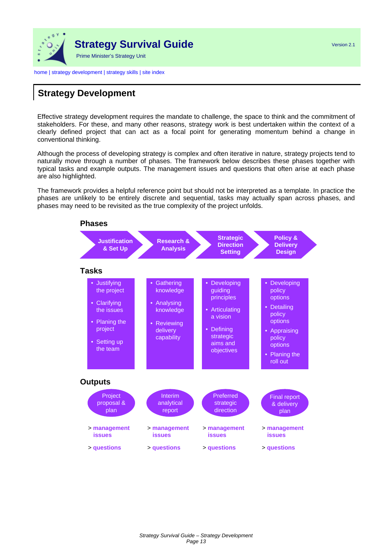

## **Strategy Development**

Effective strategy development requires the mandate to challenge, the space to think and the commitment of stakeholders. For these, and many other reasons, strategy work is best undertaken within the context of a clearly defined project that can act as a focal point for generating momentum behind a change in conventional thinking.

Although the process of developing strategy is complex and often iterative in nature, strategy projects tend to naturally move through a number of phases. The framework below describes these phases together with typical tasks and example outputs. The management issues and questions that often arise at each phase are also highlighted.

The framework provides a helpful reference point but should not be interpreted as a template. In practice the phases are unlikely to be entirely discrete and sequential, tasks may actually span across phases, and phases may need to be revisited as the true complexity of the project unfolds.

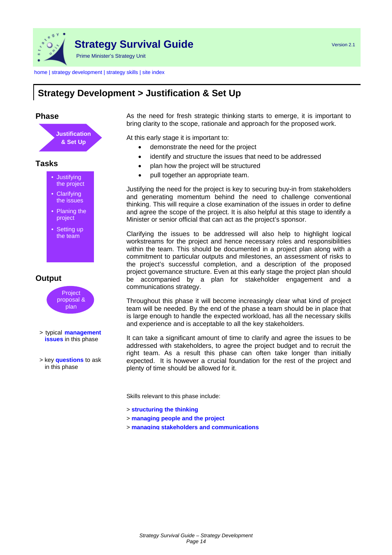

## **Strategy Development > Justification & Set Up**





### **Tasks**

- Justifying the project
- Clarifying the issues
- Planing the project
- Setting up the team

### **Output**



- > typical **management issues** in this phase
- > key **questions** to ask in this phase

As the need for fresh strategic thinking starts to emerge, it is important to bring clarity to the scope, rationale and approach for the proposed work.

At this early stage it is important to:

- demonstrate the need for the project
- identify and structure the issues that need to be addressed
- plan how the project will be structured
- pull together an appropriate team.

Justifying the need for the project is key to securing buy-in from stakeholders and generating momentum behind the need to challenge conventional thinking. This will require a close examination of the issues in order to define and agree the scope of the project. It is also helpful at this stage to identify a Minister or senior official that can act as the project's sponsor.

Clarifying the issues to be addressed will also help to highlight logical workstreams for the project and hence necessary roles and responsibilities within the team. This should be documented in a project plan along with a commitment to particular outputs and milestones, an assessment of risks to the project's successful completion, and a description of the proposed project governance structure. Even at this early stage the project plan should be accompanied by a plan for stakeholder engagement and a communications strategy.

Throughout this phase it will become increasingly clear what kind of project team will be needed. By the end of the phase a team should be in place that is large enough to handle the expected workload, has all the necessary skills and experience and is acceptable to all the key stakeholders.

It can take a significant amount of time to clarify and agree the issues to be addressed with stakeholders, to agree the project budget and to recruit the right team. As a result this phase can often take longer than initially expected. It is however a crucial foundation for the rest of the project and plenty of time should be allowed for it.

Skills relevant to this phase include:

- > **structuring the thinking**
- > **managing people and the project**
- > **managing stakeholders and communications**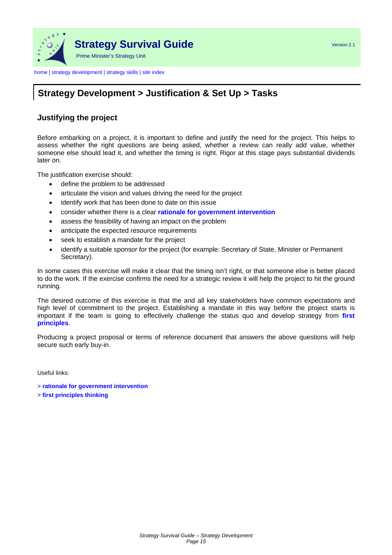

## **Strategy Development > Justification & Set Up > Tasks**

### **Justifying the project**

Before embarking on a project, it is important to define and justify the need for the project. This helps to assess whether the right questions are being asked, whether a review can really add value, whether someone else should lead it, and whether the timing is right. Rigor at this stage pays substantial dividends later on.

The justification exercise should:

- define the problem to be addressed
- articulate the vision and values driving the need for the project
- identify work that has been done to date on this issue
- consider whether there is a clear **rationale for government intervention**
- assess the feasibility of having an impact on the problem
- anticipate the expected resource requirements
- seek to establish a mandate for the project
- identify a suitable sponsor for the project (for example: Secretary of State, Minister or Permanent Secretary).

In some cases this exercise will make it clear that the timing isn't right, or that someone else is better placed to do the work. If the exercise confirms the need for a strategic review it will help the project to hit the ground running.

The desired outcome of this exercise is that the and all key stakeholders have common expectations and high level of commitment to the project. Establishing a mandate in this way before the project starts is important if the team is going to effectively challenge the status quo and develop strategy from **first principles**.

Producing a project proposal or terms of reference document that answers the above questions will help secure such early buy-in.

Useful links:

> **rationale for government intervention** 

> **first principles thinking**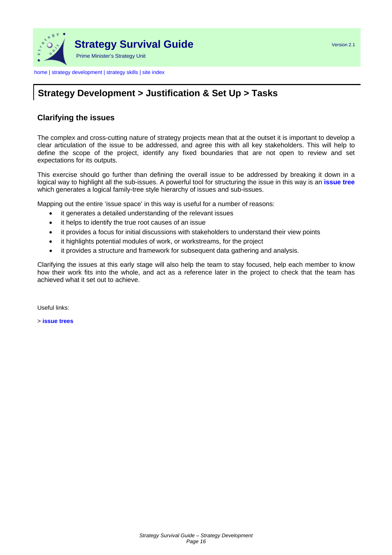

# **Strategy Development > Justification & Set Up > Tasks**

## **Clarifying the issues**

The complex and cross-cutting nature of strategy projects mean that at the outset it is important to develop a clear articulation of the issue to be addressed, and agree this with all key stakeholders. This will help to define the scope of the project, identify any fixed boundaries that are not open to review and set expectations for its outputs.

This exercise should go further than defining the overall issue to be addressed by breaking it down in a logical way to highlight all the sub-issues. A powerful tool for structuring the issue in this way is an **issue tree** which generates a logical family-tree style hierarchy of issues and sub-issues.

Mapping out the entire 'issue space' in this way is useful for a number of reasons:

- it generates a detailed understanding of the relevant issues
- it helps to identify the true root causes of an issue
- it provides a focus for initial discussions with stakeholders to understand their view points
- it highlights potential modules of work, or workstreams, for the project
- it provides a structure and framework for subsequent data gathering and analysis.

Clarifying the issues at this early stage will also help the team to stay focused, help each member to know how their work fits into the whole, and act as a reference later in the project to check that the team has achieved what it set out to achieve.

Useful links:

> **issue trees**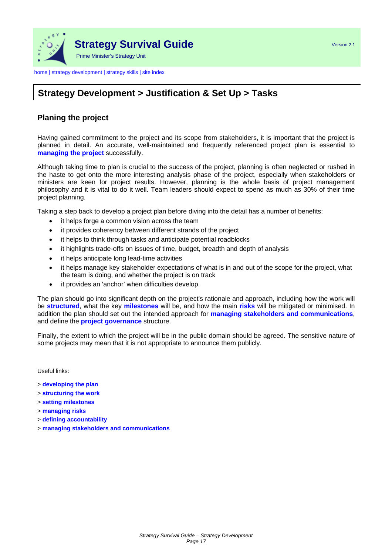

# **Strategy Development > Justification & Set Up > Tasks**

### **Planing the project**

Having gained commitment to the project and its scope from stakeholders, it is important that the project is planned in detail. An accurate, well-maintained and frequently referenced project plan is essential to **managing the project** successfully.

Although taking time to plan is crucial to the success of the project, planning is often neglected or rushed in the haste to get onto the more interesting analysis phase of the project, especially when stakeholders or ministers are keen for project results. However, planning is the whole basis of project management philosophy and it is vital to do it well. Team leaders should expect to spend as much as 30% of their time project planning.

Taking a step back to develop a project plan before diving into the detail has a number of benefits:

- it helps forge a common vision across the team
- it provides coherency between different strands of the project
- it helps to think through tasks and anticipate potential roadblocks
- it highlights trade-offs on issues of time, budget, breadth and depth of analysis
- it helps anticipate long lead-time activities
- it helps manage key stakeholder expectations of what is in and out of the scope for the project, what the team is doing, and whether the project is on track
- it provides an 'anchor' when difficulties develop.

The plan should go into significant depth on the project's rationale and approach, including how the work will be **structured**, what the key **milestones** will be, and how the main **risks** will be mitigated or minimised. In addition the plan should set out the intended approach for **managing stakeholders and communications**, and define the **project governance** structure.

Finally, the extent to which the project will be in the public domain should be agreed. The sensitive nature of some projects may mean that it is not appropriate to announce them publicly.

- > **developing the plan**
- > **structuring the work**
- > **setting milestones**
- > **managing risks**
- > **defining accountability**
- > **managing stakeholders and communications**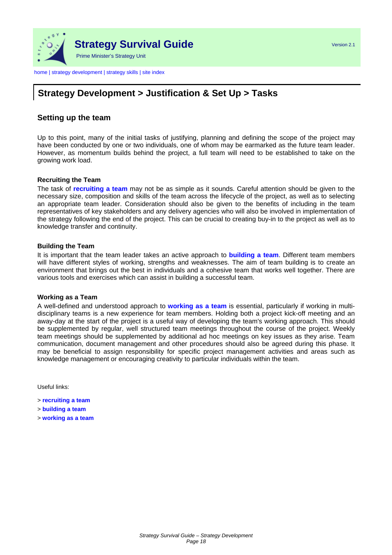

## **Strategy Development > Justification & Set Up > Tasks**

### **Setting up the team**

Up to this point, many of the initial tasks of justifying, planning and defining the scope of the project may have been conducted by one or two individuals, one of whom may be earmarked as the future team leader. However, as momentum builds behind the project, a full team will need to be established to take on the growing work load.

### **Recruiting the Team**

The task of **recruiting a team** may not be as simple as it sounds. Careful attention should be given to the necessary size, composition and skills of the team across the lifecycle of the project, as well as to selecting an appropriate team leader. Consideration should also be given to the benefits of including in the team representatives of key stakeholders and any delivery agencies who will also be involved in implementation of the strategy following the end of the project. This can be crucial to creating buy-in to the project as well as to knowledge transfer and continuity.

### **Building the Team**

It is important that the team leader takes an active approach to **building a team**. Different team members will have different styles of working, strengths and weaknesses. The aim of team building is to create an environment that brings out the best in individuals and a cohesive team that works well together. There are various tools and exercises which can assist in building a successful team.

### **Working as a Team**

A well-defined and understood approach to **working as a team** is essential, particularly if working in multidisciplinary teams is a new experience for team members. Holding both a project kick-off meeting and an away-day at the start of the project is a useful way of developing the team's working approach. This should be supplemented by regular, well structured team meetings throughout the course of the project. Weekly team meetings should be supplemented by additional ad hoc meetings on key issues as they arise. Team communication, document management and other procedures should also be agreed during this phase. It may be beneficial to assign responsibility for specific project management activities and areas such as knowledge management or encouraging creativity to particular individuals within the team.

- > **recruiting a team**
- > **building a team**
- > **working as a team**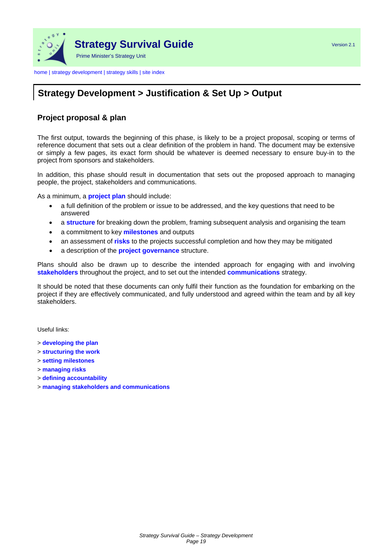

## **Strategy Development > Justification & Set Up > Output**

### **Project proposal & plan**

The first output, towards the beginning of this phase, is likely to be a project proposal, scoping or terms of reference document that sets out a clear definition of the problem in hand. The document may be extensive or simply a few pages, its exact form should be whatever is deemed necessary to ensure buy-in to the project from sponsors and stakeholders.

In addition, this phase should result in documentation that sets out the proposed approach to managing people, the project, stakeholders and communications.

As a minimum, a **project plan** should include:

- a full definition of the problem or issue to be addressed, and the key questions that need to be answered
- a **structure** for breaking down the problem, framing subsequent analysis and organising the team
- a commitment to key **milestones** and outputs
- an assessment of **risks** to the projects successful completion and how they may be mitigated
- a description of the **project governance** structure.

Plans should also be drawn up to describe the intended approach for engaging with and involving **stakeholders** throughout the project, and to set out the intended **communications** strategy.

It should be noted that these documents can only fulfil their function as the foundation for embarking on the project if they are effectively communicated, and fully understood and agreed within the team and by all key stakeholders.

- > **developing the plan**
- > **structuring the work**
- > **setting milestones**
- > **managing risks**
- > **defining accountability**
- > **managing stakeholders and communications**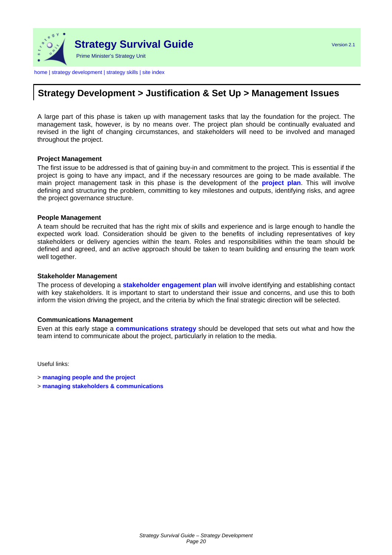

## **Strategy Development > Justification & Set Up > Management Issues**

A large part of this phase is taken up with management tasks that lay the foundation for the project. The management task, however, is by no means over. The project plan should be continually evaluated and revised in the light of changing circumstances, and stakeholders will need to be involved and managed throughout the project.

### **Project Management**

The first issue to be addressed is that of gaining buy-in and commitment to the project. This is essential if the project is going to have any impact, and if the necessary resources are going to be made available. The main project management task in this phase is the development of the **project plan**. This will involve defining and structuring the problem, committing to key milestones and outputs, identifying risks, and agree the project governance structure.

### **People Management**

A team should be recruited that has the right mix of skills and experience and is large enough to handle the expected work load. Consideration should be given to the benefits of including representatives of key stakeholders or delivery agencies within the team. Roles and responsibilities within the team should be defined and agreed, and an active approach should be taken to team building and ensuring the team work well together.

### **Stakeholder Management**

The process of developing a **stakeholder engagement plan** will involve identifying and establishing contact with key stakeholders. It is important to start to understand their issue and concerns, and use this to both inform the vision driving the project, and the criteria by which the final strategic direction will be selected.

### **Communications Management**

Even at this early stage a **communications strategy** should be developed that sets out what and how the team intend to communicate about the project, particularly in relation to the media.

Useful links:

> **managing people and the project** 

> **managing stakeholders & communications**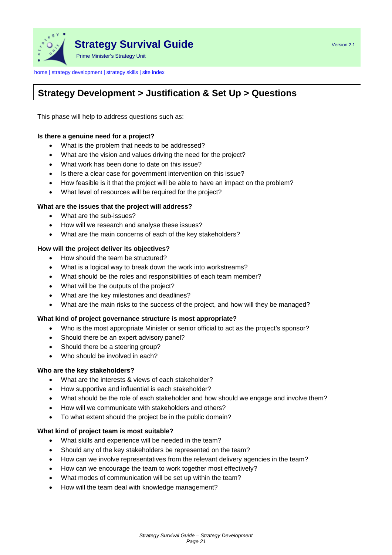

# **Strategy Development > Justification & Set Up > Questions**

This phase will help to address questions such as:

### **Is there a genuine need for a project?**

- What is the problem that needs to be addressed?
- What are the vision and values driving the need for the project?
- What work has been done to date on this issue?
- Is there a clear case for government intervention on this issue?
- How feasible is it that the project will be able to have an impact on the problem?
- What level of resources will be required for the project?

### **What are the issues that the project will address?**

- What are the sub-issues?
- How will we research and analyse these issues?
- What are the main concerns of each of the key stakeholders?

### **How will the project deliver its objectives?**

- How should the team be structured?
- What is a logical way to break down the work into workstreams?
- What should be the roles and responsibilities of each team member?
- What will be the outputs of the project?
- What are the key milestones and deadlines?
- What are the main risks to the success of the project, and how will they be managed?

### **What kind of project governance structure is most appropriate?**

- Who is the most appropriate Minister or senior official to act as the project's sponsor?
- Should there be an expert advisory panel?
- Should there be a steering group?
- Who should be involved in each?

### **Who are the key stakeholders?**

- What are the interests & views of each stakeholder?
- How supportive and influential is each stakeholder?
- What should be the role of each stakeholder and how should we engage and involve them?
- How will we communicate with stakeholders and others?
- To what extent should the project be in the public domain?

### **What kind of project team is most suitable?**

- What skills and experience will be needed in the team?
- Should any of the key stakeholders be represented on the team?
- How can we involve representatives from the relevant delivery agencies in the team?
- How can we encourage the team to work together most effectively?
- What modes of communication will be set up within the team?
- How will the team deal with knowledge management?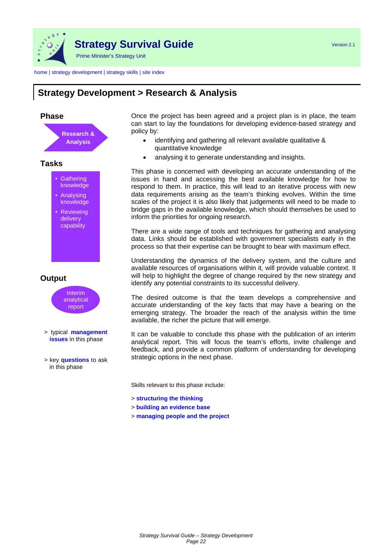

## **Strategy Development > Research & Analysis**







### **Output**



- > typical **management issues** in this phase
- > key **questions** to ask in this phase

Once the project has been agreed and a project plan is in place, the team can start to lay the foundations for developing evidence-based strategy and policy by:

- identifying and gathering all relevant available qualitative & quantitative knowledge
- analysing it to generate understanding and insights.

This phase is concerned with developing an accurate understanding of the issues in hand and accessing the best available knowledge for how to respond to them. In practice, this will lead to an iterative process with new data requirements arising as the team's thinking evolves. Within the time scales of the project it is also likely that judgements will need to be made to bridge gaps in the available knowledge, which should themselves be used to inform the priorities for ongoing research.

There are a wide range of tools and techniques for gathering and analysing data. Links should be established with government specialists early in the process so that their expertise can be brought to bear with maximum effect.

Understanding the dynamics of the delivery system, and the culture and available resources of organisations within it, will provide valuable context. It will help to highlight the degree of change required by the new strategy and identify any potential constraints to its successful delivery.

The desired outcome is that the team develops a comprehensive and accurate understanding of the key facts that may have a bearing on the emerging strategy. The broader the reach of the analysis within the time available, the richer the picture that will emerge.

It can be valuable to conclude this phase with the publication of an interim analytical report. This will focus the team's efforts, invite challenge and feedback, and provide a common platform of understanding for developing strategic options in the next phase.

Skills relevant to this phase include:

- > **structuring the thinking**
- > **building an evidence base**
- > **managing people and the project**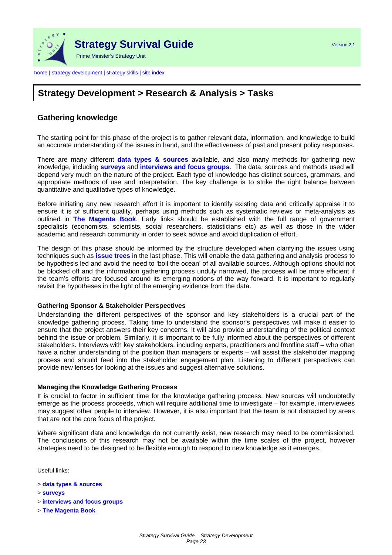

## **Strategy Development > Research & Analysis > Tasks**

### **Gathering knowledge**

The starting point for this phase of the project is to gather relevant data, information, and knowledge to build an accurate understanding of the issues in hand, and the effectiveness of past and present policy responses.

There are many different **data types & sources** available, and also many methods for gathering new knowledge, including **surveys** and **interviews and focus groups**. The data, sources and methods used will depend very much on the nature of the project. Each type of knowledge has distinct sources, grammars, and appropriate methods of use and interpretation. The key challenge is to strike the right balance between quantitative and qualitative types of knowledge.

Before initiating any new research effort it is important to identify existing data and critically appraise it to ensure it is of sufficient quality, perhaps using methods such as systematic reviews or meta-analysis as outlined in **The Magenta Book**. Early links should be established with the full range of government specialists (economists, scientists, social researchers, statisticians etc) as well as those in the wider academic and research community in order to seek advice and avoid duplication of effort.

The design of this phase should be informed by the structure developed when clarifying the issues using techniques such as **issue trees** in the last phase. This will enable the data gathering and analysis process to be hypothesis led and avoid the need to 'boil the ocean' of all available sources. Although options should not be blocked off and the information gathering process unduly narrowed, the process will be more efficient if the team's efforts are focused around its emerging notions of the way forward. It is important to regularly revisit the hypotheses in the light of the emerging evidence from the data.

### **Gathering Sponsor & Stakeholder Perspectives**

Understanding the different perspectives of the sponsor and key stakeholders is a crucial part of the knowledge gathering process. Taking time to understand the sponsor's perspectives will make it easier to ensure that the project answers their key concerns. It will also provide understanding of the political context behind the issue or problem. Similarly, it is important to be fully informed about the perspectives of different stakeholders. Interviews with key stakeholders, including experts, practitioners and frontline staff – who often have a richer understanding of the position than managers or experts – will assist the stakeholder mapping process and should feed into the stakeholder engagement plan. Listening to different perspectives can provide new lenses for looking at the issues and suggest alternative solutions.

### **Managing the Knowledge Gathering Process**

It is crucial to factor in sufficient time for the knowledge gathering process. New sources will undoubtedly emerge as the process proceeds, which will require additional time to investigate – for example, interviewees may suggest other people to interview. However, it is also important that the team is not distracted by areas that are not the core focus of the project.

Where significant data and knowledge do not currently exist, new research may need to be commissioned. The conclusions of this research may not be available within the time scales of the project, however strategies need to be designed to be flexible enough to respond to new knowledge as it emerges.

- > **data types & sources**
- > **surveys**
- > **interviews and focus groups**
- > **The Magenta Book**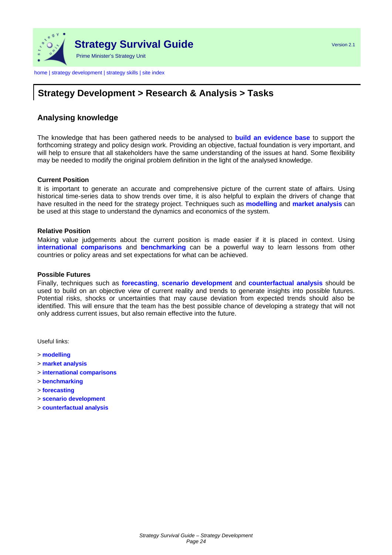

## **Strategy Development > Research & Analysis > Tasks**

## **Analysing knowledge**

The knowledge that has been gathered needs to be analysed to **build an evidence base** to support the forthcoming strategy and policy design work. Providing an objective, factual foundation is very important, and will help to ensure that all stakeholders have the same understanding of the issues at hand. Some flexibility may be needed to modify the original problem definition in the light of the analysed knowledge.

### **Current Position**

It is important to generate an accurate and comprehensive picture of the current state of affairs. Using historical time-series data to show trends over time, it is also helpful to explain the drivers of change that have resulted in the need for the strategy project. Techniques such as **modelling** and **market analysis** can be used at this stage to understand the dynamics and economics of the system.

### **Relative Position**

Making value judgements about the current position is made easier if it is placed in context. Using **international comparisons** and **benchmarking** can be a powerful way to learn lessons from other countries or policy areas and set expectations for what can be achieved.

### **Possible Futures**

Finally, techniques such as **forecasting**, **scenario development** and **counterfactual analysis** should be used to build on an objective view of current reality and trends to generate insights into possible futures. Potential risks, shocks or uncertainties that may cause deviation from expected trends should also be identified. This will ensure that the team has the best possible chance of developing a strategy that will not only address current issues, but also remain effective into the future.

- > **modelling**
- > **market analysis**
- > **international comparisons**
- > **benchmarking**
- > **forecasting**
- > **scenario development**
- > **counterfactual analysis**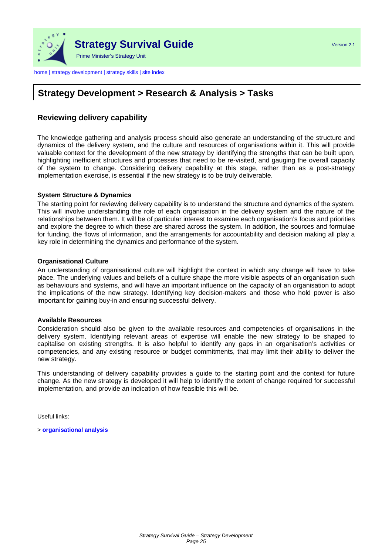

# **Strategy Development > Research & Analysis > Tasks**

## **Reviewing delivery capability**

The knowledge gathering and analysis process should also generate an understanding of the structure and dynamics of the delivery system, and the culture and resources of organisations within it. This will provide valuable context for the development of the new strategy by identifying the strengths that can be built upon, highlighting inefficient structures and processes that need to be re-visited, and gauging the overall capacity of the system to change. Considering delivery capability at this stage, rather than as a post-strategy implementation exercise, is essential if the new strategy is to be truly deliverable.

### **System Structure & Dynamics**

The starting point for reviewing delivery capability is to understand the structure and dynamics of the system. This will involve understanding the role of each organisation in the delivery system and the nature of the relationships between them. It will be of particular interest to examine each organisation's focus and priorities and explore the degree to which these are shared across the system. In addition, the sources and formulae for funding, the flows of information, and the arrangements for accountability and decision making all play a key role in determining the dynamics and performance of the system.

### **Organisational Culture**

An understanding of organisational culture will highlight the context in which any change will have to take place. The underlying values and beliefs of a culture shape the more visible aspects of an organisation such as behaviours and systems, and will have an important influence on the capacity of an organisation to adopt the implications of the new strategy. Identifying key decision-makers and those who hold power is also important for gaining buy-in and ensuring successful delivery.

### **Available Resources**

Consideration should also be given to the available resources and competencies of organisations in the delivery system. Identifying relevant areas of expertise will enable the new strategy to be shaped to capitalise on existing strengths. It is also helpful to identify any gaps in an organisation's activities or competencies, and any existing resource or budget commitments, that may limit their ability to deliver the new strategy.

This understanding of delivery capability provides a guide to the starting point and the context for future change. As the new strategy is developed it will help to identify the extent of change required for successful implementation, and provide an indication of how feasible this will be.

Useful links:

> **organisational analysis**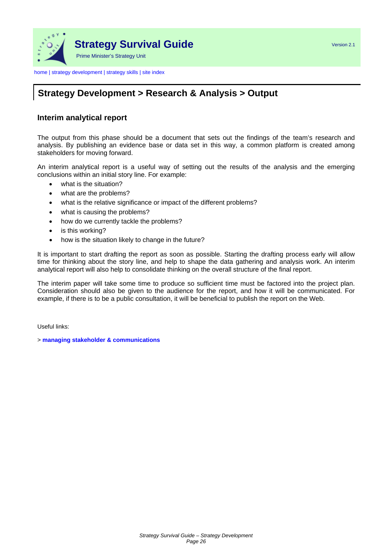

## **Strategy Development > Research & Analysis > Output**

### **Interim analytical report**

The output from this phase should be a document that sets out the findings of the team's research and analysis. By publishing an evidence base or data set in this way, a common platform is created among stakeholders for moving forward.

An interim analytical report is a useful way of setting out the results of the analysis and the emerging conclusions within an initial story line. For example:

- what is the situation?
- what are the problems?
- what is the relative significance or impact of the different problems?
- what is causing the problems?
- how do we currently tackle the problems?
- is this working?
- how is the situation likely to change in the future?

It is important to start drafting the report as soon as possible. Starting the drafting process early will allow time for thinking about the story line, and help to shape the data gathering and analysis work. An interim analytical report will also help to consolidate thinking on the overall structure of the final report.

The interim paper will take some time to produce so sufficient time must be factored into the project plan. Consideration should also be given to the audience for the report, and how it will be communicated. For example, if there is to be a public consultation, it will be beneficial to publish the report on the Web.

Useful links:

> **managing stakeholder & communications**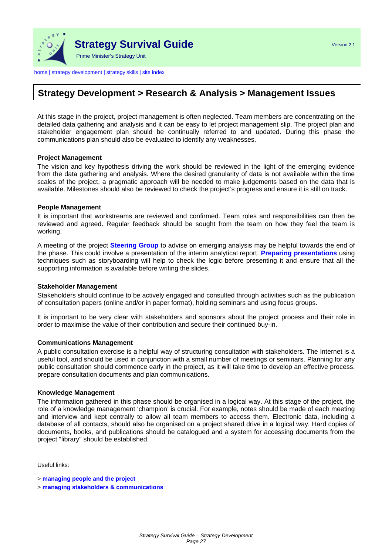

## **Strategy Development > Research & Analysis > Management Issues**

At this stage in the project, project management is often neglected. Team members are concentrating on the detailed data gathering and analysis and it can be easy to let project management slip. The project plan and stakeholder engagement plan should be continually referred to and updated. During this phase the communications plan should also be evaluated to identify any weaknesses.

### **Project Management**

The vision and key hypothesis driving the work should be reviewed in the light of the emerging evidence from the data gathering and analysis. Where the desired granularity of data is not available within the time scales of the project, a pragmatic approach will be needed to make judgements based on the data that is available. Milestones should also be reviewed to check the project's progress and ensure it is still on track.

### **People Management**

It is important that workstreams are reviewed and confirmed. Team roles and responsibilities can then be reviewed and agreed. Regular feedback should be sought from the team on how they feel the team is working.

A meeting of the project **Steering Group** to advise on emerging analysis may be helpful towards the end of the phase. This could involve a presentation of the interim analytical report. **Preparing presentations** using techniques such as storyboarding will help to check the logic before presenting it and ensure that all the supporting information is available before writing the slides.

### **Stakeholder Management**

Stakeholders should continue to be actively engaged and consulted through activities such as the publication of consultation papers (online and/or in paper format), holding seminars and using focus groups.

It is important to be very clear with stakeholders and sponsors about the project process and their role in order to maximise the value of their contribution and secure their continued buy-in.

### **Communications Management**

A public consultation exercise is a helpful way of structuring consultation with stakeholders. The Internet is a useful tool, and should be used in conjunction with a small number of meetings or seminars. Planning for any public consultation should commence early in the project, as it will take time to develop an effective process, prepare consultation documents and plan communications.

### **Knowledge Management**

The information gathered in this phase should be organised in a logical way. At this stage of the project, the role of a knowledge management 'champion' is crucial. For example, notes should be made of each meeting and interview and kept centrally to allow all team members to access them. Electronic data, including a database of all contacts, should also be organised on a project shared drive in a logical way. Hard copies of documents, books, and publications should be catalogued and a system for accessing documents from the project "library" should be established.

Useful links:

> **managing people and the project** 

> **managing stakeholders & communications**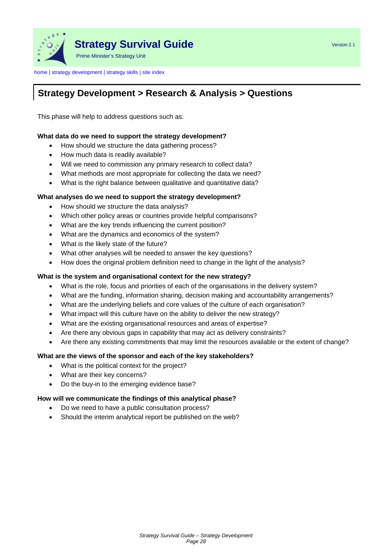

# **Strategy Development > Research & Analysis > Questions**

This phase will help to address questions such as:

### **What data do we need to support the strategy development?**

- How should we structure the data gathering process?
- How much data is readily available?
- Will we need to commission any primary research to collect data?
- What methods are most appropriate for collecting the data we need?
- What is the right balance between qualitative and quantitative data?

### **What analyses do we need to support the strategy development?**

- How should we structure the data analysis?
- Which other policy areas or countries provide helpful comparisons?
- What are the key trends influencing the current position?
- What are the dynamics and economics of the system?
- What is the likely state of the future?
- What other analyses will be needed to answer the key questions?
- How does the original problem definition need to change in the light of the analysis?

### **What is the system and organisational context for the new strategy?**

- What is the role, focus and priorities of each of the organisations in the delivery system?
- What are the funding, information sharing, decision making and accountability arrangements?
- What are the underlying beliefs and core values of the culture of each organisation?
- What impact will this culture have on the ability to deliver the new strategy?
- What are the existing organisational resources and areas of expertise?
- Are there any obvious gaps in capability that may act as delivery constraints?
- Are there any existing commitments that may limit the resources available or the extent of change?

### **What are the views of the sponsor and each of the key stakeholders?**

- What is the political context for the project?
- What are their key concerns?
- Do the buy-in to the emerging evidence base?

### **How will we communicate the findings of this analytical phase?**

- Do we need to have a public consultation process?
- Should the interim analytical report be published on the web?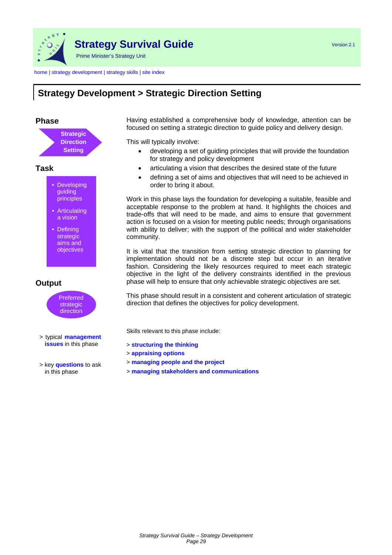

# **Strategy Development > Strategic Direction Setting**





### **Task**

- **Developing** guiding principles
- Articulating a vision
- Defining strategic aims and objectives

### **Output**



> typical **management issues** in this phase

> key **questions** to ask in this phase

Having established a comprehensive body of knowledge, attention can be focused on setting a strategic direction to guide policy and delivery design.

This will typically involve:

- developing a set of guiding principles that will provide the foundation for strategy and policy development
- articulating a vision that describes the desired state of the future
- defining a set of aims and objectives that will need to be achieved in order to bring it about.

Work in this phase lays the foundation for developing a suitable, feasible and acceptable response to the problem at hand. It highlights the choices and trade-offs that will need to be made, and aims to ensure that government action is focused on a vision for meeting public needs; through organisations with ability to deliver; with the support of the political and wider stakeholder community.

It is vital that the transition from setting strategic direction to planning for implementation should not be a discrete step but occur in an iterative fashion. Considering the likely resources required to meet each strategic objective in the light of the delivery constraints identified in the previous phase will help to ensure that only achievable strategic objectives are set.

This phase should result in a consistent and coherent articulation of strategic direction that defines the objectives for policy development.

Skills relevant to this phase include:

- > **structuring the thinking**
- > **appraising options**
- > **managing people and the project**
- > **managing stakeholders and communications**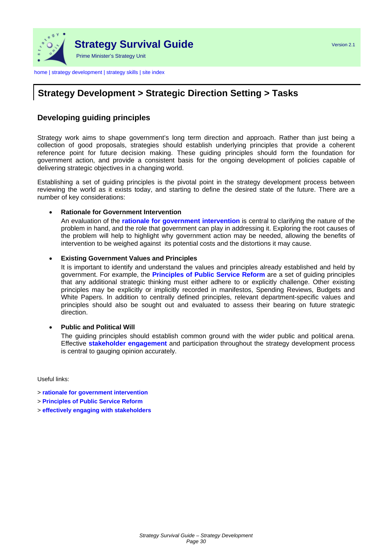

## **Strategy Development > Strategic Direction Setting > Tasks**

## **Developing guiding principles**

Strategy work aims to shape government's long term direction and approach. Rather than just being a collection of good proposals, strategies should establish underlying principles that provide a coherent reference point for future decision making. These guiding principles should form the foundation for government action, and provide a consistent basis for the ongoing development of policies capable of delivering strategic objectives in a changing world.

Establishing a set of guiding principles is the pivotal point in the strategy development process between reviewing the world as it exists today, and starting to define the desired state of the future. There are a number of key considerations:

### • **Rationale for Government Intervention**

An evaluation of the **rationale for government intervention** is central to clarifying the nature of the problem in hand, and the role that government can play in addressing it. Exploring the root causes of the problem will help to highlight why government action may be needed, allowing the benefits of intervention to be weighed against its potential costs and the distortions it may cause.

### • **Existing Government Values and Principles**

It is important to identify and understand the values and principles already established and held by government. For example, the **Principles of Public Service Reform** are a set of guiding principles that any additional strategic thinking must either adhere to or explicitly challenge. Other existing principles may be explicitly or implicitly recorded in manifestos, Spending Reviews, Budgets and White Papers. In addition to centrally defined principles, relevant department-specific values and principles should also be sought out and evaluated to assess their bearing on future strategic direction.

### • **Public and Political Will**

The guiding principles should establish common ground with the wider public and political arena. Effective **stakeholder engagement** and participation throughout the strategy development process is central to gauging opinion accurately.

- > **rationale for government intervention**
- > **Principles of Public Service Reform**
- > **effectively engaging with stakeholders**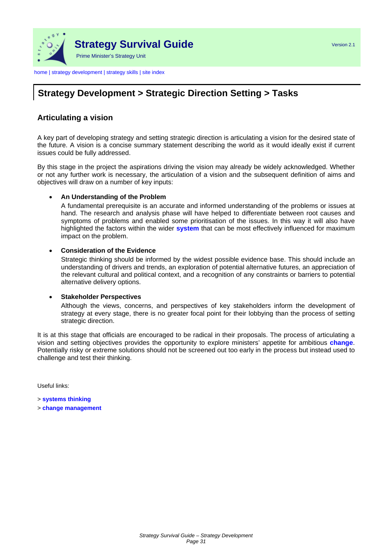

# **Strategy Development > Strategic Direction Setting > Tasks**

### **Articulating a vision**

A key part of developing strategy and setting strategic direction is articulating a vision for the desired state of the future. A vision is a concise summary statement describing the world as it would ideally exist if current issues could be fully addressed.

By this stage in the project the aspirations driving the vision may already be widely acknowledged. Whether or not any further work is necessary, the articulation of a vision and the subsequent definition of aims and objectives will draw on a number of key inputs:

### • **An Understanding of the Problem**

A fundamental prerequisite is an accurate and informed understanding of the problems or issues at hand. The research and analysis phase will have helped to differentiate between root causes and symptoms of problems and enabled some prioritisation of the issues. In this way it will also have highlighted the factors within the wider **system** that can be most effectively influenced for maximum impact on the problem.

### • **Consideration of the Evidence**

Strategic thinking should be informed by the widest possible evidence base. This should include an understanding of drivers and trends, an exploration of potential alternative futures, an appreciation of the relevant cultural and political context, and a recognition of any constraints or barriers to potential alternative delivery options.

### • **Stakeholder Perspectives**

Although the views, concerns, and perspectives of key stakeholders inform the development of strategy at every stage, there is no greater focal point for their lobbying than the process of setting strategic direction.

It is at this stage that officials are encouraged to be radical in their proposals. The process of articulating a vision and setting objectives provides the opportunity to explore ministers' appetite for ambitious **change**. Potentially risky or extreme solutions should not be screened out too early in the process but instead used to challenge and test their thinking.

- > **systems thinking**
- > **change management**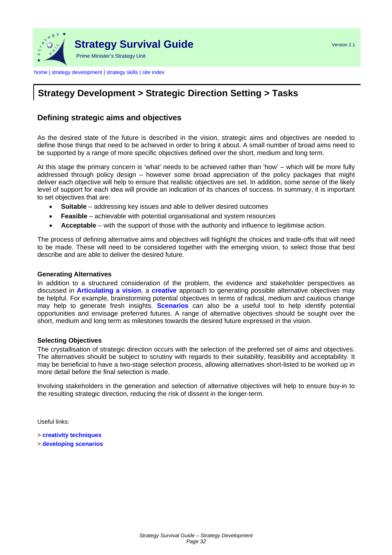

## **Strategy Development > Strategic Direction Setting > Tasks**

### **Defining strategic aims and objectives**

As the desired state of the future is described in the vision, strategic aims and objectives are needed to define those things that need to be achieved in order to bring it about. A small number of broad aims need to be supported by a range of more specific objectives defined over the short, medium and long term.

At this stage the primary concern is 'what' needs to be achieved rather than 'how' – which will be more fully addressed through policy design – however some broad appreciation of the policy packages that might deliver each objective will help to ensure that realistic objectives are set. In addition, some sense of the likely level of support for each idea will provide an indication of its chances of success. In summary, it is important to set objectives that are:

- **Suitable** addressing key issues and able to deliver desired outcomes
- **Feasible**  achievable with potential organisational and system resources
- **Acceptable**  with the support of those with the authority and influence to legitimise action.

The process of defining alternative aims and objectives will highlight the choices and trade-offs that will need to be made. These will need to be considered together with the emerging vision, to select those that best describe and are able to deliver the desired future.

#### **Generating Alternatives**

In addition to a structured consideration of the problem, the evidence and stakeholder perspectives as discussed in **Articulating a vision**, a **creative** approach to generating possible alternative objectives may be helpful. For example, brainstorming potential objectives in terms of radical, medium and cautious change may help to generate fresh insights. **Scenarios** can also be a useful tool to help identify potential opportunities and envisage preferred futures. A range of alternative objectives should be sought over the short, medium and long term as milestones towards the desired future expressed in the vision.

### **Selecting Objectives**

The crystallisation of strategic direction occurs with the selection of the preferred set of aims and objectives. The alternatives should be subject to scrutiny with regards to their suitability, feasibility and acceptability. It may be beneficial to have a two-stage selection process, allowing alternatives short-listed to be worked up in more detail before the final selection is made.

Involving stakeholders in the generation and selection of alternative objectives will help to ensure buy-in to the resulting strategic direction, reducing the risk of dissent in the longer-term.

- > **creativity techniques**
- > **developing scenarios**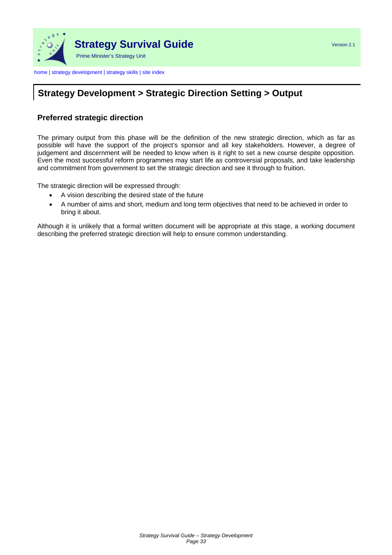

# **Strategy Development > Strategic Direction Setting > Output**

## **Preferred strategic direction**

The primary output from this phase will be the definition of the new strategic direction, which as far as possible will have the support of the project's sponsor and all key stakeholders. However, a degree of judgement and discernment will be needed to know when is it right to set a new course despite opposition. Even the most successful reform programmes may start life as controversial proposals, and take leadership and commitment from government to set the strategic direction and see it through to fruition.

The strategic direction will be expressed through:

- A vision describing the desired state of the future
- A number of aims and short, medium and long term objectives that need to be achieved in order to bring it about.

Although it is unlikely that a formal written document will be appropriate at this stage, a working document describing the preferred strategic direction will help to ensure common understanding.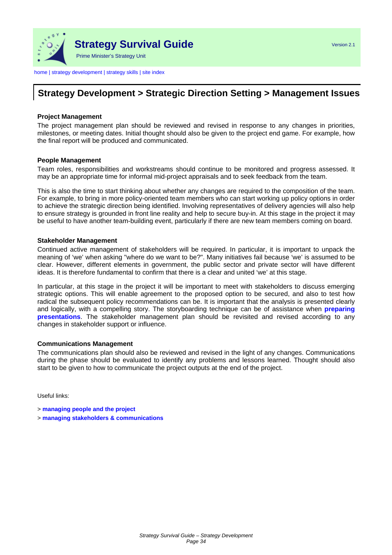

## **Strategy Development > Strategic Direction Setting > Management Issues**

### **Project Management**

The project management plan should be reviewed and revised in response to any changes in priorities, milestones, or meeting dates. Initial thought should also be given to the project end game. For example, how the final report will be produced and communicated.

### **People Management**

Team roles, responsibilities and workstreams should continue to be monitored and progress assessed. It may be an appropriate time for informal mid-project appraisals and to seek feedback from the team.

This is also the time to start thinking about whether any changes are required to the composition of the team. For example, to bring in more policy-oriented team members who can start working up policy options in order to achieve the strategic direction being identified. Involving representatives of delivery agencies will also help to ensure strategy is grounded in front line reality and help to secure buy-in. At this stage in the project it may be useful to have another team-building event, particularly if there are new team members coming on board.

### **Stakeholder Management**

Continued active management of stakeholders will be required. In particular, it is important to unpack the meaning of 'we' when asking "where do we want to be?". Many initiatives fail because 'we' is assumed to be clear. However, different elements in government, the public sector and private sector will have different ideas. It is therefore fundamental to confirm that there is a clear and united 'we' at this stage.

In particular, at this stage in the project it will be important to meet with stakeholders to discuss emerging strategic options. This will enable agreement to the proposed option to be secured, and also to test how radical the subsequent policy recommendations can be. It is important that the analysis is presented clearly and logically, with a compelling story. The storyboarding technique can be of assistance when **preparing presentations**. The stakeholder management plan should be revisited and revised according to any changes in stakeholder support or influence.

### **Communications Management**

The communications plan should also be reviewed and revised in the light of any changes. Communications during the phase should be evaluated to identify any problems and lessons learned. Thought should also start to be given to how to communicate the project outputs at the end of the project.

- > **managing people and the project**
- > **managing stakeholders & communications**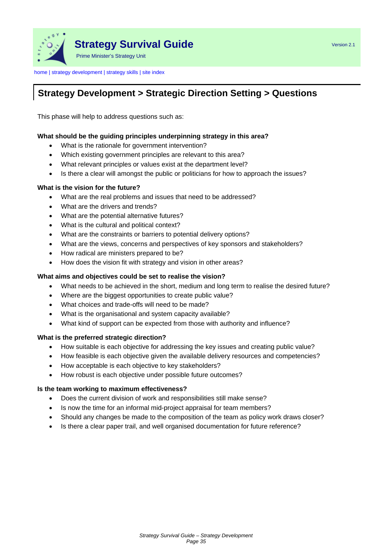

# **Strategy Development > Strategic Direction Setting > Questions**

This phase will help to address questions such as:

## **What should be the guiding principles underpinning strategy in this area?**

- What is the rationale for government intervention?
- Which existing government principles are relevant to this area?
- What relevant principles or values exist at the department level?
- Is there a clear will amongst the public or politicians for how to approach the issues?

#### **What is the vision for the future?**

- What are the real problems and issues that need to be addressed?
- What are the drivers and trends?
- What are the potential alternative futures?
- What is the cultural and political context?
- What are the constraints or barriers to potential delivery options?
- What are the views, concerns and perspectives of key sponsors and stakeholders?
- How radical are ministers prepared to be?
- How does the vision fit with strategy and vision in other areas?

### **What aims and objectives could be set to realise the vision?**

- What needs to be achieved in the short, medium and long term to realise the desired future?
- Where are the biggest opportunities to create public value?
- What choices and trade-offs will need to be made?
- What is the organisational and system capacity available?
- What kind of support can be expected from those with authority and influence?

#### **What is the preferred strategic direction?**

- How suitable is each objective for addressing the key issues and creating public value?
- How feasible is each objective given the available delivery resources and competencies?
- How acceptable is each objective to key stakeholders?
- How robust is each objective under possible future outcomes?

#### **Is the team working to maximum effectiveness?**

- Does the current division of work and responsibilities still make sense?
- Is now the time for an informal mid-project appraisal for team members?
- Should any changes be made to the composition of the team as policy work draws closer?
- Is there a clear paper trail, and well organised documentation for future reference?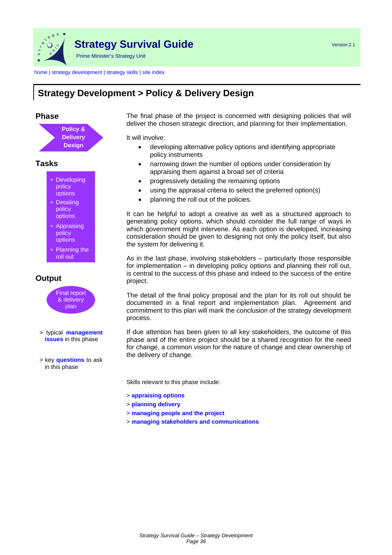

# **Strategy Development > Policy & Delivery Design**

## **Phase**



# **Tasks**

- Developing policy options
- Detailing policy options
- Appraising policy options
- Planning the roll out

# **Output**



- > typical **management issues** in this phase
- > key **questions** to ask in this phase

The final phase of the project is concerned with designing policies that will deliver the chosen strategic direction, and planning for their implementation.

It will involve:

- developing alternative policy options and identifying appropriate policy instruments
- narrowing down the number of options under consideration by appraising them against a broad set of criteria
- progressively detailing the remaining options
- using the appraisal criteria to select the preferred option(s)
- planning the roll out of the policies.

It can be helpful to adopt a creative as well as a structured approach to generating policy options, which should consider the full range of ways in which government might intervene. As each option is developed, increasing consideration should be given to designing not only the policy itself, but also the system for delivering it.

As in the last phase, involving stakeholders – particularly those responsible for implementation – in developing policy options and planning their roll out, is central to the success of this phase and indeed to the success of the entire project.

The detail of the final policy proposal and the plan for its roll out should be documented in a final report and implementation plan. Agreement and commitment to this plan will mark the conclusion of the strategy development process.

If due attention has been given to all key stakeholders, the outcome of this phase and of the entire project should be a shared recognition for the need for change, a common vision for the nature of change and clear ownership of the delivery of change.

Skills relevant to this phase include:

- > **appraising options**
- > **planning delivery**
- > **managing people and the project**
- > **managing stakeholders and communications**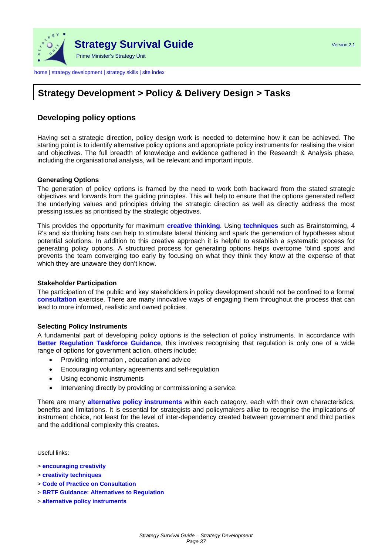

# **Strategy Development > Policy & Delivery Design > Tasks**

# **Developing policy options**

Having set a strategic direction, policy design work is needed to determine how it can be achieved. The starting point is to identify alternative policy options and appropriate policy instruments for realising the vision and objectives. The full breadth of knowledge and evidence gathered in the Research & Analysis phase, including the organisational analysis, will be relevant and important inputs.

### **Generating Options**

The generation of policy options is framed by the need to work both backward from the stated strategic objectives and forwards from the guiding principles. This will help to ensure that the options generated reflect the underlying values and principles driving the strategic direction as well as directly address the most pressing issues as prioritised by the strategic objectives.

This provides the opportunity for maximum **creative thinking**. Using **techniques** such as Brainstorming, 4 R's and six thinking hats can help to stimulate lateral thinking and spark the generation of hypotheses about potential solutions. In addition to this creative approach it is helpful to establish a systematic process for generating policy options. A structured process for generating options helps overcome 'blind spots' and prevents the team converging too early by focusing on what they think they know at the expense of that which they are unaware they don't know.

#### **Stakeholder Participation**

The participation of the public and key stakeholders in policy development should not be confined to a formal **consultation** exercise. There are many innovative ways of engaging them throughout the process that can lead to more informed, realistic and owned policies.

## **Selecting Policy Instruments**

A fundamental part of developing policy options is the selection of policy instruments. In accordance with **Better Regulation Taskforce Guidance**, this involves recognising that regulation is only one of a wide range of options for government action, others include:

- Providing information , education and advice
- Encouraging voluntary agreements and self-regulation
- Using economic instruments
- Intervening directly by providing or commissioning a service.

There are many **alternative policy instruments** within each category, each with their own characteristics, benefits and limitations. It is essential for strategists and policymakers alike to recognise the implications of instrument choice, not least for the level of inter-dependency created between government and third parties and the additional complexity this creates.

- > **encouraging creativity**
- > **creativity techniques**
- > **Code of Practice on Consultation**
- > **BRTF Guidance: Alternatives to Regulation**
- > **alternative policy instruments**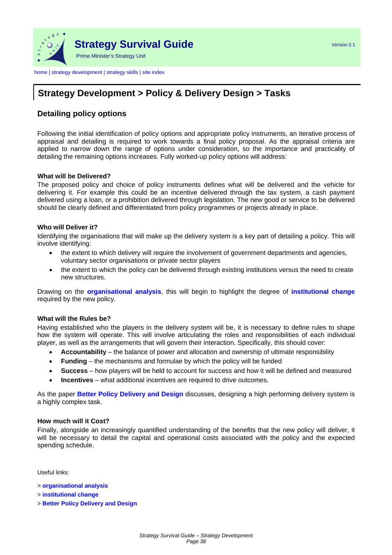

# **Strategy Development > Policy & Delivery Design > Tasks**

# **Detailing policy options**

Following the initial identification of policy options and appropriate policy instruments, an iterative process of appraisal and detailing is required to work towards a final policy proposal. As the appraisal criteria are applied to narrow down the range of options under consideration, so the importance and practicality of detailing the remaining options increases. Fully worked-up policy options will address:

### **What will be Delivered?**

The proposed policy and choice of policy instruments defines what will be delivered and the vehicle for delivering it. For example this could be an incentive delivered through the tax system, a cash payment delivered using a loan, or a prohibition delivered through legislation. The new good or service to be delivered should be clearly defined and differentiated from policy programmes or projects already in place.

### **Who will Deliver it?**

Identifying the organisations that will make up the delivery system is a key part of detailing a policy. This will involve identifying:

- the extent to which delivery will require the involvement of government departments and agencies, voluntary sector organisations or private sector players
- the extent to which the policy can be delivered through existing institutions versus the need to create new structures.

Drawing on the **organisational analysis**, this will begin to highlight the degree of **institutional change**  required by the new policy.

#### **What will the Rules be?**

Having established who the players in the delivery system will be, it is necessary to define rules to shape how the system will operate. This will involve articulating the roles and responsibilities of each individual player, as well as the arrangements that will govern their interaction. Specifically, this should cover:

- **Accountability**  the balance of power and allocation and ownership of ultimate responsibility
- **Funding**  the mechanisms and formulae by which the policy will be funded
- **Success**  how players will be held to account for success and how it will be defined and measured
- **Incentives** what additional incentives are required to drive outcomes.

As the paper **Better Policy Delivery and Design** discusses, designing a high performing delivery system is a highly complex task.

#### **How much will it Cost?**

Finally, alongside an increasingly quantified understanding of the benefits that the new policy will deliver, it will be necessary to detail the capital and operational costs associated with the policy and the expected spending schedule.

- > **organisational analysis**
- > **institutional change**
- > **Better Policy Delivery and Design**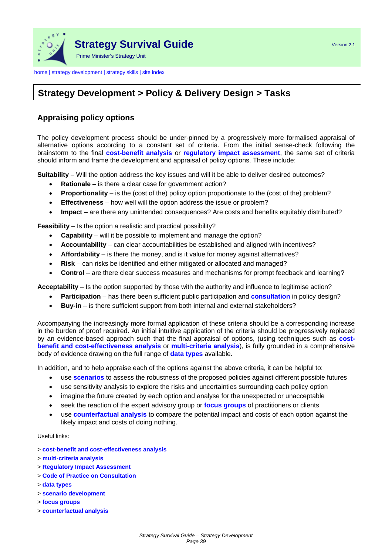

# **Strategy Development > Policy & Delivery Design > Tasks**

# **Appraising policy options**

The policy development process should be under-pinned by a progressively more formalised appraisal of alternative options according to a constant set of criteria. From the initial sense-check following the brainstorm to the final **cost-benefit analysis** or **regulatory impact assessment**, the same set of criteria should inform and frame the development and appraisal of policy options. These include:

**Suitability** – Will the option address the key issues and will it be able to deliver desired outcomes?

- **Rationale**  is there a clear case for government action?
- **Proportionality**  is the (cost of the) policy option proportionate to the (cost of the) problem?
- **Effectiveness**  how well will the option address the issue or problem?
- Impact are there any unintended consequences? Are costs and benefits equitably distributed?

**Feasibility** – Is the option a realistic and practical possibility?

- **Capability** will it be possible to implement and manage the option?
- **Accountability**  can clear accountabilities be established and aligned with incentives?
- **Affordability** is there the money, and is it value for money against alternatives?
- **Risk**  can risks be identified and either mitigated or allocated and managed?
- **Control**  are there clear success measures and mechanisms for prompt feedback and learning?

**Acceptability** – Is the option supported by those with the authority and influence to legitimise action?

- **Participation** has there been sufficient public participation and **consultation** in policy design?
- **Buy-in** is there sufficient support from both internal and external stakeholders?

Accompanying the increasingly more formal application of these criteria should be a corresponding increase in the burden of proof required. An initial intuitive application of the criteria should be progressively replaced by an evidence-based approach such that the final appraisal of options, (using techniques such as **costbenefit and cost-effectiveness analysis** or **multi-criteria analysis**), is fully grounded in a comprehensive body of evidence drawing on the full range of **data types** available.

In addition, and to help appraise each of the options against the above criteria, it can be helpful to:

- use **scenarios** to assess the robustness of the proposed policies against different possible futures
- use sensitivity analysis to explore the risks and uncertainties surrounding each policy option
- imagine the future created by each option and analyse for the unexpected or unacceptable
- seek the reaction of the expert advisory group or **focus groups** of practitioners or clients
- use **counterfactual analysis** to compare the potential impact and costs of each option against the likely impact and costs of doing nothing.

- > **cost-benefit and cost-effectiveness analysis**
- > **multi-criteria analysis**
- > **Regulatory Impact Assessment**
- > **Code of Practice on Consultation**
- > **data types**
- > **scenario development**
- > **focus groups**
- > **counterfactual analysis**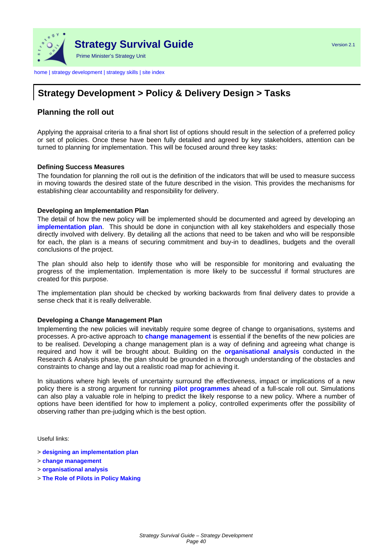

# **Strategy Development > Policy & Delivery Design > Tasks**

# **Planning the roll out**

Applying the appraisal criteria to a final short list of options should result in the selection of a preferred policy or set of policies. Once these have been fully detailed and agreed by key stakeholders, attention can be turned to planning for implementation. This will be focused around three key tasks:

### **Defining Success Measures**

The foundation for planning the roll out is the definition of the indicators that will be used to measure success in moving towards the desired state of the future described in the vision. This provides the mechanisms for establishing clear accountability and responsibility for delivery.

#### **Developing an Implementation Plan**

The detail of how the new policy will be implemented should be documented and agreed by developing an **implementation plan**. This should be done in conjunction with all key stakeholders and especially those directly involved with delivery. By detailing all the actions that need to be taken and who will be responsible for each, the plan is a means of securing commitment and buy-in to deadlines, budgets and the overall conclusions of the project.

The plan should also help to identify those who will be responsible for monitoring and evaluating the progress of the implementation. Implementation is more likely to be successful if formal structures are created for this purpose.

The implementation plan should be checked by working backwards from final delivery dates to provide a sense check that it is really deliverable.

#### **Developing a Change Management Plan**

Implementing the new policies will inevitably require some degree of change to organisations, systems and processes. A pro-active approach to **change management** is essential if the benefits of the new policies are to be realised. Developing a change management plan is a way of defining and agreeing what change is required and how it will be brought about. Building on the **organisational analysis** conducted in the Research & Analysis phase, the plan should be grounded in a thorough understanding of the obstacles and constraints to change and lay out a realistic road map for achieving it.

In situations where high levels of uncertainty surround the effectiveness, impact or implications of a new policy there is a strong argument for running **pilot programmes** ahead of a full-scale roll out. Simulations can also play a valuable role in helping to predict the likely response to a new policy. Where a number of options have been identified for how to implement a policy, controlled experiments offer the possibility of observing rather than pre-judging which is the best option.

- > **designing an implementation plan**
- > **change management**
- > **organisational analysis**
- > **The Role of Pilots in Policy Making**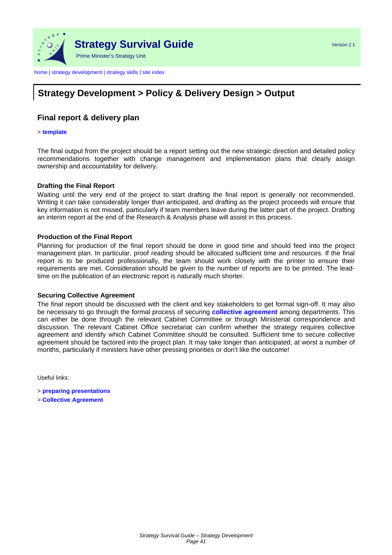

# **Strategy Development > Policy & Delivery Design > Output**

# **Final report & delivery plan**

#### > **template**

The final output from the project should be a report setting out the new strategic direction and detailed policy recommendations together with change management and implementation plans that clearly assign ownership and accountability for delivery.

#### **Drafting the Final Report**

Waiting until the very end of the project to start drafting the final report is generally not recommended. Writing it can take considerably longer than anticipated, and drafting as the project proceeds will ensure that key information is not missed, particularly if team members leave during the latter part of the project. Drafting an interim report at the end of the Research & Analysis phase will assist in this process.

#### **Production of the Final Report**

Planning for production of the final report should be done in good time and should feed into the project management plan. In particular, proof reading should be allocated sufficient time and resources. If the final report is to be produced professionally, the team should work closely with the printer to ensure their requirements are met. Consideration should be given to the number of reports are to be printed. The leadtime on the publication of an electronic report is naturally much shorter.

#### **Securing Collective Agreement**

The final report should be discussed with the client and key stakeholders to get formal sign-off. It may also be necessary to go through the formal process of securing **collective agreement** among departments. This can either be done through the relevant Cabinet Committee or through Ministerial correspondence and discussion. The relevant Cabinet Office secretariat can confirm whether the strategy requires collective agreement and identify which Cabinet Committee should be consulted. Sufficient time to secure collective agreement should be factored into the project plan. It may take longer than anticipated, at worst a number of months, particularly if ministers have other pressing priorities or don't like the outcome!

- > **preparing presentations**
- > **Collective Agreement**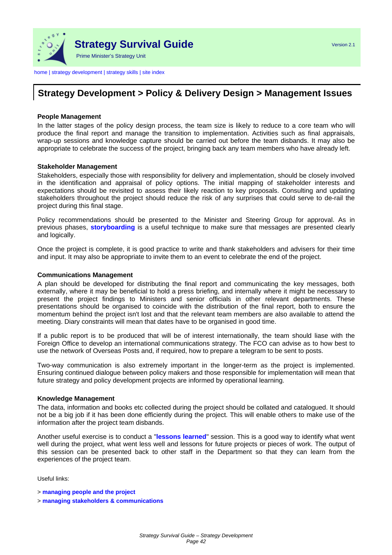

# **Strategy Development > Policy & Delivery Design > Management Issues**

#### **People Management**

In the latter stages of the policy design process, the team size is likely to reduce to a core team who will produce the final report and manage the transition to implementation. Activities such as final appraisals, wrap-up sessions and knowledge capture should be carried out before the team disbands. It may also be appropriate to celebrate the success of the project, bringing back any team members who have already left.

#### **Stakeholder Management**

Stakeholders, especially those with responsibility for delivery and implementation, should be closely involved in the identification and appraisal of policy options. The initial mapping of stakeholder interests and expectations should be revisited to assess their likely reaction to key proposals. Consulting and updating stakeholders throughout the project should reduce the risk of any surprises that could serve to de-rail the project during this final stage.

Policy recommendations should be presented to the Minister and Steering Group for approval. As in previous phases, **storyboarding** is a useful technique to make sure that messages are presented clearly and logically.

Once the project is complete, it is good practice to write and thank stakeholders and advisers for their time and input. It may also be appropriate to invite them to an event to celebrate the end of the project.

#### **Communications Management**

A plan should be developed for distributing the final report and communicating the key messages, both externally, where it may be beneficial to hold a press briefing, and internally where it might be necessary to present the project findings to Ministers and senior officials in other relevant departments. These presentations should be organised to coincide with the distribution of the final report, both to ensure the momentum behind the project isn't lost and that the relevant team members are also available to attend the meeting. Diary constraints will mean that dates have to be organised in good time.

If a public report is to be produced that will be of interest internationally, the team should liase with the Foreign Office to develop an international communications strategy. The FCO can advise as to how best to use the network of Overseas Posts and, if required, how to prepare a telegram to be sent to posts.

Two-way communication is also extremely important in the longer-term as the project is implemented. Ensuring continued dialogue between policy makers and those responsible for implementation will mean that future strategy and policy development projects are informed by operational learning.

#### **Knowledge Management**

The data, information and books etc collected during the project should be collated and catalogued. It should not be a big job if it has been done efficiently during the project. This will enable others to make use of the information after the project team disbands.

Another useful exercise is to conduct a "**lessons learned**" session. This is a good way to identify what went well during the project, what went less well and lessons for future projects or pieces of work. The output of this session can be presented back to other staff in the Department so that they can learn from the experiences of the project team.

- > **managing people and the project**
- > **managing stakeholders & communications**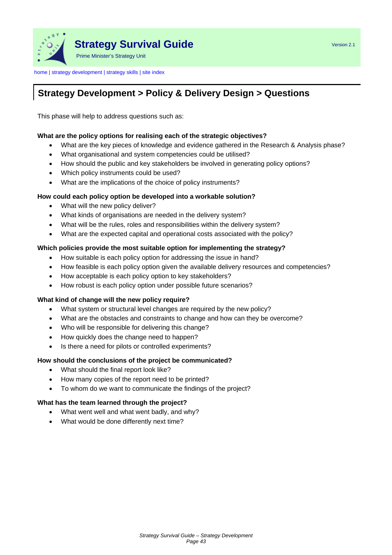

# **Strategy Development > Policy & Delivery Design > Questions**

This phase will help to address questions such as:

#### **What are the policy options for realising each of the strategic objectives?**

- What are the key pieces of knowledge and evidence gathered in the Research & Analysis phase?
- What organisational and system competencies could be utilised?
- How should the public and key stakeholders be involved in generating policy options?
- Which policy instruments could be used?
- What are the implications of the choice of policy instruments?

#### **How could each policy option be developed into a workable solution?**

- What will the new policy deliver?
- What kinds of organisations are needed in the delivery system?
- What will be the rules, roles and responsibilities within the delivery system?
- What are the expected capital and operational costs associated with the policy?

### **Which policies provide the most suitable option for implementing the strategy?**

- How suitable is each policy option for addressing the issue in hand?
- How feasible is each policy option given the available delivery resources and competencies?
- How acceptable is each policy option to key stakeholders?
- How robust is each policy option under possible future scenarios?

#### **What kind of change will the new policy require?**

- What system or structural level changes are required by the new policy?
- What are the obstacles and constraints to change and how can they be overcome?
- Who will be responsible for delivering this change?
- How quickly does the change need to happen?
- Is there a need for pilots or controlled experiments?

#### **How should the conclusions of the project be communicated?**

- What should the final report look like?
- How many copies of the report need to be printed?
- To whom do we want to communicate the findings of the project?

#### **What has the team learned through the project?**

- What went well and what went badly, and why?
- What would be done differently next time?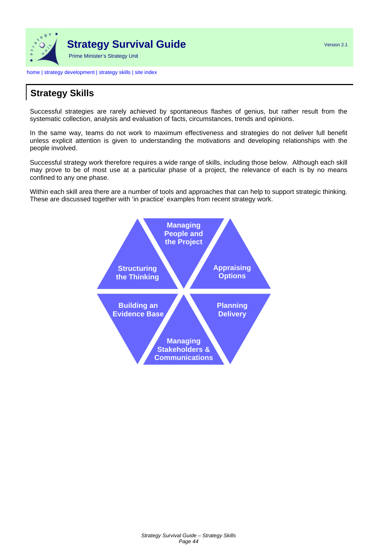

# **Strategy Skills**

Successful strategies are rarely achieved by spontaneous flashes of genius, but rather result from the systematic collection, analysis and evaluation of facts, circumstances, trends and opinions.

In the same way, teams do not work to maximum effectiveness and strategies do not deliver full benefit unless explicit attention is given to understanding the motivations and developing relationships with the people involved.

Successful strategy work therefore requires a wide range of skills, including those below. Although each skill may prove to be of most use at a particular phase of a project, the relevance of each is by no means confined to any one phase.

Within each skill area there are a number of tools and approaches that can help to support strategic thinking. These are discussed together with 'in practice' examples from recent strategy work.

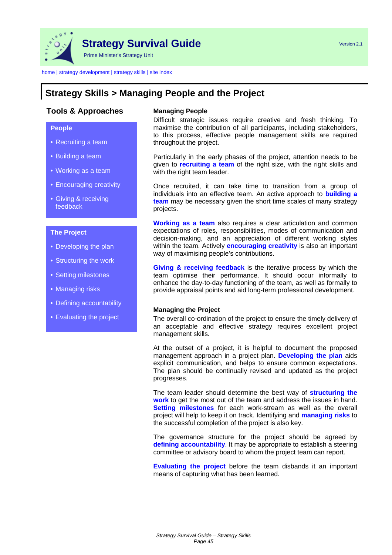

# **Strategy Skills > Managing People and the Project**

# **Tools & Approaches**

#### **People**

- Recruiting a team
- Building a team
- Working as a team
- Encouraging creativity
- Giving & receiving feedback

#### **The Project**

- Developing the plan
- Structuring the work
- Setting milestones
- Managing risks
- Defining accountability
- Evaluating the project

#### **Managing People**

Difficult strategic issues require creative and fresh thinking. To maximise the contribution of all participants, including stakeholders, to this process, effective people management skills are required throughout the project.

Particularly in the early phases of the project, attention needs to be given to **recruiting a team** of the right size, with the right skills and with the right team leader.

Once recruited, it can take time to transition from a group of individuals into an effective team. An active approach to **building a team** may be necessary given the short time scales of many strategy projects.

**Working as a team** also requires a clear articulation and common expectations of roles, responsibilities, modes of communication and decision-making, and an appreciation of different working styles within the team. Actively **encouraging creativity** is also an important way of maximising people's contributions.

**Giving & receiving feedback** is the iterative process by which the team optimise their performance. It should occur informally to enhance the day-to-day functioning of the team, as well as formally to provide appraisal points and aid long-term professional development.

#### **Managing the Project**

The overall co-ordination of the project to ensure the timely delivery of an acceptable and effective strategy requires excellent project management skills.

At the outset of a project, it is helpful to document the proposed management approach in a project plan. **Developing the plan** aids explicit communication, and helps to ensure common expectations. The plan should be continually revised and updated as the project progresses.

The team leader should determine the best way of **structuring the work** to get the most out of the team and address the issues in hand. **Setting milestones** for each work-stream as well as the overall project will help to keep it on track. Identifying and **managing risks** to the successful completion of the project is also key.

The governance structure for the project should be agreed by **defining accountability**. It may be appropriate to establish a steering committee or advisory board to whom the project team can report.

**Evaluating the project** before the team disbands it an important means of capturing what has been learned.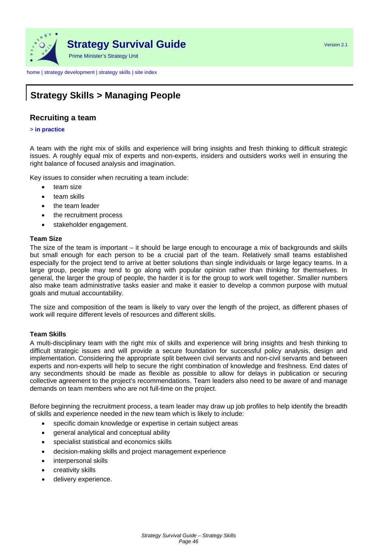

# **Strategy Skills > Managing People**

# **Recruiting a team**

#### > **in practice**

A team with the right mix of skills and experience will bring insights and fresh thinking to difficult strategic issues. A roughly equal mix of experts and non-experts, insiders and outsiders works well in ensuring the right balance of focused analysis and imagination.

Key issues to consider when recruiting a team include:

- team size
- team skills
- the team leader
- the recruitment process
- stakeholder engagement.

#### **Team Size**

The size of the team is important – it should be large enough to encourage a mix of backgrounds and skills but small enough for each person to be a crucial part of the team. Relatively small teams established especially for the project tend to arrive at better solutions than single individuals or large legacy teams. In a large group, people may tend to go along with popular opinion rather than thinking for themselves. In general, the larger the group of people, the harder it is for the group to work well together. Smaller numbers also make team administrative tasks easier and make it easier to develop a common purpose with mutual goals and mutual accountability.

The size and composition of the team is likely to vary over the length of the project, as different phases of work will require different levels of resources and different skills.

#### **Team Skills**

A multi-disciplinary team with the right mix of skills and experience will bring insights and fresh thinking to difficult strategic issues and will provide a secure foundation for successful policy analysis, design and implementation. Considering the appropriate split between civil servants and non-civil servants and between experts and non-experts will help to secure the right combination of knowledge and freshness. End dates of any secondments should be made as flexible as possible to allow for delays in publication or securing collective agreement to the project's recommendations. Team leaders also need to be aware of and manage demands on team members who are not full-time on the project.

Before beginning the recruitment process, a team leader may draw up job profiles to help identify the breadth of skills and experience needed in the new team which is likely to include:

- specific domain knowledge or expertise in certain subject areas
- general analytical and conceptual ability
- specialist statistical and economics skills
- decision-making skills and project management experience
- interpersonal skills
- creativity skills
- delivery experience.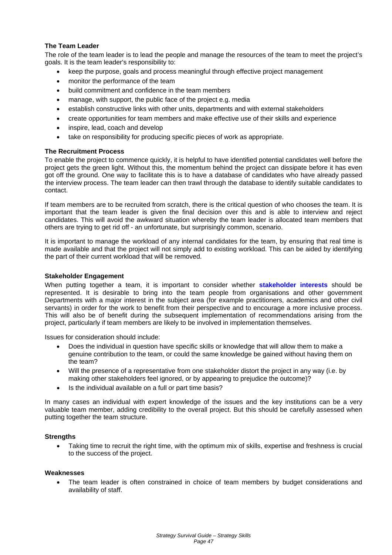## **The Team Leader**

The role of the team leader is to lead the people and manage the resources of the team to meet the project's goals. It is the team leader's responsibility to:

- keep the purpose, goals and process meaningful through effective project management
- monitor the performance of the team
- build commitment and confidence in the team members
- manage, with support, the public face of the project e.g. media
- establish constructive links with other units, departments and with external stakeholders
- create opportunities for team members and make effective use of their skills and experience
- inspire, lead, coach and develop
- take on responsibility for producing specific pieces of work as appropriate.

## **The Recruitment Process**

To enable the project to commence quickly, it is helpful to have identified potential candidates well before the project gets the green light. Without this, the momentum behind the project can dissipate before it has even got off the ground. One way to facilitate this is to have a database of candidates who have already passed the interview process. The team leader can then trawl through the database to identify suitable candidates to contact.

If team members are to be recruited from scratch, there is the critical question of who chooses the team. It is important that the team leader is given the final decision over this and is able to interview and reject candidates. This will avoid the awkward situation whereby the team leader is allocated team members that others are trying to get rid off - an unfortunate, but surprisingly common, scenario.

It is important to manage the workload of any internal candidates for the team, by ensuring that real time is made available and that the project will not simply add to existing workload. This can be aided by identifying the part of their current workload that will be removed.

### **Stakeholder Engagement**

When putting together a team, it is important to consider whether **stakeholder interests** should be represented. It is desirable to bring into the team people from organisations and other government Departments with a major interest in the subject area (for example practitioners, academics and other civil servants) in order for the work to benefit from their perspective and to encourage a more inclusive process. This will also be of benefit during the subsequent implementation of recommendations arising from the project, particularly if team members are likely to be involved in implementation themselves.

Issues for consideration should include:

- Does the individual in question have specific skills or knowledge that will allow them to make a genuine contribution to the team, or could the same knowledge be gained without having them on the team?
- Will the presence of a representative from one stakeholder distort the project in any way (i.e. by making other stakeholders feel ignored, or by appearing to prejudice the outcome)?
- Is the individual available on a full or part time basis?

In many cases an individual with expert knowledge of the issues and the key institutions can be a very valuable team member, adding credibility to the overall project. But this should be carefully assessed when putting together the team structure.

## **Strengths**

• Taking time to recruit the right time, with the optimum mix of skills, expertise and freshness is crucial to the success of the project.

#### **Weaknesses**

The team leader is often constrained in choice of team members by budget considerations and availability of staff.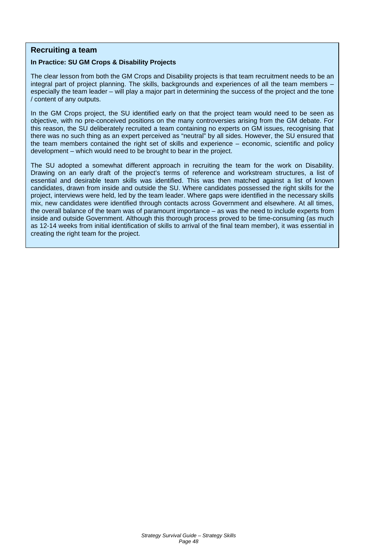# **Recruiting a team**

### **In Practice: SU GM Crops & Disability Projects**

The clear lesson from both the GM Crops and Disability projects is that team recruitment needs to be an integral part of project planning. The skills, backgrounds and experiences of all the team members – especially the team leader – will play a major part in determining the success of the project and the tone / content of any outputs.

In the GM Crops project, the SU identified early on that the project team would need to be seen as objective, with no pre-conceived positions on the many controversies arising from the GM debate. For this reason, the SU deliberately recruited a team containing no experts on GM issues, recognising that there was no such thing as an expert perceived as "neutral" by all sides. However, the SU ensured that the team members contained the right set of skills and experience – economic, scientific and policy development – which would need to be brought to bear in the project.

The SU adopted a somewhat different approach in recruiting the team for the work on Disability. Drawing on an early draft of the project's terms of reference and workstream structures, a list of essential and desirable team skills was identified. This was then matched against a list of known candidates, drawn from inside and outside the SU. Where candidates possessed the right skills for the project, interviews were held, led by the team leader. Where gaps were identified in the necessary skills mix, new candidates were identified through contacts across Government and elsewhere. At all times, the overall balance of the team was of paramount importance – as was the need to include experts from inside and outside Government. Although this thorough process proved to be time-consuming (as much as 12-14 weeks from initial identification of skills to arrival of the final team member), it was essential in creating the right team for the project.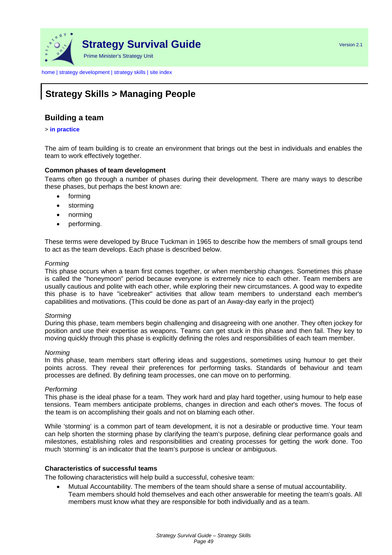

# **Strategy Skills > Managing People**

# **Building a team**

#### > **in practice**

The aim of team building is to create an environment that brings out the best in individuals and enables the team to work effectively together.

#### **Common phases of team development**

Teams often go through a number of phases during their development. There are many ways to describe these phases, but perhaps the best known are:

- forming
- storming
- norming
- performing.

These terms were developed by Bruce Tuckman in 1965 to describe how the members of small groups tend to act as the team develops. Each phase is described below.

#### *Forming*

This phase occurs when a team first comes together, or when membership changes. Sometimes this phase is called the "honeymoon" period because everyone is extremely nice to each other. Team members are usually cautious and polite with each other, while exploring their new circumstances. A good way to expedite this phase is to have "icebreaker" activities that allow team members to understand each member's capabilities and motivations. (This could be done as part of an Away-day early in the project)

#### *Storming*

During this phase, team members begin challenging and disagreeing with one another. They often jockey for position and use their expertise as weapons. Teams can get stuck in this phase and then fail. They key to moving quickly through this phase is explicitly defining the roles and responsibilities of each team member.

#### *Norming*

In this phase, team members start offering ideas and suggestions, sometimes using humour to get their points across. They reveal their preferences for performing tasks. Standards of behaviour and team processes are defined. By defining team processes, one can move on to performing.

#### *Performing*

This phase is the ideal phase for a team. They work hard and play hard together, using humour to help ease tensions. Team members anticipate problems, changes in direction and each other's moves. The focus of the team is on accomplishing their goals and not on blaming each other.

While 'storming' is a common part of team development, it is not a desirable or productive time. Your team can help shorten the storming phase by clarifying the team's purpose, defining clear performance goals and milestones, establishing roles and responsibilities and creating processes for getting the work done. Too much 'storming' is an indicator that the team's purpose is unclear or ambiguous.

#### **Characteristics of successful teams**

The following characteristics will help build a successful, cohesive team:

• Mutual Accountability. The members of the team should share a sense of mutual accountability. Team members should hold themselves and each other answerable for meeting the team's goals. All members must know what they are responsible for both individually and as a team.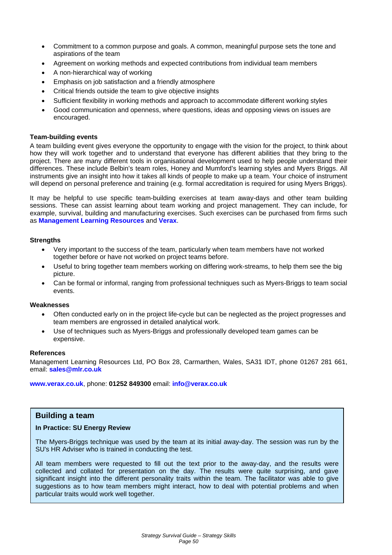- Commitment to a common purpose and goals. A common, meaningful purpose sets the tone and aspirations of the team
- Agreement on working methods and expected contributions from individual team members
- A non-hierarchical way of working
- Emphasis on job satisfaction and a friendly atmosphere
- Critical friends outside the team to give objective insights
- Sufficient flexibility in working methods and approach to accommodate different working styles
- Good communication and openness, where questions, ideas and opposing views on issues are encouraged.

#### **Team-building events**

A team building event gives everyone the opportunity to engage with the vision for the project, to think about how they will work together and to understand that everyone has different abilities that they bring to the project. There are many different tools in organisational development used to help people understand their differences. These include Belbin's team roles, Honey and Mumford's learning styles and Myers Briggs. All instruments give an insight into how it takes all kinds of people to make up a team. Your choice of instrument will depend on personal preference and training (e.g. formal accreditation is required for using Myers Briggs).

It may be helpful to use specific team-building exercises at team away-days and other team building sessions. These can assist learning about team working and project management. They can include, for example, survival, building and manufacturing exercises. Such exercises can be purchased from firms such as **Management Learning Resources** and **Verax**.

#### **Strengths**

- Very important to the success of the team, particularly when team members have not worked together before or have not worked on project teams before.
- Useful to bring together team members working on differing work-streams, to help them see the big picture.
- Can be formal or informal, ranging from professional techniques such as Myers-Briggs to team social events.

#### **Weaknesses**

- Often conducted early on in the project life-cycle but can be neglected as the project progresses and team members are engrossed in detailed analytical work.
- Use of techniques such as Myers-Briggs and professionally developed team games can be expensive.

#### **References**

Management Learning Resources Ltd, PO Box 28, Carmarthen, Wales, SA31 IDT, phone 01267 281 661, email: **sales@mlr.co.uk** 

**www.verax.co.uk**, phone: **01252 849300** email: **info@verax.co.uk**

## **Building a team**

#### **In Practice: SU Energy Review**

The Myers-Briggs technique was used by the team at its initial away-day. The session was run by the SU's HR Adviser who is trained in conducting the test.

All team members were requested to fill out the text prior to the away-day, and the results were collected and collated for presentation on the day. The results were quite surprising, and gave significant insight into the different personality traits within the team. The facilitator was able to give suggestions as to how team members might interact, how to deal with potential problems and when particular traits would work well together.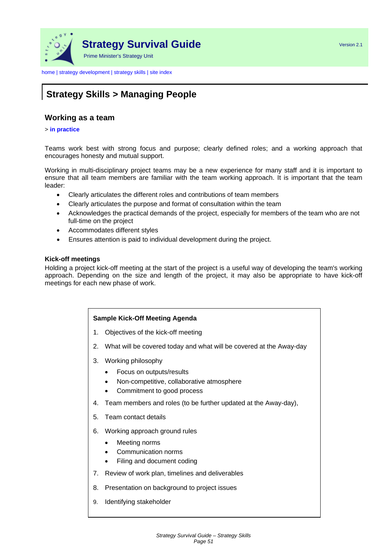

# **Strategy Skills > Managing People**

# **Working as a team**

#### > **in practice**

Teams work best with strong focus and purpose; clearly defined roles; and a working approach that encourages honesty and mutual support.

Working in multi-disciplinary project teams may be a new experience for many staff and it is important to ensure that all team members are familiar with the team working approach. It is important that the team leader:

- Clearly articulates the different roles and contributions of team members
- Clearly articulates the purpose and format of consultation within the team
- Acknowledges the practical demands of the project, especially for members of the team who are not full-time on the project
- Accommodates different styles
- Ensures attention is paid to individual development during the project.

### **Kick-off meetings**

Holding a project kick-off meeting at the start of the project is a useful way of developing the team's working approach. Depending on the size and length of the project, it may also be appropriate to have kick-off meetings for each new phase of work.

## **Sample Kick-Off Meeting Agenda**

- 1. Objectives of the kick-off meeting
- 2. What will be covered today and what will be covered at the Away-day
- 3. Working philosophy
	- Focus on outputs/results
	- Non-competitive, collaborative atmosphere
	- Commitment to good process
- 4. Team members and roles (to be further updated at the Away-day),
- 5. Team contact details
- 6. Working approach ground rules
	- Meeting norms
	- Communication norms
	- Filing and document coding
- 7. Review of work plan, timelines and deliverables
- 8. Presentation on background to project issues
- 9. Identifying stakeholder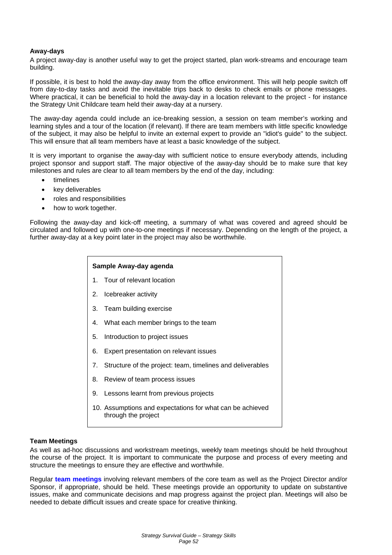## **Away-days**

A project away-day is another useful way to get the project started, plan work-streams and encourage team building.

If possible, it is best to hold the away-day away from the office environment. This will help people switch off from day-to-day tasks and avoid the inevitable trips back to desks to check emails or phone messages. Where practical, it can be beneficial to hold the away-day in a location relevant to the project - for instance the Strategy Unit Childcare team held their away-day at a nursery.

The away-day agenda could include an ice-breaking session, a session on team member's working and learning styles and a tour of the location (if relevant). If there are team members with little specific knowledge of the subject, it may also be helpful to invite an external expert to provide an "idiot's guide" to the subject. This will ensure that all team members have at least a basic knowledge of the subject.

It is very important to organise the away-day with sufficient notice to ensure everybody attends, including project sponsor and support staff. The major objective of the away-day should be to make sure that key milestones and rules are clear to all team members by the end of the day, including:

- timelines
- key deliverables
- roles and responsibilities
- how to work together.

Following the away-day and kick-off meeting, a summary of what was covered and agreed should be circulated and followed up with one-to-one meetings if necessary. Depending on the length of the project, a further away-day at a key point later in the project may also be worthwhile.

# **Sample Away-day agenda**

- 1. Tour of relevant location
- 2. Icebreaker activity
- 3. Team building exercise
- 4. What each member brings to the team
- 5. Introduction to project issues
- 6. Expert presentation on relevant issues
- 7. Structure of the project: team, timelines and deliverables
- 8. Review of team process issues
- 9. Lessons learnt from previous projects
- 10. Assumptions and expectations for what can be achieved through the project

#### **Team Meetings**

As well as ad-hoc discussions and workstream meetings, weekly team meetings should be held throughout the course of the project. It is important to communicate the purpose and process of every meeting and structure the meetings to ensure they are effective and worthwhile.

Regular **team meetings** involving relevant members of the core team as well as the Project Director and/or Sponsor, if appropriate, should be held. These meetings provide an opportunity to update on substantive issues, make and communicate decisions and map progress against the project plan. Meetings will also be needed to debate difficult issues and create space for creative thinking.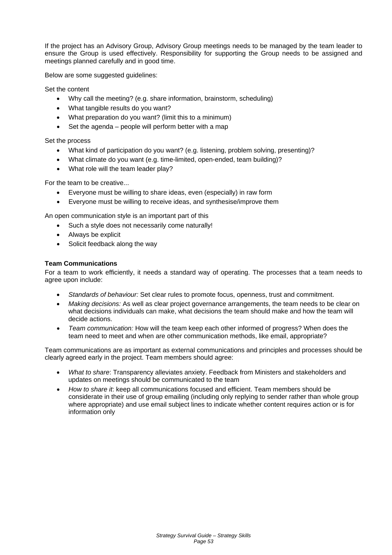If the project has an Advisory Group, Advisory Group meetings needs to be managed by the team leader to ensure the Group is used effectively. Responsibility for supporting the Group needs to be assigned and meetings planned carefully and in good time.

Below are some suggested guidelines:

Set the content

- Why call the meeting? (e.g. share information, brainstorm, scheduling)
- What tangible results do you want?
- What preparation do you want? (limit this to a minimum)
- Set the agenda people will perform better with a map

Set the process

- What kind of participation do you want? (e.g. listening, problem solving, presenting)?
- What climate do you want (e.g. time-limited, open-ended, team building)?
- What role will the team leader play?

For the team to be creative...

- Everyone must be willing to share ideas, even (especially) in raw form
- Everyone must be willing to receive ideas, and synthesise/improve them

An open communication style is an important part of this

- Such a style does not necessarily come naturally!
- Always be explicit
- Solicit feedback along the way

### **Team Communications**

For a team to work efficiently, it needs a standard way of operating. The processes that a team needs to agree upon include:

- *Standards of behaviour:* Set clear rules to promote focus, openness, trust and commitment.
- *Making decisions:* As well as clear project governance arrangements, the team needs to be clear on what decisions individuals can make, what decisions the team should make and how the team will decide actions.
- *Team communication:* How will the team keep each other informed of progress? When does the team need to meet and when are other communication methods, like email, appropriate?

Team communications are as important as external communications and principles and processes should be clearly agreed early in the project. Team members should agree:

- *What to share*: Transparency alleviates anxiety. Feedback from Ministers and stakeholders and updates on meetings should be communicated to the team
- *How to share it*: keep all communications focused and efficient. Team members should be considerate in their use of group emailing (including only replying to sender rather than whole group where appropriate) and use email subject lines to indicate whether content requires action or is for information only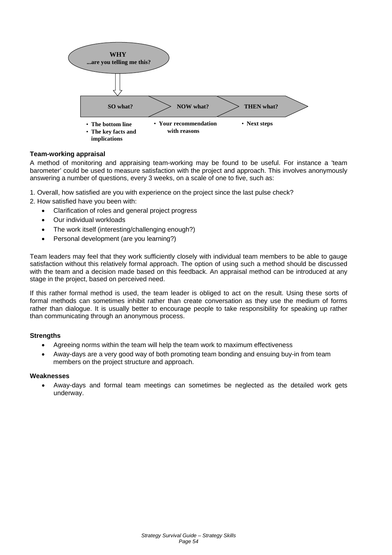

## **Team-working appraisal**

A method of monitoring and appraising team-working may be found to be useful. For instance a 'team barometer' could be used to measure satisfaction with the project and approach. This involves anonymously answering a number of questions, every 3 weeks, on a scale of one to five, such as:

- 1. Overall, how satisfied are you with experience on the project since the last pulse check?
- 2. How satisfied have you been with:
	- Clarification of roles and general project progress
	- Our individual workloads
	- The work itself (interesting/challenging enough?)
	- Personal development (are you learning?)

Team leaders may feel that they work sufficiently closely with individual team members to be able to gauge satisfaction without this relatively formal approach. The option of using such a method should be discussed with the team and a decision made based on this feedback. An appraisal method can be introduced at any stage in the project, based on perceived need.

If this rather formal method is used, the team leader is obliged to act on the result. Using these sorts of formal methods can sometimes inhibit rather than create conversation as they use the medium of forms rather than dialogue. It is usually better to encourage people to take responsibility for speaking up rather than communicating through an anonymous process.

#### **Strengths**

- Agreeing norms within the team will help the team work to maximum effectiveness
- Away-days are a very good way of both promoting team bonding and ensuing buy-in from team members on the project structure and approach.

#### **Weaknesses**

• Away-days and formal team meetings can sometimes be neglected as the detailed work gets underway.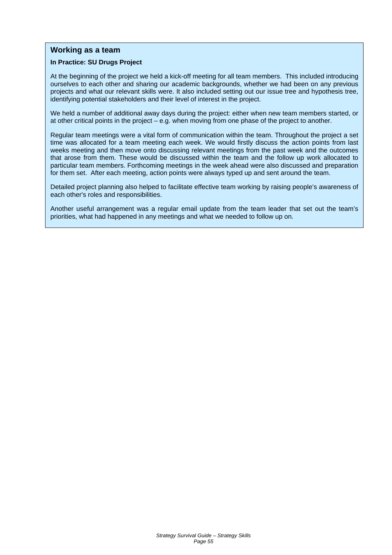## **Working as a team**

### **In Practice: SU Drugs Project**

At the beginning of the project we held a kick-off meeting for all team members. This included introducing ourselves to each other and sharing our academic backgrounds, whether we had been on any previous projects and what our relevant skills were. It also included setting out our issue tree and hypothesis tree, identifying potential stakeholders and their level of interest in the project.

We held a number of additional away days during the project: either when new team members started, or at other critical points in the project – e.g. when moving from one phase of the project to another.

Regular team meetings were a vital form of communication within the team. Throughout the project a set time was allocated for a team meeting each week. We would firstly discuss the action points from last weeks meeting and then move onto discussing relevant meetings from the past week and the outcomes that arose from them. These would be discussed within the team and the follow up work allocated to particular team members. Forthcoming meetings in the week ahead were also discussed and preparation for them set. After each meeting, action points were always typed up and sent around the team.

Detailed project planning also helped to facilitate effective team working by raising people's awareness of each other's roles and responsibilities.

Another useful arrangement was a regular email update from the team leader that set out the team's priorities, what had happened in any meetings and what we needed to follow up on.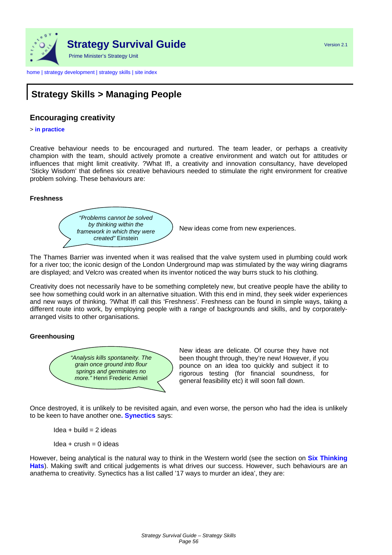

# **Strategy Skills > Managing People**

## **Encouraging creativity**

#### > **in practice**

Creative behaviour needs to be encouraged and nurtured. The team leader, or perhaps a creativity champion with the team, should actively promote a creative environment and watch out for attitudes or influences that might limit creativity. ?What If!, a creativity and innovation consultancy, have developed 'Sticky Wisdom' that defines six creative behaviours needed to stimulate the right environment for creative problem solving. These behaviours are:

#### **Freshness**



The Thames Barrier was invented when it was realised that the valve system used in plumbing could work for a river too; the iconic design of the London Underground map was stimulated by the way wiring diagrams are displayed; and Velcro was created when its inventor noticed the way burrs stuck to his clothing.

Creativity does not necessarily have to be something completely new, but creative people have the ability to see how something could work in an alternative situation. With this end in mind, they seek wider experiences and new ways of thinking. ?What If! call this 'Freshness'. Freshness can be found in simple ways, taking a different route into work, by employing people with a range of backgrounds and skills, and by corporatelyarranged visits to other organisations.

### **Greenhousing**



New ideas are delicate. Of course they have not been thought through, they're new! However, if you pounce on an idea too quickly and subject it to rigorous testing (for financial soundness, for general feasibility etc) it will soon fall down.

Once destroyed, it is unlikely to be revisited again, and even worse, the person who had the idea is unlikely to be keen to have another one**. Synectics** says:

 $Idea + build = 2 ideas$ 

 $Idea + crush = 0$  ideas

However, being analytical is the natural way to think in the Western world (see the section on **Six Thinking Hats**). Making swift and critical judgements is what drives our success. However, such behaviours are an anathema to creativity. Synectics has a list called '17 ways to murder an idea', they are: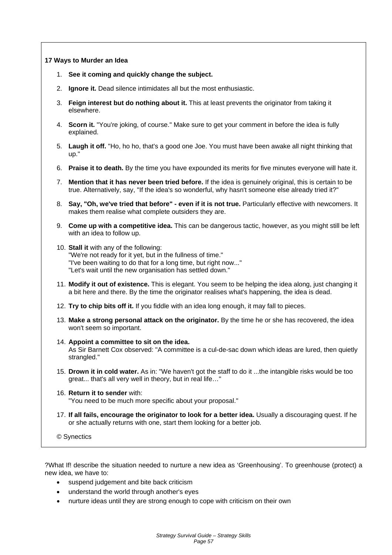### **17 Ways to Murder an Idea**

- 1. **See it coming and quickly change the subject.**
- 2. **Ignore it.** Dead silence intimidates all but the most enthusiastic.
- 3. **Feign interest but do nothing about it.** This at least prevents the originator from taking it elsewhere.
- 4. **Scorn it.** "You're joking, of course." Make sure to get your comment in before the idea is fully explained.
- 5. **Laugh it off.** "Ho, ho ho, that's a good one Joe. You must have been awake all night thinking that up."
- 6. **Praise it to death.** By the time you have expounded its merits for five minutes everyone will hate it.
- 7. **Mention that it has never been tried before.** If the idea is genuinely original, this is certain to be true. Alternatively, say, "If the idea's so wonderful, why hasn't someone else already tried it?"
- 8. **Say, "Oh, we've tried that before" even if it is not true.** Particularly effective with newcomers. It makes them realise what complete outsiders they are.
- 9. **Come up with a competitive idea.** This can be dangerous tactic, however, as you might still be left with an idea to follow up.
- 10. **Stall it** with any of the following: "We're not ready for it yet, but in the fullness of time." "I've been waiting to do that for a long time, but right now..." "Let's wait until the new organisation has settled down."
- 11. **Modify it out of existence.** This is elegant. You seem to be helping the idea along, just changing it a bit here and there. By the time the originator realises what's happening, the idea is dead.
- 12. **Try to chip bits off it.** If you fiddle with an idea long enough, it may fall to pieces.
- 13. **Make a strong personal attack on the originator.** By the time he or she has recovered, the idea won't seem so important.
- 14. **Appoint a committee to sit on the idea.** As Sir Barnett Cox observed: "A committee is a cul-de-sac down which ideas are lured, then quietly strangled."
- 15. **Drown it in cold water.** As in: "We haven't got the staff to do it ...the intangible risks would be too great... that's all very well in theory, but in real life…"
- 16. **Return it to sender** with: "You need to be much more specific about your proposal."
- 17. **If all fails, encourage the originator to look for a better idea.** Usually a discouraging quest. If he or she actually returns with one, start them looking for a better job.

© Synectics

?What If! describe the situation needed to nurture a new idea as 'Greenhousing'. To greenhouse (protect) a new idea, we have to:

- suspend judgement and bite back criticism
- understand the world through another's eyes
- nurture ideas until they are strong enough to cope with criticism on their own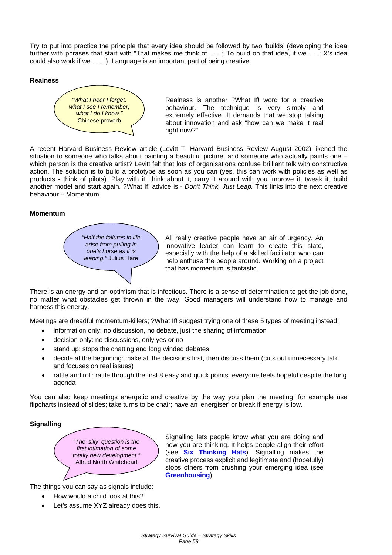Try to put into practice the principle that every idea should be followed by two 'builds' (developing the idea further with phrases that start with "That makes me think of . . . ; To build on that idea, if we . . .; X's idea could also work if we . . . "). Language is an important part of being creative.

**Realness** 



Realness is another ?What If! word for a creative behaviour. The technique is very simply and extremely effective. It demands that we stop talking about innovation and ask "how can we make it real right now?"

A recent Harvard Business Review article (Levitt T. Harvard Business Review August 2002) likened the situation to someone who talks about painting a beautiful picture, and someone who actually paints one – which person is the creative artist? Levitt felt that lots of organisations confuse brilliant talk with constructive action. The solution is to build a prototype as soon as you can (yes, this can work with policies as well as products - think of pilots). Play with it, think about it, carry it around with you improve it, tweak it, build another model and start again. ?What If! advice is - *Don't Think, Just Leap.* This links into the next creative behaviour – Momentum.

#### **Momentum**



All really creative people have an air of urgency. An innovative leader can learn to create this state, especially with the help of a skilled facilitator who can help enthuse the people around. Working on a project that has momentum is fantastic.

There is an energy and an optimism that is infectious. There is a sense of determination to get the job done, no matter what obstacles get thrown in the way. Good managers will understand how to manage and harness this energy.

Meetings are dreadful momentum-killers; ?What If! suggest trying one of these 5 types of meeting instead:

- information only: no discussion, no debate, just the sharing of information
- decision only: no discussions, only yes or no
- stand up: stops the chatting and long winded debates
- decide at the beginning: make all the decisions first, then discuss them (cuts out unnecessary talk and focuses on real issues)
- rattle and roll: rattle through the first 8 easy and quick points. everyone feels hopeful despite the long agenda

You can also keep meetings energetic and creative by the way you plan the meeting: for example use flipcharts instead of slides; take turns to be chair; have an 'energiser' or break if energy is low.

#### **Signalling**

*"The 'silly' question is the first intimation of some totally new development."*  Alfred North Whitehead

Signalling lets people know what you are doing and how you are thinking. It helps people align their effort (see **Six Thinking Hats**). Signalling makes the creative process explicit and legitimate and (hopefully) stops others from crushing your emerging idea (see **Greenhousing**)

The things you can say as signals include:

- How would a child look at this?
- Let's assume XYZ already does this.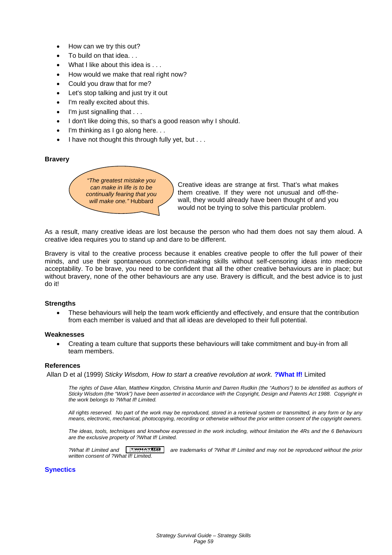- How can we try this out?
- To build on that idea. . .
- What I like about this idea is . . .
- How would we make that real right now?
- Could you draw that for me?
- Let's stop talking and just try it out
- I'm really excited about this.
- I'm just signalling that . . .
- I don't like doing this, so that's a good reason why I should.
- I'm thinking as I go along here. . .
- I have not thought this through fully yet, but . . .

## **Bravery**

*"The greatest mistake you can make in life is to be continually fearing that you will make one."* Hubbard

Creative ideas are strange at first. That's what makes them creative. If they were not unusual and off-thewall, they would already have been thought of and you would not be trying to solve this particular problem.

As a result, many creative ideas are lost because the person who had them does not say them aloud. A creative idea requires you to stand up and dare to be different.

Bravery is vital to the creative process because it enables creative people to offer the full power of their minds, and use their spontaneous connection-making skills without self-censoring ideas into mediocre acceptability. To be brave, you need to be confident that all the other creative behaviours are in place; but without bravery, none of the other behaviours are any use. Bravery is difficult, and the best advice is to just do it!

#### **Strengths**

• These behaviours will help the team work efficiently and effectively, and ensure that the contribution from each member is valued and that all ideas are developed to their full potential.

#### **Weaknesses**

• Creating a team culture that supports these behaviours will take commitment and buy-in from all team members.

#### **References**

Allan D et al (1999) *Sticky Wisdom, How to start a creative revolution at work.* **?What If!** Limited

*The rights of Dave Allan, Matthew Kingdon, Christina Murrin and Darren Rudkin (the "Authors") to be identified as authors of Sticky Wisdom (the "Work") have been asserted in accordance with the Copyright, Design and Patents Act 1988. Copyright in the work belongs to ?What If! Limited.* 

*All rights reserved. No part of the work may be reproduced, stored in a retrieval system or transmitted, in any form or by any means, electronic, mechanical, photocopying, recording or otherwise without the prior written consent of the copyright owners.* 

*The ideas, tools, techniques and knowhow expressed in the work including, without limitation the 4Rs and the 6 Behaviours are the exclusive property of ?What If! Limited.* 

*?What if! Limited and* **REVIVAT LIFE 2008** are trademarks of ?What If! Limited and may not be reproduced without the prior *written consent of ?What If! Limited.* 

#### **Synectics**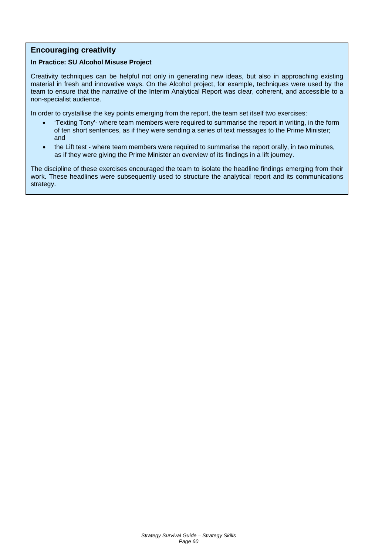# **Encouraging creativity**

### **In Practice: SU Alcohol Misuse Project**

Creativity techniques can be helpful not only in generating new ideas, but also in approaching existing material in fresh and innovative ways. On the Alcohol project, for example, techniques were used by the team to ensure that the narrative of the Interim Analytical Report was clear, coherent, and accessible to a non-specialist audience.

In order to crystallise the key points emerging from the report, the team set itself two exercises:

- 'Texting Tony'- where team members were required to summarise the report in writing, in the form of ten short sentences, as if they were sending a series of text messages to the Prime Minister; and
- the Lift test where team members were required to summarise the report orally, in two minutes, as if they were giving the Prime Minister an overview of its findings in a lift journey.

The discipline of these exercises encouraged the team to isolate the headline findings emerging from their work. These headlines were subsequently used to structure the analytical report and its communications strategy.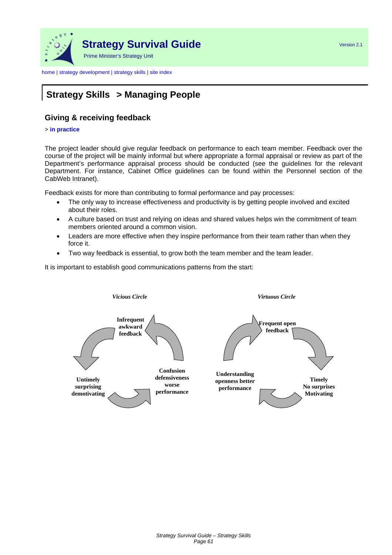

# **Strategy Skills > Managing People**

# **Giving & receiving feedback**

#### > **in practice**

The project leader should give regular feedback on performance to each team member. Feedback over the course of the project will be mainly informal but where appropriate a formal appraisal or review as part of the Department's performance appraisal process should be conducted (see the guidelines for the relevant Department. For instance, Cabinet Office guidelines can be found within the Personnel section of the CabWeb Intranet).

Feedback exists for more than contributing to formal performance and pay processes:

- The only way to increase effectiveness and productivity is by getting people involved and excited about their roles.
- A culture based on trust and relying on ideas and shared values helps win the commitment of team members oriented around a common vision.
- Leaders are more effective when they inspire performance from their team rather than when they force it.
- Two way feedback is essential, to grow both the team member and the team leader.

It is important to establish good communications patterns from the start:

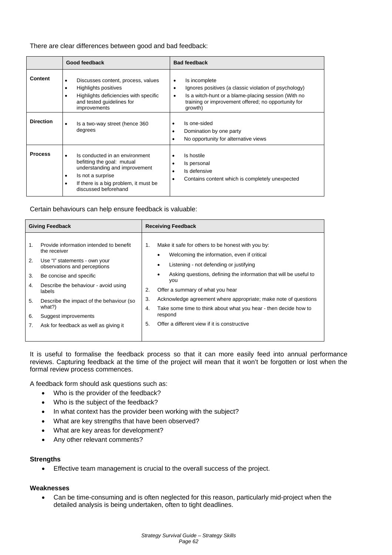## There are clear differences between good and bad feedback:

|                             | Good feedback                                                                                                                                                                                                | <b>Bad feedback</b>                                                                                                                                                                                                                                 |  |  |  |  |  |  |  |
|-----------------------------|--------------------------------------------------------------------------------------------------------------------------------------------------------------------------------------------------------------|-----------------------------------------------------------------------------------------------------------------------------------------------------------------------------------------------------------------------------------------------------|--|--|--|--|--|--|--|
| Content<br><b>Direction</b> | Discusses content, process, values<br>Highlights positives<br>$\bullet$<br>Highlights deficiencies with specific<br>$\bullet$<br>and tested guidelines for<br>improvements<br>Is a two-way street (hence 360 | Is incomplete<br>٠<br>Ignores positives (a classic violation of psychology)<br>$\bullet$<br>Is a witch-hunt or a blame-placing session (With no<br>$\bullet$<br>training or improvement offered; no opportunity for<br>growth)<br>Is one-sided<br>٠ |  |  |  |  |  |  |  |
|                             | degrees                                                                                                                                                                                                      | Domination by one party<br>٠<br>No opportunity for alternative views<br>٠                                                                                                                                                                           |  |  |  |  |  |  |  |
| <b>Process</b>              | Is conducted in an environment<br>befitting the goal: mutual<br>understanding and improvement<br>Is not a surprise<br>٠<br>If there is a big problem, it must be<br>discussed beforehand                     | Is hostile<br>٠<br>Is personal<br>٠<br>Is defensive<br>٠<br>Contains content which is completely unexpected<br>٠                                                                                                                                    |  |  |  |  |  |  |  |

Certain behaviours can help ensure feedback is valuable:

| <b>Giving Feedback</b> |                                                                                                                                                     | <b>Receiving Feedback</b> |                                                                                                                                                                                                                                 |  |  |  |  |  |
|------------------------|-----------------------------------------------------------------------------------------------------------------------------------------------------|---------------------------|---------------------------------------------------------------------------------------------------------------------------------------------------------------------------------------------------------------------------------|--|--|--|--|--|
| 1.<br>2.<br>3.         | Provide information intended to benefit<br>the receiver<br>Use "I" statements - own your<br>observations and perceptions<br>Be concise and specific | 1.                        | Make it safe for others to be honest with you by:<br>Welcoming the information, even if critical<br>٠<br>Listening - not defending or justifying<br>٠<br>Asking questions, defining the information that will be useful to<br>٠ |  |  |  |  |  |
| 4.                     | Describe the behaviour - avoid using<br>labels                                                                                                      | 2.                        | you<br>Offer a summary of what you hear                                                                                                                                                                                         |  |  |  |  |  |
| 5.<br>6.               | Describe the impact of the behaviour (so<br>what?)                                                                                                  |                           | Acknowledge agreement where appropriate; make note of questions<br>Take some time to think about what you hear - then decide how to<br>respond                                                                                  |  |  |  |  |  |
| 7.                     | Suggest improvements<br>Ask for feedback as well as giving it                                                                                       | 5.                        | Offer a different view if it is constructive                                                                                                                                                                                    |  |  |  |  |  |

It is useful to formalise the feedback process so that it can more easily feed into annual performance reviews. Capturing feedback at the time of the project will mean that it won't be forgotten or lost when the formal review process commences.

A feedback form should ask questions such as:

- Who is the provider of the feedback?
- Who is the subject of the feedback?
- In what context has the provider been working with the subject?
- What are key strengths that have been observed?
- What are key areas for development?
- Any other relevant comments?

## **Strengths**

• Effective team management is crucial to the overall success of the project.

## **Weaknesses**

• Can be time-consuming and is often neglected for this reason, particularly mid-project when the detailed analysis is being undertaken, often to tight deadlines.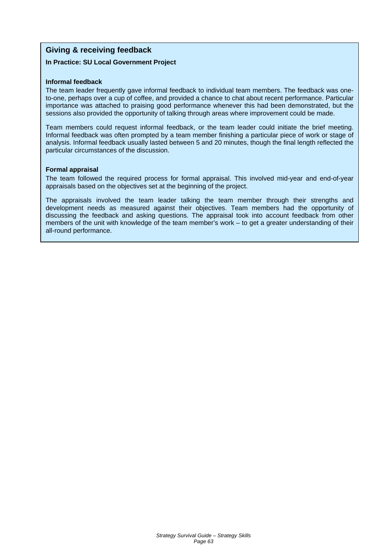# **Giving & receiving feedback**

### **In Practice: SU Local Government Project**

### **Informal feedback**

The team leader frequently gave informal feedback to individual team members. The feedback was oneto-one, perhaps over a cup of coffee, and provided a chance to chat about recent performance. Particular importance was attached to praising good performance whenever this had been demonstrated, but the sessions also provided the opportunity of talking through areas where improvement could be made.

Team members could request informal feedback, or the team leader could initiate the brief meeting. Informal feedback was often prompted by a team member finishing a particular piece of work or stage of analysis. Informal feedback usually lasted between 5 and 20 minutes, though the final length reflected the particular circumstances of the discussion.

### **Formal appraisal**

The team followed the required process for formal appraisal. This involved mid-year and end-of-year appraisals based on the objectives set at the beginning of the project.

The appraisals involved the team leader talking the team member through their strengths and development needs as measured against their objectives. Team members had the opportunity of discussing the feedback and asking questions. The appraisal took into account feedback from other members of the unit with knowledge of the team member's work – to get a greater understanding of their all-round performance.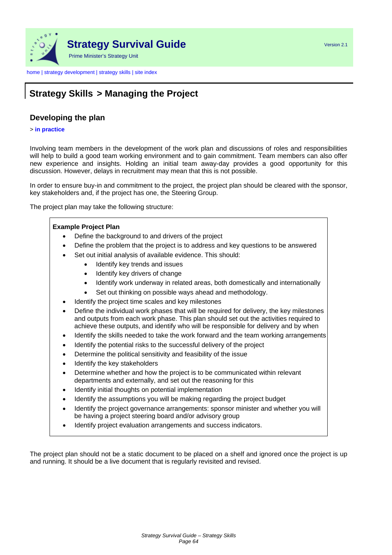

# **Strategy Skills > Managing the Project**

# **Developing the plan**

#### > **in practice**

Involving team members in the development of the work plan and discussions of roles and responsibilities will help to build a good team working environment and to gain commitment. Team members can also offer new experience and insights. Holding an initial team away-day provides a good opportunity for this discussion. However, delays in recruitment may mean that this is not possible.

In order to ensure buy-in and commitment to the project, the project plan should be cleared with the sponsor, key stakeholders and, if the project has one, the Steering Group.

The project plan may take the following structure:

### **Example Project Plan**

- Define the background to and drivers of the project
- Define the problem that the project is to address and key questions to be answered
- Set out initial analysis of available evidence. This should:
	- Identify key trends and issues
	- Identify key drivers of change
	- Identify work underway in related areas, both domestically and internationally
	- Set out thinking on possible ways ahead and methodology.
- Identify the project time scales and key milestones
- Define the individual work phases that will be required for delivery, the key milestones and outputs from each work phase. This plan should set out the activities required to achieve these outputs, and identify who will be responsible for delivery and by when
- Identify the skills needed to take the work forward and the team working arrangements
- Identify the potential risks to the successful delivery of the project
- Determine the political sensitivity and feasibility of the issue
- Identify the key stakeholders
- Determine whether and how the project is to be communicated within relevant departments and externally, and set out the reasoning for this
- Identify initial thoughts on potential implementation
- Identify the assumptions you will be making regarding the project budget
- Identify the project governance arrangements: sponsor minister and whether you will be having a project steering board and/or advisory group
- Identify project evaluation arrangements and success indicators.

The project plan should not be a static document to be placed on a shelf and ignored once the project is up and running. It should be a live document that is regularly revisited and revised.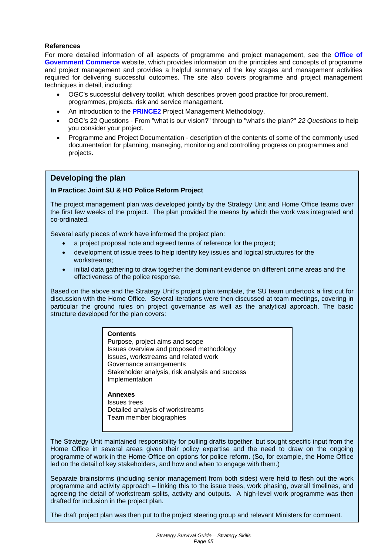### **References**

For more detailed information of all aspects of programme and project management, see the **Office of Government Commerce** website, which provides information on the principles and concepts of programme and project management and provides a helpful summary of the key stages and management activities required for delivering successful outcomes. The site also covers programme and project management techniques in detail, including:

- OGC's successful delivery toolkit, which describes proven good practice for procurement, programmes, projects, risk and service management.
- An introduction to the **PRINCE2** Project Management Methodology.
- OGC's 22 Questions From "what is our vision?" through to "what's the plan?" *22 Questions* to help you consider your project.
- Programme and Project Documentation description of the contents of some of the commonly used documentation for planning, managing, monitoring and controlling progress on programmes and projects.

# **Developing the plan**

### **In Practice: Joint SU & HO Police Reform Project**

The project management plan was developed jointly by the Strategy Unit and Home Office teams over the first few weeks of the project. The plan provided the means by which the work was integrated and co-ordinated.

Several early pieces of work have informed the project plan:

- a project proposal note and agreed terms of reference for the project;
- development of issue trees to help identify key issues and logical structures for the workstreams;
- initial data gathering to draw together the dominant evidence on different crime areas and the effectiveness of the police response.

Based on the above and the Strategy Unit's project plan template, the SU team undertook a first cut for discussion with the Home Office. Several iterations were then discussed at team meetings, covering in particular the ground rules on project governance as well as the analytical approach. The basic structure developed for the plan covers:

#### **Contents**

Purpose, project aims and scope Issues overview and proposed methodology Issues, workstreams and related work Governance arrangements Stakeholder analysis, risk analysis and success Implementation

## **Annexes**

Issues trees Detailed analysis of workstreams Team member biographies

The Strategy Unit maintained responsibility for pulling drafts together, but sought specific input from the Home Office in several areas given their policy expertise and the need to draw on the ongoing programme of work in the Home Office on options for police reform. (So, for example, the Home Office led on the detail of key stakeholders, and how and when to engage with them.)

Separate brainstorms (including senior management from both sides) were held to flesh out the work programme and activity approach – linking this to the issue trees, work phasing, overall timelines, and agreeing the detail of workstream splits, activity and outputs. A high-level work programme was then drafted for inclusion in the project plan.

The draft project plan was then put to the project steering group and relevant Ministers for comment.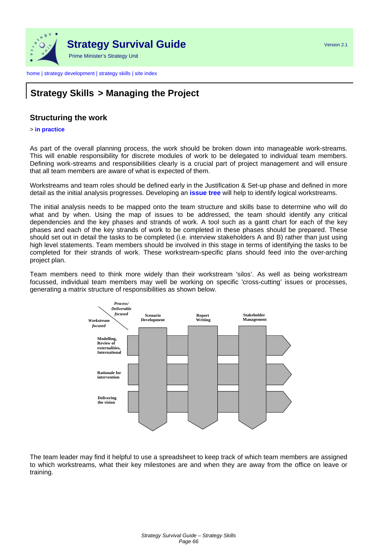

# **Strategy Skills > Managing the Project**

# **Structuring the work**

> **in practice** 

As part of the overall planning process, the work should be broken down into manageable work-streams. This will enable responsibility for discrete modules of work to be delegated to individual team members. Defining work-streams and responsibilities clearly is a crucial part of project management and will ensure that all team members are aware of what is expected of them.

Workstreams and team roles should be defined early in the Justification & Set-up phase and defined in more detail as the initial analysis progresses. Developing an **issue tree** will help to identify logical workstreams.

The initial analysis needs to be mapped onto the team structure and skills base to determine who will do what and by when. Using the map of issues to be addressed, the team should identify any critical dependencies and the key phases and strands of work. A tool such as a gantt chart for each of the key phases and each of the key strands of work to be completed in these phases should be prepared. These should set out in detail the tasks to be completed (i.e. interview stakeholders A and B) rather than just using high level statements. Team members should be involved in this stage in terms of identifying the tasks to be completed for their strands of work. These workstream-specific plans should feed into the over-arching project plan.

Team members need to think more widely than their workstream 'silos'. As well as being workstream focussed, individual team members may well be working on specific 'cross-cutting' issues or processes, generating a matrix structure of responsibilities as shown below.



The team leader may find it helpful to use a spreadsheet to keep track of which team members are assigned to which workstreams, what their key milestones are and when they are away from the office on leave or training.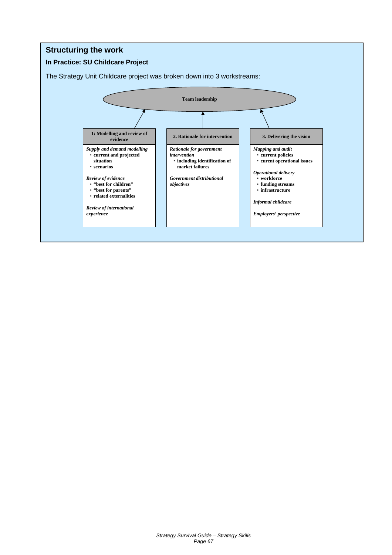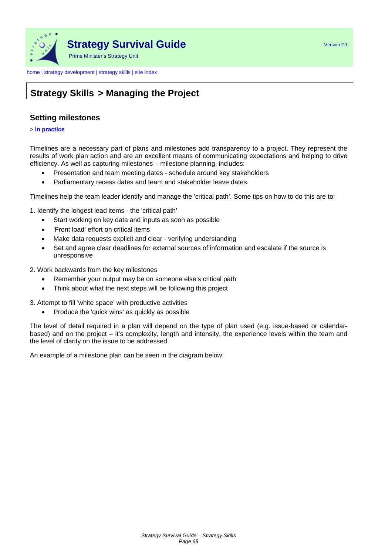

# **Strategy Skills > Managing the Project**

# **Setting milestones**

#### > **in practice**

Timelines are a necessary part of plans and milestones add transparency to a project. They represent the results of work plan action and are an excellent means of communicating expectations and helping to drive efficiency. As well as capturing milestones – milestone planning, includes:

- Presentation and team meeting dates schedule around key stakeholders
- Parliamentary recess dates and team and stakeholder leave dates.

Timelines help the team leader identify and manage the 'critical path'. Some tips on how to do this are to:

1. Identify the longest lead items - the 'critical path'

- Start working on key data and inputs as soon as possible
- 'Front load' effort on critical items
- Make data requests explicit and clear verifying understanding
- Set and agree clear deadlines for external sources of information and escalate if the source is unresponsive
- 2. Work backwards from the key milestones
	- Remember your output may be on someone else's critical path
	- Think about what the next steps will be following this project
- 3. Attempt to fill 'white space' with productive activities
	- Produce the 'quick wins' as quickly as possible

The level of detail required in a plan will depend on the type of plan used (e.g. issue-based or calendarbased) and on the project – it's complexity, length and intensity, the experience levels within the team and the level of clarity on the issue to be addressed.

An example of a milestone plan can be seen in the diagram below: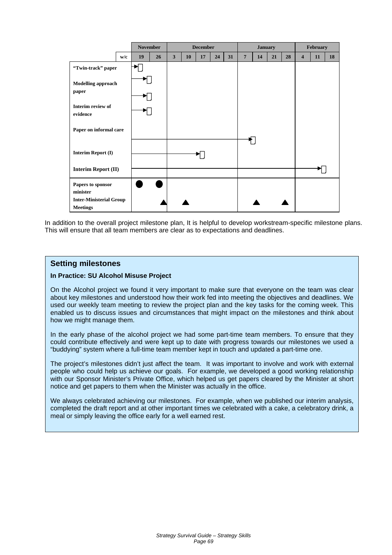|                                                                                    |     | <b>November</b> |    | <b>December</b>         |    |    |    |    | <b>January</b>  |    |    |    | February                |    |    |
|------------------------------------------------------------------------------------|-----|-----------------|----|-------------------------|----|----|----|----|-----------------|----|----|----|-------------------------|----|----|
|                                                                                    | w/c | 19              | 26 | $\overline{\mathbf{3}}$ | 10 | 17 | 24 | 31 | $7\overline{ }$ | 14 | 21 | 28 | $\overline{\mathbf{4}}$ | 11 | 18 |
| "Twin-track" paper                                                                 |     |                 |    |                         |    |    |    |    |                 |    |    |    |                         |    |    |
| <b>Modelling approach</b><br>paper                                                 |     |                 |    |                         |    |    |    |    |                 |    |    |    |                         |    |    |
| Interim review of<br>evidence                                                      |     |                 |    |                         |    |    |    |    |                 |    |    |    |                         |    |    |
| Paper on informal care                                                             |     |                 |    |                         |    |    |    |    |                 |    |    |    |                         |    |    |
| <b>Interim Report (I)</b>                                                          |     |                 |    |                         |    |    |    |    |                 |    |    |    |                         |    |    |
| Interim Report (II)                                                                |     |                 |    |                         |    |    |    |    |                 |    |    |    |                         |    |    |
| Papers to sponsor<br>minister<br><b>Inter-Ministerial Group</b><br><b>Meetings</b> |     |                 |    |                         |    |    |    |    |                 |    |    |    |                         |    |    |

In addition to the overall project milestone plan, It is helpful to develop workstream-specific milestone plans. This will ensure that all team members are clear as to expectations and deadlines.

# **Setting milestones**

## **In Practice: SU Alcohol Misuse Project**

On the Alcohol project we found it very important to make sure that everyone on the team was clear about key milestones and understood how their work fed into meeting the objectives and deadlines. We used our weekly team meeting to review the project plan and the key tasks for the coming week. This enabled us to discuss issues and circumstances that might impact on the milestones and think about how we might manage them.

In the early phase of the alcohol project we had some part-time team members. To ensure that they could contribute effectively and were kept up to date with progress towards our milestones we used a "buddying" system where a full-time team member kept in touch and updated a part-time one.

The project's milestones didn't just affect the team. It was important to involve and work with external people who could help us achieve our goals. For example, we developed a good working relationship with our Sponsor Minister's Private Office, which helped us get papers cleared by the Minister at short notice and get papers to them when the Minister was actually in the office.

We always celebrated achieving our milestones. For example, when we published our interim analysis, completed the draft report and at other important times we celebrated with a cake, a celebratory drink, a meal or simply leaving the office early for a well earned rest.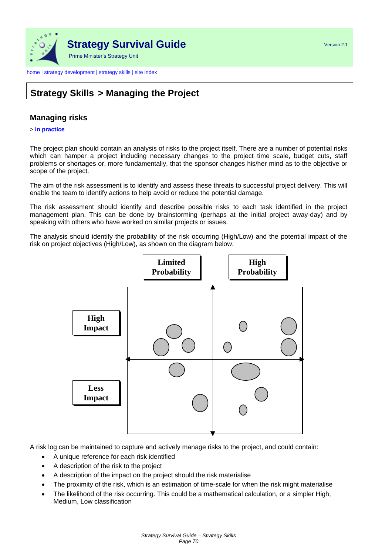

# **Strategy Skills > Managing the Project**

# **Managing risks**

> **in practice** 

The project plan should contain an analysis of risks to the project itself. There are a number of potential risks which can hamper a project including necessary changes to the project time scale, budget cuts, staff problems or shortages or, more fundamentally, that the sponsor changes his/her mind as to the objective or scope of the project.

The aim of the risk assessment is to identify and assess these threats to successful project delivery. This will enable the team to identify actions to help avoid or reduce the potential damage.

The risk assessment should identify and describe possible risks to each task identified in the project management plan. This can be done by brainstorming (perhaps at the initial project away-day) and by speaking with others who have worked on similar projects or issues.

The analysis should identify the probability of the risk occurring (High/Low) and the potential impact of the risk on project objectives (High/Low), as shown on the diagram below.



A risk log can be maintained to capture and actively manage risks to the project, and could contain:

- A unique reference for each risk identified
- A description of the risk to the project
- A description of the impact on the project should the risk materialise
- The proximity of the risk, which is an estimation of time-scale for when the risk might materialise
- The likelihood of the risk occurring. This could be a mathematical calculation, or a simpler High, Medium, Low classification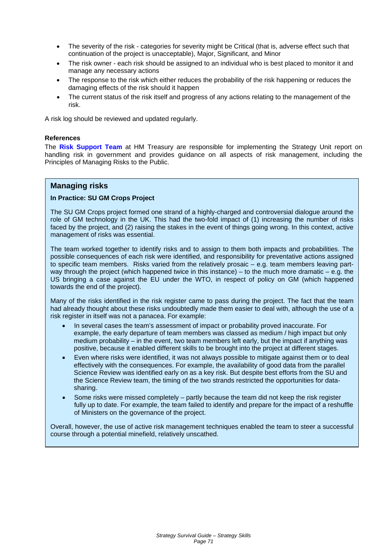- The severity of the risk categories for severity might be Critical (that is, adverse effect such that continuation of the project is unacceptable), Major, Significant, and Minor
- The risk owner each risk should be assigned to an individual who is best placed to monitor it and manage any necessary actions
- The response to the risk which either reduces the probability of the risk happening or reduces the damaging effects of the risk should it happen
- The current status of the risk itself and progress of any actions relating to the management of the risk.

A risk log should be reviewed and updated regularly.

#### **References**

The **Risk Support Team** at HM Treasury are responsible for implementing the Strategy Unit report on handling risk in government and provides guidance on all aspects of risk management, including the Principles of Managing Risks to the Public.

# **Managing risks**

#### **In Practice: SU GM Crops Project**

The SU GM Crops project formed one strand of a highly-charged and controversial dialogue around the role of GM technology in the UK. This had the two-fold impact of (1) increasing the number of risks faced by the project, and (2) raising the stakes in the event of things going wrong. In this context, active management of risks was essential.

The team worked together to identify risks and to assign to them both impacts and probabilities. The possible consequences of each risk were identified, and responsibility for preventative actions assigned to specific team members. Risks varied from the relatively prosaic – e.g. team members leaving partway through the project (which happened twice in this instance) – to the much more dramatic – e.g. the US bringing a case against the EU under the WTO, in respect of policy on GM (which happened towards the end of the project).

Many of the risks identified in the risk register came to pass during the project. The fact that the team had already thought about these risks undoubtedly made them easier to deal with, although the use of a risk register in itself was not a panacea. For example:

- In several cases the team's assessment of impact or probability proved inaccurate. For example, the early departure of team members was classed as medium / high impact but only medium probability – in the event, two team members left early, but the impact if anything was positive, because it enabled different skills to be brought into the project at different stages.
- Even where risks were identified, it was not always possible to mitigate against them or to deal effectively with the consequences. For example, the availability of good data from the parallel Science Review was identified early on as a key risk. But despite best efforts from the SU and the Science Review team, the timing of the two strands restricted the opportunities for datasharing.
- Some risks were missed completely partly because the team did not keep the risk register fully up to date. For example, the team failed to identify and prepare for the impact of a reshuffle of Ministers on the governance of the project.

Overall, however, the use of active risk management techniques enabled the team to steer a successful course through a potential minefield, relatively unscathed.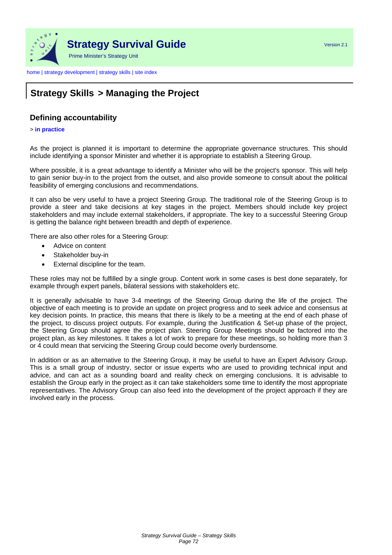

# **Strategy Skills > Managing the Project**

# **Defining accountability**

#### > **in practice**

As the project is planned it is important to determine the appropriate governance structures. This should include identifying a sponsor Minister and whether it is appropriate to establish a Steering Group.

Where possible, it is a great advantage to identify a Minister who will be the project's sponsor. This will help to gain senior buy-in to the project from the outset, and also provide someone to consult about the political feasibility of emerging conclusions and recommendations.

It can also be very useful to have a project Steering Group. The traditional role of the Steering Group is to provide a steer and take decisions at key stages in the project. Members should include key project stakeholders and may include external stakeholders, if appropriate. The key to a successful Steering Group is getting the balance right between breadth and depth of experience.

There are also other roles for a Steering Group:

- Advice on content
- Stakeholder buy-in
- External discipline for the team.

These roles may not be fulfilled by a single group. Content work in some cases is best done separately, for example through expert panels, bilateral sessions with stakeholders etc.

It is generally advisable to have 3-4 meetings of the Steering Group during the life of the project. The objective of each meeting is to provide an update on project progress and to seek advice and consensus at key decision points. In practice, this means that there is likely to be a meeting at the end of each phase of the project, to discuss project outputs. For example, during the Justification & Set-up phase of the project, the Steering Group should agree the project plan. Steering Group Meetings should be factored into the project plan, as key milestones. It takes a lot of work to prepare for these meetings, so holding more than 3 or 4 could mean that servicing the Steering Group could become overly burdensome.

In addition or as an alternative to the Steering Group, it may be useful to have an Expert Advisory Group. This is a small group of industry, sector or issue experts who are used to providing technical input and advice, and can act as a sounding board and reality check on emerging conclusions. It is advisable to establish the Group early in the project as it can take stakeholders some time to identify the most appropriate representatives. The Advisory Group can also feed into the development of the project approach if they are involved early in the process.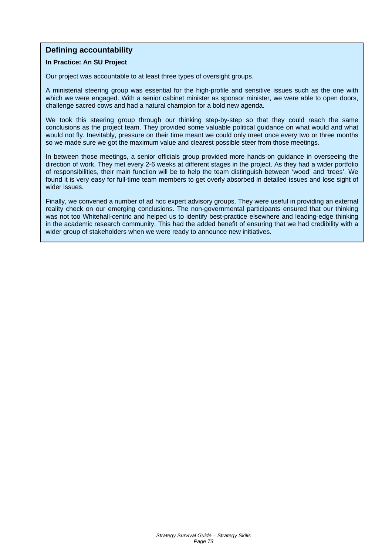# **Defining accountability**

# **In Practice: An SU Project**

Our project was accountable to at least three types of oversight groups.

A ministerial steering group was essential for the high-profile and sensitive issues such as the one with which we were engaged. With a senior cabinet minister as sponsor minister, we were able to open doors, challenge sacred cows and had a natural champion for a bold new agenda.

We took this steering group through our thinking step-by-step so that they could reach the same conclusions as the project team. They provided some valuable political guidance on what would and what would not fly. Inevitably, pressure on their time meant we could only meet once every two or three months so we made sure we got the maximum value and clearest possible steer from those meetings.

In between those meetings, a senior officials group provided more hands-on guidance in overseeing the direction of work. They met every 2-6 weeks at different stages in the project. As they had a wider portfolio of responsibilities, their main function will be to help the team distinguish between 'wood' and 'trees'. We found it is very easy for full-time team members to get overly absorbed in detailed issues and lose sight of wider issues.

Finally, we convened a number of ad hoc expert advisory groups. They were useful in providing an external reality check on our emerging conclusions. The non-governmental participants ensured that our thinking was not too Whitehall-centric and helped us to identify best-practice elsewhere and leading-edge thinking in the academic research community. This had the added benefit of ensuring that we had credibility with a wider group of stakeholders when we were ready to announce new initiatives.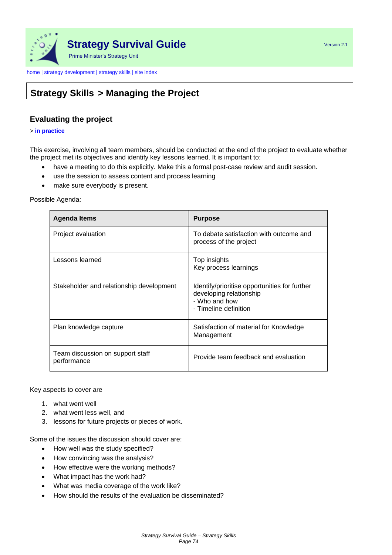

# **Strategy Skills > Managing the Project**

# **Evaluating the project**

#### > **in practice**

This exercise, involving all team members, should be conducted at the end of the project to evaluate whether the project met its objectives and identify key lessons learned. It is important to:

- have a meeting to do this explicitly. Make this a formal post-case review and audit session.
- use the session to assess content and process learning
- make sure everybody is present.

#### Possible Agenda:

| Agenda Items                                    | <b>Purpose</b>                                                                                                     |
|-------------------------------------------------|--------------------------------------------------------------------------------------------------------------------|
| Project evaluation                              | To debate satisfaction with outcome and<br>process of the project                                                  |
| Lessons learned                                 | Top insights<br>Key process learnings                                                                              |
| Stakeholder and relationship development        | Identify/prioritise opportunities for further<br>developing relationship<br>- Who and how<br>- Timeline definition |
| Plan knowledge capture                          | Satisfaction of material for Knowledge<br>Management                                                               |
| Team discussion on support staff<br>performance | Provide team feedback and evaluation                                                                               |

Key aspects to cover are

- 1. what went well
- 2. what went less well, and
- 3. lessons for future projects or pieces of work.

Some of the issues the discussion should cover are:

- How well was the study specified?
- How convincing was the analysis?
- How effective were the working methods?
- What impact has the work had?
- What was media coverage of the work like?
- How should the results of the evaluation be disseminated?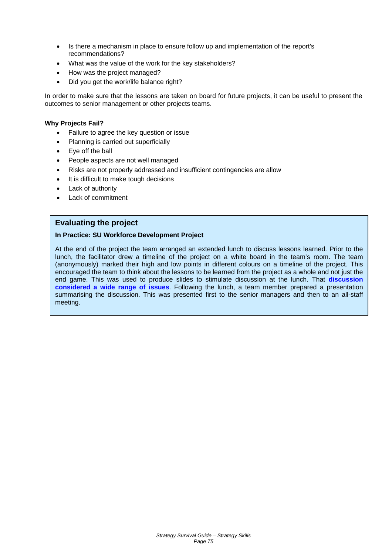- Is there a mechanism in place to ensure follow up and implementation of the report's recommendations?
- What was the value of the work for the key stakeholders?
- How was the project managed?
- Did you get the work/life balance right?

In order to make sure that the lessons are taken on board for future projects, it can be useful to present the outcomes to senior management or other projects teams.

### **Why Projects Fail?**

- Failure to agree the key question or issue
- Planning is carried out superficially
- Eye off the ball
- People aspects are not well managed
- Risks are not properly addressed and insufficient contingencies are allow
- It is difficult to make tough decisions
- Lack of authority
- Lack of commitment

# **Evaluating the project**

### **In Practice: SU Workforce Development Project**

At the end of the project the team arranged an extended lunch to discuss lessons learned. Prior to the lunch, the facilitator drew a timeline of the project on a white board in the team's room. The team (anonymously) marked their high and low points in different colours on a timeline of the project. This encouraged the team to think about the lessons to be learned from the project as a whole and not just the end game. This was used to produce slides to stimulate discussion at the lunch. That **discussion considered a wide range of issues**. Following the lunch, a team member prepared a presentation summarising the discussion. This was presented first to the senior managers and then to an all-staff meeting.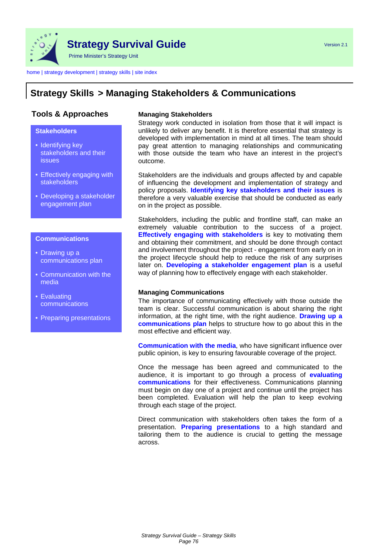

# **Strategy Skills > Managing Stakeholders & Communications**

# **Tools & Approaches**

#### **Stakeholders**

- Identifying key stakeholders and their issues
- Effectively engaging with stakeholders
- Developing a stakeholder engagement plan

#### **Communications**

- Drawing up a communications plan
- Communication with the media
- Evaluating communications
- Preparing presentations

#### **Managing Stakeholders**

Strategy work conducted in isolation from those that it will impact is unlikely to deliver any benefit. It is therefore essential that strategy is developed with implementation in mind at all times. The team should pay great attention to managing relationships and communicating with those outside the team who have an interest in the project's outcome.

Stakeholders are the individuals and groups affected by and capable of influencing the development and implementation of strategy and policy proposals. **Identifying key stakeholders and their issues** is therefore a very valuable exercise that should be conducted as early on in the project as possible.

Stakeholders, including the public and frontline staff, can make an extremely valuable contribution to the success of a project. **Effectively engaging with stakeholders** is key to motivating them and obtaining their commitment, and should be done through contact and involvement throughout the project - engagement from early on in the project lifecycle should help to reduce the risk of any surprises later on. **Developing a stakeholder engagement plan** is a useful way of planning how to effectively engage with each stakeholder.

#### **Managing Communications**

The importance of communicating effectively with those outside the team is clear. Successful communication is about sharing the right information, at the right time, with the right audience. **Drawing up a communications plan** helps to structure how to go about this in the most effective and efficient way.

**Communication with the media**, who have significant influence over public opinion, is key to ensuring favourable coverage of the project.

Once the message has been agreed and communicated to the audience, it is important to go through a process of **evaluating communications** for their effectiveness. Communications planning must begin on day one of a project and continue until the project has been completed. Evaluation will help the plan to keep evolving through each stage of the project.

Direct communication with stakeholders often takes the form of a presentation. **Preparing presentations** to a high standard and tailoring them to the audience is crucial to getting the message across.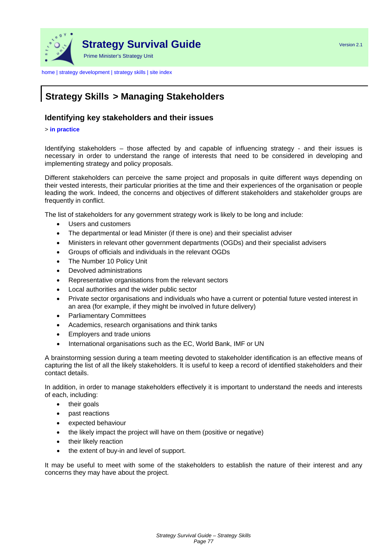

# **Strategy Skills > Managing Stakeholders**

# **Identifying key stakeholders and their issues**

> **in practice** 

Identifying stakeholders – those affected by and capable of influencing strategy - and their issues is necessary in order to understand the range of interests that need to be considered in developing and implementing strategy and policy proposals.

Different stakeholders can perceive the same project and proposals in quite different ways depending on their vested interests, their particular priorities at the time and their experiences of the organisation or people leading the work. Indeed, the concerns and objectives of different stakeholders and stakeholder groups are frequently in conflict.

The list of stakeholders for any government strategy work is likely to be long and include:

- Users and customers
- The departmental or lead Minister (if there is one) and their specialist adviser
- Ministers in relevant other government departments (OGDs) and their specialist advisers
- Groups of officials and individuals in the relevant OGDs
- The Number 10 Policy Unit
- Devolved administrations
- Representative organisations from the relevant sectors
- Local authorities and the wider public sector
- Private sector organisations and individuals who have a current or potential future vested interest in an area (for example, if they might be involved in future delivery)
- Parliamentary Committees
- Academics, research organisations and think tanks
- Employers and trade unions
- International organisations such as the EC, World Bank, IMF or UN

A brainstorming session during a team meeting devoted to stakeholder identification is an effective means of capturing the list of all the likely stakeholders. It is useful to keep a record of identified stakeholders and their contact details.

In addition, in order to manage stakeholders effectively it is important to understand the needs and interests of each, including:

- their goals
- past reactions
- expected behaviour
- the likely impact the project will have on them (positive or negative)
- their likely reaction
- the extent of buy-in and level of support.

It may be useful to meet with some of the stakeholders to establish the nature of their interest and any concerns they may have about the project.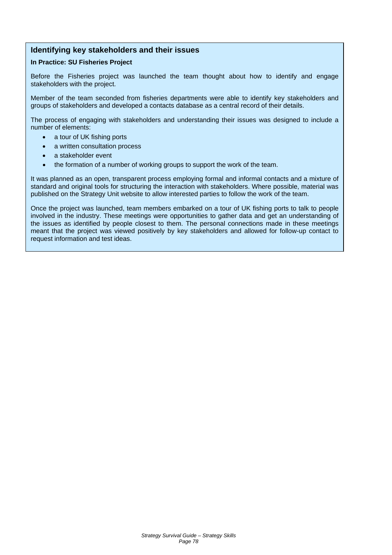# **Identifying key stakeholders and their issues**

## **In Practice: SU Fisheries Project**

Before the Fisheries project was launched the team thought about how to identify and engage stakeholders with the project.

Member of the team seconded from fisheries departments were able to identify key stakeholders and groups of stakeholders and developed a contacts database as a central record of their details.

The process of engaging with stakeholders and understanding their issues was designed to include a number of elements:

- a tour of UK fishing ports
- a written consultation process
- a stakeholder event
- the formation of a number of working groups to support the work of the team.

It was planned as an open, transparent process employing formal and informal contacts and a mixture of standard and original tools for structuring the interaction with stakeholders. Where possible, material was published on the Strategy Unit website to allow interested parties to follow the work of the team.

Once the project was launched, team members embarked on a tour of UK fishing ports to talk to people involved in the industry. These meetings were opportunities to gather data and get an understanding of the issues as identified by people closest to them. The personal connections made in these meetings meant that the project was viewed positively by key stakeholders and allowed for follow-up contact to request information and test ideas.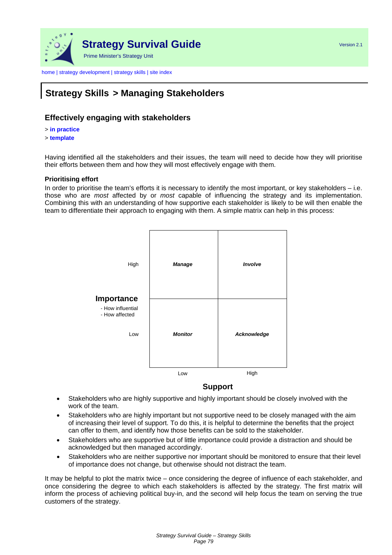

# **Strategy Skills > Managing Stakeholders**

# **Effectively engaging with stakeholders**

- > **in practice**
- > **template**

Having identified all the stakeholders and their issues, the team will need to decide how they will prioritise their efforts between them and how they will most effectively engage with them.

#### **Prioritising effort**

In order to prioritise the team's efforts it is necessary to identify the most important, or key stakeholders – i.e. those who are *most* affected by or *most* capable of influencing the strategy and its implementation. Combining this with an understanding of how supportive each stakeholder is likely to be will then enable the team to differentiate their approach to engaging with them. A simple matrix can help in this process:



## **Support**

- Stakeholders who are highly supportive and highly important should be closely involved with the work of the team.
- Stakeholders who are highly important but not supportive need to be closely managed with the aim of increasing their level of support. To do this, it is helpful to determine the benefits that the project can offer to them, and identify how those benefits can be sold to the stakeholder.
- Stakeholders who are supportive but of little importance could provide a distraction and should be acknowledged but then managed accordingly.
- Stakeholders who are neither supportive nor important should be monitored to ensure that their level of importance does not change, but otherwise should not distract the team.

It may be helpful to plot the matrix twice – once considering the degree of influence of each stakeholder, and once considering the degree to which each stakeholders is affected by the strategy. The first matrix will inform the process of achieving political buy-in, and the second will help focus the team on serving the true customers of the strategy.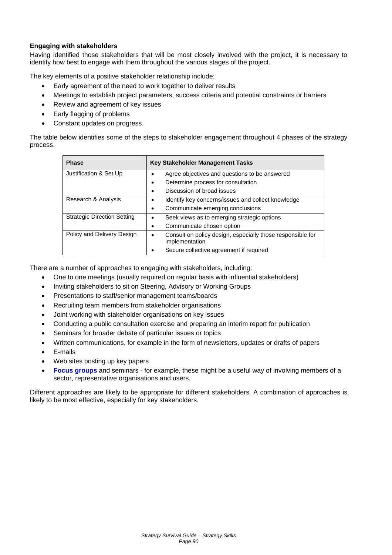# **Engaging with stakeholders**

Having identified those stakeholders that will be most closely involved with the project, it is necessary to identify how best to engage with them throughout the various stages of the project.

The key elements of a positive stakeholder relationship include:

- Early agreement of the need to work together to deliver results
- Meetings to establish project parameters, success criteria and potential constraints or barriers
- Review and agreement of key issues
- Early flagging of problems
- Constant updates on progress.

The table below identifies some of the steps to stakeholder engagement throughout 4 phases of the strategy process.

| <b>Phase</b>                       | Key Stakeholder Management Tasks                                                          |
|------------------------------------|-------------------------------------------------------------------------------------------|
| Justification & Set Up             | Agree objectives and questions to be answered<br>$\bullet$                                |
|                                    | Determine process for consultation<br>٠                                                   |
|                                    | Discussion of broad issues<br>$\bullet$                                                   |
| Research & Analysis                | Identify key concerns/issues and collect knowledge<br>٠                                   |
|                                    | Communicate emerging conclusions<br>$\bullet$                                             |
| <b>Strategic Direction Setting</b> | Seek views as to emerging strategic options<br>٠                                          |
|                                    | Communicate chosen option<br>٠                                                            |
| Policy and Delivery Design         | Consult on policy design, especially those responsible for<br>$\bullet$<br>implementation |
|                                    | Secure collective agreement if required<br>٠                                              |

There are a number of approaches to engaging with stakeholders, including:

- One to one meetings (usually required on regular basis with influential stakeholders)
- Inviting stakeholders to sit on Steering, Advisory or Working Groups
- Presentations to staff/senior management teams/boards
- Recruiting team members from stakeholder organisations
- Joint working with stakeholder organisations on key issues
- Conducting a public consultation exercise and preparing an interim report for publication
- Seminars for broader debate of particular issues or topics
- Written communications, for example in the form of newsletters, updates or drafts of papers
- E-mails
- Web sites posting up key papers
- **Focus groups** and seminars for example, these might be a useful way of involving members of a sector, representative organisations and users.

Different approaches are likely to be appropriate for different stakeholders. A combination of approaches is likely to be most effective, especially for key stakeholders.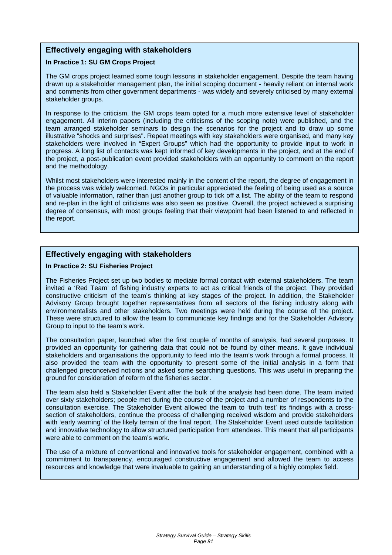# **Effectively engaging with stakeholders**

### **In Practice 1: SU GM Crops Project**

The GM crops project learned some tough lessons in stakeholder engagement. Despite the team having drawn up a stakeholder management plan, the initial scoping document - heavily reliant on internal work and comments from other government departments - was widely and severely criticised by many external stakeholder groups.

In response to the criticism, the GM crops team opted for a much more extensive level of stakeholder engagement. All interim papers (including the criticisms of the scoping note) were published, and the team arranged stakeholder seminars to design the scenarios for the project and to draw up some illustrative "shocks and surprises". Repeat meetings with key stakeholders were organised, and many key stakeholders were involved in "Expert Groups" which had the opportunity to provide input to work in progress. A long list of contacts was kept informed of key developments in the project, and at the end of the project, a post-publication event provided stakeholders with an opportunity to comment on the report and the methodology.

Whilst most stakeholders were interested mainly in the content of the report, the degree of engagement in the process was widely welcomed. NGOs in particular appreciated the feeling of being used as a source of valuable information, rather than just another group to tick off a list. The ability of the team to respond and re-plan in the light of criticisms was also seen as positive. Overall, the project achieved a surprising degree of consensus, with most groups feeling that their viewpoint had been listened to and reflected in the report.

# **Effectively engaging with stakeholders**

## **In Practice 2: SU Fisheries Project**

The Fisheries Project set up two bodies to mediate formal contact with external stakeholders. The team invited a 'Red Team' of fishing industry experts to act as critical friends of the project. They provided constructive criticism of the team's thinking at key stages of the project. In addition, the Stakeholder Advisory Group brought together representatives from all sectors of the fishing industry along with environmentalists and other stakeholders. Two meetings were held during the course of the project. These were structured to allow the team to communicate key findings and for the Stakeholder Advisory Group to input to the team's work.

The consultation paper, launched after the first couple of months of analysis, had several purposes. It provided an opportunity for gathering data that could not be found by other means. It gave individual stakeholders and organisations the opportunity to feed into the team's work through a formal process. It also provided the team with the opportunity to present some of the initial analysis in a form that challenged preconceived notions and asked some searching questions. This was useful in preparing the ground for consideration of reform of the fisheries sector.

The team also held a Stakeholder Event after the bulk of the analysis had been done. The team invited over sixty stakeholders; people met during the course of the project and a number of respondents to the consultation exercise. The Stakeholder Event allowed the team to 'truth test' its findings with a crosssection of stakeholders, continue the process of challenging received wisdom and provide stakeholders with 'early warning' of the likely terrain of the final report. The Stakeholder Event used outside facilitation and innovative technology to allow structured participation from attendees. This meant that all participants were able to comment on the team's work.

The use of a mixture of conventional and innovative tools for stakeholder engagement, combined with a commitment to transparency, encouraged constructive engagement and allowed the team to access resources and knowledge that were invaluable to gaining an understanding of a highly complex field.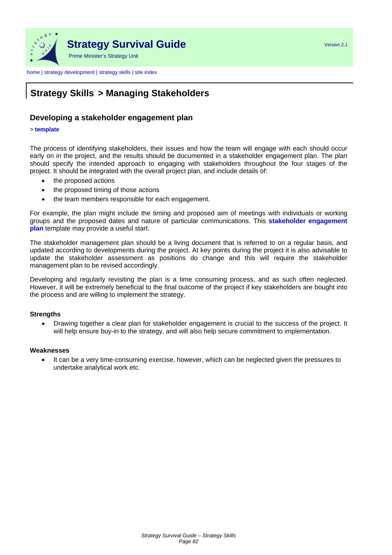

# **Strategy Skills > Managing Stakeholders**

# **Developing a stakeholder engagement plan**

#### > **template**

The process of identifying stakeholders, their issues and how the team will engage with each should occur early on in the project, and the results should be documented in a stakeholder engagement plan. The plan should specify the intended approach to engaging with stakeholders throughout the four stages of the project. It should be integrated with the overall project plan, and include details of:

- the proposed actions
- the proposed timing of those actions
- the team members responsible for each engagement.

For example, the plan might include the timing and proposed aim of meetings with individuals or working groups and the proposed dates and nature of particular communications. This **stakeholder engagement plan** template may provide a useful start.

The stakeholder management plan should be a living document that is referred to on a regular basis, and updated according to developments during the project. At key points during the project it is also advisable to update the stakeholder assessment as positions do change and this will require the stakeholder management plan to be revised accordingly.

Developing and regularly revisiting the plan is a time consuming process, and as such often neglected. However, it will be extremely beneficial to the final outcome of the project if key stakeholders are bought into the process and are willing to implement the strategy.

#### **Strengths**

• Drawing together a clear plan for stakeholder engagement is crucial to the success of the project. It will help ensure buy-in to the strategy, and will also help secure commitment to implementation.

#### **Weaknesses**

• It can be a very time-consuming exercise, however, which can be neglected given the pressures to undertake analytical work etc.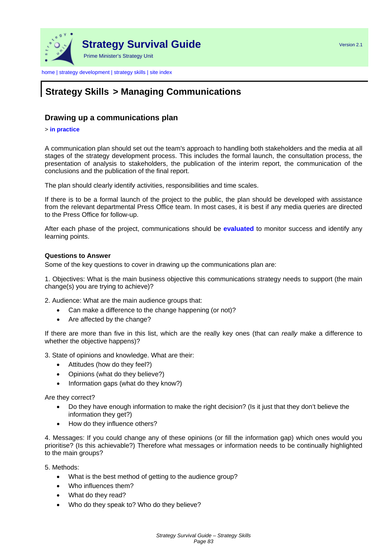

# **Strategy Skills > Managing Communications**

# **Drawing up a communications plan**

#### > **in practice**

A communication plan should set out the team's approach to handling both stakeholders and the media at all stages of the strategy development process. This includes the formal launch, the consultation process, the presentation of analysis to stakeholders, the publication of the interim report, the communication of the conclusions and the publication of the final report.

The plan should clearly identify activities, responsibilities and time scales.

If there is to be a formal launch of the project to the public, the plan should be developed with assistance from the relevant departmental Press Office team. In most cases, it is best if any media queries are directed to the Press Office for follow-up.

After each phase of the project, communications should be **evaluated** to monitor success and identify any learning points.

#### **Questions to Answer**

Some of the key questions to cover in drawing up the communications plan are:

1. Objectives: What is the main business objective this communications strategy needs to support (the main change(s) you are trying to achieve)?

2. Audience: What are the main audience groups that:

- Can make a difference to the change happening (or not)?
- Are affected by the change?

If there are more than five in this list, which are the really key ones (that can *really* make a difference to whether the objective happens)?

3. State of opinions and knowledge. What are their:

- Attitudes (how do they feel?)
- Opinions (what do they believe?)
- Information gaps (what do they know?)

Are they correct?

- Do they have enough information to make the right decision? (Is it just that they don't believe the information they get?)
- How do they influence others?

4. Messages: If you could change any of these opinions (or fill the information gap) which ones would you prioritise? (Is this achievable?) Therefore what messages or information needs to be continually highlighted to the main groups?

5. Methods:

- What is the best method of getting to the audience group?
- Who influences them?
- What do they read?
- Who do they speak to? Who do they believe?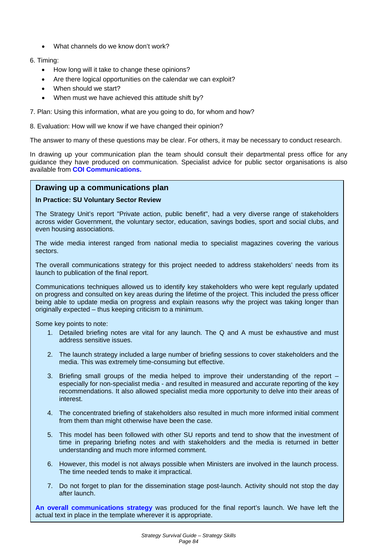- What channels do we know don't work?
- 6. Timing:
	- How long will it take to change these opinions?
	- Are there logical opportunities on the calendar we can exploit?
	- When should we start?
	- When must we have achieved this attitude shift by?

7. Plan: Using this information, what are you going to do, for whom and how?

8. Evaluation: How will we know if we have changed their opinion?

The answer to many of these questions may be clear. For others, it may be necessary to conduct research.

In drawing up your communication plan the team should consult their departmental press office for any guidance they have produced on communication. Specialist advice for public sector organisations is also available from **COI Communications.**

# **Drawing up a communications plan**

## **In Practice: SU Voluntary Sector Review**

The Strategy Unit's report "Private action, public benefit", had a very diverse range of stakeholders across wider Government, the voluntary sector, education, savings bodies, sport and social clubs, and even housing associations.

The wide media interest ranged from national media to specialist magazines covering the various sectors.

The overall communications strategy for this project needed to address stakeholders' needs from its launch to publication of the final report.

Communications techniques allowed us to identify key stakeholders who were kept regularly updated on progress and consulted on key areas during the lifetime of the project. This included the press officer being able to update media on progress and explain reasons why the project was taking longer than originally expected – thus keeping criticism to a minimum.

Some key points to note:

- 1. Detailed briefing notes are vital for any launch. The Q and A must be exhaustive and must address sensitive issues.
- 2. The launch strategy included a large number of briefing sessions to cover stakeholders and the media. This was extremely time-consuming but effective.
- 3. Briefing small groups of the media helped to improve their understanding of the report especially for non-specialist media - and resulted in measured and accurate reporting of the key recommendations. It also allowed specialist media more opportunity to delve into their areas of interest.
- 4. The concentrated briefing of stakeholders also resulted in much more informed initial comment from them than might otherwise have been the case.
- 5. This model has been followed with other SU reports and tend to show that the investment of time in preparing briefing notes and with stakeholders and the media is returned in better understanding and much more informed comment.
- 6. However, this model is not always possible when Ministers are involved in the launch process. The time needed tends to make it impractical.
- 7. Do not forget to plan for the dissemination stage post-launch. Activity should not stop the day after launch.

**An overall communications strategy** was produced for the final report's launch. We have left the actual text in place in the template wherever it is appropriate.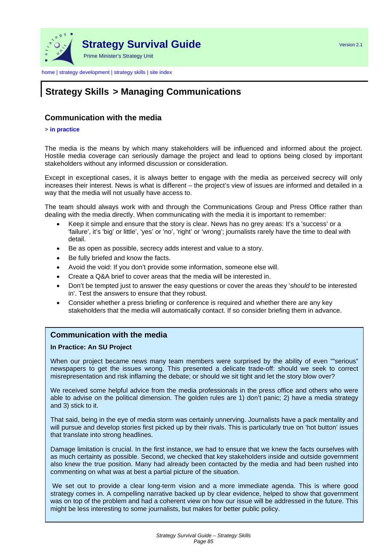

# **Strategy Skills > Managing Communications**

# **Communication with the media**

#### > **in practice**

The media is the means by which many stakeholders will be influenced and informed about the project. Hostile media coverage can seriously damage the project and lead to options being closed by important stakeholders without any informed discussion or consideration.

Except in exceptional cases, it is always better to engage with the media as perceived secrecy will only increases their interest. News is what is different – the project's view of issues are informed and detailed in a way that the media will not usually have access to.

The team should always work with and through the Communications Group and Press Office rather than dealing with the media directly. When communicating with the media it is important to remember:

- Keep it simple and ensure that the story is clear. News has no grey areas: It's a 'success' or a 'failure', it's 'big' or little', 'yes' or 'no', 'right' or 'wrong'; journalists rarely have the time to deal with detail.
- Be as open as possible, secrecy adds interest and value to a story.
- Be fully briefed and know the facts.
- Avoid the void: If you don't provide some information, someone else will.
- Create a Q&A brief to cover areas that the media will be interested in.
- Don't be tempted just to answer the easy questions or cover the areas they '*should* to be interested in'. Test the answers to ensure that they robust.
- Consider whether a press briefing or conference is required and whether there are any key stakeholders that the media will automatically contact. If so consider briefing them in advance.

# **Communication with the media**

#### **In Practice: An SU Project**

When our project became news many team members were surprised by the ability of even ""serious" newspapers to get the issues wrong. This presented a delicate trade-off: should we seek to correct misrepresentation and risk inflaming the debate; or should we sit tight and let the story blow over?

We received some helpful advice from the media professionals in the press office and others who were able to advise on the political dimension. The golden rules are 1) don't panic; 2) have a media strategy and 3) stick to it.

That said, being in the eye of media storm was certainly unnerving. Journalists have a pack mentality and will pursue and develop stories first picked up by their rivals. This is particularly true on 'hot button' issues that translate into strong headlines.

Damage limitation is crucial. In the first instance, we had to ensure that we knew the facts ourselves with as much certainty as possible. Second, we checked that key stakeholders inside and outside government also knew the true position. Many had already been contacted by the media and had been rushed into commenting on what was at best a partial picture of the situation.

 We set out to provide a clear long-term vision and a more immediate agenda. This is where good strategy comes in. A compelling narrative backed up by clear evidence, helped to show that government was on top of the problem and had a coherent view on how our issue will be addressed in the future. This might be less interesting to some journalists, but makes for better public policy.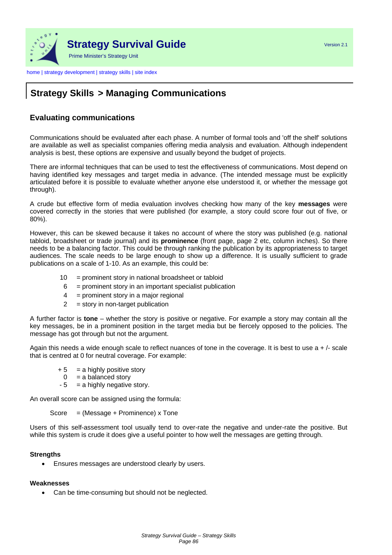

# **Strategy Skills > Managing Communications**

# **Evaluating communications**

Communications should be evaluated after each phase. A number of formal tools and 'off the shelf' solutions are available as well as specialist companies offering media analysis and evaluation. Although independent analysis is best, these options are expensive and usually beyond the budget of projects.

There are informal techniques that can be used to test the effectiveness of communications. Most depend on having identified key messages and target media in advance. (The intended message must be explicitly articulated before it is possible to evaluate whether anyone else understood it, or whether the message got through).

A crude but effective form of media evaluation involves checking how many of the key **messages** were covered correctly in the stories that were published (for example, a story could score four out of five, or 80%).

However, this can be skewed because it takes no account of where the story was published (e.g. national tabloid, broadsheet or trade journal) and its **prominence** (front page, page 2 etc, column inches). So there needs to be a balancing factor. This could be through ranking the publication by its appropriateness to target audiences. The scale needs to be large enough to show up a difference. It is usually sufficient to grade publications on a scale of 1-10. As an example, this could be:

- 10 = prominent story in national broadsheet or tabloid
- $6 =$  prominent story in an important specialist publication
- 4 = prominent story in a major regional
- $2 =$  story in non-target publication

A further factor is **tone** – whether the story is positive or negative. For example a story may contain all the key messages, be in a prominent position in the target media but be fiercely opposed to the policies. The message has got through but not the argument.

Again this needs a wide enough scale to reflect nuances of tone in the coverage. It is best to use  $a + / -$  scale that is centred at 0 for neutral coverage. For example:

- $+ 5 = a$  highly positive story
- $0 = a$  balanced story
- $-5 = a$  highly negative story.

An overall score can be assigned using the formula:

Score  $=$  (Message + Prominence) x Tone

Users of this self-assessment tool usually tend to over-rate the negative and under-rate the positive. But while this system is crude it does give a useful pointer to how well the messages are getting through.

#### **Strengths**

• Ensures messages are understood clearly by users.

#### **Weaknesses**

• Can be time-consuming but should not be neglected.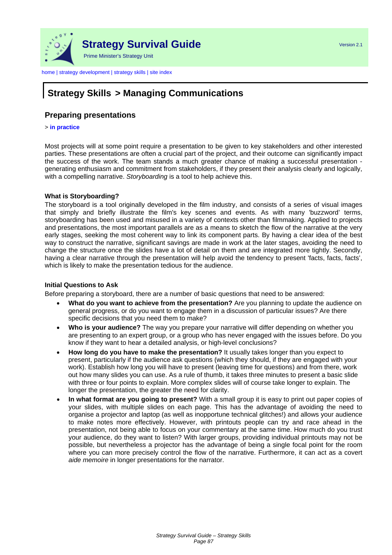

# **Strategy Skills > Managing Communications**

# **Preparing presentations**

#### > **in practice**

Most projects will at some point require a presentation to be given to key stakeholders and other interested parties. These presentations are often a crucial part of the project, and their outcome can significantly impact the success of the work. The team stands a much greater chance of making a successful presentation generating enthusiasm and commitment from stakeholders, if they present their analysis clearly and logically, with a compelling narrative. *Storyboarding* is a tool to help achieve this.

### **What is Storyboarding?**

The storyboard is a tool originally developed in the film industry, and consists of a series of visual images that simply and briefly illustrate the film's key scenes and events. As with many 'buzzword' terms, storyboarding has been used and misused in a variety of contexts other than filmmaking. Applied to projects and presentations, the most important parallels are as a means to sketch the flow of the narrative at the very early stages, seeking the most coherent way to link its component parts. By having a clear idea of the best way to construct the narrative, significant savings are made in work at the later stages, avoiding the need to change the structure once the slides have a lot of detail on them and are integrated more tightly. Secondly, having a clear narrative through the presentation will help avoid the tendency to present 'facts, facts, facts', which is likely to make the presentation tedious for the audience.

#### **Initial Questions to Ask**

Before preparing a storyboard, there are a number of basic questions that need to be answered:

- **What do you want to achieve from the presentation?** Are you planning to update the audience on general progress, or do you want to engage them in a discussion of particular issues? Are there specific decisions that you need them to make?
- **Who is your audience?** The way you prepare your narrative will differ depending on whether you are presenting to an expert group, or a group who has never engaged with the issues before. Do you know if they want to hear a detailed analysis, or high-level conclusions?
- **How long do you have to make the presentation?** It usually takes longer than you expect to present, particularly if the audience ask questions (which they should, if they are engaged with your work). Establish how long you will have to present (leaving time for questions) and from there, work out how many slides you can use. As a rule of thumb, it takes three minutes to present a basic slide with three or four points to explain. More complex slides will of course take longer to explain. The longer the presentation, the greater the need for clarity.
- **In what format are you going to present?** With a small group it is easy to print out paper copies of your slides, with multiple slides on each page. This has the advantage of avoiding the need to organise a projector and laptop (as well as inopportune technical glitches!) and allows your audience to make notes more effectively. However, with printouts people can try and race ahead in the presentation, not being able to focus on your commentary at the same time. How much do you trust your audience, do they want to listen? With larger groups, providing individual printouts may not be possible, but nevertheless a projector has the advantage of being a single focal point for the room where you can more precisely control the flow of the narrative. Furthermore, it can act as a covert *aide memoire* in longer presentations for the narrator.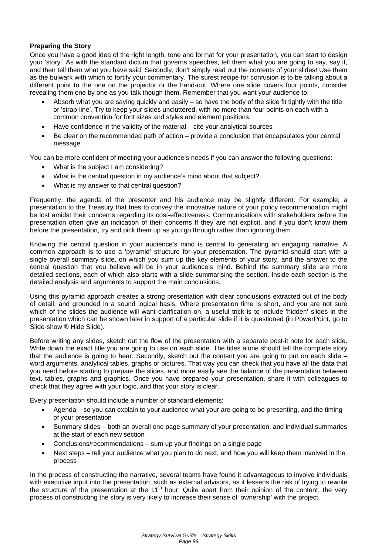## **Preparing the Story**

Once you have a good idea of the right length, tone and format for your presentation, you can start to design your 'story'. As with the standard dictum that governs speeches, tell them what you are going to say, say it, and then tell them what you have said. Secondly, don't simply read out the contents of your slides! Use them as the bulwark with which to fortify your commentary. The surest recipe for confusion is to be talking about a different point to the one on the projector or the hand-out. Where one slide covers four points, consider revealing them one by one as you talk though them. Remember that you want your audience to:

- Absorb what you are saying quickly and easily  $-$  so have the body of the slide fit tightly with the title or 'strap-line'. Try to keep your slides uncluttered, with no more than four points on each with a common convention for font sizes and styles and element positions.
- Have confidence in the validity of the material cite your analytical sources
- Be clear on the recommended path of action provide a conclusion that encapsulates your central message.

You can be more confident of meeting your audience's needs if you can answer the following questions:

- What is the subject I am considering?
- What is the central question in my audience's mind about that subject?
- What is my answer to that central question?

Frequently, the agenda of the presenter and his audience may be slightly different. For example, a presentation to the Treasury that tries to convey the innovative nature of your policy recommendation might be lost amidst their concerns regarding its cost-effectiveness. Communications with stakeholders before the presentation often give an indication of their concerns If they are not explicit, and if you don't know them before the presentation, try and pick them up as you go through rather than ignoring them.

Knowing the central question in your audience's mind is central to generating an engaging narrative. A common approach is to use a 'pyramid' structure for your presentation. The pyramid should start with a single overall summary slide, on which you sum up the key elements of your story, and the answer to the central question that you believe will be in your audience's mind. Behind the summary slide are more detailed sections, each of which also starts with a slide summarising the section. Inside each section is the detailed analysis and arguments to support the main conclusions.

Using this pyramid approach creates a strong presentation with clear conclusions extracted out of the body of detail, and grounded in a sound logical basis. Where presentation time is short, and you are not sure which of the slides the audience will want clarification on, a useful trick is to include 'hidden' slides in the presentation which can be shown later in support of a particular slide if it is questioned (in PowerPoint, go to Slide-show ® Hide Slide).

Before writing any slides, sketch out the flow of the presentation with a separate post-it note for each slide. Write down the exact title you are going to use on each slide. The titles alone should tell the complete story that the audience is going to hear. Secondly, sketch out the content you are going to put on each slide – word arguments, analytical tables, graphs or pictures. That way you can check that you have all the data that you need before starting to prepare the slides, and more easily see the balance of the presentation between text, tables, graphs and graphics. Once you have prepared your presentation, share it with colleagues to check that they agree with your logic, and that your story is clear.

Every presentation should include a number of standard elements:

- Agenda so you can explain to your audience what your are going to be presenting, and the timing of your presentation
- Summary slides both an overall one page summary of your presentation, and individual summaries at the start of each new section
- Conclusions/recommendations sum up your findings on a single page
- Next steps tell your audience what you plan to do next, and how you will keep them involved in the process

In the process of constructing the narrative, several teams have found it advantageous to involve individuals with executive input into the presentation, such as external advisors, as it lessens the risk of trying to rewrite the structure of the presentation at the 11<sup>th</sup> hour. Quite apart from their opinion of the content, the very process of constructing the story is very likely to increase their sense of 'ownership' with the project.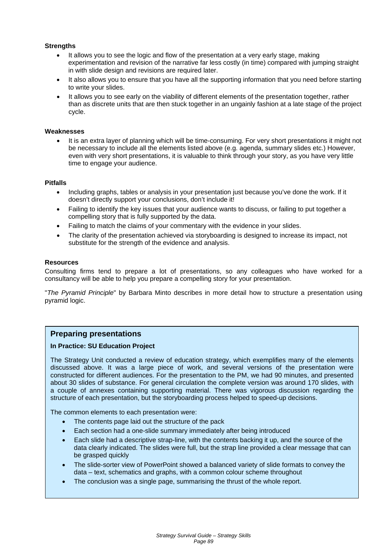# **Strengths**

- It allows you to see the logic and flow of the presentation at a very early stage, making experimentation and revision of the narrative far less costly (in time) compared with jumping straight in with slide design and revisions are required later.
- It also allows you to ensure that you have all the supporting information that you need before starting to write your slides.
- It allows you to see early on the viability of different elements of the presentation together, rather than as discrete units that are then stuck together in an ungainly fashion at a late stage of the project cycle.

### **Weaknesses**

• It is an extra layer of planning which will be time-consuming. For very short presentations it might not be necessary to include all the elements listed above (e.g. agenda, summary slides etc.) However, even with very short presentations, it is valuable to think through your story, as you have very little time to engage your audience.

### **Pitfalls**

- Including graphs, tables or analysis in your presentation just because you've done the work. If it doesn't directly support your conclusions, don't include it!
- Failing to identify the key issues that your audience wants to discuss, or failing to put together a compelling story that is fully supported by the data.
- Failing to match the claims of your commentary with the evidence in your slides.
- The clarity of the presentation achieved via storyboarding is designed to increase its impact, not substitute for the strength of the evidence and analysis.

#### **Resources**

Consulting firms tend to prepare a lot of presentations, so any colleagues who have worked for a consultancy will be able to help you prepare a compelling story for your presentation.

"*The Pyramid Principle*" by Barbara Minto describes in more detail how to structure a presentation using pyramid logic.

# **Preparing presentations**

#### **In Practice: SU Education Project**

The Strategy Unit conducted a review of education strategy, which exemplifies many of the elements discussed above. It was a large piece of work, and several versions of the presentation were constructed for different audiences. For the presentation to the PM, we had 90 minutes, and presented about 30 slides of substance. For general circulation the complete version was around 170 slides, with a couple of annexes containing supporting material. There was vigorous discussion regarding the structure of each presentation, but the storyboarding process helped to speed-up decisions.

The common elements to each presentation were:

- The contents page laid out the structure of the pack
- Each section had a one-slide summary immediately after being introduced
- Each slide had a descriptive strap-line, with the contents backing it up, and the source of the data clearly indicated. The slides were full, but the strap line provided a clear message that can be grasped quickly
- The slide-sorter view of PowerPoint showed a balanced variety of slide formats to convey the data – text, schematics and graphs, with a common colour scheme throughout
- The conclusion was a single page, summarising the thrust of the whole report.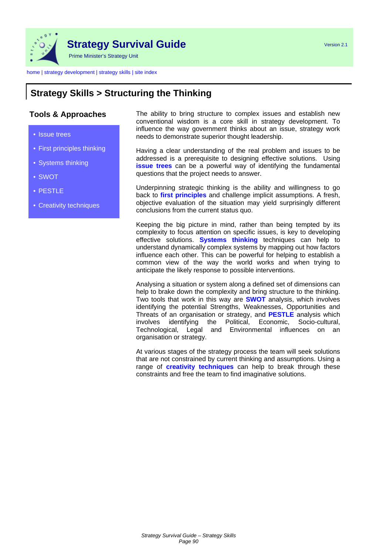

# **Strategy Skills > Structuring the Thinking**

# **Tools & Approaches**

- Issue trees
- First principles thinking
- Systems thinking
- SWOT
- PESTLE
- Creativity techniques

The ability to bring structure to complex issues and establish new conventional wisdom is a core skill in strategy development. To influence the way government thinks about an issue, strategy work needs to demonstrate superior thought leadership.

Having a clear understanding of the real problem and issues to be addressed is a prerequisite to designing effective solutions. Using **issue trees** can be a powerful way of identifying the fundamental questions that the project needs to answer.

Underpinning strategic thinking is the ability and willingness to go back to **first principles** and challenge implicit assumptions. A fresh, objective evaluation of the situation may yield surprisingly different conclusions from the current status quo.

Keeping the big picture in mind, rather than being tempted by its complexity to focus attention on specific issues, is key to developing effective solutions. **Systems thinking** techniques can help to understand dynamically complex systems by mapping out how factors influence each other. This can be powerful for helping to establish a common view of the way the world works and when trying to anticipate the likely response to possible interventions.

Analysing a situation or system along a defined set of dimensions can help to brake down the complexity and bring structure to the thinking. Two tools that work in this way are **SWOT** analysis, which involves identifying the potential Strengths, Weaknesses, Opportunities and Threats of an organisation or strategy, and **PESTLE** analysis which involves identifying the Political, Economic, Socio-cultural, Technological, Legal and Environmental influences on an organisation or strategy.

At various stages of the strategy process the team will seek solutions that are not constrained by current thinking and assumptions. Using a range of **creativity techniques** can help to break through these constraints and free the team to find imaginative solutions.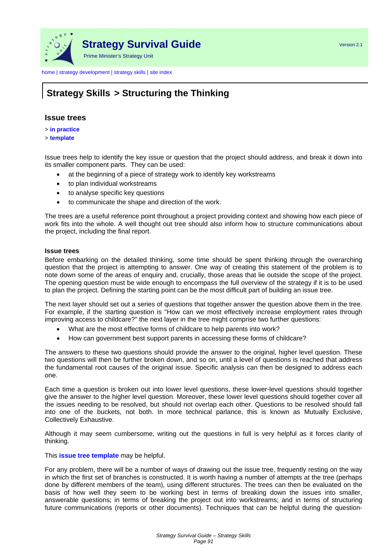

# **Strategy Skills > Structuring the Thinking**

# **Issue trees**

- > **in practice**
- > **template**

Issue trees help to identify the key issue or question that the project should address, and break it down into its smaller component parts. They can be used:

- at the beginning of a piece of strategy work to identify key workstreams
- to plan individual workstreams
- to analyse specific key questions
- to communicate the shape and direction of the work.

The trees are a useful reference point throughout a project providing context and showing how each piece of work fits into the whole. A well thought out tree should also inform how to structure communications about the project, including the final report.

#### **Issue trees**

Before embarking on the detailed thinking, some time should be spent thinking through the overarching question that the project is attempting to answer. One way of creating this statement of the problem is to note down some of the areas of enquiry and, crucially, those areas that lie outside the scope of the project. The opening question must be wide enough to encompass the full overview of the strategy if it is to be used to plan the project. Defining the starting point can be the most difficult part of building an issue tree.

The next layer should set out a series of questions that together answer the question above them in the tree. For example, if the starting question is "How can we most effectively increase employment rates through improving access to childcare?" the next layer in the tree might comprise two further questions:

- What are the most effective forms of childcare to help parents into work?
- How can government best support parents in accessing these forms of childcare?

The answers to these two questions should provide the answer to the original, higher level question. These two questions will then be further broken down, and so on, until a level of questions is reached that address the fundamental root causes of the original issue. Specific analysis can then be designed to address each one.

Each time a question is broken out into lower level questions, these lower-level questions should together give the answer to the higher level question. Moreover, these lower level questions should together cover all the issues needing to be resolved, but should not overlap each other. Questions to be resolved should fall into one of the buckets, not both. In more technical parlance, this is known as Mutually Exclusive, Collectively Exhaustive.

Although it may seem cumbersome, writing out the questions in full is very helpful as it forces clarity of thinking.

#### This **issue tree template** may be helpful.

For any problem, there will be a number of ways of drawing out the issue tree, frequently resting on the way in which the first set of branches is constructed. It is worth having a number of attempts at the tree (perhaps done by different members of the team), using different structures. The trees can then be evaluated on the basis of how well they seem to be working best in terms of breaking down the issues into smaller, answerable questions; in terms of breaking the project out into workstreams; and in terms of structuring future communications (reports or other documents). Techniques that can be helpful during the question-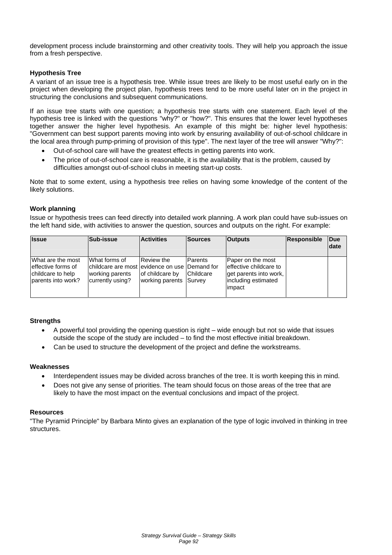development process include brainstorming and other creativity tools. They will help you approach the issue from a fresh perspective.

# **Hypothesis Tree**

A variant of an issue tree is a hypothesis tree. While issue trees are likely to be most useful early on in the project when developing the project plan, hypothesis trees tend to be more useful later on in the project in structuring the conclusions and subsequent communications.

If an issue tree starts with one question; a hypothesis tree starts with one statement. Each level of the hypothesis tree is linked with the questions "why?" or "how?". This ensures that the lower level hypotheses together answer the higher level hypothesis. An example of this might be: higher level hypothesis: "Government can best support parents moving into work by ensuring availability of out-of-school childcare in the local area through pump-priming of provision of this type". The next layer of the tree will answer "Why?":

- Out-of-school care will have the greatest effects in getting parents into work.
- The price of out-of-school care is reasonable, it is the availability that is the problem, caused by difficulties amongst out-of-school clubs in meeting start-up costs.

Note that to some extent, using a hypothesis tree relies on having some knowledge of the content of the likely solutions.

### **Work planning**

Issue or hypothesis trees can feed directly into detailed work planning. A work plan could have sub-issues on the left hand side, with activities to answer the question, sources and outputs on the right. For example:

| <b>Issue</b>                                                                         | <b>Sub-issue</b>                                                                                       | <b>Activities</b>                                       | <b>Sources</b>                                      | <b>Outputs</b>                                                                                          | <b>Responsible</b> | <b>Due</b><br>date |
|--------------------------------------------------------------------------------------|--------------------------------------------------------------------------------------------------------|---------------------------------------------------------|-----------------------------------------------------|---------------------------------------------------------------------------------------------------------|--------------------|--------------------|
| What are the most<br>leffective forms of<br>childcare to help<br>Iparents into work? | What forms of<br>childcare are most levidence on use Demand for<br>working parents<br>currently using? | <b>Review the</b><br>of childcare by<br>working parents | <b>Parents</b><br><b>Childcare</b><br><b>Survey</b> | Paper on the most<br>leffective childcare to<br>get parents into work,<br>including estimated<br>impact |                    |                    |

#### **Strengths**

- A powerful tool providing the opening question is right wide enough but not so wide that issues outside the scope of the study are included – to find the most effective initial breakdown.
- Can be used to structure the development of the project and define the workstreams.

#### **Weaknesses**

- Interdependent issues may be divided across branches of the tree. It is worth keeping this in mind.
- Does not give any sense of priorities. The team should focus on those areas of the tree that are likely to have the most impact on the eventual conclusions and impact of the project.

#### **Resources**

"The Pyramid Principle" by Barbara Minto gives an explanation of the type of logic involved in thinking in tree structures.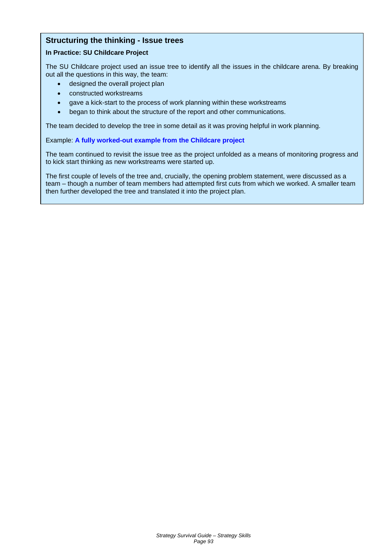# **Structuring the thinking - Issue trees**

### **In Practice: SU Childcare Project**

The SU Childcare project used an issue tree to identify all the issues in the childcare arena. By breaking out all the questions in this way, the team:

- designed the overall project plan
- constructed workstreams
- gave a kick-start to the process of work planning within these workstreams
- began to think about the structure of the report and other communications.

The team decided to develop the tree in some detail as it was proving helpful in work planning.

#### Example: **A fully worked-out example from the Childcare project**

The team continued to revisit the issue tree as the project unfolded as a means of monitoring progress and to kick start thinking as new workstreams were started up.

The first couple of levels of the tree and, crucially, the opening problem statement, were discussed as a team – though a number of team members had attempted first cuts from which we worked. A smaller team then further developed the tree and translated it into the project plan.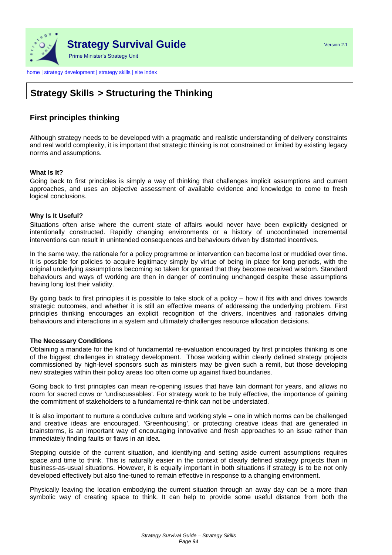

# **Strategy Skills > Structuring the Thinking**

# **First principles thinking**

Although strategy needs to be developed with a pragmatic and realistic understanding of delivery constraints and real world complexity, it is important that strategic thinking is not constrained or limited by existing legacy norms and assumptions.

## **What Is It?**

Going back to first principles is simply a way of thinking that challenges implicit assumptions and current approaches, and uses an objective assessment of available evidence and knowledge to come to fresh logical conclusions.

## **Why Is It Useful?**

Situations often arise where the current state of affairs would never have been explicitly designed or intentionally constructed. Rapidly changing environments or a history of uncoordinated incremental interventions can result in unintended consequences and behaviours driven by distorted incentives.

In the same way, the rationale for a policy programme or intervention can become lost or muddied over time. It is possible for policies to acquire legitimacy simply by virtue of being in place for long periods, with the original underlying assumptions becoming so taken for granted that they become received wisdom. Standard behaviours and ways of working are then in danger of continuing unchanged despite these assumptions having long lost their validity.

By going back to first principles it is possible to take stock of a policy – how it fits with and drives towards strategic outcomes, and whether it is still an effective means of addressing the underlying problem. First principles thinking encourages an explicit recognition of the drivers, incentives and rationales driving behaviours and interactions in a system and ultimately challenges resource allocation decisions.

## **The Necessary Conditions**

Obtaining a mandate for the kind of fundamental re-evaluation encouraged by first principles thinking is one of the biggest challenges in strategy development. Those working within clearly defined strategy projects commissioned by high-level sponsors such as ministers may be given such a remit, but those developing new strategies within their policy areas too often come up against fixed boundaries.

Going back to first principles can mean re-opening issues that have lain dormant for years, and allows no room for sacred cows or 'undiscussables'. For strategy work to be truly effective, the importance of gaining the commitment of stakeholders to a fundamental re-think can not be understated.

It is also important to nurture a conducive culture and working style – one in which norms can be challenged and creative ideas are encouraged. 'Greenhousing', or protecting creative ideas that are generated in brainstorms, is an important way of encouraging innovative and fresh approaches to an issue rather than immediately finding faults or flaws in an idea.

Stepping outside of the current situation, and identifying and setting aside current assumptions requires space and time to think. This is naturally easier in the context of clearly defined strategy projects than in business-as-usual situations. However, it is equally important in both situations if strategy is to be not only developed effectively but also fine-tuned to remain effective in response to a changing environment.

Physically leaving the location embodying the current situation through an away day can be a more than symbolic way of creating space to think. It can help to provide some useful distance from both the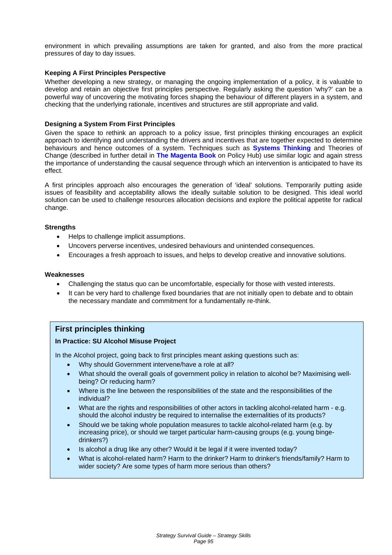environment in which prevailing assumptions are taken for granted, and also from the more practical pressures of day to day issues.

## **Keeping A First Principles Perspective**

Whether developing a new strategy, or managing the ongoing implementation of a policy, it is valuable to develop and retain an objective first principles perspective. Regularly asking the question 'why?' can be a powerful way of uncovering the motivating forces shaping the behaviour of different players in a system, and checking that the underlying rationale, incentives and structures are still appropriate and valid.

### **Designing a System From First Principles**

Given the space to rethink an approach to a policy issue, first principles thinking encourages an explicit approach to identifying and understanding the drivers and incentives that are together expected to determine behaviours and hence outcomes of a system. Techniques such as **Systems Thinking** and Theories of Change (described in further detail in **The Magenta Book** on Policy Hub) use similar logic and again stress the importance of understanding the causal sequence through which an intervention is anticipated to have its effect.

A first principles approach also encourages the generation of 'ideal' solutions. Temporarily putting aside issues of feasibility and acceptability allows the ideally suitable solution to be designed. This ideal world solution can be used to challenge resources allocation decisions and explore the political appetite for radical change.

#### **Strengths**

- Helps to challenge implicit assumptions.
- Uncovers perverse incentives, undesired behaviours and unintended consequences.
- Encourages a fresh approach to issues, and helps to develop creative and innovative solutions.

#### **Weaknesses**

- Challenging the status quo can be uncomfortable, especially for those with vested interests.
- It can be very hard to challenge fixed boundaries that are not initially open to debate and to obtain the necessary mandate and commitment for a fundamentally re-think.

# **First principles thinking**

## **In Practice: SU Alcohol Misuse Project**

In the Alcohol project, going back to first principles meant asking questions such as:

- Why should Government intervene/have a role at all?
- What should the overall goals of government policy in relation to alcohol be? Maximising wellbeing? Or reducing harm?
- Where is the line between the responsibilities of the state and the responsibilities of the individual?
- What are the rights and responsibilities of other actors in tackling alcohol-related harm e.g. should the alcohol industry be required to internalise the externalities of its products?
- Should we be taking whole population measures to tackle alcohol-related harm (e.g. by increasing price), or should we target particular harm-causing groups (e.g. young bingedrinkers?)
- Is alcohol a drug like any other? Would it be legal if it were invented today?
- What is alcohol-related harm? Harm to the drinker? Harm to drinker's friends/family? Harm to wider society? Are some types of harm more serious than others?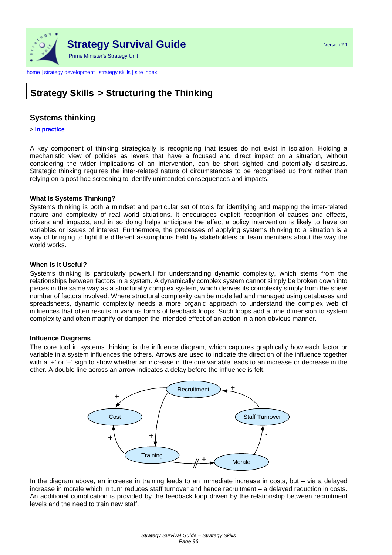

# **Strategy Skills > Structuring the Thinking**

# **Systems thinking**

#### > **in practice**

A key component of thinking strategically is recognising that issues do not exist in isolation. Holding a mechanistic view of policies as levers that have a focused and direct impact on a situation, without considering the wider implications of an intervention, can be short sighted and potentially disastrous. Strategic thinking requires the inter-related nature of circumstances to be recognised up front rather than relying on a post hoc screening to identify unintended consequences and impacts.

### **What Is Systems Thinking?**

Systems thinking is both a mindset and particular set of tools for identifying and mapping the inter-related nature and complexity of real world situations. It encourages explicit recognition of causes and effects, drivers and impacts, and in so doing helps anticipate the effect a policy intervention is likely to have on variables or issues of interest. Furthermore, the processes of applying systems thinking to a situation is a way of bringing to light the different assumptions held by stakeholders or team members about the way the world works.

#### **When Is It Useful?**

Systems thinking is particularly powerful for understanding dynamic complexity, which stems from the relationships between factors in a system. A dynamically complex system cannot simply be broken down into pieces in the same way as a structurally complex system, which derives its complexity simply from the sheer number of factors involved. Where structural complexity can be modelled and managed using databases and spreadsheets, dynamic complexity needs a more organic approach to understand the complex web of influences that often results in various forms of feedback loops. Such loops add a time dimension to system complexity and often magnify or dampen the intended effect of an action in a non-obvious manner.

#### **Influence Diagrams**

The core tool in systems thinking is the influence diagram, which captures graphically how each factor or variable in a system influences the others. Arrows are used to indicate the direction of the influence together with a '+' or '–' sign to show whether an increase in the one variable leads to an increase or decrease in the other. A double line across an arrow indicates a delay before the influence is felt.



In the diagram above, an increase in training leads to an immediate increase in costs, but – via a delayed increase in morale which in turn reduces staff turnover and hence recruitment – a delayed reduction in costs. An additional complication is provided by the feedback loop driven by the relationship between recruitment levels and the need to train new staff.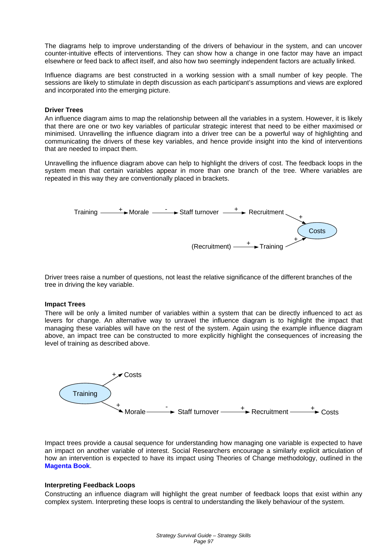The diagrams help to improve understanding of the drivers of behaviour in the system, and can uncover counter-intuitive effects of interventions. They can show how a change in one factor may have an impact elsewhere or feed back to affect itself, and also how two seemingly independent factors are actually linked.

Influence diagrams are best constructed in a working session with a small number of key people. The sessions are likely to stimulate in depth discussion as each participant's assumptions and views are explored and incorporated into the emerging picture.

#### **Driver Trees**

An influence diagram aims to map the relationship between all the variables in a system. However, it is likely that there are one or two key variables of particular strategic interest that need to be either maximised or minimised. Unravelling the influence diagram into a driver tree can be a powerful way of highlighting and communicating the drivers of these key variables, and hence provide insight into the kind of interventions that are needed to impact them.

Unravelling the influence diagram above can help to highlight the drivers of cost. The feedback loops in the system mean that certain variables appear in more than one branch of the tree. Where variables are repeated in this way they are conventionally placed in brackets.



Driver trees raise a number of questions, not least the relative significance of the different branches of the tree in driving the key variable.

#### **Impact Trees**

There will be only a limited number of variables within a system that can be directly influenced to act as levers for change. An alternative way to unravel the influence diagram is to highlight the impact that managing these variables will have on the rest of the system. Again using the example influence diagram above, an impact tree can be constructed to more explicitly highlight the consequences of increasing the level of training as described above.



Impact trees provide a causal sequence for understanding how managing one variable is expected to have an impact on another variable of interest. Social Researchers encourage a similarly explicit articulation of how an intervention is expected to have its impact using Theories of Change methodology, outlined in the **Magenta Book**.

#### **Interpreting Feedback Loops**

Constructing an influence diagram will highlight the great number of feedback loops that exist within any complex system. Interpreting these loops is central to understanding the likely behaviour of the system.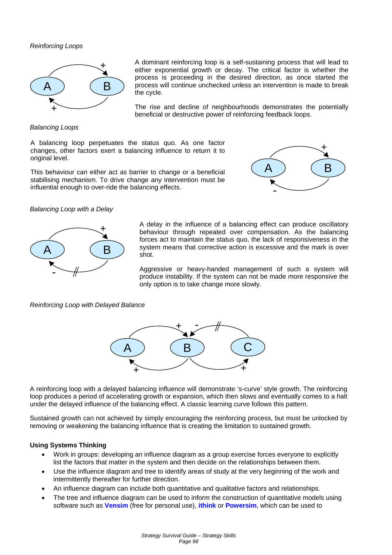## *Reinforcing Loops*



A dominant reinforcing loop is a self-sustaining process that will lead to either exponential growth or decay. The critical factor is whether the process is proceeding in the desired direction, as once started the process will continue unchecked unless an intervention is made to break the cycle.

The rise and decline of neighbourhoods demonstrates the potentially beneficial or destructive power of reinforcing feedback loops.

*Balancing Loops* 

A balancing loop perpetuates the status quo. As one factor changes, other factors exert a balancing influence to return it to original level.

This behaviour can either act as barrier to change or a beneficial stabilising mechanism. To drive change any intervention must be influential enough to over-ride the balancing effects.



*Balancing Loop with a Delay*



A delay in the influence of a balancing effect can produce oscillatory behaviour through repeated over compensation. As the balancing forces act to maintain the status quo, the lack of responsiveness in the system means that corrective action is excessive and the mark is over shot.

Aggressive or heavy-handed management of such a system will produce instability. If the system can not be made more responsive the only option is to take change more slowly.

*Reinforcing Loop with Delayed Balance*



A reinforcing loop with a delayed balancing influence will demonstrate 's-curve' style growth. The reinforcing loop produces a period of accelerating growth or expansion, which then slows and eventually comes to a halt under the delayed influence of the balancing effect. A classic learning curve follows this pattern.

Sustained growth can not achieved by simply encouraging the reinforcing process, but must be unlocked by removing or weakening the balancing influence that is creating the limitation to sustained growth.

## **Using Systems Thinking**

- Work in groups: developing an influence diagram as a group exercise forces everyone to explicitly list the factors that matter in the system and then decide on the relationships between them.
- Use the influence diagram and tree to identify areas of study at the very beginning of the work and intermittently thereafter for further direction.
- An influence diagram can include both quantitative and qualitative factors and relationships.
- The tree and influence diagram can be used to inform the construction of quantitative models using software such as **Vensim** (free for personal use), **ithink** or **Powersim**, which can be used to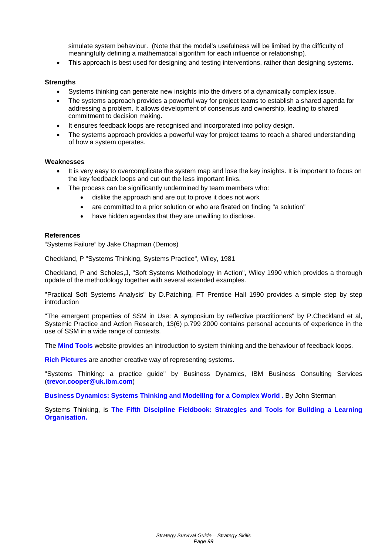simulate system behaviour. (Note that the model's usefulness will be limited by the difficulty of meaningfully defining a mathematical algorithm for each influence or relationship).

• This approach is best used for designing and testing interventions, rather than designing systems.

#### **Strengths**

- Systems thinking can generate new insights into the drivers of a dynamically complex issue.
- The systems approach provides a powerful way for project teams to establish a shared agenda for addressing a problem. It allows development of consensus and ownership, leading to shared commitment to decision making.
- It ensures feedback loops are recognised and incorporated into policy design.
- The systems approach provides a powerful way for project teams to reach a shared understanding of how a system operates.

#### **Weaknesses**

- It is very easy to overcomplicate the system map and lose the key insights. It is important to focus on the key feedback loops and cut out the less important links.
- The process can be significantly undermined by team members who:
	- dislike the approach and are out to prove it does not work
	- are committed to a prior solution or who are fixated on finding "a solution"
	- have hidden agendas that they are unwilling to disclose.

#### **References**

"Systems Failure" by Jake Chapman (Demos)

Checkland, P "Systems Thinking, Systems Practice", Wiley, 1981

Checkland, P and Scholes,J, "Soft Systems Methodology in Action", Wiley 1990 which provides a thorough update of the methodology together with several extended examples.

"Practical Soft Systems Analysis" by D.Patching, FT Prentice Hall 1990 provides a simple step by step introduction

"The emergent properties of SSM in Use: A symposium by reflective practitioners" by P.Checkland et al, Systemic Practice and Action Research, 13(6) p.799 2000 contains personal accounts of experience in the use of SSM in a wide range of contexts.

The **Mind Tools** website provides an introduction to system thinking and the behaviour of feedback loops.

**Rich Pictures** are another creative way of representing systems.

"Systems Thinking: a practice guide" by Business Dynamics, IBM Business Consulting Services (**trevor.cooper@uk.ibm.com**)

**Business Dynamics: Systems Thinking and Modelling for a Complex World .** By John Sterman

Systems Thinking, is **The Fifth Discipline Fieldbook: Strategies and Tools for Building a Learning Organisation.**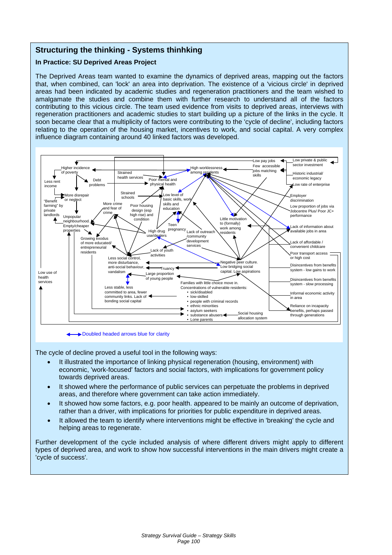# **Structuring the thinking - Systems thinhking**

### **In Practice: SU Deprived Areas Project**

The Deprived Areas team wanted to examine the dynamics of deprived areas, mapping out the factors that, when combined, can 'lock' an area into deprivation. The existence of a 'vicious circle' in deprived areas had been indicated by academic studies and regeneration practitioners and the team wished to amalgamate the studies and combine them with further research to understand all of the factors contributing to this vicious circle. The team used evidence from visits to deprived areas, interviews with regeneration practitioners and academic studies to start building up a picture of the links in the cycle. It soon became clear that a multiplicity of factors were contributing to the 'cycle of decline', including factors relating to the operation of the housing market, incentives to work, and social capital. A very complex influence diagram containing around 40 linked factors was developed.



← Doubled headed arrows blue for clarity

The cycle of decline proved a useful tool in the following ways:

- It illustrated the importance of linking physical regeneration (housing, environment) with economic, 'work-focused' factors and social factors, with implications for government policy towards deprived areas.
- It showed where the performance of public services can perpetuate the problems in deprived areas, and therefore where government can take action immediately.
- It showed how some factors, e.g. poor health. appeared to be mainly an outcome of deprivation. rather than a driver, with implications for priorities for public expenditure in deprived areas.
- It allowed the team to identify where interventions might be effective in 'breaking' the cycle and helping areas to regenerate.

Further development of the cycle included analysis of where different drivers might apply to different types of deprived area, and work to show how successful interventions in the main drivers might create a 'cycle of success'.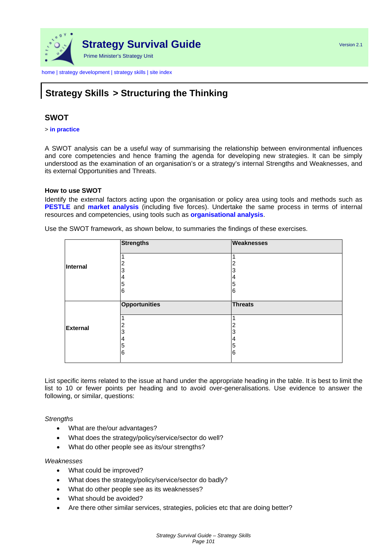

# **Strategy Skills > Structuring the Thinking**

# **SWOT**

#### > **in practice**

A SWOT analysis can be a useful way of summarising the relationship between environmental influences and core competencies and hence framing the agenda for developing new strategies. It can be simply understood as the examination of an organisation's or a strategy's internal Strengths and Weaknesses, and its external Opportunities and Threats.

#### **How to use SWOT**

Identify the external factors acting upon the organisation or policy area using tools and methods such as **PESTLE** and **market analysis** (including five forces). Undertake the same process in terms of internal resources and competencies, using tools such as **organisational analysis**.

|  | Use the SWOT framework, as shown below, to summaries the findings of these exercises. |
|--|---------------------------------------------------------------------------------------|
|--|---------------------------------------------------------------------------------------|

|                 | <b>Strengths</b>     | <b>Weaknesses</b> |
|-----------------|----------------------|-------------------|
|                 |                      |                   |
|                 |                      |                   |
| Internal        |                      | 2                 |
|                 | 3                    | 3                 |
|                 | 4                    | 4                 |
|                 | 5                    | 5                 |
|                 | 6                    | 6                 |
|                 |                      |                   |
|                 |                      |                   |
|                 | <b>Opportunities</b> | <b>Threats</b>    |
|                 |                      |                   |
|                 |                      |                   |
|                 |                      |                   |
| <b>External</b> | 3                    |                   |
|                 | 4                    | 4                 |
|                 | 5                    | 5                 |
|                 | 6                    | 6                 |

List specific items related to the issue at hand under the appropriate heading in the table. It is best to limit the list to 10 or fewer points per heading and to avoid over-generalisations. Use evidence to answer the following, or similar, questions:

#### *Strengths*

- What are the/our advantages?
- What does the strategy/policy/service/sector do well?
- What do other people see as its/our strengths?

#### *Weaknesses*

- What could be improved?
- What does the strategy/policy/service/sector do badly?
- What do other people see as its weaknesses?
- What should be avoided?
- Are there other similar services, strategies, policies etc that are doing better?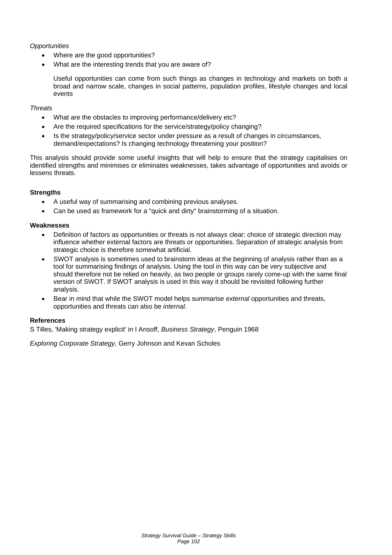# *Opportunities*

- Where are the good opportunities?
- What are the interesting trends that you are aware of?

Useful opportunities can come from such things as changes in technology and markets on both a broad and narrow scale, changes in social patterns, population profiles, lifestyle changes and local events

### *Threats*

- What are the obstacles to improving performance/delivery etc?
- Are the required specifications for the service/strategy/policy changing?
- Is the strategy/policy/service sector under pressure as a result of changes in circumstances, demand/expectations? Is changing technology threatening your position?

This analysis should provide some useful insights that will help to ensure that the strategy capitalises on identified strengths and minimises or eliminates weaknesses, takes advantage of opportunities and avoids or lessens threats.

### **Strengths**

- A useful way of summarising and combining previous analyses.
- Can be used as framework for a "quick and dirty" brainstorming of a situation.

### **Weaknesses**

- Definition of factors as opportunities or threats is not always clear: choice of strategic direction may influence whether external factors are threats or opportunities. Separation of strategic analysis from strategic choice is therefore somewhat artificial.
- SWOT analysis is sometimes used to brainstorm ideas at the beginning of analysis rather than as a tool for summarising findings of analysis. Using the tool in this way can be very subjective and should therefore not be relied on heavily, as two people or groups rarely come-up with the same final version of SWOT. If SWOT analysis is used in this way it should be revisited following further analysis.
- Bear in mind that while the SWOT model helps summarise *external* opportunities and threats, opportunities and threats can also be *internal*.

#### **References**

S Tilles, 'Making strategy explicit' in I Ansoff, *Business Strategy*, Penguin 1968

*Exploring Corporate Strategy,* Gerry Johnson and Kevan Scholes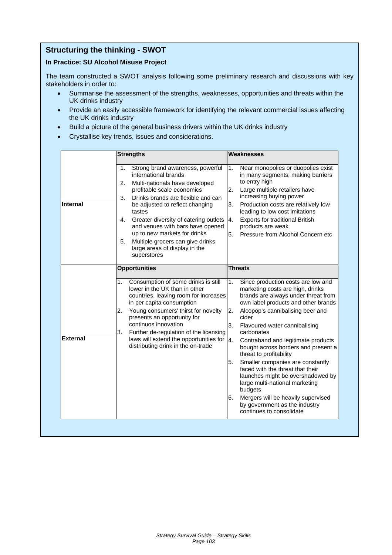# **Structuring the thinking - SWOT**

# **In Practice: SU Alcohol Misuse Project**

The team constructed a SWOT analysis following some preliminary research and discussions with key stakeholders in order to:

- Summarise the assessment of the strengths, weaknesses, opportunities and threats within the UK drinks industry
- Provide an easily accessible framework for identifying the relevant commercial issues affecting the UK drinks industry
- Build a picture of the general business drivers within the UK drinks industry
- Crystallise key trends, issues and considerations.

|                 | <b>Strengths</b>                                                                                                                                                                                                                                                                                                                                                                                                                           | Weaknesses                                                                                                                                                                                                                                                                                                                                                                                                                                                                                                                                                                                                                                            |
|-----------------|--------------------------------------------------------------------------------------------------------------------------------------------------------------------------------------------------------------------------------------------------------------------------------------------------------------------------------------------------------------------------------------------------------------------------------------------|-------------------------------------------------------------------------------------------------------------------------------------------------------------------------------------------------------------------------------------------------------------------------------------------------------------------------------------------------------------------------------------------------------------------------------------------------------------------------------------------------------------------------------------------------------------------------------------------------------------------------------------------------------|
| Internal        | Strong brand awareness, powerful<br>1.<br>international brands<br>2.<br>Multi-nationals have developed<br>profitable scale economics<br>Drinks brands are flexible and can<br>3.<br>be adjusted to reflect changing<br>tastes<br>4.<br>Greater diversity of catering outlets<br>and venues with bars have opened<br>up to new markets for drinks<br>5.<br>Multiple grocers can give drinks<br>large areas of display in the<br>superstores | Near monopolies or duopolies exist<br>1.<br>in many segments, making barriers<br>to entry high<br>2.<br>Large multiple retailers have<br>increasing buying power<br>3.<br>Production costs are relatively low<br>leading to low cost imitations<br>4.<br>Exports for traditional British<br>products are weak<br>5.<br>Pressure from Alcohol Concern etc                                                                                                                                                                                                                                                                                              |
| <b>External</b> | <b>Opportunities</b><br>Consumption of some drinks is still<br>1.<br>lower in the UK than in other<br>countries, leaving room for increases<br>in per capita consumption<br>Young consumers' thirst for novelty<br>2.<br>presents an opportunity for<br>continuos innovation<br>Further de-regulation of the licensing<br>3.<br>laws will extend the opportunities for $\vert_4$ .<br>distributing drink in the on-trade                   | <b>Threats</b><br>1 <sub>1</sub><br>Since production costs are low and<br>marketing costs are high, drinks<br>brands are always under threat from<br>own label products and other brands<br>2.<br>Alcopop's cannibalising beer and<br>cider<br>3.<br>Flavoured water cannibalising<br>carbonates<br>Contraband and legitimate products<br>bought across borders and present a<br>threat to profitability<br>Smaller companies are constantly<br>5.<br>faced with the threat that their<br>launches might be overshadowed by<br>large multi-national marketing<br>budgets<br>Mergers will be heavily supervised<br>6.<br>by government as the industry |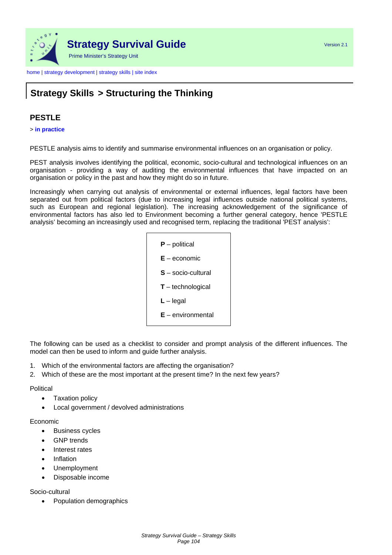

# **Strategy Skills > Structuring the Thinking**

# **PESTLE**

> **in practice** 

PESTLE analysis aims to identify and summarise environmental influences on an organisation or policy.

PEST analysis involves identifying the political, economic, socio-cultural and technological influences on an organisation - providing a way of auditing the environmental influences that have impacted on an organisation or policy in the past and how they might do so in future.

Increasingly when carrying out analysis of environmental or external influences, legal factors have been separated out from political factors (due to increasing legal influences outside national political systems, such as European and regional legislation). The increasing acknowledgement of the significance of environmental factors has also led to Environment becoming a further general category, hence 'PESTLE analysis' becoming an increasingly used and recognised term, replacing the traditional 'PEST analysis':

| $P$ – political      |
|----------------------|
| $E -$ economic       |
| $S -$ socio-cultural |
| $T$ – technological  |
| $L -$ legal          |
| $E -$ environmental  |
|                      |

The following can be used as a checklist to consider and prompt analysis of the different influences. The model can then be used to inform and guide further analysis.

- 1. Which of the environmental factors are affecting the organisation?
- 2. Which of these are the most important at the present time? In the next few years?

#### **Political**

- Taxation policy
- Local government / devolved administrations

#### Economic

- Business cycles
- GNP trends
- Interest rates
- **Inflation**
- **Unemployment**
- Disposable income

Socio-cultural

• Population demographics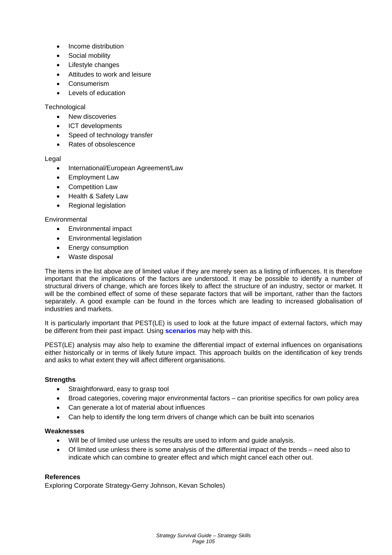- Income distribution
- Social mobility
- Lifestyle changes
- Attitudes to work and leisure
- **Consumerism**
- Levels of education

**Technological** 

- New discoveries
- ICT developments
- Speed of technology transfer
- Rates of obsolescence

# Legal

- International/European Agreement/Law
- **Employment Law**
- **Competition Law**
- Health & Safety Law
- Regional legislation

## **Environmental**

- Environmental impact
- Environmental legislation
- Energy consumption
- Waste disposal

The items in the list above are of limited value if they are merely seen as a listing of influences. It is therefore important that the implications of the factors are understood. It may be possible to identify a number of structural drivers of change, which are forces likely to affect the structure of an industry, sector or market. It will be the combined effect of some of these separate factors that will be important, rather than the factors separately. A good example can be found in the forces which are leading to increased globalisation of industries and markets.

It is particularly important that PEST(LE) is used to look at the future impact of external factors, which may be different from their past impact. Using **scenarios** may help with this.

PEST(LE) analysis may also help to examine the differential impact of external influences on organisations either historically or in terms of likely future impact. This approach builds on the identification of key trends and asks to what extent they will affect different organisations.

## **Strengths**

- Straightforward, easy to grasp tool
- Broad categories, covering major environmental factors can prioritise specifics for own policy area
- Can generate a lot of material about influences
- Can help to identify the long term drivers of change which can be built into scenarios

## **Weaknesses**

- Will be of limited use unless the results are used to inform and guide analysis.
- Of limited use unless there is some analysis of the differential impact of the trends need also to indicate which can combine to greater effect and which might cancel each other out.

## **References**

Exploring Corporate Strategy-Gerry Johnson, Kevan Scholes)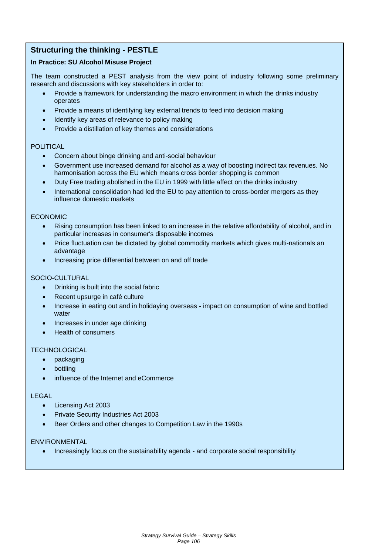# **Structuring the thinking - PESTLE**

# **In Practice: SU Alcohol Misuse Project**

The team constructed a PEST analysis from the view point of industry following some preliminary research and discussions with key stakeholders in order to:

- Provide a framework for understanding the macro environment in which the drinks industry operates
- Provide a means of identifying key external trends to feed into decision making
- Identify key areas of relevance to policy making
- Provide a distillation of key themes and considerations

# POLITICAL

- Concern about binge drinking and anti-social behaviour
- Government use increased demand for alcohol as a way of boosting indirect tax revenues. No harmonisation across the EU which means cross border shopping is common
- Duty Free trading abolished in the EU in 1999 with little affect on the drinks industry
- International consolidation had led the EU to pay attention to cross-border mergers as they influence domestic markets

## ECONOMIC

- Rising consumption has been linked to an increase in the relative affordability of alcohol, and in particular increases in consumer's disposable incomes
- Price fluctuation can be dictated by global commodity markets which gives multi-nationals an advantage
- Increasing price differential between on and off trade

## SOCIO-CULTURAL

- Drinking is built into the social fabric
- Recent upsurge in café culture
- Increase in eating out and in holidaying overseas impact on consumption of wine and bottled water
- Increases in under age drinking
- Health of consumers

## **TECHNOLOGICAL**

- packaging
- **bottling**
- influence of the Internet and eCommerce

#### LEGAL

- Licensing Act 2003
- Private Security Industries Act 2003
- Beer Orders and other changes to Competition Law in the 1990s

#### ENVIRONMENTAL

• Increasingly focus on the sustainability agenda - and corporate social responsibility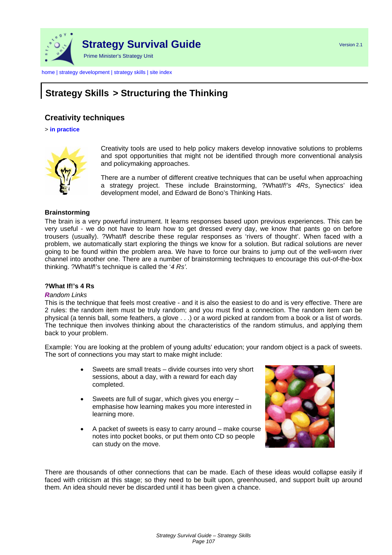

# **Strategy Skills > Structuring the Thinking**

# **Creativity techniques**

> **in practice** 



Creativity tools are used to help policy makers develop innovative solutions to problems and spot opportunities that might not be identified through more conventional analysis and policymaking approaches.

There are a number of different creative techniques that can be useful when approaching a strategy project. These include Brainstorming, ?What*If!'s 4Rs*, Synectics' idea development model, and Edward de Bono's Thinking Hats.

# **Brainstorming**

The brain is a very powerful instrument. It learns responses based upon previous experiences. This can be very useful - we do not have to learn how to get dressed every day, we know that pants go on before trousers (usually). ?What*If*! describe these regular responses as 'rivers of thought'. When faced with a problem, we automatically start exploring the things we know for a solution. But radical solutions are never going to be found within the problem area. We have to force our brains to jump out of the well-worn river channel into another one. There are a number of brainstorming techniques to encourage this out-of-the-box thinking. ?What*If*!'s technique is called the '*4 Rs'.*

#### **?What If!'s 4 Rs**

#### *Random Links*

This is the technique that feels most creative - and it is also the easiest to do and is very effective. There are 2 rules: the random item must be truly random; and you must find a connection. The random item can be physical (a tennis ball, some feathers, a glove . . .) or a word picked at random from a book or a list of words. The technique then involves thinking about the characteristics of the random stimulus, and applying them back to your problem.

Example: You are looking at the problem of young adults' education; your random object is a pack of sweets. The sort of connections you may start to make might include:

- Sweets are small treats divide courses into very short sessions, about a day, with a reward for each day completed.
- Sweets are full of sugar, which gives you energy emphasise how learning makes you more interested in learning more.
- A packet of sweets is easy to carry around make course notes into pocket books, or put them onto CD so people can study on the move.



There are thousands of other connections that can be made. Each of these ideas would collapse easily if faced with criticism at this stage; so they need to be built upon, greenhoused, and support built up around them. An idea should never be discarded until it has been given a chance.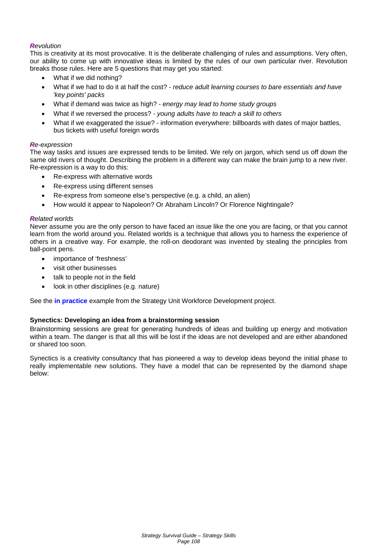# *Revolution*

This is creativity at its most provocative. It is the deliberate challenging of rules and assumptions. Very often, our ability to come up with innovative ideas is limited by the rules of our own particular river. Revolution breaks those rules. Here are 5 questions that may get you started:

- What if we did nothing?
- What if we had to do it at half the cost?  *reduce adult learning courses to bare essentials and have 'key points' packs*
- What if demand was twice as high?  *energy may lead to home study groups*
- What if we reversed the process?  *young adults have to teach a skill to others*
- What if we exaggerated the issue? information everywhere: billboards with dates of major battles, bus tickets with useful foreign words

### *Re-expression*

The way tasks and issues are expressed tends to be limited. We rely on jargon, which send us off down the same old rivers of thought. Describing the problem in a different way can make the brain jump to a new river. Re-expression is a way to do this:

- Re-express with alternative words
- Re-express using different senses
- Re-express from someone else's perspective (e.g. a child, an alien)
- How would it appear to Napoleon? Or Abraham Lincoln? Or Florence Nightingale?

#### *Related worlds*

Never assume you are the only person to have faced an issue like the one you are facing, or that you cannot learn from the world around you. Related worlds is a technique that allows you to harness the experience of others in a creative way. For example, the roll-on deodorant was invented by stealing the principles from ball-point pens.

- importance of 'freshness'
- visit other businesses
- talk to people not in the field
- look in other disciplines (e.g. nature)

See the **in practice** example from the Strategy Unit Workforce Development project.

#### **Synectics: Developing an idea from a brainstorming session**

Brainstorming sessions are great for generating hundreds of ideas and building up energy and motivation within a team. The danger is that all this will be lost if the ideas are not developed and are either abandoned or shared too soon.

Synectics is a creativity consultancy that has pioneered a way to develop ideas beyond the initial phase to really implementable new solutions. They have a model that can be represented by the diamond shape below: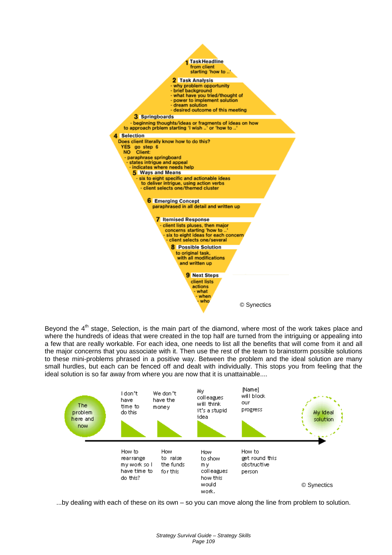

Beyond the  $4<sup>th</sup>$  stage, Selection, is the main part of the diamond, where most of the work takes place and where the hundreds of ideas that were created in the top half are turned from the intriguing or appealing into a few that are really workable. For each idea, one needs to list all the benefits that will come from it and all the major concerns that you associate with it. Then use the rest of the team to brainstorm possible solutions to these mini-problems phrased in a positive way. Between the problem and the ideal solution are many small hurdles, but each can be fenced off and dealt with individually. This stops you from feeling that the ideal solution is so far away from where you are now that it is unattainable....



...by dealing with each of these on its own – so you can move along the line from problem to solution.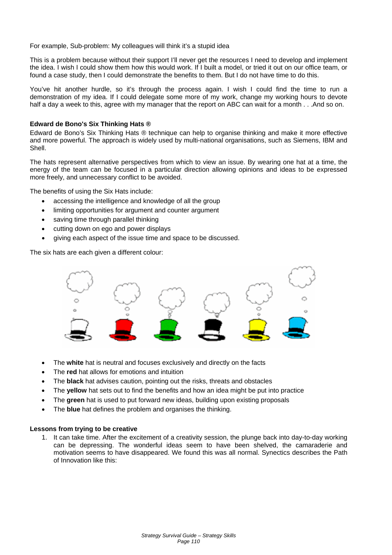For example, Sub-problem: My colleagues will think it's a stupid idea

This is a problem because without their support I'll never get the resources I need to develop and implement the idea. I wish I could show them how this would work. If I built a model, or tried it out on our office team, or found a case study, then I could demonstrate the benefits to them. But I do not have time to do this.

You've hit another hurdle, so it's through the process again. I wish I could find the time to run a demonstration of my idea. If I could delegate some more of my work, change my working hours to devote half a day a week to this, agree with my manager that the report on ABC can wait for a month . . .And so on.

# **Edward de Bono's Six Thinking Hats ®**

Edward de Bono's Six Thinking Hats ® technique can help to organise thinking and make it more effective and more powerful. The approach is widely used by multi-national organisations, such as Siemens, IBM and Shell.

The hats represent alternative perspectives from which to view an issue. By wearing one hat at a time, the energy of the team can be focused in a particular direction allowing opinions and ideas to be expressed more freely, and unnecessary conflict to be avoided.

The benefits of using the Six Hats include:

- accessing the intelligence and knowledge of all the group
- limiting opportunities for argument and counter argument
- saving time through parallel thinking
- cutting down on ego and power displays
- giving each aspect of the issue time and space to be discussed.

The six hats are each given a different colour:



- The **white** hat is neutral and focuses exclusively and directly on the facts
- The **red** hat allows for emotions and intuition
- The **black** hat advises caution, pointing out the risks, threats and obstacles
- The yellow hat sets out to find the benefits and how an idea might be put into practice
- The **green** hat is used to put forward new ideas, building upon existing proposals
- The **blue** hat defines the problem and organises the thinking.

# **Lessons from trying to be creative**

1. It can take time. After the excitement of a creativity session, the plunge back into day-to-day working can be depressing. The wonderful ideas seem to have been shelved, the camaraderie and motivation seems to have disappeared. We found this was all normal. Synectics describes the Path of Innovation like this: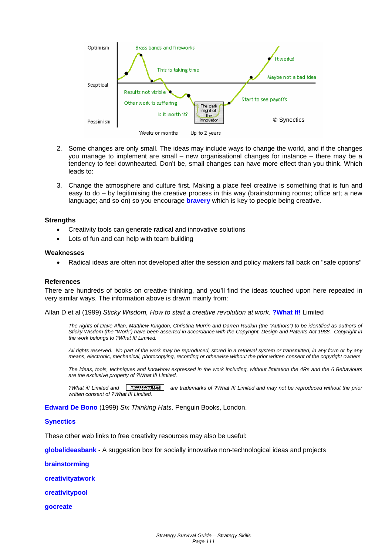

- 2. Some changes are only small. The ideas may include ways to change the world, and if the changes you manage to implement are small – new organisational changes for instance – there may be a tendency to feel downhearted. Don't be, small changes can have more effect than you think. Which leads to:
- 3. Change the atmosphere and culture first. Making a place feel creative is something that is fun and easy to do – by legitimising the creative process in this way (brainstorming rooms; office art; a new language; and so on) so you encourage **bravery** which is key to people being creative.

#### **Strengths**

- Creativity tools can generate radical and innovative solutions
- Lots of fun and can help with team building

#### **Weaknesses**

• Radical ideas are often not developed after the session and policy makers fall back on "safe options"

#### **References**

There are hundreds of books on creative thinking, and you'll find the ideas touched upon here repeated in very similar ways. The information above is drawn mainly from:

Allan D et al (1999) *Sticky Wisdom, How to start a creative revolution at work.* **?What If!** Limited

*The rights of Dave Allan, Matthew Kingdon, Christina Murrin and Darren Rudkin (the "Authors") to be identified as authors of Sticky Wisdom (the "Work") have been asserted in accordance with the Copyright, Design and Patents Act 1988. Copyright in the work belongs to ?What If! Limited.* 

*All rights reserved. No part of the work may be reproduced, stored in a retrieval system or transmitted, in any form or by any means, electronic, mechanical, photocopying, recording or otherwise without the prior written consent of the copyright owners.* 

*The ideas, tools, techniques and knowhow expressed in the work including, without limitation the 4Rs and the 6 Behaviours are the exclusive property of ?What If! Limited.* 

?What if! Limited and **REVIVAT LEEE** are trademarks of ?What If! Limited and may not be reproduced without the prior *written consent of ?What If! Limited.* 

**Edward De Bono** (1999) *Six Thinking Hats*. Penguin Books, London.

#### **Synectics**

These other web links to free creativity resources may also be useful:

**globalideasbank** - A suggestion box for socially innovative non-technological ideas and projects

**brainstorming** 

**creativityatwork** 

**creativitypool** 

**gocreate**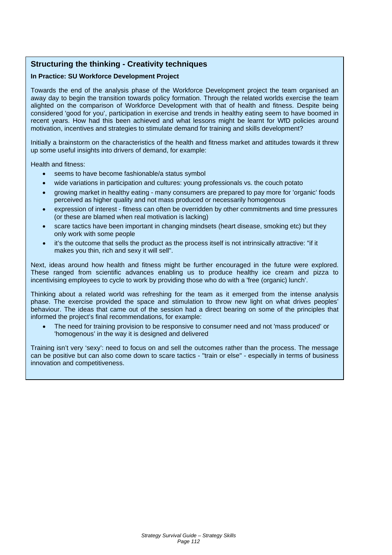# **Structuring the thinking - Creativity techniques**

# **In Practice: SU Workforce Development Project**

Towards the end of the analysis phase of the Workforce Development project the team organised an away day to begin the transition towards policy formation. Through the related worlds exercise the team alighted on the comparison of Workforce Development with that of health and fitness. Despite being considered 'good for you', participation in exercise and trends in healthy eating seem to have boomed in recent years. How had this been achieved and what lessons might be learnt for WfD policies around motivation, incentives and strategies to stimulate demand for training and skills development?

Initially a brainstorm on the characteristics of the health and fitness market and attitudes towards it threw up some useful insights into drivers of demand, for example:

Health and fitness:

- seems to have become fashionable/a status symbol
- wide variations in participation and cultures: young professionals vs. the couch potato
- growing market in healthy eating many consumers are prepared to pay more for 'organic' foods perceived as higher quality and not mass produced or necessarily homogenous
- expression of interest fitness can often be overridden by other commitments and time pressures (or these are blamed when real motivation is lacking)
- scare tactics have been important in changing mindsets (heart disease, smoking etc) but they only work with some people
- it's the outcome that sells the product as the process itself is not intrinsically attractive: "if it makes you thin, rich and sexy it will sell".

Next, ideas around how health and fitness might be further encouraged in the future were explored. These ranged from scientific advances enabling us to produce healthy ice cream and pizza to incentivising employees to cycle to work by providing those who do with a 'free (organic) lunch'.

Thinking about a related world was refreshing for the team as it emerged from the intense analysis phase. The exercise provided the space and stimulation to throw new light on what drives peoples' behaviour. The ideas that came out of the session had a direct bearing on some of the principles that informed the project's final recommendations, for example:

• The need for training provision to be responsive to consumer need and not 'mass produced' or 'homogenous' in the way it is designed and delivered

Training isn't very 'sexy': need to focus on and sell the outcomes rather than the process. The message can be positive but can also come down to scare tactics - "train or else" - especially in terms of business innovation and competitiveness.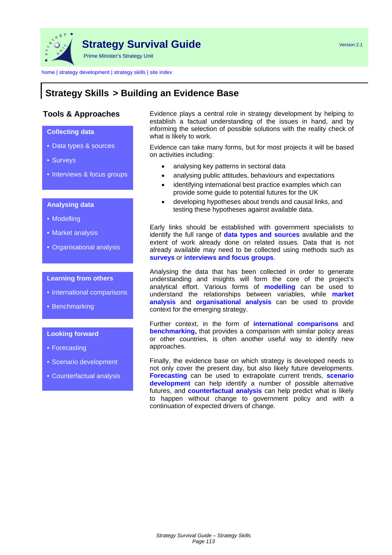

# **Strategy Skills > Building an Evidence Base**

# **Tools & Approaches**

### **Collecting data**

- Data types & sources
- Surveys
- Interviews & focus groups

#### **Analysing data**

- Modelling
- Market analysis
- Organisational analysis

#### **Learning from others**

- International comparisons
- Benchmarking

#### **Looking forward**

- Forecasting
- Scenario development
- Counterfactual analysis

Evidence plays a central role in strategy development by helping to establish a factual understanding of the issues in hand, and by informing the selection of possible solutions with the reality check of what is likely to work.

Evidence can take many forms, but for most projects it will be based on activities including:

- analysing key patterns in sectoral data
- analysing public attitudes, behaviours and expectations
- identifying international best practice examples which can provide some guide to potential futures for the UK
- developing hypotheses about trends and causal links, and testing these hypotheses against available data.

Early links should be established with government specialists to identify the full range of **data types and sources** available and the extent of work already done on related issues. Data that is not already available may need to be collected using methods such as **surveys** or **interviews and focus groups**.

Analysing the data that has been collected in order to generate understanding and insights will form the core of the project's analytical effort. Various forms of **modelling** can be used to understand the relationships between variables, while **market analysis** and **organisational analysis** can be used to provide context for the emerging strategy.

Further context, in the form of **international comparisons** and **benchmarking,** that provides a comparison with similar policy areas or other countries, is often another useful way to identify new approaches.

Finally, the evidence base on which strategy is developed needs to not only cover the present day, but also likely future developments. **Forecasting** can be used to extrapolate current trends, **scenario development** can help identify a number of possible alternative futures, and **counterfactual analysis** can help predict what is likely to happen without change to government policy and with a continuation of expected drivers of change.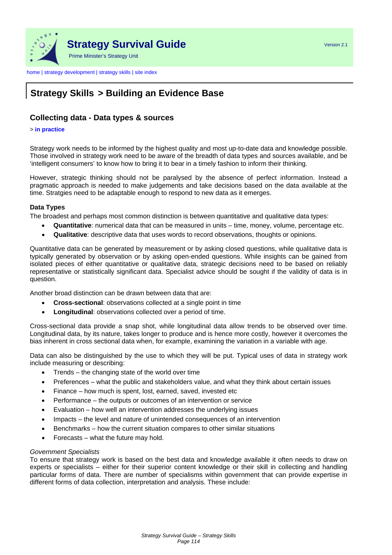

# **Strategy Skills > Building an Evidence Base**

# **Collecting data - Data types & sources**

#### > **in practice**

Strategy work needs to be informed by the highest quality and most up-to-date data and knowledge possible. Those involved in strategy work need to be aware of the breadth of data types and sources available, and be 'intelligent consumers' to know how to bring it to bear in a timely fashion to inform their thinking.

However, strategic thinking should not be paralysed by the absence of perfect information. Instead a pragmatic approach is needed to make judgements and take decisions based on the data available at the time. Stratgies need to be adaptable enough to respond to new data as it emerges.

### **Data Types**

The broadest and perhaps most common distinction is between quantitative and qualitative data types:

- **Quantitative**: numerical data that can be measured in units time, money, volume, percentage etc.
- **Qualitative**: descriptive data that uses words to record observations, thoughts or opinions.

Quantitative data can be generated by measurement or by asking closed questions, while qualitative data is typically generated by observation or by asking open-ended questions. While insights can be gained from isolated pieces of either quantitative or qualitative data, strategic decisions need to be based on reliably representative or statistically significant data. Specialist advice should be sought if the validity of data is in question.

Another broad distinction can be drawn between data that are:

- **Cross-sectional**: observations collected at a single point in time
- **Longitudinal**: observations collected over a period of time.

Cross-sectional data provide a snap shot, while longitudinal data allow trends to be observed over time. Longitudinal data, by its nature, takes longer to produce and is hence more costly, however it overcomes the bias inherent in cross sectional data when, for example, examining the variation in a variable with age.

Data can also be distinguished by the use to which they will be put. Typical uses of data in strategy work include measuring or describing:

- Trends the changing state of the world over time
- Preferences what the public and stakeholders value, and what they think about certain issues
- Finance how much is spent, lost, earned, saved, invested etc
- Performance the outputs or outcomes of an intervention or service
- Evaluation how well an intervention addresses the underlying issues
- Impacts the level and nature of unintended consequences of an intervention
- Benchmarks how the current situation compares to other similar situations
- Forecasts what the future may hold.

#### *Government Specialists*

To ensure that strategy work is based on the best data and knowledge available it often needs to draw on experts or specialists – either for their superior content knowledge or their skill in collecting and handling particular forms of data. There are number of specialisms within government that can provide expertise in different forms of data collection, interpretation and analysis. These include: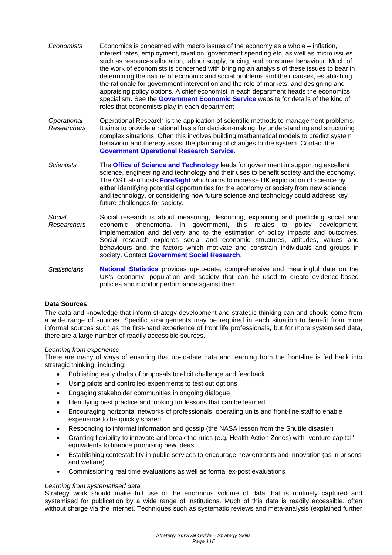- *Economists* Economics is concerned with macro issues of the economy as a whole inflation, interest rates, employment, taxation, government spending etc, as well as micro issues such as resources allocation, labour supply, pricing, and consumer behaviour. Much of the work of economists is concerned with bringing an analysis of these issues to bear in determining the nature of economic and social problems and their causes, establishing the rationale for government intervention and the role of markets, and designing and appraising policy options. A chief economist in each department heads the economics specialism. See the **Government Economic Service** website for details of the kind of roles that economists play in each department
- *Operational Researchers*  Operational Research is the application of scientific methods to management problems. It aims to provide a rational basis for decision-making, by understanding and structuring complex situations. Often this involves building mathematical models to predict system behaviour and thereby assist the planning of changes to the system. Contact the **Government Operational Research Service**.
- *Scientists* The **Office of Science and Technology** leads for government in supporting excellent science, engineering and technology and their uses to benefit society and the economy. The OST also hosts **ForeSight** which aims to increase UK exploitation of science by either identifying potential opportunities for the economy or society from new science and technology, or considering how future science and technology could address key future challenges for society.
- *Social Researchers*  Social research is about measuring, describing, explaining and predicting social and economic phenomena. In government, this relates to policy development, implementation and delivery and to the estimation of policy impacts and outcomes. Social research explores social and economic structures, attitudes, values and behaviours and the factors which motivate and constrain individuals and groups in society. Contact **Government Social Research**.
- *Statisticians* **National Statistics** provides up-to-date, comprehensive and meaningful data on the UK's economy, population and society that can be used to create evidence-based policies and monitor performance against them.

# **Data Sources**

The data and knowledge that inform strategy development and strategic thinking can and should come from a wide range of sources. Specific arrangements may be required in each situation to benefit from more informal sources such as the first-hand experience of front life professionals, but for more systemised data, there are a large number of readily accessible sources.

# *Learning from experience*

There are many of ways of ensuring that up-to-date data and learning from the front-line is fed back into strategic thinking, including:

- Publishing early drafts of proposals to elicit challenge and feedback
- Using pilots and controlled experiments to test out options
- Engaging stakeholder communities in ongoing dialogue
- Identifying best practice and looking for lessons that can be learned
- Encouraging horizontal networks of professionals, operating units and front-line staff to enable experience to be quickly shared
- Responding to informal information and gossip (the NASA lesson from the Shuttle disaster)
- Granting flexibility to innovate and break the rules (e.g. Health Action Zones) with "venture capital" equivalents to finance promising new ideas
- Establishing contestability in public services to encourage new entrants and innovation (as in prisons and welfare)
- Commissioning real time evaluations as well as formal ex-post evaluations

# *Learning from systematised data*

Strategy work should make full use of the enormous volume of data that is routinely captured and systemised for publication by a wide range of institutions. Much of this data is readily accessible, often without charge via the internet. Techniques such as systematic reviews and meta-analysis (explained further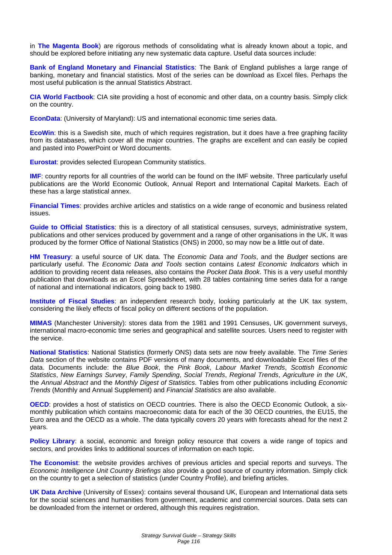in **The Magenta Book**) are rigorous methods of consolidating what is already known about a topic, and should be explored before initiating any new systematic data capture. Useful data sources include:

**Bank of England Monetary and Financial Statistics**: The Bank of England publishes a large range of banking, monetary and financial statistics. Most of the series can be download as Excel files. Perhaps the most useful publication is the annual Statistics Abstract.

**CIA World Factbook**: CIA site providing a host of economic and other data, on a country basis. Simply click on the country.

**EconData**: (University of Maryland): US and international economic time series data.

**EcoWin**: this is a Swedish site, much of which requires registration, but it does have a free graphing facility from its databases, which cover all the major countries. The graphs are excellent and can easily be copied and pasted into PowerPoint or Word documents.

**Eurostat**: provides selected European Community statistics.

**IMF**: country reports for all countries of the world can be found on the IMF website. Three particularly useful publications are the World Economic Outlook, Annual Report and International Capital Markets. Each of these has a large statistical annex.

**Financial Times**: provides archive articles and statistics on a wide range of economic and business related issues.

**Guide to Official Statistics**: this is a directory of all statistical censuses, surveys, administrative system, publications and other services produced by government and a range of other organisations in the UK. It was produced by the former Office of National Statistics (ONS) in 2000, so may now be a little out of date.

**HM Treasury**: a useful source of UK data. The *Economic Data and Tools*, and the *Budget* sections are particularly useful. The *Economic Data and Tools* section contains *Latest Economic Indicators* which in addition to providing recent data releases, also contains the *Pocket Data Book*. This is a very useful monthly publication that downloads as an Excel Spreadsheet, with 28 tables containing time series data for a range of national and international indicators, going back to 1980.

**Institute of Fiscal Studies**: an independent research body, looking particularly at the UK tax system, considering the likely effects of fiscal policy on different sections of the population.

**MIMAS** (Manchester University): stores data from the 1981 and 1991 Censuses, UK government surveys, international macro-economic time series and geographical and satellite sources. Users need to register with the service.

**National Statistics**: National Statistics (formerly ONS) data sets are now freely available. The *Time Series Data* section of the website contains PDF versions of many documents, and downloadable Excel files of the data. Documents include: the *Blue Book*, the *Pink Book*, *Labour Market Trends*, *Scottish Economic Statistics*, *New Earnings Survey*, *Family Spending*, *Social Trends*, *Regional Trends*, *Agriculture in the UK*, the *Annual Abstract* and the *Monthly Digest of Statistics*. Tables from other publications including *Economic Trends* (Monthly and Annual Supplement) and *Financial Statistics* are also available.

**OECD**: provides a host of statistics on OECD countries. There is also the OECD Economic Outlook, a sixmonthly publication which contains macroeconomic data for each of the 30 OECD countries, the EU15, the Euro area and the OECD as a whole. The data typically covers 20 years with forecasts ahead for the next 2 years.

**Policy Library**: a social, economic and foreign policy resource that covers a wide range of topics and sectors, and provides links to additional sources of information on each topic.

**The Economist**: the website provides archives of previous articles and special reports and surveys. The *Economic Intelligence Unit Country Briefings* also provide a good source of country information. Simply click on the country to get a selection of statistics (under Country Profile), and briefing articles.

**UK Data Archive** (University of Essex): contains several thousand UK, European and International data sets for the social sciences and humanities from government, academic and commercial sources. Data sets can be downloaded from the internet or ordered, although this requires registration.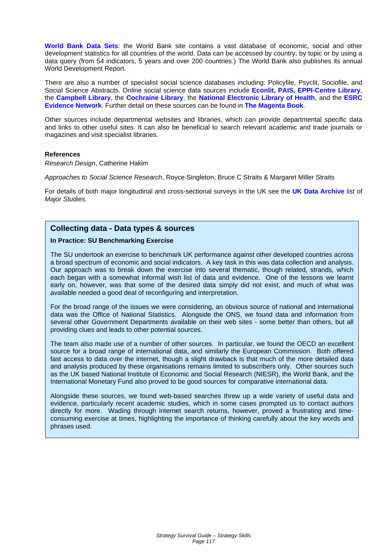**World Bank Data Sets**: the World Bank site contains a vast database of economic, social and other development statistics for all countries of the world. Data can be accessed by country, by topic or by using a data query (from 54 indicators, 5 years and over 200 countries.) The World Bank also publishes its annual World Development Report.

There are also a number of specialist social science databases including: Policyfile, Psyclit, Sociofile, and Social Science Abstracts. Online social science data sources include **Econlit, PAIS, EPPI-Centre Library**, the **Campbell Library**, the **Cochraine Library**, the **National Electronic Library of Health**, and the **ESRC Evidence Network**. Further detail on these sources can be found in **The Magenta Book**.

Other sources include departmental websites and libraries, which can provide departmental specific data and links to other useful sites. It can also be beneficial to search relevant academic and trade journals or magazines and visit specialist libraries.

#### **References**

*Research Design*, Catherine Hakim

*Approaches to Social Science Research*, Royce Singleton, Bruce C Straits & Margaret Miller Straits

For details of both major longitudinal and cross-sectional surveys in the UK see the **UK Data Archive** list of *Major Studies*.

# **Collecting data - Data types & sources**

#### **In Practice: SU Benchmarking Exercise**

The SU undertook an exercise to benchmark UK performance against other developed countries across a broad spectrum of economic and social indicators. A key task in this was data collection and analysis. Our approach was to break down the exercise into several thematic, though related, strands, which each began with a somewhat informal wish list of data and evidence. One of the lessons we learnt early on, however, was that some of the desired data simply did not exist, and much of what was available needed a good deal of reconfiguring and interpretation.

For the broad range of the issues we were considering, an obvious source of national and international data was the Office of National Statistics. Alongside the ONS, we found data and information from several other Government Departments available on their web sites - some better than others, but all providing clues and leads to other potential sources.

The team also made use of a number of other sources. In particular, we found the OECD an excellent source for a broad range of international data, and similarly the European Commission. Both offered fast access to data over the internet, though a slight drawback is that much of the more detailed data and analysis produced by these organisations remains limited to subscribers only. Other sources such as the UK based National Institute of Economic and Social Research (NIESR), the World Bank, and the International Monetary Fund also proved to be good sources for comparative international data.

Alongside these sources, we found web-based searches threw up a wide variety of useful data and evidence, particularly recent academic studies, which in some cases prompted us to contact authors directly for more. Wading through internet search returns, however, proved a frustrating and timeconsuming exercise at times, highlighting the importance of thinking carefully about the key words and phrases used.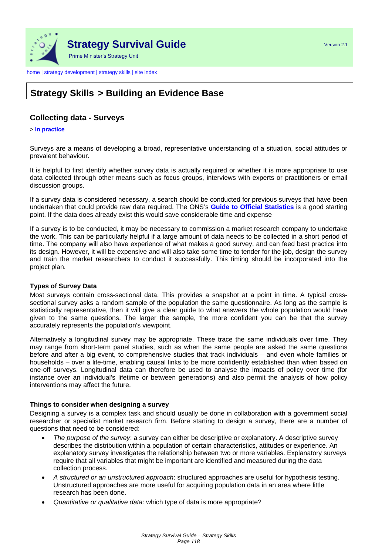

# **Strategy Skills > Building an Evidence Base**

# **Collecting data - Surveys**

#### > **in practice**

Surveys are a means of developing a broad, representative understanding of a situation, social attitudes or prevalent behaviour.

It is helpful to first identify whether survey data is actually required or whether it is more appropriate to use data collected through other means such as focus groups, interviews with experts or practitioners or email discussion groups.

If a survey data is considered necessary, a search should be conducted for previous surveys that have been undertaken that could provide raw data required. The ONS's **Guide to Official Statistics** is a good starting point. If the data does already exist this would save considerable time and expense

If a survey is to be conducted, it may be necessary to commission a market research company to undertake the work. This can be particularly helpful if a large amount of data needs to be collected in a short period of time. The company will also have experience of what makes a good survey, and can feed best practice into its design. However, it will be expensive and will also take some time to tender for the job, design the survey and train the market researchers to conduct it successfully. This timing should be incorporated into the project plan.

#### **Types of Survey Data**

Most surveys contain cross-sectional data. This provides a snapshot at a point in time. A typical crosssectional survey asks a random sample of the population the same questionnaire. As long as the sample is statistically representative, then it will give a clear guide to what answers the whole population would have given to the same questions. The larger the sample, the more confident you can be that the survey accurately represents the population's viewpoint.

Alternatively a longitudinal survey may be appropriate. These trace the same individuals over time. They may range from short-term panel studies, such as when the same people are asked the same questions before and after a big event, to comprehensive studies that track individuals – and even whole families or households – over a life-time, enabling causal links to be more confidently established than when based on one-off surveys. Longitudinal data can therefore be used to analyse the impacts of policy over time (for instance over an individual's lifetime or between generations) and also permit the analysis of how policy interventions may affect the future.

#### **Things to consider when designing a survey**

Designing a survey is a complex task and should usually be done in collaboration with a government social researcher or specialist market research firm. Before starting to design a survey, there are a number of questions that need to be considered:

- *The purpose of the survey*: a survey can either be descriptive or explanatory. A descriptive survey describes the distribution within a population of certain characteristics, attitudes or experience. An explanatory survey investigates the relationship between two or more variables. Explanatory surveys require that all variables that might be important are identified and measured during the data collection process.
- *A structured or an unstructured approach*: structured approaches are useful for hypothesis testing. Unstructured approaches are more useful for acquiring population data in an area where little research has been done.
- *Quantitative or qualitative data*: which type of data is more appropriate?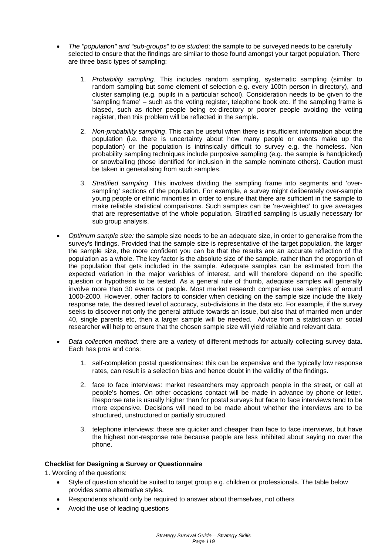- *The "population" and "sub-groups" to be studied*: the sample to be surveyed needs to be carefully selected to ensure that the findings are similar to those found amongst your target population. There are three basic types of sampling:
	- 1. *Probability sampling*. This includes random sampling, systematic sampling (similar to random sampling but some element of selection e.g. every 100th person in directory), and cluster sampling (e.g. pupils in a particular school). Consideration needs to be given to the 'sampling frame' – such as the voting register, telephone book etc. If the sampling frame is biased, such as richer people being ex-directory or poorer people avoiding the voting register, then this problem will be reflected in the sample.
	- 2. *Non-probability sampling*. This can be useful when there is insufficient information about the population (i.e. there is uncertainty about how many people or events make up the population) or the population is intrinsically difficult to survey e.g. the homeless. Non probability sampling techniques include purposive sampling (e.g. the sample is handpicked) or snowballing (those identified for inclusion in the sample nominate others). Caution must be taken in generalising from such samples.
	- 3. *Stratified sampling*. This involves dividing the sampling frame into segments and 'oversampling' sections of the population. For example, a survey might deliberately over-sample young people or ethnic minorities in order to ensure that there are sufficient in the sample to make reliable statistical comparisons. Such samples can be 're-weighted' to give averages that are representative of the whole population. Stratified sampling is usually necessary for sub group analysis.
- *Optimum sample size:* the sample size needs to be an adequate size, in order to generalise from the survey's findings. Provided that the sample size is representative of the target population, the larger the sample size, the more confident you can be that the results are an accurate reflection of the population as a whole. The key factor is the absolute size of the sample, rather than the proportion of the population that gets included in the sample. Adequate samples can be estimated from the expected variation in the major variables of interest, and will therefore depend on the specific question or hypothesis to be tested. As a general rule of thumb, adequate samples will generally involve more than 30 events or people. Most market research companies use samples of around 1000-2000. However, other factors to consider when deciding on the sample size include the likely response rate, the desired level of accuracy, sub-divisions in the data etc. For example, if the survey seeks to discover not only the general attitude towards an issue, but also that of married men under 40, single parents etc, then a larger sample will be needed. Advice from a statistician or social researcher will help to ensure that the chosen sample size will yield reliable and relevant data.
- *Data collection method:* there are a variety of different methods for actually collecting survey data. Each has pros and cons:
	- 1. self-completion postal questionnaires: this can be expensive and the typically low response rates, can result is a selection bias and hence doubt in the validity of the findings.
	- 2. face to face interviews*:* market researchers may approach people in the street, or call at people's homes. On other occasions contact will be made in advance by phone or letter. Response rate is usually higher than for postal surveys but face to face interviews tend to be more expensive. Decisions will need to be made about whether the interviews are to be structured, unstructured or partially structured.
	- 3. telephone interviews: these are quicker and cheaper than face to face interviews, but have the highest non-response rate because people are less inhibited about saying no over the phone.

# **Checklist for Designing a Survey or Questionnaire**

1. Wording of the questions:

- Style of question should be suited to target group e.g. children or professionals. The table below provides some alternative styles.
- Respondents should only be required to answer about themselves, not others
- Avoid the use of leading questions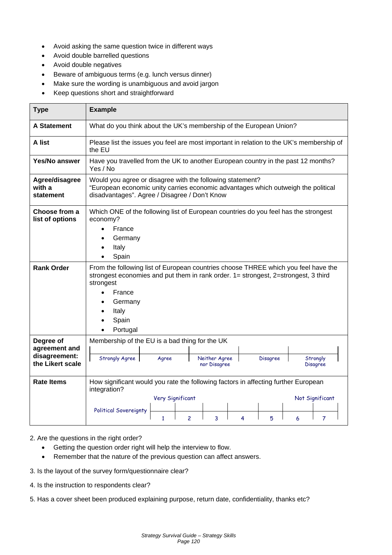- Avoid asking the same question twice in different ways
- Avoid double barrelled questions
- Avoid double negatives
- Beware of ambiguous terms (e.g. lunch versus dinner)
- Make sure the wording is unambiguous and avoid jargon
- Keep questions short and straightforward

| <b>Type</b>                                                     | <b>Example</b>                                                                                                                                                                                                                           |  |  |  |
|-----------------------------------------------------------------|------------------------------------------------------------------------------------------------------------------------------------------------------------------------------------------------------------------------------------------|--|--|--|
| <b>A Statement</b>                                              | What do you think about the UK's membership of the European Union?                                                                                                                                                                       |  |  |  |
| A list                                                          | Please list the issues you feel are most important in relation to the UK's membership of<br>the EU                                                                                                                                       |  |  |  |
| <b>Yes/No answer</b>                                            | Have you travelled from the UK to another European country in the past 12 months?<br>Yes / No                                                                                                                                            |  |  |  |
| Agree/disagree<br>with a<br>statement                           | Would you agree or disagree with the following statement?<br>"European economic unity carries economic advantages which outweigh the political<br>disadvantages". Agree / Disagree / Don't Know                                          |  |  |  |
| Choose from a<br>list of options                                | Which ONE of the following list of European countries do you feel has the strongest<br>economy?<br>France<br>Germany<br>Italy<br>Spain                                                                                                   |  |  |  |
| <b>Rank Order</b>                                               | From the following list of European countries choose THREE which you feel have the<br>strongest economies and put them in rank order. 1= strongest, 2=strongest, 3 third<br>strongest<br>France<br>Germany<br>Italy<br>Spain<br>Portugal |  |  |  |
| Degree of<br>agreement and<br>disagreement:<br>the Likert scale | Membership of the EU is a bad thing for the UK<br><b>Strongly Agree</b><br>Neither Agree<br><b>Disagree</b><br>Strongly<br>Agree<br>nor Disagree<br>Disagree                                                                             |  |  |  |
| <b>Rate Items</b>                                               | How significant would you rate the following factors in affecting further European<br>integration?<br>Not Significant<br>Very Significant                                                                                                |  |  |  |
|                                                                 | <b>Political Sovereignty</b><br>$\overline{c}$<br>3<br>5<br>$\mathbf{1}$<br>4<br>7<br>6                                                                                                                                                  |  |  |  |

- 2. Are the questions in the right order?
	- Getting the question order right will help the interview to flow.
	- Remember that the nature of the previous question can affect answers.
- 3. Is the layout of the survey form/questionnaire clear?
- 4. Is the instruction to respondents clear?
- 5. Has a cover sheet been produced explaining purpose, return date, confidentiality, thanks etc?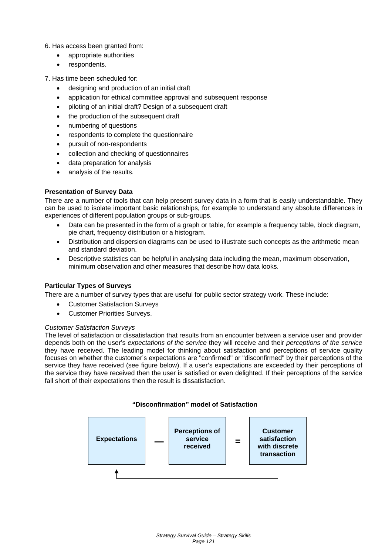6. Has access been granted from:

- appropriate authorities
- respondents.

7. Has time been scheduled for:

- designing and production of an initial draft
- application for ethical committee approval and subsequent response
- piloting of an initial draft? Design of a subsequent draft
- the production of the subsequent draft
- numbering of questions
- respondents to complete the questionnaire
- pursuit of non-respondents
- collection and checking of questionnaires
- data preparation for analysis
- analysis of the results.

# **Presentation of Survey Data**

There are a number of tools that can help present survey data in a form that is easily understandable. They can be used to isolate important basic relationships, for example to understand any absolute differences in experiences of different population groups or sub-groups.

- Data can be presented in the form of a graph or table, for example a frequency table, block diagram, pie chart, frequency distribution or a histogram.
- Distribution and dispersion diagrams can be used to illustrate such concepts as the arithmetic mean and standard deviation.
- Descriptive statistics can be helpful in analysing data including the mean, maximum observation, minimum observation and other measures that describe how data looks.

# **Particular Types of Surveys**

There are a number of survey types that are useful for public sector strategy work. These include:

- Customer Satisfaction Surveys
- Customer Priorities Surveys.

# *Customer Satisfaction Surveys*

The level of satisfaction or dissatisfaction that results from an encounter between a service user and provider depends both on the user's *expectations of the service* they will receive and their *perceptions of the service*  they have received. The leading model for thinking about satisfaction and perceptions of service quality focuses on whether the customer's expectations are "confirmed" or "disconfirmed" by their perceptions of the service they have received (see figure below). If a user's expectations are exceeded by their perceptions of the service they have received then the user is satisfied or even delighted. If their perceptions of the service fall short of their expectations then the result is dissatisfaction.



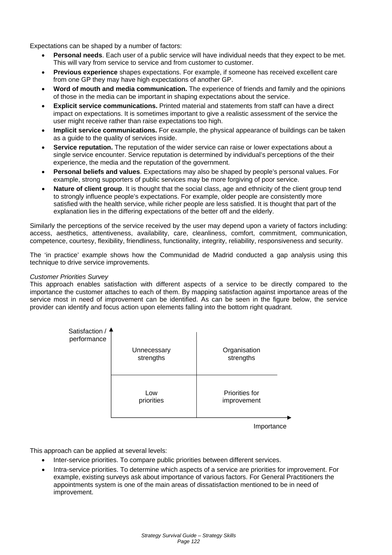Expectations can be shaped by a number of factors:

- **Personal needs**. Each user of a public service will have individual needs that they expect to be met. This will vary from service to service and from customer to customer.
- **Previous experience** shapes expectations. For example, if someone has received excellent care from one GP they may have high expectations of another GP.
- **Word of mouth and media communication.** The experience of friends and family and the opinions of those in the media can be important in shaping expectations about the service.
- **Explicit service communications.** Printed material and statements from staff can have a direct impact on expectations. It is sometimes important to give a realistic assessment of the service the user might receive rather than raise expectations too high.
- **Implicit service communications.** For example, the physical appearance of buildings can be taken as a guide to the quality of services inside.
- **Service reputation.** The reputation of the wider service can raise or lower expectations about a single service encounter. Service reputation is determined by individual's perceptions of the their experience, the media and the reputation of the government.
- **Personal beliefs and values**. Expectations may also be shaped by people's personal values. For example, strong supporters of public services may be more forgiving of poor service.
- **Nature of client group**. It is thought that the social class, age and ethnicity of the client group tend to strongly influence people's expectations. For example, older people are consistently more satisfied with the health service, while richer people are less satisfied. It is thought that part of the explanation lies in the differing expectations of the better off and the elderly.

Similarly the perceptions of the service received by the user may depend upon a variety of factors including: access, aesthetics, attentiveness, availability, care, cleanliness, comfort, commitment, communication, competence, courtesy, flexibility, friendliness, functionality, integrity, reliability, responsiveness and security.

The 'in practice' example shows how the Communidad de Madrid conducted a gap analysis using this technique to drive service improvements.

### *Customer Priorities Survey*

This approach enables satisfaction with different aspects of a service to be directly compared to the importance the customer attaches to each of them. By mapping satisfaction against importance areas of the service most in need of improvement can be identified. As can be seen in the figure below, the service provider can identify and focus action upon elements falling into the bottom right quadrant.



This approach can be applied at several levels:

- Inter-service priorities. To compare public priorities between different services.
- Intra-service priorities. To determine which aspects of a service are priorities for improvement. For example, existing surveys ask about importance of various factors. For General Practitioners the appointments system is one of the main areas of dissatisfaction mentioned to be in need of improvement.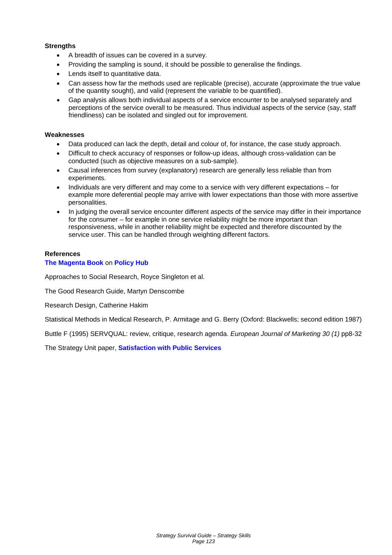# **Strengths**

- A breadth of issues can be covered in a survey.
- Providing the sampling is sound, it should be possible to generalise the findings.
- Lends itself to quantitative data.
- Can assess how far the methods used are replicable (precise), accurate (approximate the true value of the quantity sought), and valid (represent the variable to be quantified).
- Gap analysis allows both individual aspects of a service encounter to be analysed separately and perceptions of the service overall to be measured. Thus individual aspects of the service (say, staff friendliness) can be isolated and singled out for improvement.

### **Weaknesses**

- Data produced can lack the depth, detail and colour of, for instance, the case study approach.
- Difficult to check accuracy of responses or follow-up ideas, although cross-validation can be conducted (such as objective measures on a sub-sample).
- Causal inferences from survey (explanatory) research are generally less reliable than from experiments.
- Individuals are very different and may come to a service with very different expectations for example more deferential people may arrive with lower expectations than those with more assertive personalities.
- In judging the overall service encounter different aspects of the service may differ in their importance for the consumer – for example in one service reliability might be more important than responsiveness, while in another reliability might be expected and therefore discounted by the service user. This can be handled through weighting different factors.

# **References**

# **The Magenta Book** on **Policy Hub**

Approaches to Social Research, Royce Singleton et al.

The Good Research Guide, Martyn Denscombe

Research Design, Catherine Hakim

Statistical Methods in Medical Research, P. Armitage and G. Berry (Oxford: Blackwells; second edition 1987)

Buttle F (1995) SERVQUAL: review, critique, research agenda. *European Journal of Marketing 30 (1)* pp8-32

The Strategy Unit paper, **Satisfaction with Public Services**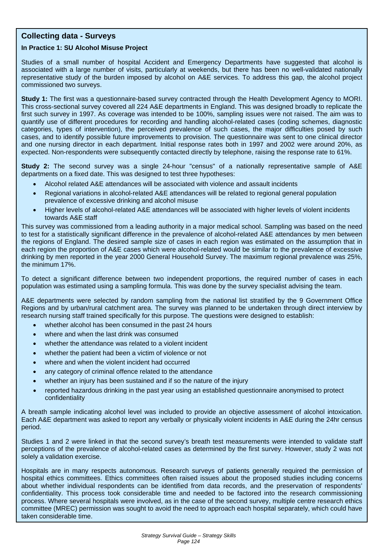# **Collecting data - Surveys**

# **In Practice 1: SU Alcohol Misuse Project**

Studies of a small number of hospital Accident and Emergency Departments have suggested that alcohol is associated with a large number of visits, particularly at weekends, but there has been no well-validated nationally representative study of the burden imposed by alcohol on A&E services. To address this gap, the alcohol project commissioned two surveys.

**Study 1:** The first was a questionnaire-based survey contracted through the Health Development Agency to MORI. This cross-sectional survey covered all 224 A&E departments in England. This was designed broadly to replicate the first such survey in 1997. As coverage was intended to be 100%, sampling issues were not raised. The aim was to quantify use of different procedures for recording and handling alcohol-related cases (coding schemes, diagnostic categories, types of intervention), the perceived prevalence of such cases, the major difficulties posed by such cases, and to identify possible future improvements to provision. The questionnaire was sent to one clinical director and one nursing director in each department. Initial response rates both in 1997 and 2002 were around 20%, as expected. Non-respondents were subsequently contacted directly by telephone, raising the response rate to 61%.

**Study 2:** The second survey was a single 24-hour "census" of a nationally representative sample of A&E departments on a fixed date. This was designed to test three hypotheses:

- Alcohol related A&E attendances will be associated with violence and assault incidents
- Regional variations in alcohol-related A&E attendances will be related to regional general population prevalence of excessive drinking and alcohol misuse
- Higher levels of alcohol-related A&E attendances will be associated with higher levels of violent incidents towards A&E staff

This survey was commissioned from a leading authority in a major medical school. Sampling was based on the need to test for a statistically significant difference in the prevalence of alcohol-related A&E attendances by men between the regions of England. The desired sample size of cases in each region was estimated on the assumption that in each region the proportion of A&E cases which were alcohol-related would be similar to the prevalence of excessive drinking by men reported in the year 2000 General Household Survey. The maximum regional prevalence was 25%, the minimum 17%.

To detect a significant difference between two independent proportions, the required number of cases in each population was estimated using a sampling formula. This was done by the survey specialist advising the team.

A&E departments were selected by random sampling from the national list stratified by the 9 Government Office Regions and by urban/rural catchment area. The survey was planned to be undertaken through direct interview by research nursing staff trained specifically for this purpose. The questions were designed to establish:

- whether alcohol has been consumed in the past 24 hours
- where and when the last drink was consumed
- whether the attendance was related to a violent incident
- whether the patient had been a victim of violence or not
- where and when the violent incident had occurred
- any category of criminal offence related to the attendance
- whether an injury has been sustained and if so the nature of the injury
- reported hazardous drinking in the past year using an established questionnaire anonymised to protect confidentiality

A breath sample indicating alcohol level was included to provide an objective assessment of alcohol intoxication. Each A&E department was asked to report any verbally or physically violent incidents in A&E during the 24hr census period.

Studies 1 and 2 were linked in that the second survey's breath test measurements were intended to validate staff perceptions of the prevalence of alcohol-related cases as determined by the first survey. However, study 2 was not solely a validation exercise.

Hospitals are in many respects autonomous. Research surveys of patients generally required the permission of hospital ethics committees. Ethics committees often raised issues about the proposed studies including concerns about whether individual respondents can be identified from data records, and the preservation of respondents' confidentiality. This process took considerable time and needed to be factored into the research commissioning process. Where several hospitals were involved, as in the case of the second survey, multiple centre research ethics committee (MREC) permission was sought to avoid the need to approach each hospital separately, which could have taken considerable time.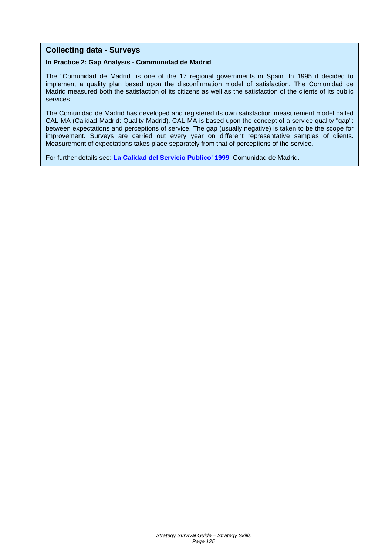# **Collecting data - Surveys**

# **In Practice 2: Gap Analysis - Communidad de Madrid**

The "Comunidad de Madrid" is one of the 17 regional governments in Spain. In 1995 it decided to implement a quality plan based upon the disconfirmation model of satisfaction. The Comunidad de Madrid measured both the satisfaction of its citizens as well as the satisfaction of the clients of its public services.

The Comunidad de Madrid has developed and registered its own satisfaction measurement model called CAL-MA (Calidad-Madrid: Quality-Madrid). CAL-MA is based upon the concept of a service quality "gap": between expectations and perceptions of service. The gap (usually negative) is taken to be the scope for improvement. Surveys are carried out every year on different representative samples of clients. Measurement of expectations takes place separately from that of perceptions of the service.

For further details see: **La Calidad del Servicio Publico' 1999** Comunidad de Madrid.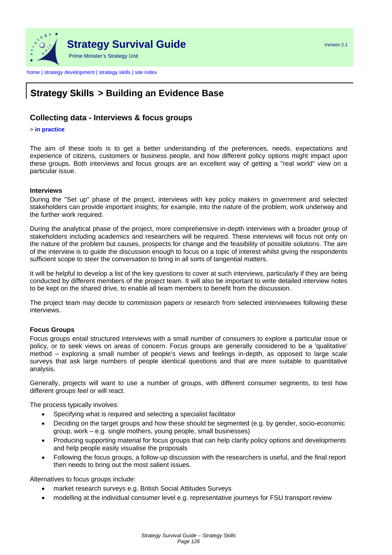

# **Strategy Skills > Building an Evidence Base**

# **Collecting data - Interviews & focus groups**

#### > **in practice**

The aim of these tools is to get a better understanding of the preferences, needs, expectations and experience of citizens, customers or business people, and how different policy options might impact upon these groups. Both interviews and focus groups are an excellent way of getting a "real world" view on a particular issue.

#### **Interviews**

During the "Set up" phase of the project, interviews with key policy makers in government and selected stakeholders can provide important insights; for example, into the nature of the problem, work underway and the further work required.

During the analytical phase of the project, more comprehensive in-depth interviews with a broader group of stakeholders including academics and researchers will be required. These interviews will focus not only on the nature of the problem but causes, prospects for change and the feasibility of possible solutions. The aim of the interview is to guide the discussion enough to focus on a topic of interest whilst giving the respondents sufficient scope to steer the conversation to bring in all sorts of tangential matters.

It will be helpful to develop a list of the key questions to cover at such interviews, particularly if they are being conducted by different members of the project team. It will also be important to write detailed interview notes to be kept on the shared drive, to enable all team members to benefit from the discussion.

The project team may decide to commission papers or research from selected interviewees following these interviews.

#### **Focus Groups**

Focus groups entail structured interviews with a small number of consumers to explore a particular issue or policy, or to seek views on areas of concern. Focus groups are generally considered to be a 'qualitative' method – exploring a small number of people's views and feelings in-depth, as opposed to large scale surveys that ask large numbers of people identical questions and that are more suitable to quantitative analysis.

Generally, projects will want to use a number of groups, with different consumer segments, to test how different groups feel or will react.

The process typically involves:

- Specifying what is required and selecting a specialist facilitator
- Deciding on the target groups and how these should be segmented (e.g. by gender, socio-economic group, work – e.g. single mothers, young people, small businesses)
- Producing supporting material for focus groups that can help clarify policy options and developments and help people easily visualise the proposals
- Following the focus groups, a follow-up discussion with the researchers is useful, and the final report then needs to bring out the most salient issues.

Alternatives to focus groups include:

- market research surveys e.g. British Social Attitudes Surveys
- modelling at the individual consumer level e.g. representative journeys for FSU transport review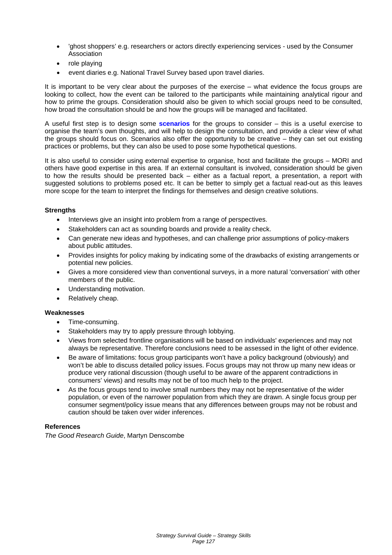- 'ghost shoppers' e.g. researchers or actors directly experiencing services used by the Consumer Association
- role playing
- event diaries e.g. National Travel Survey based upon travel diaries.

It is important to be very clear about the purposes of the exercise – what evidence the focus groups are looking to collect, how the event can be tailored to the participants while maintaining analytical rigour and how to prime the groups. Consideration should also be given to which social groups need to be consulted, how broad the consultation should be and how the groups will be managed and facilitated.

A useful first step is to design some **scenarios** for the groups to consider – this is a useful exercise to organise the team's own thoughts, and will help to design the consultation, and provide a clear view of what the groups should focus on. Scenarios also offer the opportunity to be creative – they can set out existing practices or problems, but they can also be used to pose some hypothetical questions.

It is also useful to consider using external expertise to organise, host and facilitate the groups – MORI and others have good expertise in this area. If an external consultant is involved, consideration should be given to how the results should be presented back – either as a factual report, a presentation, a report with suggested solutions to problems posed etc. It can be better to simply get a factual read-out as this leaves more scope for the team to interpret the findings for themselves and design creative solutions.

### **Strengths**

- Interviews give an insight into problem from a range of perspectives.
- Stakeholders can act as sounding boards and provide a reality check.
- Can generate new ideas and hypotheses, and can challenge prior assumptions of policy-makers about public attitudes.
- Provides insights for policy making by indicating some of the drawbacks of existing arrangements or potential new policies.
- Gives a more considered view than conventional surveys, in a more natural 'conversation' with other members of the public.
- Understanding motivation.
- Relatively cheap.

#### **Weaknesses**

- Time-consuming.
- Stakeholders may try to apply pressure through lobbying.
- Views from selected frontline organisations will be based on individuals' experiences and may not always be representative. Therefore conclusions need to be assessed in the light of other evidence.
- Be aware of limitations: focus group participants won't have a policy background (obviously) and won't be able to discuss detailed policy issues. Focus groups may not throw up many new ideas or produce very rational discussion (though useful to be aware of the apparent contradictions in consumers' views) and results may not be of too much help to the project.
- As the focus groups tend to involve small numbers they may not be representative of the wider population, or even of the narrower population from which they are drawn. A single focus group per consumer segment/policy issue means that any differences between groups may not be robust and caution should be taken over wider inferences.

# **References**

*The Good Research Guide*, Martyn Denscombe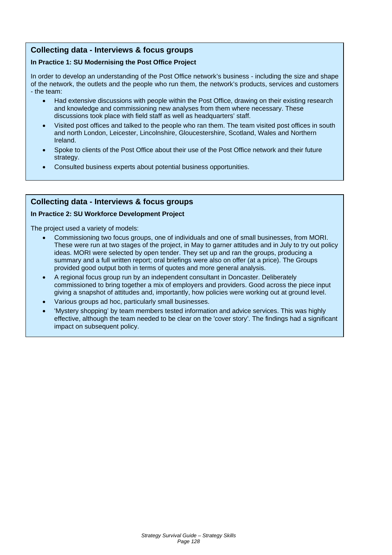# **Collecting data - Interviews & focus groups**

# **In Practice 1: SU Modernising the Post Office Project**

In order to develop an understanding of the Post Office network's business - including the size and shape of the network, the outlets and the people who run them, the network's products, services and customers - the team:

- Had extensive discussions with people within the Post Office, drawing on their existing research and knowledge and commissioning new analyses from them where necessary. These discussions took place with field staff as well as headquarters' staff.
- Visited post offices and talked to the people who ran them. The team visited post offices in south and north London, Leicester, Lincolnshire, Gloucestershire, Scotland, Wales and Northern Ireland.
- Spoke to clients of the Post Office about their use of the Post Office network and their future strategy.
- Consulted business experts about potential business opportunities.

# **Collecting data - Interviews & focus groups**

### **In Practice 2: SU Workforce Development Project**

The project used a variety of models:

- Commissioning two focus groups, one of individuals and one of small businesses, from MORI. These were run at two stages of the project, in May to garner attitudes and in July to try out policy ideas. MORI were selected by open tender. They set up and ran the groups, producing a summary and a full written report; oral briefings were also on offer (at a price). The Groups provided good output both in terms of quotes and more general analysis.
- A regional focus group run by an independent consultant in Doncaster. Deliberately commissioned to bring together a mix of employers and providers. Good across the piece input giving a snapshot of attitudes and, importantly, how policies were working out at ground level.
- Various groups ad hoc, particularly small businesses.
- 'Mystery shopping' by team members tested information and advice services. This was highly effective, although the team needed to be clear on the 'cover story'. The findings had a significant impact on subsequent policy.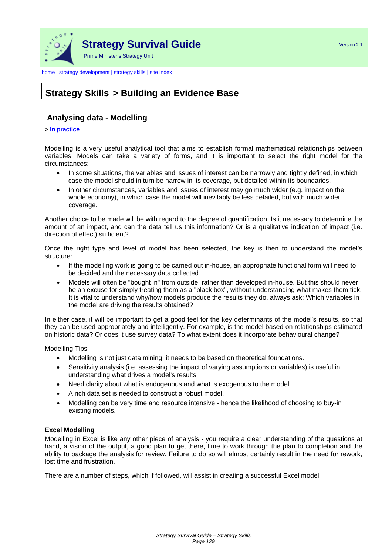

# **Strategy Skills > Building an Evidence Base**

# **Analysing data - Modelling**

#### > **in practice**

Modelling is a very useful analytical tool that aims to establish formal mathematical relationships between variables. Models can take a variety of forms, and it is important to select the right model for the circumstances:

- In some situations, the variables and issues of interest can be narrowly and tightly defined, in which case the model should in turn be narrow in its coverage, but detailed within its boundaries.
- In other circumstances, variables and issues of interest may go much wider (e.g. impact on the whole economy), in which case the model will inevitably be less detailed, but with much wider coverage.

Another choice to be made will be with regard to the degree of quantification. Is it necessary to determine the amount of an impact, and can the data tell us this information? Or is a qualitative indication of impact (i.e. direction of effect) sufficient?

Once the right type and level of model has been selected, the key is then to understand the model's structure:

- If the modelling work is going to be carried out in-house, an appropriate functional form will need to be decided and the necessary data collected.
- Models will often be "bought in" from outside, rather than developed in-house. But this should never be an excuse for simply treating them as a "black box", without understanding what makes them tick. It is vital to understand why/how models produce the results they do, always ask: Which variables in the model are driving the results obtained?

In either case, it will be important to get a good feel for the key determinants of the model's results, so that they can be used appropriately and intelligently. For example, is the model based on relationships estimated on historic data? Or does it use survey data? To what extent does it incorporate behavioural change?

Modelling Tips

- Modelling is not just data mining, it needs to be based on theoretical foundations.
- Sensitivity analysis (i.e. assessing the impact of varying assumptions or variables) is useful in understanding what drives a model's results.
- Need clarity about what is endogenous and what is exogenous to the model.
- A rich data set is needed to construct a robust model.
- Modelling can be very time and resource intensive hence the likelihood of choosing to buy-in existing models.

# **Excel Modelling**

Modelling in Excel is like any other piece of analysis - you require a clear understanding of the questions at hand, a vision of the output, a good plan to get there, time to work through the plan to completion and the ability to package the analysis for review. Failure to do so will almost certainly result in the need for rework, lost time and frustration.

There are a number of steps, which if followed, will assist in creating a successful Excel model.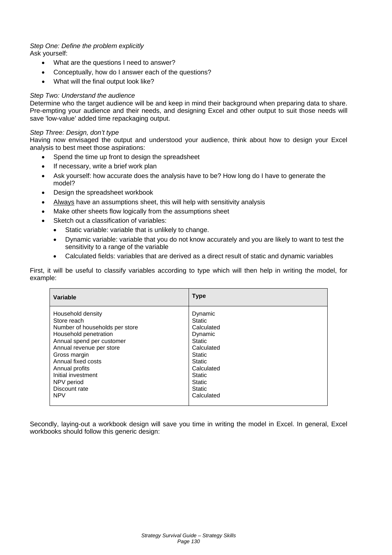#### *Step One: Define the problem explicitly*  Ask yourself:

- What are the questions I need to answer?
- Conceptually, how do I answer each of the questions?
- What will the final output look like?

# *Step Two: Understand the audience*

Determine who the target audience will be and keep in mind their background when preparing data to share. Pre-empting your audience and their needs, and designing Excel and other output to suit those needs will save 'low-value' added time repackaging output.

### *Step Three: Design, don't type*

Having now envisaged the output and understood your audience, think about how to design your Excel analysis to best meet those aspirations:

- Spend the time up front to design the spreadsheet
- If necessary, write a brief work plan
- Ask yourself: how accurate does the analysis have to be? How long do I have to generate the model?
- Design the spreadsheet workbook
- Always have an assumptions sheet, this will help with sensitivity analysis
- Make other sheets flow logically from the assumptions sheet
- Sketch out a classification of variables:
	- Static variable: variable that is unlikely to change.
	- Dynamic variable: variable that you do not know accurately and you are likely to want to test the sensitivity to a range of the variable
	- Calculated fields: variables that are derived as a direct result of static and dynamic variables

First, it will be useful to classify variables according to type which will then help in writing the model, for example:

| Variable                       | <b>Type</b>   |
|--------------------------------|---------------|
| Household density              | Dynamic       |
| Store reach                    | <b>Static</b> |
| Number of households per store | Calculated    |
| Household penetration          | Dynamic       |
| Annual spend per customer      | <b>Static</b> |
| Annual revenue per store       | Calculated    |
| Gross margin                   | Static        |
| Annual fixed costs             | <b>Static</b> |
| Annual profits                 | Calculated    |
| Initial investment             | <b>Static</b> |
| NPV period                     | <b>Static</b> |
| Discount rate                  | <b>Static</b> |
| <b>NPV</b>                     | Calculated    |

Secondly, laying-out a workbook design will save you time in writing the model in Excel. In general, Excel workbooks should follow this generic design: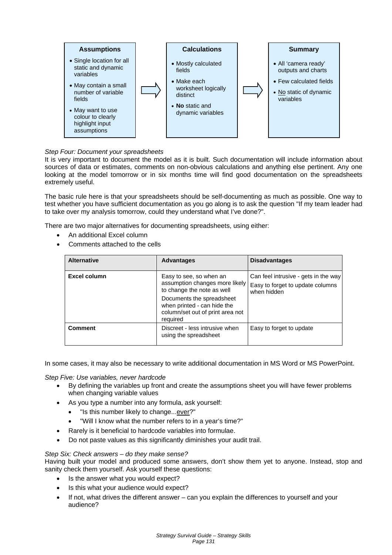

# *Step Four: Document your spreadsheets*

It is very important to document the model as it is built. Such documentation will include information about sources of data or estimates, comments on non-obvious calculations and anything else pertinent. Any one looking at the model tomorrow or in six months time will find good documentation on the spreadsheets extremely useful.

The basic rule here is that your spreadsheets should be self-documenting as much as possible. One way to test whether you have sufficient documentation as you go along is to ask the question "If my team leader had to take over my analysis tomorrow, could they understand what I've done?".

There are two major alternatives for documenting spreadsheets, using either:

- An additional Excel column
- Comments attached to the cells

| <b>Alternative</b>  | <b>Advantages</b>                                                                                                                                                                                   | <b>Disadvantages</b>                                                                    |
|---------------------|-----------------------------------------------------------------------------------------------------------------------------------------------------------------------------------------------------|-----------------------------------------------------------------------------------------|
| <b>Excel column</b> | Easy to see, so when an<br>assumption changes more likely<br>to change the note as well<br>Documents the spreadsheet<br>when printed - can hide the<br>column/set out of print area not<br>required | Can feel intrusive - gets in the way<br>Easy to forget to update columns<br>when hidden |
| <b>Comment</b>      | Discreet - less intrusive when<br>using the spreadsheet                                                                                                                                             | Easy to forget to update                                                                |

In some cases, it may also be necessary to write additional documentation in MS Word or MS PowerPoint.

*Step Five: Use variables, never hardcode* 

- By defining the variables up front and create the assumptions sheet you will have fewer problems when changing variable values
- As you type a number into any formula, ask yourself:
	- "Is this number likely to change...ever?"
	- "Will I know what the number refers to in a year's time?"
- Rarely is it beneficial to hardcode variables into formulae.
- Do not paste values as this significantly diminishes your audit trail.

#### *Step Six: Check answers – do they make sense?*

Having built your model and produced some answers, don't show them yet to anyone. Instead, stop and sanity check them yourself. Ask yourself these questions:

- Is the answer what you would expect?
- Is this what your audience would expect?
- If not, what drives the different answer can you explain the differences to yourself and your audience?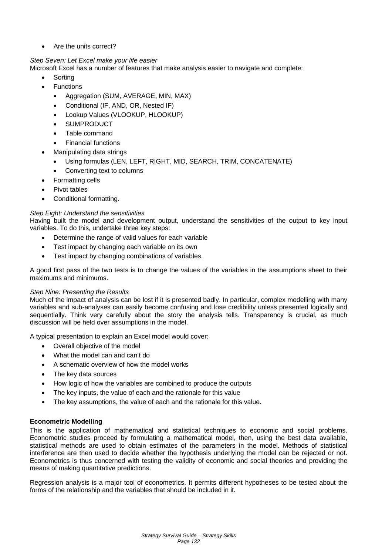• Are the units correct?

# *Step Seven: Let Excel make your life easier*

Microsoft Excel has a number of features that make analysis easier to navigate and complete:

- **Sorting**
- **Functions** 
	- Aggregation (SUM, AVERAGE, MIN, MAX)
	- Conditional (IF, AND, OR, Nested IF)
	- Lookup Values (VLOOKUP, HLOOKUP)
	- **SUMPRODUCT**
	- Table command
	- Financial functions
- Manipulating data strings
	- Using formulas (LEN, LEFT, RIGHT, MID, SEARCH, TRIM, CONCATENATE)
	- Converting text to columns
- Formatting cells
- Pivot tables
- Conditional formatting.

# *Step Eight: Understand the sensitivities*

Having built the model and development output, understand the sensitivities of the output to key input variables. To do this, undertake three key steps:

- Determine the range of valid values for each variable
- Test impact by changing each variable on its own
- Test impact by changing combinations of variables.

A good first pass of the two tests is to change the values of the variables in the assumptions sheet to their maximums and minimums.

# *Step Nine: Presenting the Results*

Much of the impact of analysis can be lost if it is presented badly. In particular, complex modelling with many variables and sub-analyses can easily become confusing and lose credibility unless presented logically and sequentially. Think very carefully about the story the analysis tells. Transparency is crucial, as much discussion will be held over assumptions in the model.

A typical presentation to explain an Excel model would cover:

- Overall objective of the model
- What the model can and can't do
- A schematic overview of how the model works
- The key data sources
- How logic of how the variables are combined to produce the outputs
- The key inputs, the value of each and the rationale for this value
- The key assumptions, the value of each and the rationale for this value.

# **Econometric Modelling**

This is the application of mathematical and statistical techniques to economic and social problems. Econometric studies proceed by formulating a mathematical model, then, using the best data available, statistical methods are used to obtain estimates of the parameters in the model. Methods of statistical interference are then used to decide whether the hypothesis underlying the model can be rejected or not. Econometrics is thus concerned with testing the validity of economic and social theories and providing the means of making quantitative predictions.

Regression analysis is a major tool of econometrics. It permits different hypotheses to be tested about the forms of the relationship and the variables that should be included in it.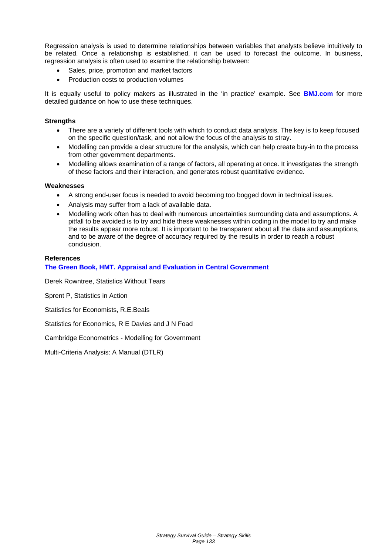Regression analysis is used to determine relationships between variables that analysts believe intuitively to be related. Once a relationship is established, it can be used to forecast the outcome. In business, regression analysis is often used to examine the relationship between:

- Sales, price, promotion and market factors
- Production costs to production volumes

It is equally useful to policy makers as illustrated in the 'in practice' example. See **BMJ.com** for more detailed guidance on how to use these techniques.

#### **Strengths**

- There are a variety of different tools with which to conduct data analysis. The key is to keep focused on the specific question/task, and not allow the focus of the analysis to stray.
- Modelling can provide a clear structure for the analysis, which can help create buy-in to the process from other government departments.
- Modelling allows examination of a range of factors, all operating at once. It investigates the strength of these factors and their interaction, and generates robust quantitative evidence.

#### **Weaknesses**

- A strong end-user focus is needed to avoid becoming too bogged down in technical issues.
- Analysis may suffer from a lack of available data.
- Modelling work often has to deal with numerous uncertainties surrounding data and assumptions. A pitfall to be avoided is to try and hide these weaknesses within coding in the model to try and make the results appear more robust. It is important to be transparent about all the data and assumptions, and to be aware of the degree of accuracy required by the results in order to reach a robust conclusion.

# **References**

### **The Green Book, HMT. Appraisal and Evaluation in Central Government**

Derek Rowntree, Statistics Without Tears

Sprent P, Statistics in Action

Statistics for Economists, R.E.Beals

Statistics for Economics, R E Davies and J N Foad

Cambridge Econometrics - Modelling for Government

Multi-Criteria Analysis: A Manual (DTLR)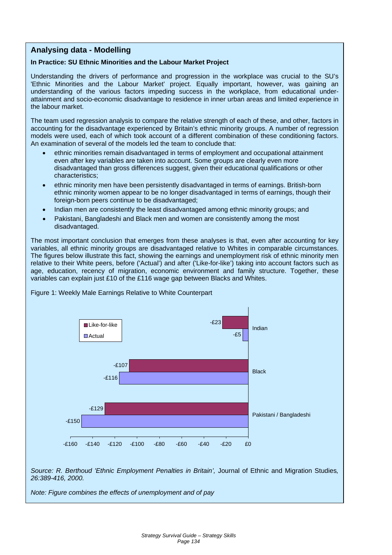# **Analysing data - Modelling**

# **In Practice: SU Ethnic Minorities and the Labour Market Project**

Understanding the drivers of performance and progression in the workplace was crucial to the SU's 'Ethnic Minorities and the Labour Market' project. Equally important, however, was gaining an understanding of the various factors impeding success in the workplace, from educational underattainment and socio-economic disadvantage to residence in inner urban areas and limited experience in the labour market.

The team used regression analysis to compare the relative strength of each of these, and other, factors in accounting for the disadvantage experienced by Britain's ethnic minority groups. A number of regression models were used, each of which took account of a different combination of these conditioning factors. An examination of several of the models led the team to conclude that:

- ethnic minorities remain disadvantaged in terms of employment and occupational attainment even after key variables are taken into account. Some groups are clearly even more disadvantaged than gross differences suggest, given their educational qualifications or other characteristics;
- ethnic minority men have been persistently disadvantaged in terms of earnings. British-born ethnic minority women appear to be no longer disadvantaged in terms of earnings, though their foreign-born peers continue to be disadvantaged;
- Indian men are consistently the least disadvantaged among ethnic minority groups; and
- Pakistani, Bangladeshi and Black men and women are consistently among the most disadvantaged.

The most important conclusion that emerges from these analyses is that, even after accounting for key variables, all ethnic minority groups are disadvantaged relative to Whites in comparable circumstances. The figures below illustrate this fact, showing the earnings and unemployment risk of ethnic minority men relative to their White peers, before ('Actual') and after ('Like-for-like') taking into account factors such as age, education, recency of migration, economic environment and family structure. Together, these variables can explain just £10 of the £116 wage gap between Blacks and Whites.



Figure 1: Weekly Male Earnings Relative to White Counterpart

*Source: R. Berthoud 'Ethnic Employment Penalties in Britain',* Journal of Ethnic and Migration Studies*, 26:389-416, 2000.* 

*Note: Figure combines the effects of unemployment and of pay*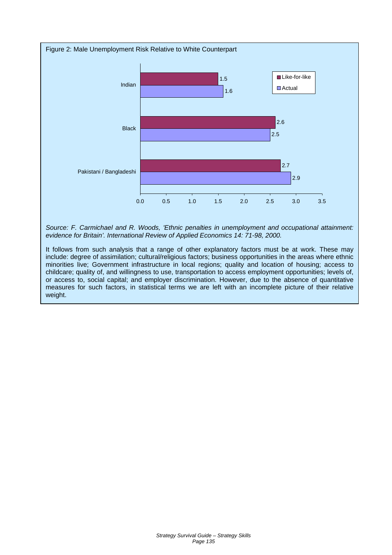

*Source: F. Carmichael and R. Woods, 'Ethnic penalties in unemployment and occupational attainment: evidence for Britain'. International Review of Applied Economics 14: 71-98, 2000.* 

It follows from such analysis that a range of other explanatory factors must be at work. These may include: degree of assimilation; cultural/religious factors; business opportunities in the areas where ethnic minorities live; Government infrastructure in local regions; quality and location of housing; access to childcare; quality of, and willingness to use, transportation to access employment opportunities; levels of, or access to, social capital; and employer discrimination. However, due to the absence of quantitative measures for such factors, in statistical terms we are left with an incomplete picture of their relative weight.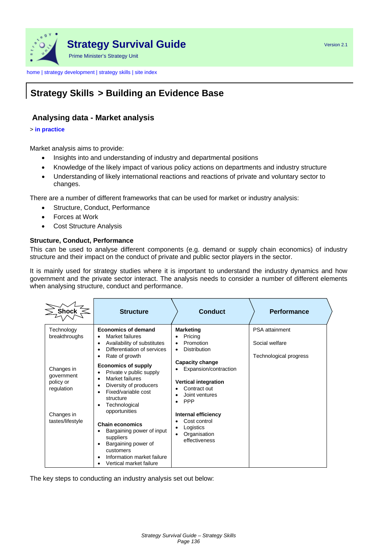

# **Strategy Skills > Building an Evidence Base**

# **Analysing data - Market analysis**

> **in practice** 

Market analysis aims to provide:

- Insights into and understanding of industry and departmental positions
- Knowledge of the likely impact of various policy actions on departments and industry structure
- Understanding of likely international reactions and reactions of private and voluntary sector to changes.

There are a number of different frameworks that can be used for market or industry analysis:

- Structure, Conduct, Performance
- Forces at Work
- Cost Structure Analysis

### **Structure, Conduct, Performance**

This can be used to analyse different components (e.g. demand or supply chain economics) of industry structure and their impact on the conduct of private and public sector players in the sector.

It is mainly used for strategy studies where it is important to understand the industry dynamics and how government and the private sector interact. The analysis needs to consider a number of different elements when analysing structure, conduct and performance.

| Shock                                                                                 | <b>Structure</b>                                                                                                                                                                                   | <b>Conduct</b>                                                                                                                                                                          | <b>Performance</b>                                                |
|---------------------------------------------------------------------------------------|----------------------------------------------------------------------------------------------------------------------------------------------------------------------------------------------------|-----------------------------------------------------------------------------------------------------------------------------------------------------------------------------------------|-------------------------------------------------------------------|
| Technology<br>breakthroughs                                                           | <b>Economics of demand</b><br>Market failures<br>Availability of substitutes<br>Differentiation of services<br>Rate of growth                                                                      | <b>Marketing</b><br>Pricing<br>Promotion<br><b>Distribution</b><br>$\bullet$                                                                                                            | <b>PSA</b> attainment<br>Social welfare<br>Technological progress |
| Changes in<br>government<br>policy or<br>regulation<br>Changes in<br>tastes/lifestyle | <b>Economics of supply</b><br>Private v public supply<br>Market failures<br>Diversity of producers<br>Fixed/variable cost<br>structure<br>Technological<br>opportunities<br><b>Chain economics</b> | <b>Capacity change</b><br>Expansion/contraction<br><b>Vertical integration</b><br>Contract out<br>Joint ventures<br><b>PPP</b><br>Internal efficiency<br>Cost control<br>Logistics<br>٠ |                                                                   |
|                                                                                       | Bargaining power of input<br>suppliers<br>Bargaining power of<br>customers<br>Information market failure<br>Vertical market failure                                                                | Organisation<br>$\bullet$<br>effectiveness                                                                                                                                              |                                                                   |

The key steps to conducting an industry analysis set out below: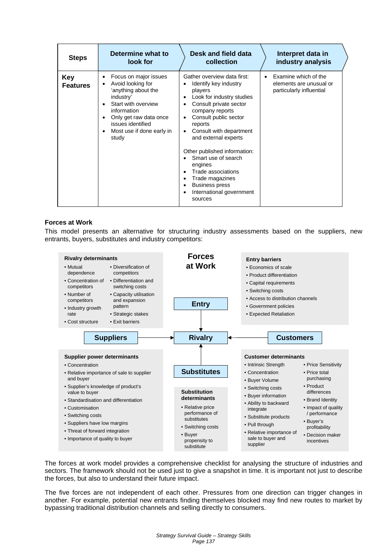| <b>Steps</b>           | Determine what to                                                                                                                                                                                                           | Desk and field data                                                                                                                                                                                                                                                                                                                                                                                                           | Interpret data in                                                                        |
|------------------------|-----------------------------------------------------------------------------------------------------------------------------------------------------------------------------------------------------------------------------|-------------------------------------------------------------------------------------------------------------------------------------------------------------------------------------------------------------------------------------------------------------------------------------------------------------------------------------------------------------------------------------------------------------------------------|------------------------------------------------------------------------------------------|
|                        | look for                                                                                                                                                                                                                    | collection                                                                                                                                                                                                                                                                                                                                                                                                                    | industry analysis                                                                        |
| Key<br><b>Features</b> | Focus on major issues<br>Avoid looking for<br>'anything about the<br>industry'<br>Start with overview<br>information<br>Only get raw data once<br>٠<br>issues identified<br>Most use if done early in<br>$\bullet$<br>study | Gather overview data first:<br>Identify key industry<br>players<br>Look for industry studies<br>Consult private sector<br>company reports<br>Consult public sector<br>٠<br>reports<br>Consult with department<br>$\bullet$<br>and external experts<br>Other published information:<br>Smart use of search<br>engines<br>Trade associations<br>Trade magazines<br><b>Business press</b><br>International government<br>sources | Examine which of the<br>$\bullet$<br>elements are unusual or<br>particularly influential |

### **Forces at Work**

This model presents an alternative for structuring industry assessments based on the suppliers, new entrants, buyers, substitutes and industry competitors:



The forces at work model provides a comprehensive checklist for analysing the structure of industries and sectors. The framework should not be used just to give a snapshot in time. It is important not just to describe the forces, but also to understand their future impact.

The five forces are not independent of each other. Pressures from one direction can trigger changes in another. For example, potential new entrants finding themselves blocked may find new routes to market by bypassing traditional distribution channels and selling directly to consumers.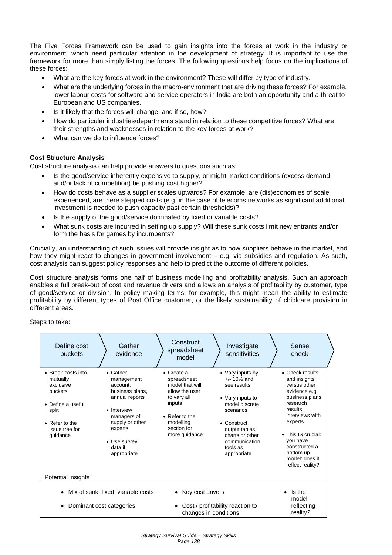The Five Forces Framework can be used to gain insights into the forces at work in the industry or environment, which need particular attention in the development of strategy. It is important to use the framework for more than simply listing the forces. The following questions help focus on the implications of these forces:

- What are the key forces at work in the environment? These will differ by type of industry.
- What are the underlying forces in the macro-environment that are driving these forces? For example, lower labour costs for software and service operators in India are both an opportunity and a threat to European and US companies.
- Is it likely that the forces will change, and if so, how?
- How do particular industries/departments stand in relation to these competitive forces? What are their strengths and weaknesses in relation to the key forces at work?
- What can we do to influence forces?

### **Cost Structure Analysis**

Cost structure analysis can help provide answers to questions such as:

- Is the good/service inherently expensive to supply, or might market conditions (excess demand and/or lack of competition) be pushing cost higher?
- How do costs behave as a supplier scales upwards? For example, are (dis)economies of scale experienced, are there stepped costs (e.g. in the case of telecoms networks as significant additional investment is needed to push capacity past certain thresholds)?
- Is the supply of the good/service dominated by fixed or variable costs?
- What sunk costs are incurred in setting up supply? Will these sunk costs limit new entrants and/or form the basis for games by incumbents?

Crucially, an understanding of such issues will provide insight as to how suppliers behave in the market, and how they might react to changes in government involvement – e.g. via subsidies and regulation. As such, cost analysis can suggest policy responses and help to predict the outcome of different policies.

Cost structure analysis forms one half of business modelling and profitability analysis. Such an approach enables a full break-out of cost and revenue drivers and allows an analysis of profitability by customer, type of good/service or division. In policy making terms, for example, this might mean the ability to estimate profitability by different types of Post Office customer, or the likely sustainability of childcare provision in different areas.

Steps to take:

| Define cost<br>buckets                                                                                                                                             | Gather<br>evidence                                                                                                                                                                    | Construct<br>spreadsheet<br>model                                                                                                                                      | Investigate<br>sensitivities                                                                                                                                                                         | Sense<br>check                                                                                                                                                                                                                                  |
|--------------------------------------------------------------------------------------------------------------------------------------------------------------------|---------------------------------------------------------------------------------------------------------------------------------------------------------------------------------------|------------------------------------------------------------------------------------------------------------------------------------------------------------------------|------------------------------------------------------------------------------------------------------------------------------------------------------------------------------------------------------|-------------------------------------------------------------------------------------------------------------------------------------------------------------------------------------------------------------------------------------------------|
| • Break costs into<br>mutually<br>exclusive<br>buckets<br>• Define a useful<br>split<br>$\bullet$ Refer to the<br>issue tree for<br>quidance<br>Potential insights | $\bullet$ Gather<br>management<br>account.<br>business plans,<br>annual reports<br>• Interview<br>managers of<br>supply or other<br>experts<br>• Use survey<br>data if<br>appropriate | $\bullet$ Create a<br>spreadsheet<br>model that will<br>allow the user<br>to vary all<br>inputs<br>$\bullet$ Refer to the<br>modelling<br>section for<br>more quidance | • Vary inputs by<br>$+/- 10\%$ and<br>see results<br>• Vary inputs to<br>model discrete<br>scenarios<br>• Construct<br>output tables.<br>charts or other<br>communication<br>tools as<br>appropriate | • Check results<br>and insights<br>versus other<br>evidence e.g.<br>business plans,<br>research<br>results.<br>interviews with<br>experts<br>• This IS crucial:<br>vou have<br>constructed a<br>bottom up<br>model: does it<br>reflect reality? |
|                                                                                                                                                                    |                                                                                                                                                                                       |                                                                                                                                                                        |                                                                                                                                                                                                      |                                                                                                                                                                                                                                                 |
| Mix of sunk, fixed, variable costs<br>٠                                                                                                                            |                                                                                                                                                                                       | • Key cost drivers                                                                                                                                                     |                                                                                                                                                                                                      | $\bullet$ Is the<br>model                                                                                                                                                                                                                       |
| Dominant cost categories<br>٠                                                                                                                                      |                                                                                                                                                                                       | Cost / profitability reaction to<br>changes in conditions                                                                                                              |                                                                                                                                                                                                      | reflecting<br>reality?                                                                                                                                                                                                                          |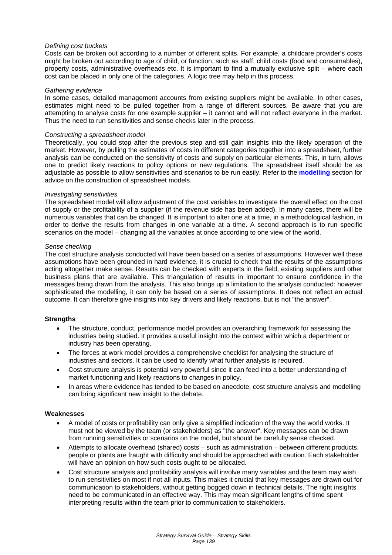### *Defining cost buckets*

Costs can be broken out according to a number of different splits. For example, a childcare provider's costs might be broken out according to age of child, or function, such as staff, child costs (food and consumables), property costs, administrative overheads etc. It is important to find a mutually exclusive split – where each cost can be placed in only one of the categories. A logic tree may help in this process.

#### *Gathering evidence*

In some cases, detailed management accounts from existing suppliers might be available. In other cases, estimates might need to be pulled together from a range of different sources. Be aware that you are attempting to analyse costs for one example supplier – it cannot and will not reflect everyone in the market. Thus the need to run sensitivities and sense checks later in the process.

#### *Constructing a spreadsheet model*

Theoretically, you could stop after the previous step and still gain insights into the likely operation of the market. However, by pulling the estimates of costs in different categories together into a spreadsheet, further analysis can be conducted on the sensitivity of costs and supply on particular elements. This, in turn, allows one to predict likely reactions to policy options or new regulations. The spreadsheet itself should be as adjustable as possible to allow sensitivities and scenarios to be run easily. Refer to the **modelling** section for advice on the construction of spreadsheet models.

#### *Investigating sensitivities*

The spreadsheet model will allow adjustment of the cost variables to investigate the overall effect on the cost of supply or the profitability of a supplier (if the revenue side has been added). In many cases, there will be numerous variables that can be changed. It is important to alter one at a time, in a methodological fashion, in order to derive the results from changes in one variable at a time. A second approach is to run specific scenarios on the model – changing all the variables at once according to one view of the world.

#### *Sense checking*

The cost structure analysis conducted will have been based on a series of assumptions. However well these assumptions have been grounded in hard evidence, it is crucial to check that the results of the assumptions acting altogether make sense. Results can be checked with experts in the field, existing suppliers and other business plans that are available. This triangulation of results in important to ensure confidence in the messages being drawn from the analysis. This also brings up a limitation to the analysis conducted: however sophisticated the modelling, it can only be based on a series of assumptions. It does not reflect an actual outcome. It can therefore give insights into key drivers and likely reactions, but is not "the answer".

#### **Strengths**

- The structure, conduct, performance model provides an overarching framework for assessing the industries being studied. It provides a useful insight into the context within which a department or industry has been operating.
- The forces at work model provides a comprehensive checklist for analysing the structure of industries and sectors. It can be used to identify what further analysis is required.
- Cost structure analysis is potential very powerful since it can feed into a better understanding of market functioning and likely reactions to changes in policy.
- In areas where evidence has tended to be based on anecdote, cost structure analysis and modelling can bring significant new insight to the debate.

#### **Weaknesses**

- A model of costs or profitability can only give a simplified indication of the way the world works. It must not be viewed by the team (or stakeholders) as "the answer". Key messages can be drawn from running sensitivities or scenarios on the model, but should be carefully sense checked.
- Attempts to allocate overhead (shared) costs such as administration between different products, people or plants are fraught with difficulty and should be approached with caution. Each stakeholder will have an opinion on how such costs ought to be allocated.
- Cost structure analysis and profitability analysis will involve many variables and the team may wish to run sensitivities on most if not all inputs. This makes it crucial that key messages are drawn out for communication to stakeholders, without getting bogged down in technical details. The right insights need to be communicated in an effective way. This may mean significant lengths of time spent interpreting results within the team prior to communication to stakeholders.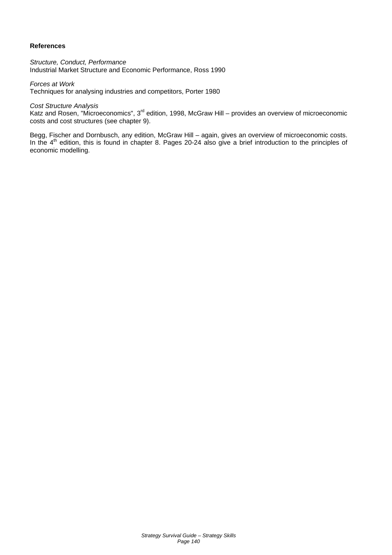### **References**

*Structure, Conduct, Performance*  Industrial Market Structure and Economic Performance, Ross 1990

*Forces at Work* 

Techniques for analysing industries and competitors, Porter 1980

*Cost Structure Analysis* 

Katz and Rosen, "Microeconomics", 3rd edition, 1998, McGraw Hill – provides an overview of microeconomic costs and cost structures (see chapter 9).

Begg, Fischer and Dornbusch, any edition, McGraw Hill – again, gives an overview of microeconomic costs. In the  $4<sup>th</sup>$  edition, this is found in chapter 8. Pages 20-24 also give a brief introduction to the principles of economic modelling.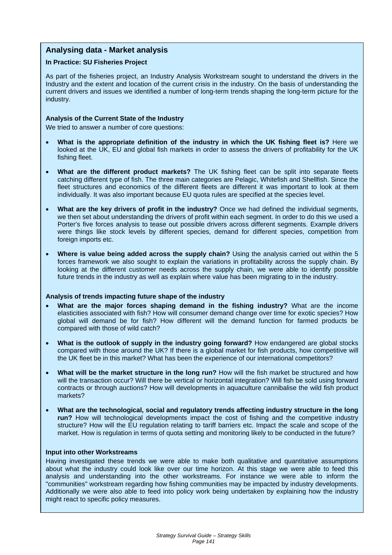# **Analysing data - Market analysis**

### **In Practice: SU Fisheries Project**

As part of the fisheries project, an Industry Analysis Workstream sought to understand the drivers in the Industry and the extent and location of the current crisis in the industry. On the basis of understanding the current drivers and issues we identified a number of long-term trends shaping the long-term picture for the industry.

# **Analysis of the Current State of the Industry**

We tried to answer a number of core questions:

- **What is the appropriate definition of the industry in which the UK fishing fleet is?** Here we looked at the UK, EU and global fish markets in order to assess the drivers of profitability for the UK fishing fleet.
- **What are the different product markets?** The UK fishing fleet can be split into separate fleets catching different type of fish. The three main categories are Pelagic, Whitefish and Shellfish. Since the fleet structures and economics of the different fleets are different it was important to look at them individually. It was also important because EU quota rules are specified at the species level.
- **What are the key drivers of profit in the industry?** Once we had defined the individual segments, we then set about understanding the drivers of profit within each segment. In order to do this we used a Porter's five forces analysis to tease out possible drivers across different segments. Example drivers were things like stock levels by different species, demand for different species, competition from foreign imports etc.
- Where is value being added across the supply chain? Using the analysis carried out within the 5 forces framework we also sought to explain the variations in profitability across the supply chain. By looking at the different customer needs across the supply chain, we were able to identify possible future trends in the industry as well as explain where value has been migrating to in the industry.

#### **Analysis of trends impacting future shape of the industry**

- **What are the major forces shaping demand in the fishing industry?** What are the income elasticities associated with fish? How will consumer demand change over time for exotic species? How global will demand be for fish? How different will the demand function for farmed products be compared with those of wild catch?
- **What is the outlook of supply in the industry going forward?** How endangered are global stocks compared with those around the UK? If there is a global market for fish products, how competitive will the UK fleet be in this market? What has been the experience of our international competitors?
- **What will be the market structure in the long run?** How will the fish market be structured and how will the transaction occur? Will there be vertical or horizontal integration? Will fish be sold using forward contracts or through auctions? How will developments in aquaculture cannibalise the wild fish product markets?
- **What are the technological, social and regulatory trends affecting industry structure in the long run?** How will technological developments impact the cost of fishing and the competitive industry structure? How will the EU regulation relating to tariff barriers etc. Impact the scale and scope of the market. How is regulation in terms of quota setting and monitoring likely to be conducted in the future?

#### **Input into other Workstreams**

Having investigated these trends we were able to make both qualitative and quantitative assumptions about what the industry could look like over our time horizon. At this stage we were able to feed this analysis and understanding into the other workstreams. For instance we were able to inform the "communities" workstream regarding how fishing communities may be impacted by industry developments. Additionally we were also able to feed into policy work being undertaken by explaining how the industry might react to specific policy measures.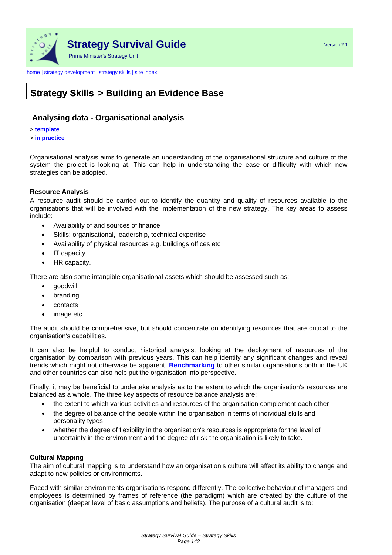

# **Strategy Skills > Building an Evidence Base**

# **Analysing data - Organisational analysis**

- > **template**
- > **in practice**

Organisational analysis aims to generate an understanding of the organisational structure and culture of the system the project is looking at. This can help in understanding the ease or difficulty with which new strategies can be adopted.

### **Resource Analysis**

A resource audit should be carried out to identify the quantity and quality of resources available to the organisations that will be involved with the implementation of the new strategy. The key areas to assess include:

- Availability of and sources of finance
- Skills: organisational, leadership, technical expertise
- Availability of physical resources e.g. buildings offices etc
- IT capacity
- HR capacity.

There are also some intangible organisational assets which should be assessed such as:

- goodwill
- branding
- contacts
- image etc.

The audit should be comprehensive, but should concentrate on identifying resources that are critical to the organisation's capabilities.

It can also be helpful to conduct historical analysis, looking at the deployment of resources of the organisation by comparison with previous years. This can help identify any significant changes and reveal trends which might not otherwise be apparent. **Benchmarking** to other similar organisations both in the UK and other countries can also help put the organisation into perspective.

Finally, it may be beneficial to undertake analysis as to the extent to which the organisation's resources are balanced as a whole. The three key aspects of resource balance analysis are:

- the extent to which various activities and resources of the organisation complement each other
- the degree of balance of the people within the organisation in terms of individual skills and personality types
- whether the degree of flexibility in the organisation's resources is appropriate for the level of uncertainty in the environment and the degree of risk the organisation is likely to take.

#### **Cultural Mapping**

The aim of cultural mapping is to understand how an organisation's culture will affect its ability to change and adapt to new policies or environments.

Faced with similar environments organisations respond differently. The collective behaviour of managers and employees is determined by frames of reference (the paradigm) which are created by the culture of the organisation (deeper level of basic assumptions and beliefs). The purpose of a cultural audit is to: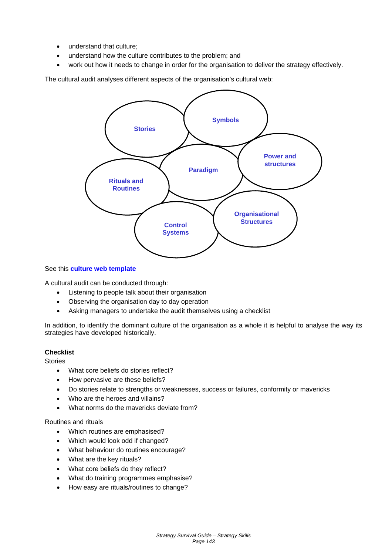- understand that culture;
- understand how the culture contributes to the problem; and
- work out how it needs to change in order for the organisation to deliver the strategy effectively.

The cultural audit analyses different aspects of the organisation's cultural web:



## See this **culture web template**

A cultural audit can be conducted through:

- Listening to people talk about their organisation
- Observing the organisation day to day operation
- Asking managers to undertake the audit themselves using a checklist

In addition, to identify the dominant culture of the organisation as a whole it is helpful to analyse the way its strategies have developed historically.

## **Checklist**

**Stories** 

- What core beliefs do stories reflect?
- How pervasive are these beliefs?
- Do stories relate to strengths or weaknesses, success or failures, conformity or mavericks
- Who are the heroes and villains?
- What norms do the mavericks deviate from?

## Routines and rituals

- Which routines are emphasised?
- Which would look odd if changed?
- What behaviour do routines encourage?
- What are the key rituals?
- What core beliefs do they reflect?
- What do training programmes emphasise?
- How easy are rituals/routines to change?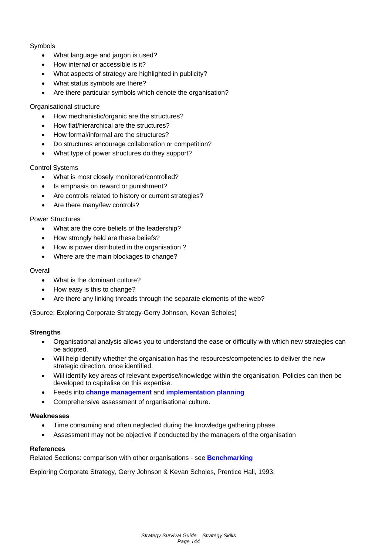## Symbols

- What language and jargon is used?
- How internal or accessible is it?
- What aspects of strategy are highlighted in publicity?
- What status symbols are there?
- Are there particular symbols which denote the organisation?

## Organisational structure

- How mechanistic/organic are the structures?
- How flat/hierarchical are the structures?
- How formal/informal are the structures?
- Do structures encourage collaboration or competition?
- What type of power structures do they support?

# Control Systems

- What is most closely monitored/controlled?
- Is emphasis on reward or punishment?
- Are controls related to history or current strategies?
- Are there many/few controls?

# Power Structures

- What are the core beliefs of the leadership?
- How strongly held are these beliefs?
- How is power distributed in the organisation ?
- Where are the main blockages to change?

## **Overall**

- What is the dominant culture?
- How easy is this to change?
- Are there any linking threads through the separate elements of the web?

(Source: Exploring Corporate Strategy-Gerry Johnson, Kevan Scholes)

# **Strengths**

- Organisational analysis allows you to understand the ease or difficulty with which new strategies can be adopted.
- Will help identify whether the organisation has the resources/competencies to deliver the new strategic direction, once identified.
- Will identify key areas of relevant expertise/knowledge within the organisation. Policies can then be developed to capitalise on this expertise.
- Feeds into **change management** and **implementation planning**
- Comprehensive assessment of organisational culture.

## **Weaknesses**

- Time consuming and often neglected during the knowledge gathering phase.
- Assessment may not be objective if conducted by the managers of the organisation

## **References**

Related Sections: comparison with other organisations - see **Benchmarking**

Exploring Corporate Strategy, Gerry Johnson & Kevan Scholes, Prentice Hall, 1993.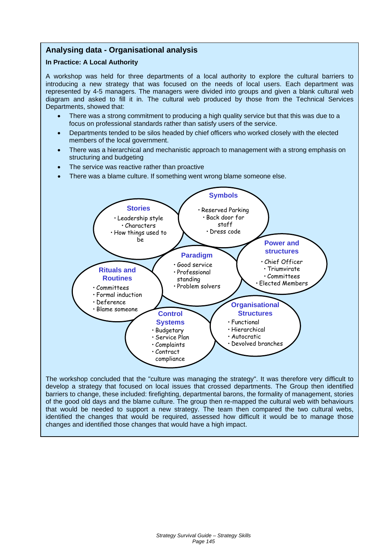# **Analysing data - Organisational analysis**

## **In Practice: A Local Authority**

A workshop was held for three departments of a local authority to explore the cultural barriers to introducing a new strategy that was focused on the needs of local users. Each department was represented by 4-5 managers. The managers were divided into groups and given a blank cultural web diagram and asked to fill it in. The cultural web produced by those from the Technical Services Departments, showed that:

- There was a strong commitment to producing a high quality service but that this was due to a focus on professional standards rather than satisfy users of the service.
- Departments tended to be silos headed by chief officers who worked closely with the elected members of the local government.
- There was a hierarchical and mechanistic approach to management with a strong emphasis on structuring and budgeting
- The service was reactive rather than proactive
- There was a blame culture. If something went wrong blame someone else.



The workshop concluded that the "culture was managing the strategy". It was therefore very difficult to develop a strategy that focused on local issues that crossed departments. The Group then identified barriers to change, these included: firefighting, departmental barons, the formality of management, stories of the good old days and the blame culture. The group then re-mapped the cultural web with behaviours that would be needed to support a new strategy. The team then compared the two cultural webs, identified the changes that would be required, assessed how difficult it would be to manage those changes and identified those changes that would have a high impact.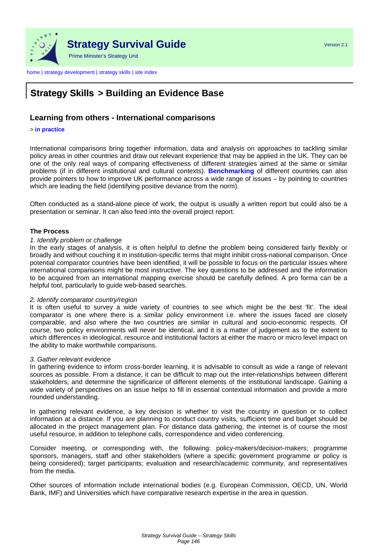

# **Strategy Skills > Building an Evidence Base**

## **Learning from others - International comparisons**

#### > **in practice**

International comparisons bring together information, data and analysis on approaches to tackling similar policy areas in other countries and draw out relevant experience that may be applied in the UK. They can be one of the only real ways of comparing effectiveness of different strategies aimed at the same or similar problems (if in different institutional and cultural contexts). **Benchmarking** of different countries can also provide pointers to how to improve UK performance across a wide range of issues – by pointing to countries which are leading the field (identifying positive deviance from the norm).

Often conducted as a stand-alone piece of work, the output is usually a written report but could also be a presentation or seminar. It can also feed into the overall project report.

#### **The Process**

#### *1. Identify problem or challenge*

In the early stages of analysis, it is often helpful to define the problem being considered fairly flexibly or broadly and without couching it in institution-specific terms that might inhibit cross-national comparison. Once potential comparator countries have been identified, it will be possible to focus on the particular issues where international comparisons might be most instructive. The key questions to be addressed and the information to be acquired from an international mapping exercise should be carefully defined. A pro forma can be a helpful tool, particularly to quide web-based searches.

#### *2. Identify comparator country/region*

It is often useful to survey a wide variety of countries to see which might be the best 'fit'. The ideal comparator is one where there is a similar policy environment i.e. where the issues faced are closely comparable, and also where the two countries are similar in cultural and socio-economic respects. Of course, two policy environments will never be identical, and it is a matter of judgement as to the extent to which differences in ideological, resource and institutional factors at either the macro or micro level impact on the ability to make worthwhile comparisons.

#### *3. Gather relevant evidence*

In gathering evidence to inform cross-border learning, it is advisable to consult as wide a range of relevant sources as possible. From a distance, it can be difficult to map out the inter-relationships between different stakeholders, and determine the significance of different elements of the institutional landscape. Gaining a wide variety of perspectives on an issue helps to fill in essential contextual information and provide a more rounded understanding.

In gathering relevant evidence, a key decision is whether to visit the country in question or to collect information at a distance. If you are planning to conduct country visits, sufficient time and budget should be allocated in the project management plan. For distance data gathering, the internet is of course the most useful resource, in addition to telephone calls, correspondence and video conferencing.

Consider meeting, or corresponding with, the following: policy-makers/decision-makers; programme sponsors, managers, staff and other stakeholders (where a specific government programme or policy is being considered); target participants; evaluation and research/academic community, and representatives from the media.

Other sources of information include international bodies (e.g. European Commission, OECD, UN, World Bank, IMF) and Universities which have comparative research expertise in the area in question.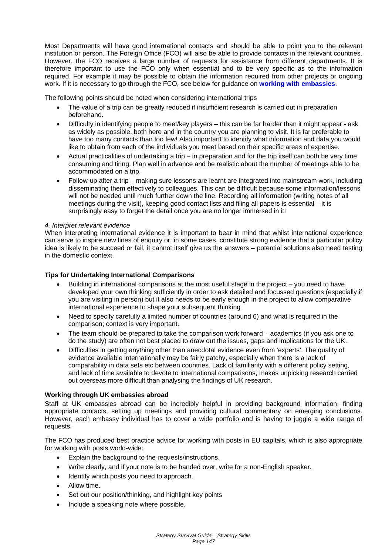Most Departments will have good international contacts and should be able to point you to the relevant institution or person. The Foreign Office (FCO) will also be able to provide contacts in the relevant countries. However, the FCO receives a large number of requests for assistance from different departments. It is therefore important to use the FCO only when essential and to be very specific as to the information required. For example it may be possible to obtain the information required from other projects or ongoing work. If it is necessary to go through the FCO, see below for guidance on **working with embassies**.

The following points should be noted when considering international trips

- The value of a trip can be greatly reduced if insufficient research is carried out in preparation beforehand.
- Difficulty in identifying people to meet/key players this can be far harder than it might appear ask as widely as possible, both here and in the country you are planning to visit. It is far preferable to have too many contacts than too few! Also important to identify what information and data you would like to obtain from each of the individuals you meet based on their specific areas of expertise.
- Actual practicalities of undertaking a trip in preparation and for the trip itself can both be very time consuming and tiring. Plan well in advance and be realistic about the number of meetings able to be accommodated on a trip.
- Follow-up after a trip making sure lessons are learnt are integrated into mainstream work, including disseminating them effectively to colleagues. This can be difficult because some information/lessons will not be needed until much further down the line. Recording all information (writing notes of all meetings during the visit), keeping good contact lists and filing all papers is essential – it is surprisingly easy to forget the detail once you are no longer immersed in it!

## *4. Interpret relevant evidence*

When interpreting international evidence it is important to bear in mind that whilst international experience can serve to inspire new lines of enquiry or, in some cases, constitute strong evidence that a particular policy idea is likely to be succeed or fail, it cannot itself give us the answers – potential solutions also need testing in the domestic context.

## **Tips for Undertaking International Comparisons**

- Building in international comparisons at the most useful stage in the project you need to have developed your own thinking sufficiently in order to ask detailed and focussed questions (especially if you are visiting in person) but it also needs to be early enough in the project to allow comparative international experience to shape your subsequent thinking
- Need to specify carefully a limited number of countries (around 6) and what is required in the comparison; context is very important.
- The team should be prepared to take the comparison work forward academics (if you ask one to do the study) are often not best placed to draw out the issues, gaps and implications for the UK.
- Difficulties in getting anything other than anecdotal evidence even from 'experts'. The quality of evidence available internationally may be fairly patchy, especially when there is a lack of comparability in data sets etc between countries. Lack of familiarity with a different policy setting, and lack of time available to devote to international comparisons, makes unpicking research carried out overseas more difficult than analysing the findings of UK research.

#### **Working through UK embassies abroad**

Staff at UK embassies abroad can be incredibly helpful in providing background information, finding appropriate contacts, setting up meetings and providing cultural commentary on emerging conclusions. However, each embassy individual has to cover a wide portfolio and is having to juggle a wide range of requests.

The FCO has produced best practice advice for working with posts in EU capitals, which is also appropriate for working with posts world-wide:

- Explain the background to the requests/instructions.
- Write clearly, and if your note is to be handed over, write for a non-English speaker.
- Identify which posts you need to approach.
- Allow time.
- Set out our position/thinking, and highlight key points
- Include a speaking note where possible.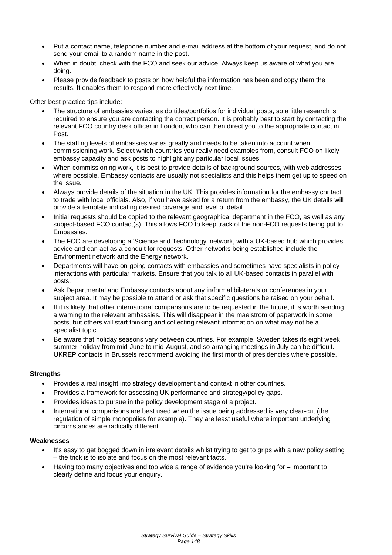- Put a contact name, telephone number and e-mail address at the bottom of your request, and do not send your email to a random name in the post.
- When in doubt, check with the FCO and seek our advice. Always keep us aware of what you are doing.
- Please provide feedback to posts on how helpful the information has been and copy them the results. It enables them to respond more effectively next time.

Other best practice tips include:

- The structure of embassies varies, as do titles/portfolios for individual posts, so a little research is required to ensure you are contacting the correct person. It is probably best to start by contacting the relevant FCO country desk officer in London, who can then direct you to the appropriate contact in Post.
- The staffing levels of embassies varies greatly and needs to be taken into account when commissioning work. Select which countries you really need examples from, consult FCO on likely embassy capacity and ask posts to highlight any particular local issues.
- When commissioning work, it is best to provide details of background sources, with web addresses where possible. Embassy contacts are usually not specialists and this helps them get up to speed on the issue.
- Always provide details of the situation in the UK. This provides information for the embassy contact to trade with local officials. Also, if you have asked for a return from the embassy, the UK details will provide a template indicating desired coverage and level of detail.
- Initial requests should be copied to the relevant geographical department in the FCO, as well as any subject-based FCO contact(s). This allows FCO to keep track of the non-FCO requests being put to Embassies.
- The FCO are developing a 'Science and Technology' network, with a UK-based hub which provides advice and can act as a conduit for requests. Other networks being established include the Environment network and the Energy network.
- Departments will have on-going contacts with embassies and sometimes have specialists in policy interactions with particular markets. Ensure that you talk to all UK-based contacts in parallel with posts.
- Ask Departmental and Embassy contacts about any in/formal bilaterals or conferences in your subject area. It may be possible to attend or ask that specific questions be raised on your behalf.
- If it is likely that other international comparisons are to be requested in the future, it is worth sending a warning to the relevant embassies. This will disappear in the maelstrom of paperwork in some posts, but others will start thinking and collecting relevant information on what may not be a specialist topic.
- Be aware that holiday seasons vary between countries. For example, Sweden takes its eight week summer holiday from mid-June to mid-August, and so arranging meetings in July can be difficult. UKREP contacts in Brussels recommend avoiding the first month of presidencies where possible.

## **Strengths**

- Provides a real insight into strategy development and context in other countries.
- Provides a framework for assessing UK performance and strategy/policy gaps.
- Provides ideas to pursue in the policy development stage of a project.
- International comparisons are best used when the issue being addressed is very clear-cut (the regulation of simple monopolies for example). They are least useful where important underlying circumstances are radically different.

#### **Weaknesses**

- It's easy to get bogged down in irrelevant details whilst trying to get to grips with a new policy setting – the trick is to isolate and focus on the most relevant facts.
- Having too many objectives and too wide a range of evidence you're looking for important to clearly define and focus your enquiry.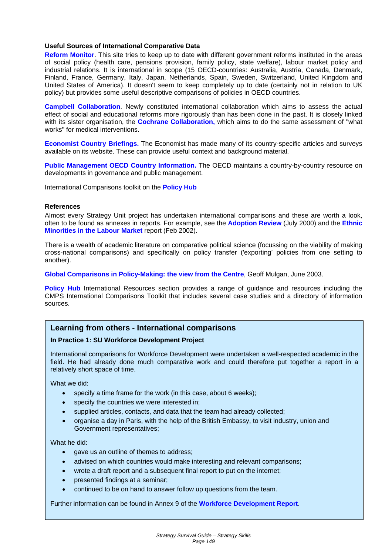### **Useful Sources of International Comparative Data**

**Reform Monitor**. This site tries to keep up to date with different government reforms instituted in the areas of social policy (health care, pensions provision, family policy, state welfare), labour market policy and industrial relations. It is international in scope (15 OECD-countries: Australia, Austria, Canada, Denmark, Finland, France, Germany, Italy, Japan, Netherlands, Spain, Sweden, Switzerland, United Kingdom and United States of America). It doesn't seem to keep completely up to date (certainly not in relation to UK policy) but provides some useful descriptive comparisons of policies in OECD countries.

**Campbell Collaboration**. Newly constituted international collaboration which aims to assess the actual effect of social and educational reforms more rigorously than has been done in the past. It is closely linked with its sister organisation, the **Cochrane Collaboration,** which aims to do the same assessment of "what works" for medical interventions.

**Economist Country Briefings.** The Economist has made many of its country-specific articles and surveys available on its website. These can provide useful context and background material.

**Public Management OECD Country Information.** The OECD maintains a country-by-country resource on developments in governance and public management.

International Comparisons toolkit on the **Policy Hub**

#### **References**

Almost every Strategy Unit project has undertaken international comparisons and these are worth a look, often to be found as annexes in reports. For example, see the **Adoption Review** (July 2000) and the **Ethnic Minorities in the Labour Market** report (Feb 2002).

There is a wealth of academic literature on comparative political science (focussing on the viability of making cross-national comparisons) and specifically on policy transfer ('exporting' policies from one setting to another).

**Global Comparisons in Policy-Making: the view from the Centre**, Geoff Mulgan, June 2003.

**Policy Hub** International Resources section provides a range of quidance and resources including the CMPS International Comparisons Toolkit that includes several case studies and a directory of information sources.

# **Learning from others - International comparisons**

#### **In Practice 1: SU Workforce Development Project**

International comparisons for Workforce Development were undertaken a well-respected academic in the field. He had already done much comparative work and could therefore put together a report in a relatively short space of time.

What we did:

- specify a time frame for the work (in this case, about 6 weeks);
- specify the countries we were interested in;
- supplied articles, contacts, and data that the team had already collected;
- organise a day in Paris, with the help of the British Embassy, to visit industry, union and Government representatives;

What he did:

- gave us an outline of themes to address;
- advised on which countries would make interesting and relevant comparisons;
- wrote a draft report and a subsequent final report to put on the internet;
- presented findings at a seminar;
- continued to be on hand to answer follow up questions from the team.

Further information can be found in Annex 9 of the **Workforce Development Report**.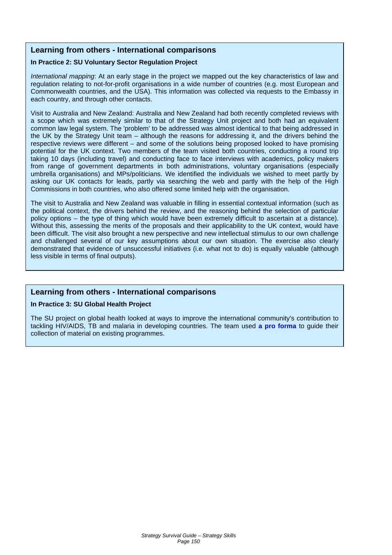# **Learning from others - International comparisons**

## **In Practice 2: SU Voluntary Sector Regulation Project**

*International mapping*: At an early stage in the project we mapped out the key characteristics of law and regulation relating to not-for-profit organisations in a wide number of countries (e.g. most European and Commonwealth countries, and the USA). This information was collected via requests to the Embassy in each country, and through other contacts.

Visit to Australia and New Zealand: Australia and New Zealand had both recently completed reviews with a scope which was extremely similar to that of the Strategy Unit project and both had an equivalent common law legal system. The 'problem' to be addressed was almost identical to that being addressed in the UK by the Strategy Unit team – although the reasons for addressing it, and the drivers behind the respective reviews were different – and some of the solutions being proposed looked to have promising potential for the UK context. Two members of the team visited both countries, conducting a round trip taking 10 days (including travel) and conducting face to face interviews with academics, policy makers from range of government departments in both administrations, voluntary organisations (especially umbrella organisations) and MPs/politicians. We identified the individuals we wished to meet partly by asking our UK contacts for leads, partly via searching the web and partly with the help of the High Commissions in both countries, who also offered some limited help with the organisation.

The visit to Australia and New Zealand was valuable in filling in essential contextual information (such as the political context, the drivers behind the review, and the reasoning behind the selection of particular policy options – the type of thing which would have been extremely difficult to ascertain at a distance). Without this, assessing the merits of the proposals and their applicability to the UK context, would have been difficult. The visit also brought a new perspective and new intellectual stimulus to our own challenge and challenged several of our key assumptions about our own situation. The exercise also clearly demonstrated that evidence of unsuccessful initiatives (i.e. what not to do) is equally valuable (although less visible in terms of final outputs).

# **Learning from others - International comparisons**

## **In Practice 3: SU Global Health Project**

The SU project on global health looked at ways to improve the international community's contribution to tackling HIV/AIDS, TB and malaria in developing countries. The team used **a pro forma** to guide their collection of material on existing programmes.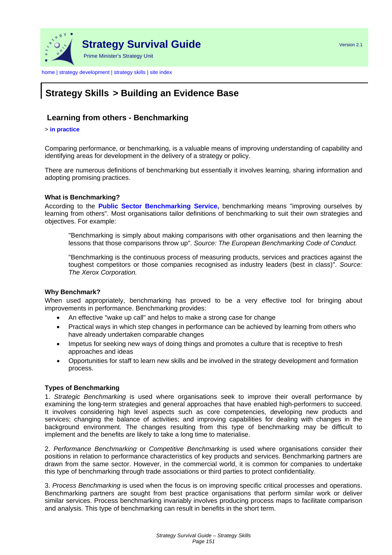

# **Strategy Skills > Building an Evidence Base**

# **Learning from others - Benchmarking**

#### > **in practice**

Comparing performance, or benchmarking, is a valuable means of improving understanding of capability and identifying areas for development in the delivery of a strategy or policy.

There are numerous definitions of benchmarking but essentially it involves learning, sharing information and adopting promising practices.

#### **What is Benchmarking?**

According to the **Public Sector Benchmarking Service,** benchmarking means "improving ourselves by learning from others". Most organisations tailor definitions of benchmarking to suit their own strategies and objectives. For example:

"Benchmarking is simply about making comparisons with other organisations and then learning the lessons that those comparisons throw up". *Source: The European Benchmarking Code of Conduct.* 

"Benchmarking is the continuous process of measuring products, services and practices against the toughest competitors or those companies recognised as industry leaders (best in class)". *Source: The Xerox Corporation.*

#### **Why Benchmark?**

When used appropriately, benchmarking has proved to be a very effective tool for bringing about improvements in performance. Benchmarking provides:

- An effective "wake up call" and helps to make a strong case for change
- Practical ways in which step changes in performance can be achieved by learning from others who have already undertaken comparable changes
- Impetus for seeking new ways of doing things and promotes a culture that is receptive to fresh approaches and ideas
- Opportunities for staff to learn new skills and be involved in the strategy development and formation process.

#### **Types of Benchmarking**

1. *Strategic Benchmarking* is used where organisations seek to improve their overall performance by examining the long-term strategies and general approaches that have enabled high-performers to succeed. It involves considering high level aspects such as core competencies, developing new products and services; changing the balance of activities; and improving capabilities for dealing with changes in the background environment. The changes resulting from this type of benchmarking may be difficult to implement and the benefits are likely to take a long time to materialise.

2. *Performance Benchmarking* or *Competitive Benchmarking* is used where organisations consider their positions in relation to performance characteristics of key products and services. Benchmarking partners are drawn from the same sector. However, in the commercial world, it is common for companies to undertake this type of benchmarking through trade associations or third parties to protect confidentiality.

3. *Process Benchmarking* is used when the focus is on improving specific critical processes and operations. Benchmarking partners are sought from best practice organisations that perform similar work or deliver similar services. Process benchmarking invariably involves producing process maps to facilitate comparison and analysis. This type of benchmarking can result in benefits in the short term.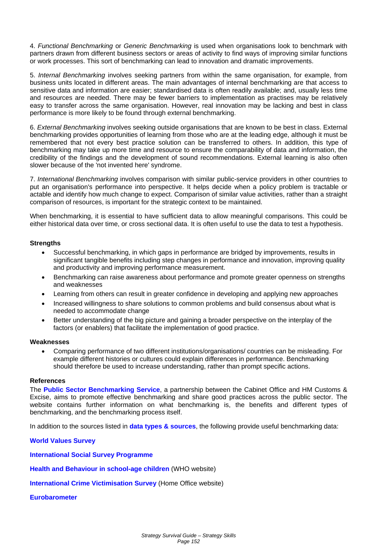4. *Functional Benchmarking* or *Generic Benchmarking* is used when organisations look to benchmark with partners drawn from different business sectors or areas of activity to find ways of improving similar functions or work processes. This sort of benchmarking can lead to innovation and dramatic improvements.

5. *Internal Benchmarking* involves seeking partners from within the same organisation, for example, from business units located in different areas. The main advantages of internal benchmarking are that access to sensitive data and information are easier; standardised data is often readily available; and, usually less time and resources are needed. There may be fewer barriers to implementation as practises may be relatively easy to transfer across the same organisation. However, real innovation may be lacking and best in class performance is more likely to be found through external benchmarking.

6. *External Benchmarking* involves seeking outside organisations that are known to be best in class. External benchmarking provides opportunities of learning from those who are at the leading edge, although it must be remembered that not every best practice solution can be transferred to others. In addition, this type of benchmarking may take up more time and resource to ensure the comparability of data and information, the credibility of the findings and the development of sound recommendations. External learning is also often slower because of the 'not invented here' syndrome.

7. *International Benchmarking* involves comparison with similar public-service providers in other countries to put an organisation's performance into perspective. It helps decide when a policy problem is tractable or actable and identify how much change to expect. Comparison of similar value activities, rather than a straight comparison of resources, is important for the strategic context to be maintained.

When benchmarking, it is essential to have sufficient data to allow meaningful comparisons. This could be either historical data over time, or cross sectional data. It is often useful to use the data to test a hypothesis.

## **Strengths**

- Successful benchmarking, in which gaps in performance are bridged by improvements, results in significant tangible benefits including step changes in performance and innovation, improving quality and productivity and improving performance measurement.
- Benchmarking can raise awareness about performance and promote greater openness on strengths and weaknesses
- Learning from others can result in greater confidence in developing and applying new approaches
- Increased willingness to share solutions to common problems and build consensus about what is needed to accommodate change
- Better understanding of the big picture and gaining a broader perspective on the interplay of the factors (or enablers) that facilitate the implementation of good practice.

#### **Weaknesses**

• Comparing performance of two different institutions/organisations/ countries can be misleading. For example different histories or cultures could explain differences in performance. Benchmarking should therefore be used to increase understanding, rather than prompt specific actions.

#### **References**

The **Public Sector Benchmarking Service**, a partnership between the Cabinet Office and HM Customs & Excise, aims to promote effective benchmarking and share good practices across the public sector. The website contains further information on what benchmarking is, the benefits and different types of benchmarking, and the benchmarking process itself.

In addition to the sources listed in **data types & sources**, the following provide useful benchmarking data:

**World Values Survey** 

**International Social Survey Programme** 

**Health and Behaviour in school-age children** (WHO website)

**International Crime Victimisation Survey** (Home Office website)

**Eurobarometer**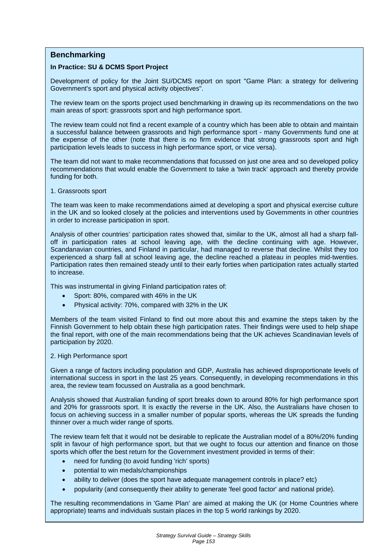# **Benchmarking**

## **In Practice: SU & DCMS Sport Project**

Development of policy for the Joint SU/DCMS report on sport "Game Plan: a strategy for delivering Government's sport and physical activity objectives".

The review team on the sports project used benchmarking in drawing up its recommendations on the two main areas of sport: grassroots sport and high performance sport.

The review team could not find a recent example of a country which has been able to obtain and maintain a successful balance between grassroots and high performance sport - many Governments fund one at the expense of the other (note that there is no firm evidence that strong grassroots sport and high participation levels leads to success in high performance sport, or vice versa).

The team did not want to make recommendations that focussed on just one area and so developed policy recommendations that would enable the Government to take a 'twin track' approach and thereby provide funding for both.

1. Grassroots sport

The team was keen to make recommendations aimed at developing a sport and physical exercise culture in the UK and so looked closely at the policies and interventions used by Governments in other countries in order to increase participation in sport.

Analysis of other countries' participation rates showed that, similar to the UK, almost all had a sharp falloff in participation rates at school leaving age, with the decline continuing with age. However, Scandanavian countries, and Finland in particular, had managed to reverse that decline. Whilst they too experienced a sharp fall at school leaving age, the decline reached a plateau in peoples mid-twenties. Participation rates then remained steady until to their early forties when participation rates actually started to increase.

This was instrumental in giving Finland participation rates of:

- Sport: 80%, compared with 46% in the UK
- Physical activity: 70%, compared with 32% in the UK

Members of the team visited Finland to find out more about this and examine the steps taken by the Finnish Government to help obtain these high participation rates. Their findings were used to help shape the final report, with one of the main recommendations being that the UK achieves Scandinavian levels of participation by 2020.

## 2. High Performance sport

Given a range of factors including population and GDP, Australia has achieved disproportionate levels of international success in sport in the last 25 years. Consequently, in developing recommendations in this area, the review team focussed on Australia as a good benchmark.

Analysis showed that Australian funding of sport breaks down to around 80% for high performance sport and 20% for grassroots sport. It is exactly the reverse in the UK. Also, the Australians have chosen to focus on achieving success in a smaller number of popular sports, whereas the UK spreads the funding thinner over a much wider range of sports.

The review team felt that it would not be desirable to replicate the Australian model of a 80%/20% funding split in favour of high performance sport, but that we ought to focus our attention and finance on those sports which offer the best return for the Government investment provided in terms of their:

- need for funding (to avoid funding 'rich' sports)
- potential to win medals/championships
- ability to deliver (does the sport have adequate management controls in place? etc)
- popularity (and consequently their ability to generate 'feel good factor' and national pride).

The resulting recommendations in 'Game Plan' are aimed at making the UK (or Home Countries where appropriate) teams and individuals sustain places in the top 5 world rankings by 2020.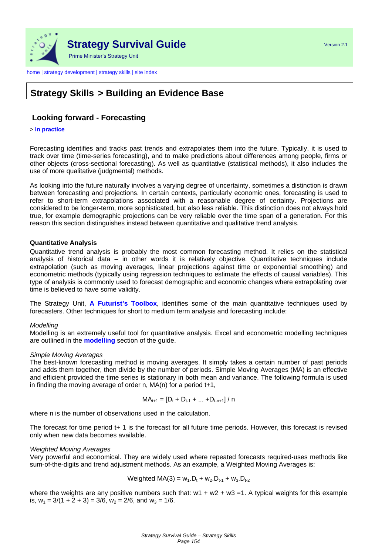

# **Strategy Skills > Building an Evidence Base**

# **Looking forward - Forecasting**

#### > **in practice**

Forecasting identifies and tracks past trends and extrapolates them into the future. Typically, it is used to track over time (time-series forecasting), and to make predictions about differences among people, firms or other objects (cross-sectional forecasting). As well as quantitative (statistical methods), it also includes the use of more qualitative (judgmental) methods.

As looking into the future naturally involves a varying degree of uncertainty, sometimes a distinction is drawn between forecasting and projections. In certain contexts, particularly economic ones, forecasting is used to refer to short-term extrapolations associated with a reasonable degree of certainty. Projections are considered to be longer-term, more sophisticated, but also less reliable. This distinction does not always hold true, for example demographic projections can be very reliable over the time span of a generation. For this reason this section distinguishes instead between quantitative and qualitative trend analysis.

#### **Quantitative Analysis**

Quantitative trend analysis is probably the most common forecasting method. It relies on the statistical analysis of historical data – in other words it is relatively objective. Quantitative techniques include extrapolation (such as moving averages, linear projections against time or exponential smoothing) and econometric methods (typically using regression techniques to estimate the effects of causal variables). This type of analysis is commonly used to forecast demographic and economic changes where extrapolating over time is believed to have some validity.

The Strategy Unit, **A Futurist's Toolbox**, identifies some of the main quantitative techniques used by forecasters. Other techniques for short to medium term analysis and forecasting include:

#### *Modelling*

Modelling is an extremely useful tool for quantitative analysis. Excel and econometric modelling techniques are outlined in the **modelling** section of the guide.

#### *Simple Moving Averages*

The best-known forecasting method is moving averages. It simply takes a certain number of past periods and adds them together, then divide by the number of periods. Simple Moving Averages (MA) is an effective and efficient provided the time series is stationary in both mean and variance. The following formula is used in finding the moving average of order n,  $MA(n)$  for a period  $t+1$ ,

$$
MA_{t+1} = [D_t + D_{t-1} + ... + D_{t-n+1}]/n
$$

where n is the number of observations used in the calculation.

The forecast for time period t+ 1 is the forecast for all future time periods. However, this forecast is revised only when new data becomes available.

#### *Weighted Moving Averages*

Very powerful and economical. They are widely used where repeated forecasts required-uses methods like sum-of-the-digits and trend adjustment methods. As an example, a Weighted Moving Averages is:

Weighted MA(3) = 
$$
w_1.D_t + w_2.D_{t-1} + w_3.D_{t-2}
$$

where the weights are any positive numbers such that:  $w1 + w2 + w3 = 1$ . A typical weights for this example is,  $w_1 = 3/(1 + 2 + 3) = 3/6$ ,  $w_2 = 2/6$ , and  $w_3 = 1/6$ .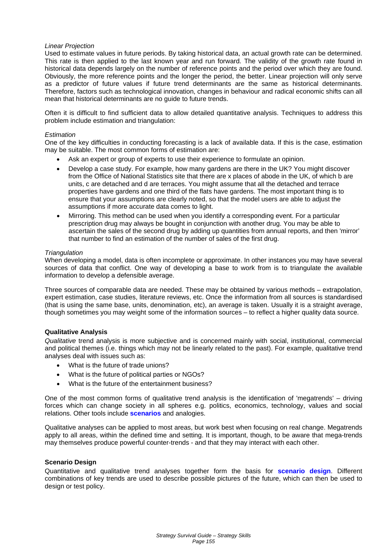## *Linear Projection*

Used to estimate values in future periods. By taking historical data, an actual growth rate can be determined. This rate is then applied to the last known year and run forward. The validity of the growth rate found in historical data depends largely on the number of reference points and the period over which they are found. Obviously, the more reference points and the longer the period, the better. Linear projection will only serve as a predictor of future values if future trend determinants are the same as historical determinants. Therefore, factors such as technological innovation, changes in behaviour and radical economic shifts can all mean that historical determinants are no guide to future trends.

Often it is difficult to find sufficient data to allow detailed quantitative analysis. Techniques to address this problem include estimation and triangulation:

#### *Estimation*

One of the key difficulties in conducting forecasting is a lack of available data. If this is the case, estimation may be suitable. The most common forms of estimation are:

- Ask an expert or group of experts to use their experience to formulate an opinion.
- Develop a case study. For example, how many gardens are there in the UK? You might discover from the Office of National Statistics site that there are x places of abode in the UK, of which b are units, c are detached and d are terraces. You might assume that all the detached and terrace properties have gardens and one third of the flats have gardens. The most important thing is to ensure that your assumptions are clearly noted, so that the model users are able to adjust the assumptions if more accurate data comes to light.
- Mirroring. This method can be used when you identify a corresponding event. For a particular prescription drug may always be bought in conjunction with another drug. You may be able to ascertain the sales of the second drug by adding up quantities from annual reports, and then 'mirror' that number to find an estimation of the number of sales of the first drug.

#### *Triangulation*

When developing a model, data is often incomplete or approximate. In other instances you may have several sources of data that conflict. One way of developing a base to work from is to triangulate the available information to develop a defensible average.

Three sources of comparable data are needed. These may be obtained by various methods – extrapolation, expert estimation, case studies, literature reviews, etc. Once the information from all sources is standardised (that is using the same base, units, denomination, etc), an average is taken. Usually it is a straight average, though sometimes you may weight some of the information sources – to reflect a higher quality data source.

## **Qualitative Analysis**

*Qualitative* trend analysis is more subjective and is concerned mainly with social, institutional, commercial and political themes (i.e. things which may not be linearly related to the past). For example, qualitative trend analyses deal with issues such as:

- What is the future of trade unions?
- What is the future of political parties or NGOs?
- What is the future of the entertainment business?

One of the most common forms of qualitative trend analysis is the identification of 'megatrends' – driving forces which can change society in all spheres e.g. politics, economics, technology, values and social relations. Other tools include **scenarios** and analogies.

Qualitative analyses can be applied to most areas, but work best when focusing on real change. Megatrends apply to all areas, within the defined time and setting. It is important, though, to be aware that mega-trends may themselves produce powerful counter-trends - and that they may interact with each other.

#### **Scenario Design**

Quantitative and qualitative trend analyses together form the basis for **scenario design**. Different combinations of key trends are used to describe possible pictures of the future, which can then be used to design or test policy.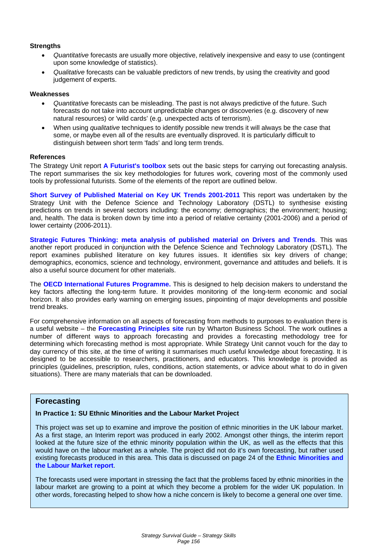## **Strengths**

- *Quantitative* forecasts are usually more objective, relatively inexpensive and easy to use (contingent upon some knowledge of statistics).
- *Qualitative* forecasts can be valuable predictors of new trends, by using the creativity and good judgement of experts.

#### **Weaknesses**

- *Quantitative* forecasts can be misleading. The past is not always predictive of the future. Such forecasts do not take into account unpredictable changes or discoveries (e.g. discovery of new natural resources) or 'wild cards' (e.g. unexpected acts of terrorism).
- When using *qualitative* techniques to identify possible new trends it will always be the case that some, or maybe even all of the results are eventually disproved. It is particularly difficult to distinguish between short term 'fads' and long term trends.

#### **References**

The Strategy Unit report **A Futurist's toolbox** sets out the basic steps for carrying out forecasting analysis. The report summarises the six key methodologies for futures work, covering most of the commonly used tools by professional futurists. Some of the elements of the report are outlined below.

**Short Survey of Published Material on Key UK Trends 2001-2011** This report was undertaken by the Strategy Unit with the Defence Science and Technology Laboratory (DSTL) to synthesise existing predictions on trends in several sectors including: the economy; demographics; the environment; housing; and, health. The data is broken down by time into a period of relative certainty (2001-2006) and a period of lower certainty (2006-2011).

**Strategic Futures Thinking: meta analysis of published material on Drivers and Trends**. This was another report produced in conjunction with the Defence Science and Technology Laboratory (DSTL). The report examines published literature on key futures issues. It identifies six key drivers of change; demographics, economics, science and technology, environment, governance and attitudes and beliefs. It is also a useful source document for other materials.

The **OECD International Futures Programme.** This is designed to help decision makers to understand the key factors affecting the long-term future. It provides monitoring of the long-term economic and social horizon. It also provides early warning on emerging issues, pinpointing of major developments and possible trend breaks.

For comprehensive information on all aspects of forecasting from methods to purposes to evaluation there is a useful website – the **Forecasting Principles site** run by Wharton Business School. The work outlines a number of different ways to approach forecasting and provides a forecasting methodology tree for determining which forecasting method is most appropriate. While Strategy Unit cannot vouch for the day to day currency of this site, at the time of writing it summarises much useful knowledge about forecasting. It is designed to be accessible to researchers, practitioners, and educators. This knowledge is provided as principles (guidelines, prescription, rules, conditions, action statements, or advice about what to do in given situations). There are many materials that can be downloaded.

## **Forecasting**

#### **In Practice 1: SU Ethnic Minorities and the Labour Market Project**

This project was set up to examine and improve the position of ethnic minorities in the UK labour market. As a first stage, an Interim report was produced in early 2002. Amongst other things, the interim report looked at the future size of the ethnic minority population within the UK, as well as the effects that this would have on the labour market as a whole. The project did not do it's own forecasting, but rather used existing forecasts produced in this area. This data is discussed on page 24 of the **Ethnic Minorities and the Labour Market report**.

The forecasts used were important in stressing the fact that the problems faced by ethnic minorities in the labour market are growing to a point at which they become a problem for the wider UK population. In other words, forecasting helped to show how a niche concern is likely to become a general one over time.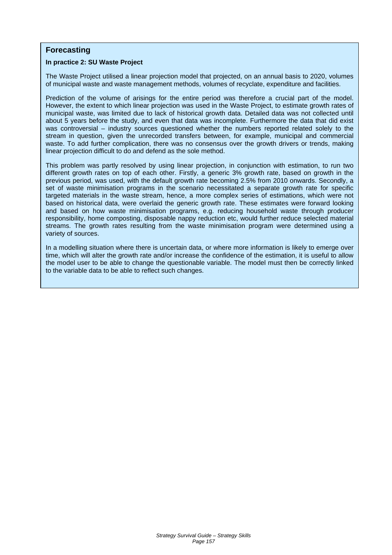## **Forecasting**

### **In practice 2: SU Waste Project**

The Waste Project utilised a linear projection model that projected, on an annual basis to 2020, volumes of municipal waste and waste management methods, volumes of recyclate, expenditure and facilities.

Prediction of the volume of arisings for the entire period was therefore a crucial part of the model. However, the extent to which linear projection was used in the Waste Project, to estimate growth rates of municipal waste, was limited due to lack of historical growth data. Detailed data was not collected until about 5 years before the study, and even that data was incomplete. Furthermore the data that did exist was controversial – industry sources questioned whether the numbers reported related solely to the stream in question, given the unrecorded transfers between, for example, municipal and commercial waste. To add further complication, there was no consensus over the growth drivers or trends, making linear projection difficult to do and defend as the sole method.

This problem was partly resolved by using linear projection, in conjunction with estimation, to run two different growth rates on top of each other. Firstly, a generic 3% growth rate, based on growth in the previous period, was used, with the default growth rate becoming 2.5% from 2010 onwards. Secondly, a set of waste minimisation programs in the scenario necessitated a separate growth rate for specific targeted materials in the waste stream, hence, a more complex series of estimations, which were not based on historical data, were overlaid the generic growth rate. These estimates were forward looking and based on how waste minimisation programs, e.g. reducing household waste through producer responsibility, home composting, disposable nappy reduction etc, would further reduce selected material streams. The growth rates resulting from the waste minimisation program were determined using a variety of sources.

In a modelling situation where there is uncertain data, or where more information is likely to emerge over time, which will alter the growth rate and/or increase the confidence of the estimation, it is useful to allow the model user to be able to change the questionable variable. The model must then be correctly linked to the variable data to be able to reflect such changes.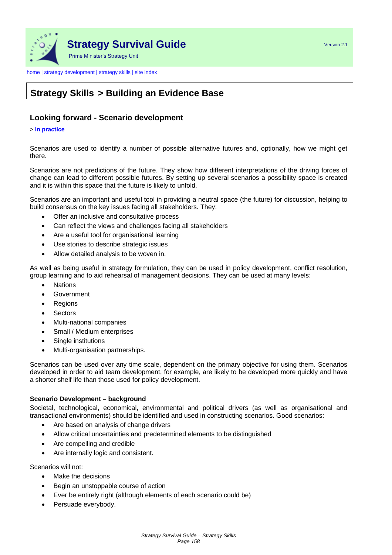

# **Strategy Skills > Building an Evidence Base**

# **Looking forward - Scenario development**

#### > **in practice**

Scenarios are used to identify a number of possible alternative futures and, optionally, how we might get there.

Scenarios are not predictions of the future. They show how different interpretations of the driving forces of change can lead to different possible futures. By setting up several scenarios a possibility space is created and it is within this space that the future is likely to unfold.

Scenarios are an important and useful tool in providing a neutral space (the future) for discussion, helping to build consensus on the key issues facing all stakeholders. They:

- Offer an inclusive and consultative process
- Can reflect the views and challenges facing all stakeholders
- Are a useful tool for organisational learning
- Use stories to describe strategic issues
- Allow detailed analysis to be woven in.

As well as being useful in strategy formulation, they can be used in policy development, conflict resolution, group learning and to aid rehearsal of management decisions. They can be used at many levels:

- **Nations**
- **Government**
- **Regions**
- **Sectors**
- Multi-national companies
- Small / Medium enterprises
- Single institutions
- Multi-organisation partnerships.

Scenarios can be used over any time scale, dependent on the primary objective for using them. Scenarios developed in order to aid team development, for example, are likely to be developed more quickly and have a shorter shelf life than those used for policy development.

#### **Scenario Development – background**

Societal, technological, economical, environmental and political drivers (as well as organisational and transactional environments) should be identified and used in constructing scenarios. Good scenarios:

- Are based on analysis of change drivers
- Allow critical uncertainties and predetermined elements to be distinguished
- Are compelling and credible
- Are internally logic and consistent.

Scenarios will not:

- Make the decisions
- Begin an unstoppable course of action
- Ever be entirely right (although elements of each scenario could be)
- Persuade everybody.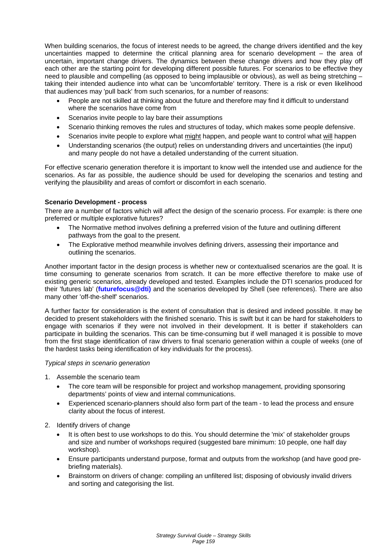When building scenarios, the focus of interest needs to be agreed, the change drivers identified and the key uncertainties mapped to determine the critical planning area for scenario development – the area of uncertain, important change drivers. The dynamics between these change drivers and how they play off each other are the starting point for developing different possible futures. For scenarios to be effective they need to plausible and compelling (as opposed to being implausible or obvious), as well as being stretching – taking their intended audience into what can be 'uncomfortable' territory. There is a risk or even likelihood that audiences may 'pull back' from such scenarios, for a number of reasons:

- People are not skilled at thinking about the future and therefore may find it difficult to understand where the scenarios have come from
- Scenarios invite people to lay bare their assumptions
- Scenario thinking removes the rules and structures of today, which makes some people defensive.
- Scenarios invite people to explore what might happen, and people want to control what will happen
- Understanding scenarios (the output) relies on understanding drivers and uncertainties (the input) and many people do not have a detailed understanding of the current situation.

For effective scenario generation therefore it is important to know well the intended use and audience for the scenarios. As far as possible, the audience should be used for developing the scenarios and testing and verifying the plausibility and areas of comfort or discomfort in each scenario.

#### **Scenario Development - process**

There are a number of factors which will affect the design of the scenario process. For example: is there one preferred or multiple explorative futures?

- The Normative method involves defining a preferred vision of the future and outlining different pathways from the goal to the present.
- The Explorative method meanwhile involves defining drivers, assessing their importance and outlining the scenarios.

Another important factor in the design process is whether new or contextualised scenarios are the goal. It is time consuming to generate scenarios from scratch. It can be more effective therefore to make use of existing generic scenarios, already developed and tested. Examples include the DTI scenarios produced for their 'futures lab' (**futurefocus@dti)** and the scenarios developed by Shell (see references). There are also many other 'off-the-shelf' scenarios.

A further factor for consideration is the extent of consultation that is desired and indeed possible. It may be decided to present stakeholders with the finished scenario. This is swift but it can be hard for stakeholders to engage with scenarios if they were not involved in their development. It is better if stakeholders can participate in building the scenarios. This can be time-consuming but if well managed it is possible to move from the first stage identification of raw drivers to final scenario generation within a couple of weeks (one of the hardest tasks being identification of key individuals for the process).

#### *Typical steps in scenario generation*

- 1. Assemble the scenario team
	- The core team will be responsible for project and workshop management, providing sponsoring departments' points of view and internal communications.
	- Experienced scenario-planners should also form part of the team to lead the process and ensure clarity about the focus of interest.
- 2. Identify drivers of change
	- It is often best to use workshops to do this. You should determine the 'mix' of stakeholder groups and size and number of workshops required (suggested bare minimum: 10 people, one half day workshop).
	- Ensure participants understand purpose, format and outputs from the workshop (and have good prebriefing materials).
	- Brainstorm on drivers of change: compiling an unfiltered list; disposing of obviously invalid drivers and sorting and categorising the list.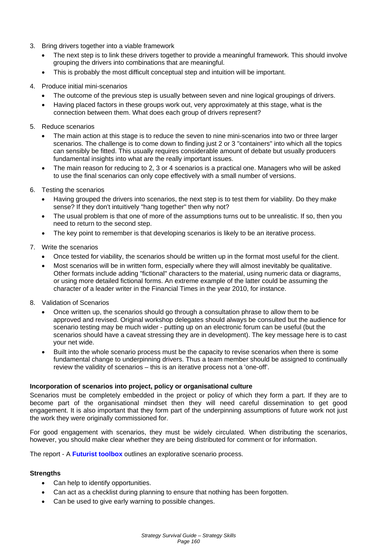- 3. Bring drivers together into a viable framework
	- The next step is to link these drivers together to provide a meaningful framework. This should involve grouping the drivers into combinations that are meaningful.
	- This is probably the most difficult conceptual step and intuition will be important.
- 4. Produce initial mini-scenarios
	- The outcome of the previous step is usually between seven and nine logical groupings of drivers.
	- Having placed factors in these groups work out, very approximately at this stage, what is the connection between them. What does each group of drivers represent?
- 5. Reduce scenarios
	- The main action at this stage is to reduce the seven to nine mini-scenarios into two or three larger scenarios. The challenge is to come down to finding just 2 or 3 "containers" into which all the topics can sensibly be fitted. This usually requires considerable amount of debate but usually producers fundamental insights into what are the really important issues.
	- The main reason for reducing to 2, 3 or 4 scenarios is a practical one. Managers who will be asked to use the final scenarios can only cope effectively with a small number of versions.
- 6. Testing the scenarios
	- Having grouped the drivers into scenarios, the next step is to test them for viability. Do they make sense? If they don't intuitively "hang together" then why not?
	- The usual problem is that one of more of the assumptions turns out to be unrealistic. If so, then you need to return to the second step.
	- The key point to remember is that developing scenarios is likely to be an iterative process.
- 7. Write the scenarios
	- Once tested for viability, the scenarios should be written up in the format most useful for the client.
	- Most scenarios will be in written form, especially where they will almost inevitably be qualitative. Other formats include adding "fictional" characters to the material, using numeric data or diagrams, or using more detailed fictional forms. An extreme example of the latter could be assuming the character of a leader writer in the Financial Times in the year 2010, for instance.
- 8. Validation of Scenarios
	- Once written up, the scenarios should go through a consultation phrase to allow them to be approved and revised. Original workshop delegates should always be consulted but the audience for scenario testing may be much wider - putting up on an electronic forum can be useful (but the scenarios should have a caveat stressing they are in development). The key message here is to cast your net wide.
	- Built into the whole scenario process must be the capacity to revise scenarios when there is some fundamental change to underpinning drivers. Thus a team member should be assigned to continually review the validity of scenarios – this is an iterative process not a 'one-off'.

## **Incorporation of scenarios into project, policy or organisational culture**

Scenarios must be completely embedded in the project or policy of which they form a part. If they are to become part of the organisational mindset then they will need careful dissemination to get good engagement. It is also important that they form part of the underpinning assumptions of future work not just the work they were originally commissioned for.

For good engagement with scenarios, they must be widely circulated. When distributing the scenarios, however, you should make clear whether they are being distributed for comment or for information.

The report - A **Futurist toolbox** outlines an explorative scenario process.

## **Strengths**

- Can help to identify opportunities.
- Can act as a checklist during planning to ensure that nothing has been forgotten.
- Can be used to give early warning to possible changes.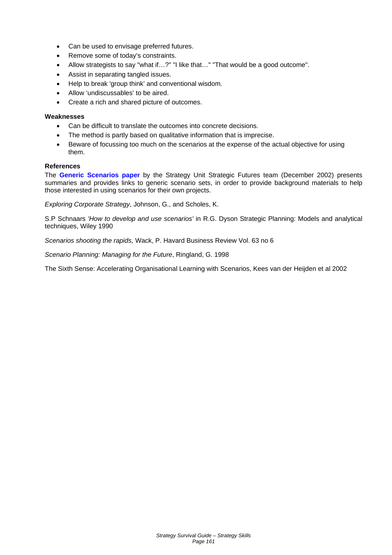- Can be used to envisage preferred futures.
- Remove some of today's constraints.
- Allow strategists to say "what if…?" "I like that…" "That would be a good outcome".
- Assist in separating tangled issues.
- Help to break 'group think' and conventional wisdom.
- Allow 'undiscussables' to be aired.
- Create a rich and shared picture of outcomes.

### **Weaknesses**

- Can be difficult to translate the outcomes into concrete decisions.
- The method is partly based on qualitative information that is imprecise.
- Beware of focussing too much on the scenarios at the expense of the actual objective for using them.

## **References**

The **Generic Scenarios paper** by the Strategy Unit Strategic Futures team (December 2002) presents summaries and provides links to generic scenario sets, in order to provide background materials to help those interested in using scenarios for their own projects.

*Exploring Corporate Strategy*, Johnson, G., and Scholes, K.

S.P Schnaars *'How to develop and use scenarios'* in R.G. Dyson Strategic Planning: Models and analytical techniques, Wiley 1990

*Scenarios shooting the rapids,* Wack, P. Havard Business Review Vol. 63 no 6

*Scenario Planning: Managing for the Future*, Ringland, G. 1998

The Sixth Sense: Accelerating Organisational Learning with Scenarios, Kees van der Heijden et al 2002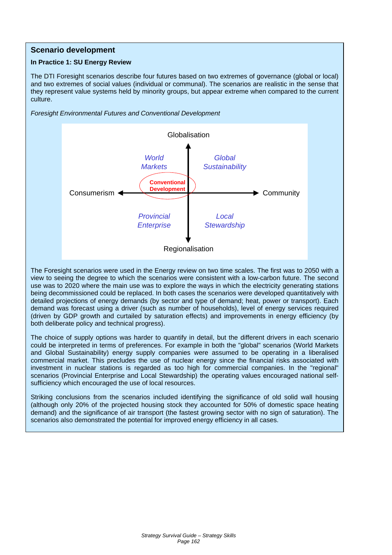# **Scenario development**

## **In Practice 1: SU Energy Review**

The DTI Foresight scenarios describe four futures based on two extremes of governance (global or local) and two extremes of social values (individual or communal). The scenarios are realistic in the sense that they represent value systems held by minority groups, but appear extreme when compared to the current culture.



The Foresight scenarios were used in the Energy review on two time scales. The first was to 2050 with a view to seeing the degree to which the scenarios were consistent with a low-carbon future. The second use was to 2020 where the main use was to explore the ways in which the electricity generating stations being decommissioned could be replaced. In both cases the scenarios were developed quantitatively with detailed projections of energy demands (by sector and type of demand; heat, power or transport). Each demand was forecast using a driver (such as number of households), level of energy services required (driven by GDP growth and curtailed by saturation effects) and improvements in energy efficiency (by both deliberate policy and technical progress).

The choice of supply options was harder to quantify in detail, but the different drivers in each scenario could be interpreted in terms of preferences. For example in both the "global" scenarios (World Markets and Global Sustainability) energy supply companies were assumed to be operating in a liberalised commercial market. This precludes the use of nuclear energy since the financial risks associated with investment in nuclear stations is regarded as too high for commercial companies. In the "regional" scenarios (Provincial Enterprise and Local Stewardship) the operating values encouraged national selfsufficiency which encouraged the use of local resources.

Striking conclusions from the scenarios included identifying the significance of old solid wall housing (although only 20% of the projected housing stock they accounted for 50% of domestic space heating demand) and the significance of air transport (the fastest growing sector with no sign of saturation). The scenarios also demonstrated the potential for improved energy efficiency in all cases.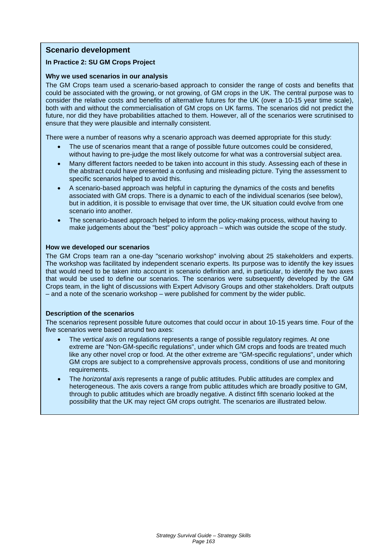# **Scenario development**

## **In Practice 2: SU GM Crops Project**

## **Why we used scenarios in our analysis**

The GM Crops team used a scenario-based approach to consider the range of costs and benefits that could be associated with the growing, or not growing, of GM crops in the UK. The central purpose was to consider the relative costs and benefits of alternative futures for the UK (over a 10-15 year time scale), both with and without the commercialisation of GM crops on UK farms. The scenarios did not predict the future, nor did they have probabilities attached to them. However, all of the scenarios were scrutinised to ensure that they were plausible and internally consistent.

There were a number of reasons why a scenario approach was deemed appropriate for this study:

- The use of scenarios meant that a range of possible future outcomes could be considered, without having to pre-judge the most likely outcome for what was a controversial subject area.
- Many different factors needed to be taken into account in this study. Assessing each of these in the abstract could have presented a confusing and misleading picture. Tying the assessment to specific scenarios helped to avoid this.
- A scenario-based approach was helpful in capturing the dynamics of the costs and benefits associated with GM crops. There is a dynamic to each of the individual scenarios (see below), but in addition, it is possible to envisage that over time, the UK situation could evolve from one scenario into another.
- The scenario-based approach helped to inform the policy-making process, without having to make judgements about the "best" policy approach – which was outside the scope of the study.

## **How we developed our scenarios**

The GM Crops team ran a one-day "scenario workshop" involving about 25 stakeholders and experts. The workshop was facilitated by independent scenario experts. Its purpose was to identify the key issues that would need to be taken into account in scenario definition and, in particular, to identify the two axes that would be used to define our scenarios. The scenarios were subsequently developed by the GM Crops team, in the light of discussions with Expert Advisory Groups and other stakeholders. Draft outputs – and a note of the scenario workshop – were published for comment by the wider public.

## **Description of the scenarios**

The scenarios represent possible future outcomes that could occur in about 10-15 years time. Four of the five scenarios were based around two axes:

- The *vertical axis* on regulations represents a range of possible regulatory regimes. At one extreme are "Non-GM-specific regulations", under which GM crops and foods are treated much like any other novel crop or food. At the other extreme are "GM-specific regulations", under which GM crops are subject to a comprehensive approvals process, conditions of use and monitoring requirements.
- The *horizontal axi*s represents a range of public attitudes. Public attitudes are complex and heterogeneous. The axis covers a range from public attitudes which are broadly positive to GM, through to public attitudes which are broadly negative. A distinct fifth scenario looked at the possibility that the UK may reject GM crops outright. The scenarios are illustrated below.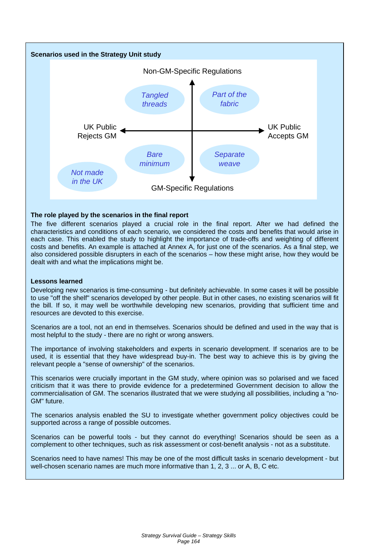

#### **The role played by the scenarios in the final report**

The five different scenarios played a crucial role in the final report. After we had defined the characteristics and conditions of each scenario, we considered the costs and benefits that would arise in each case. This enabled the study to highlight the importance of trade-offs and weighting of different costs and benefits. An example is attached at Annex A, for just one of the scenarios. As a final step, we also considered possible disrupters in each of the scenarios – how these might arise, how they would be dealt with and what the implications might be.

#### **Lessons learned**

Developing new scenarios is time-consuming - but definitely achievable. In some cases it will be possible to use "off the shelf" scenarios developed by other people. But in other cases, no existing scenarios will fit the bill. If so, it may well be worthwhile developing new scenarios, providing that sufficient time and resources are devoted to this exercise.

Scenarios are a tool, not an end in themselves. Scenarios should be defined and used in the way that is most helpful to the study - there are no right or wrong answers.

The importance of involving stakeholders and experts in scenario development. If scenarios are to be used, it is essential that they have widespread buy-in. The best way to achieve this is by giving the relevant people a "sense of ownership" of the scenarios.

This scenarios were crucially important in the GM study, where opinion was so polarised and we faced criticism that it was there to provide evidence for a predetermined Government decision to allow the commercialisation of GM. The scenarios illustrated that we were studying all possibilities, including a "no-GM" future.

The scenarios analysis enabled the SU to investigate whether government policy objectives could be supported across a range of possible outcomes.

Scenarios can be powerful tools - but they cannot do everything! Scenarios should be seen as a complement to other techniques, such as risk assessment or cost-benefit analysis - not as a substitute.

Scenarios need to have names! This may be one of the most difficult tasks in scenario development - but well-chosen scenario names are much more informative than 1, 2, 3 ... or A, B, C etc.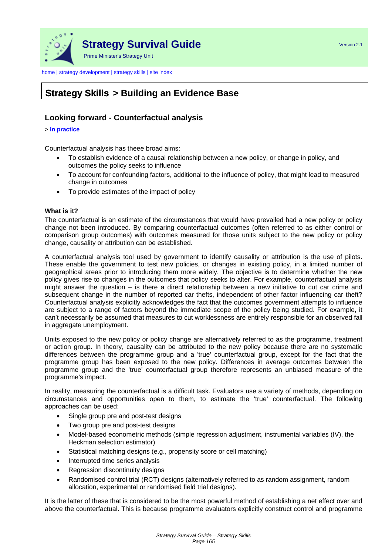

# **Strategy Skills > Building an Evidence Base**

# **Looking forward - Counterfactual analysis**

#### > **in practice**

Counterfactual analysis has theee broad aims:

- To establish evidence of a causal relationship between a new policy, or change in policy, and outcomes the policy seeks to influence
- To account for confounding factors, additional to the influence of policy, that might lead to measured change in outcomes
- To provide estimates of the impact of policy

#### **What is it?**

The counterfactual is an estimate of the circumstances that would have prevailed had a new policy or policy change not been introduced. By comparing counterfactual outcomes (often referred to as either control or comparison group outcomes) with outcomes measured for those units subject to the new policy or policy change, causality or attribution can be established.

A counterfactual analysis tool used by government to identify causality or attribution is the use of pilots. These enable the government to test new policies, or changes in existing policy, in a limited number of geographical areas prior to introducing them more widely. The objective is to determine whether the new policy gives rise to changes in the outcomes that policy seeks to alter. For example, counterfactual analysis might answer the question – is there a direct relationship between a new initiative to cut car crime and subsequent change in the number of reported car thefts, independent of other factor influencing car theft? Counterfactual analysis explicitly acknowledges the fact that the outcomes government attempts to influence are subject to a range of factors beyond the immediate scope of the policy being studied. For example, it can't necessarily be assumed that measures to cut worklessness are entirely responsible for an observed fall in aggregate unemployment.

Units exposed to the new policy or policy change are alternatively referred to as the programme, treatment or action group. In theory, causality can be attributed to the new policy because there are no systematic differences between the programme group and a 'true' counterfactual group, except for the fact that the programme group has been exposed to the new policy. Differences in average outcomes between the programme group and the 'true' counterfactual group therefore represents an unbiased measure of the programme's impact.

In reality, measuring the counterfactual is a difficult task. Evaluators use a variety of methods, depending on circumstances and opportunities open to them, to estimate the 'true' counterfactual. The following approaches can be used:

- Single group pre and post-test designs
- Two group pre and post-test designs
- Model-based econometric methods (simple regression adjustment, instrumental variables (IV), the Heckman selection estimator)
- Statistical matching designs (e.g., propensity score or cell matching)
- Interrupted time series analysis
- Regression discontinuity designs
- Randomised control trial (RCT) designs (alternatively referred to as random assignment, random allocation, experimental or randomised field trial designs).

It is the latter of these that is considered to be the most powerful method of establishing a net effect over and above the counterfactual. This is because programme evaluators explicitly construct control and programme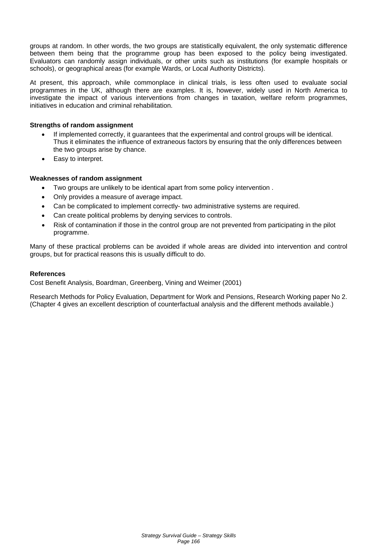groups at random. In other words, the two groups are statistically equivalent, the only systematic difference between them being that the programme group has been exposed to the policy being investigated. Evaluators can randomly assign individuals, or other units such as institutions (for example hospitals or schools), or geographical areas (for example Wards, or Local Authority Districts).

At present, this approach, while commonplace in clinical trials, is less often used to evaluate social programmes in the UK, although there are examples. It is, however, widely used in North America to investigate the impact of various interventions from changes in taxation, welfare reform programmes, initiatives in education and criminal rehabilitation.

## **Strengths of random assignment**

- If implemented correctly, it guarantees that the experimental and control groups will be identical. Thus it eliminates the influence of extraneous factors by ensuring that the only differences between the two groups arise by chance.
- Easy to interpret.

## **Weaknesses of random assignment**

- Two groups are unlikely to be identical apart from some policy intervention .
- Only provides a measure of average impact.
- Can be complicated to implement correctly- two administrative systems are required.
- Can create political problems by denying services to controls.
- Risk of contamination if those in the control group are not prevented from participating in the pilot programme.

Many of these practical problems can be avoided if whole areas are divided into intervention and control groups, but for practical reasons this is usually difficult to do.

## **References**

Cost Benefit Analysis, Boardman, Greenberg, Vining and Weimer (2001)

Research Methods for Policy Evaluation, Department for Work and Pensions, Research Working paper No 2. (Chapter 4 gives an excellent description of counterfactual analysis and the different methods available.)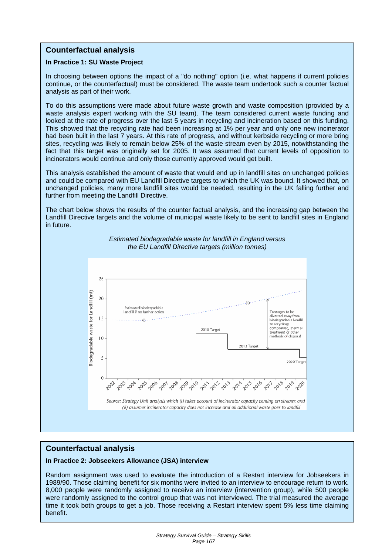# **Counterfactual analysis**

## **In Practice 1: SU Waste Project**

In choosing between options the impact of a "do nothing" option (i.e. what happens if current policies continue, or the counterfactual) must be considered. The waste team undertook such a counter factual analysis as part of their work.

To do this assumptions were made about future waste growth and waste composition (provided by a waste analysis expert working with the SU team). The team considered current waste funding and looked at the rate of progress over the last 5 years in recycling and incineration based on this funding. This showed that the recycling rate had been increasing at 1% per year and only one new incinerator had been built in the last 7 years. At this rate of progress, and without kerbside recycling or more bring sites, recycling was likely to remain below 25% of the waste stream even by 2015, notwithstanding the fact that this target was originally set for 2005. It was assumed that current levels of opposition to incinerators would continue and only those currently approved would get built.

This analysis established the amount of waste that would end up in landfill sites on unchanged policies and could be compared with EU Landfill Directive targets to which the UK was bound. It showed that, on unchanged policies, many more landfill sites would be needed, resulting in the UK falling further and further from meeting the Landfill Directive.

The chart below shows the results of the counter factual analysis, and the increasing gap between the Landfill Directive targets and the volume of municipal waste likely to be sent to landfill sites in England in future.





# **Counterfactual analysis**

## **In Practice 2: Jobseekers Allowance (JSA) interview**

Random assignment was used to evaluate the introduction of a Restart interview for Jobseekers in 1989/90. Those claiming benefit for six months were invited to an interview to encourage return to work. 8,000 people were randomly assigned to receive an interview (intervention group), while 500 people were randomly assigned to the control group that was not interviewed. The trial measured the average time it took both groups to get a job. Those receiving a Restart interview spent 5% less time claiming benefit.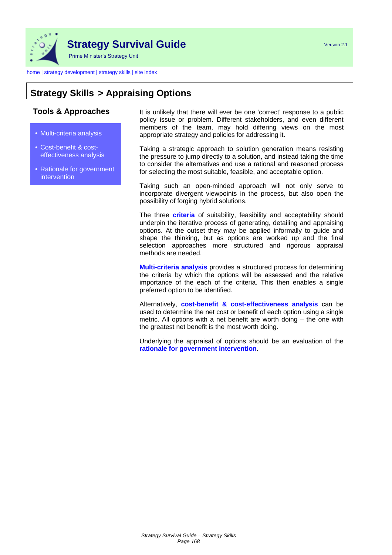

# **Strategy Skills > Appraising Options**

# **Tools & Approaches**

- Multi-criteria analysis
- Cost-benefit & costeffectiveness analysis
- Rationale for government intervention

It is unlikely that there will ever be one 'correct' response to a public policy issue or problem. Different stakeholders, and even different members of the team, may hold differing views on the most appropriate strategy and policies for addressing it.

Taking a strategic approach to solution generation means resisting the pressure to jump directly to a solution, and instead taking the time to consider the alternatives and use a rational and reasoned process for selecting the most suitable, feasible, and acceptable option.

Taking such an open-minded approach will not only serve to incorporate divergent viewpoints in the process, but also open the possibility of forging hybrid solutions.

The three **criteria** of suitability, feasibility and acceptability should underpin the iterative process of generating, detailing and appraising options. At the outset they may be applied informally to guide and shape the thinking, but as options are worked up and the final selection approaches more structured and rigorous appraisal methods are needed.

**Multi-criteria analysis** provides a structured process for determining the criteria by which the options will be assessed and the relative importance of the each of the criteria. This then enables a single preferred option to be identified.

Alternatively, **cost-benefit & cost-effectiveness analysis** can be used to determine the net cost or benefit of each option using a single metric. All options with a net benefit are worth doing – the one with the greatest net benefit is the most worth doing.

Underlying the appraisal of options should be an evaluation of the **rationale for government intervention**.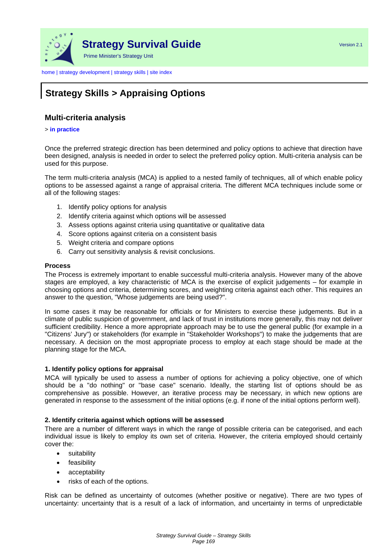

# **Strategy Skills > Appraising Options**

# **Multi-criteria analysis**

#### > **in practice**

Once the preferred strategic direction has been determined and policy options to achieve that direction have been designed, analysis is needed in order to select the preferred policy option. Multi-criteria analysis can be used for this purpose.

The term multi-criteria analysis (MCA) is applied to a nested family of techniques, all of which enable policy options to be assessed against a range of appraisal criteria. The different MCA techniques include some or all of the following stages:

- 1. Identify policy options for analysis
- 2. Identify criteria against which options will be assessed
- 3. Assess options against criteria using quantitative or qualitative data
- 4. Score options against criteria on a consistent basis
- 5. Weight criteria and compare options
- 6. Carry out sensitivity analysis & revisit conclusions.

#### **Process**

The Process is extremely important to enable successful multi-criteria analysis. However many of the above stages are employed, a key characteristic of MCA is the exercise of explicit judgements – for example in choosing options and criteria, determining scores, and weighting criteria against each other. This requires an answer to the question, "Whose judgements are being used?".

In some cases it may be reasonable for officials or for Ministers to exercise these judgements. But in a climate of public suspicion of government, and lack of trust in institutions more generally, this may not deliver sufficient credibility. Hence a more appropriate approach may be to use the general public (for example in a "Citizens' Jury") or stakeholders (for example in "Stakeholder Workshops") to make the judgements that are necessary. A decision on the most appropriate process to employ at each stage should be made at the planning stage for the MCA.

### **1. Identify policy options for appraisal**

MCA will typically be used to assess a number of options for achieving a policy objective, one of which should be a "do nothing" or "base case" scenario. Ideally, the starting list of options should be as comprehensive as possible. However, an iterative process may be necessary, in which new options are generated in response to the assessment of the initial options (e.g. if none of the initial options perform well).

#### **2. Identify criteria against which options will be assessed**

There are a number of different ways in which the range of possible criteria can be categorised, and each individual issue is likely to employ its own set of criteria. However, the criteria employed should certainly cover the:

- suitability
- feasibility
- acceptability
- risks of each of the options.

Risk can be defined as uncertainty of outcomes (whether positive or negative). There are two types of uncertainty: uncertainty that is a result of a lack of information, and uncertainty in terms of unpredictable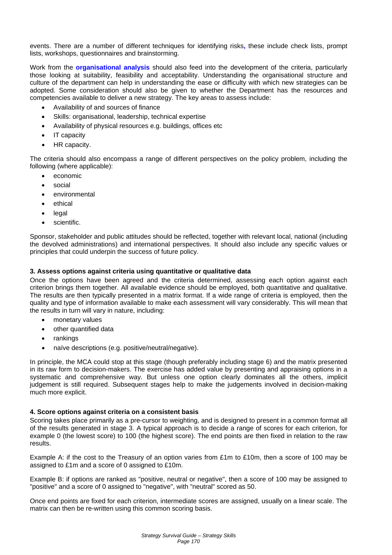events. There are a number of different techniques for identifying risks**,** these include check lists, prompt lists, workshops, questionnaires and brainstorming.

Work from the **organisational analysis** should also feed into the development of the criteria, particularly those looking at suitability, feasibility and acceptability. Understanding the organisational structure and culture of the department can help in understanding the ease or difficulty with which new strategies can be adopted. Some consideration should also be given to whether the Department has the resources and competencies available to deliver a new strategy. The key areas to assess include:

- Availability of and sources of finance
- Skills: organisational, leadership, technical expertise
- Availability of physical resources e.g. buildings, offices etc
- IT capacitv
- HR capacity.

The criteria should also encompass a range of different perspectives on the policy problem, including the following (where applicable):

- economic
- social
- environmental
- ethical
- legal
- scientific.

Sponsor, stakeholder and public attitudes should be reflected, together with relevant local, national (including the devolved administrations) and international perspectives. It should also include any specific values or principles that could underpin the success of future policy.

## **3. Assess options against criteria using quantitative or qualitative data**

Once the options have been agreed and the criteria determined, assessing each option against each criterion brings them together. All available evidence should be employed, both quantitative and qualitative. The results are then typically presented in a matrix format. If a wide range of criteria is employed, then the quality and type of information available to make each assessment will vary considerably. This will mean that the results in turn will vary in nature, including:

- monetary values
- other quantified data
- **rankings**
- naïve descriptions (e.g. positive/neutral/negative).

In principle, the MCA could stop at this stage (though preferably including stage 6) and the matrix presented in its raw form to decision-makers. The exercise has added value by presenting and appraising options in a systematic and comprehensive way. But unless one option clearly dominates all the others, implicit judgement is still required. Subsequent stages help to make the judgements involved in decision-making much more explicit.

## **4. Score options against criteria on a consistent basis**

Scoring takes place primarily as a pre-cursor to weighting, and is designed to present in a common format all of the results generated in stage 3. A typical approach is to decide a range of scores for each criterion, for example 0 (the lowest score) to 100 (the highest score). The end points are then fixed in relation to the raw results.

Example A: if the cost to the Treasury of an option varies from £1m to £10m, then a score of 100 may be assigned to £1m and a score of 0 assigned to £10m.

Example B: if options are ranked as "positive, neutral or negative", then a score of 100 may be assigned to "positive" and a score of 0 assigned to "negative", with "neutral" scored as 50.

Once end points are fixed for each criterion, intermediate scores are assigned, usually on a linear scale. The matrix can then be re-written using this common scoring basis.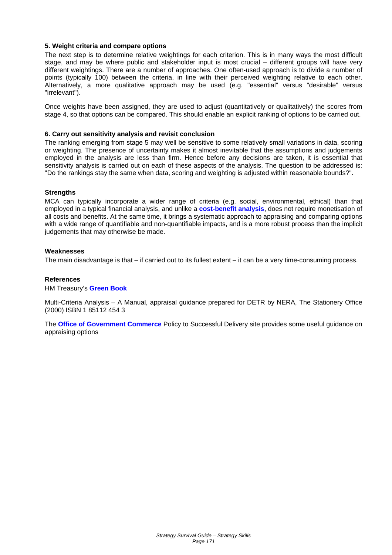### **5. Weight criteria and compare options**

The next step is to determine relative weightings for each criterion. This is in many ways the most difficult stage, and may be where public and stakeholder input is most crucial – different groups will have very different weightings. There are a number of approaches. One often-used approach is to divide a number of points (typically 100) between the criteria, in line with their perceived weighting relative to each other. Alternatively, a more qualitative approach may be used (e.g. "essential" versus "desirable" versus "irrelevant").

Once weights have been assigned, they are used to adjust (quantitatively or qualitatively) the scores from stage 4, so that options can be compared. This should enable an explicit ranking of options to be carried out.

#### **6. Carry out sensitivity analysis and revisit conclusion**

The ranking emerging from stage 5 may well be sensitive to some relatively small variations in data, scoring or weighting. The presence of uncertainty makes it almost inevitable that the assumptions and judgements employed in the analysis are less than firm. Hence before any decisions are taken, it is essential that sensitivity analysis is carried out on each of these aspects of the analysis. The question to be addressed is: "Do the rankings stay the same when data, scoring and weighting is adjusted within reasonable bounds?".

## **Strengths**

MCA can typically incorporate a wider range of criteria (e.g. social, environmental, ethical) than that employed in a typical financial analysis, and unlike a **cost-benefit analysis**, does not require monetisation of all costs and benefits. At the same time, it brings a systematic approach to appraising and comparing options with a wide range of quantifiable and non-quantifiable impacts, and is a more robust process than the implicit judgements that may otherwise be made.

#### **Weaknesses**

The main disadvantage is that – if carried out to its fullest extent – it can be a very time-consuming process.

#### **References**

HM Treasury's **Green Book**

Multi-Criteria Analysis – A Manual, appraisal guidance prepared for DETR by NERA, The Stationery Office (2000) ISBN 1 85112 454 3

The **Office of Government Commerce** Policy to Successful Delivery site provides some useful guidance on appraising options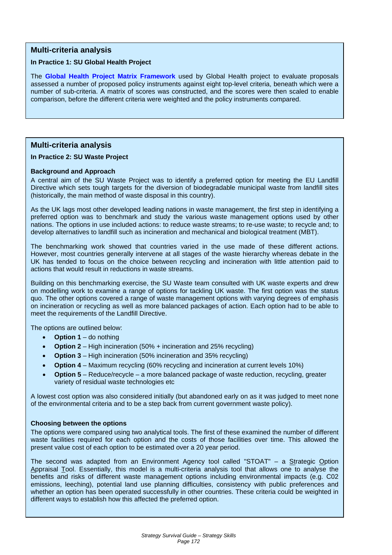# **Multi-criteria analysis**

## **In Practice 1: SU Global Health Project**

The **Global Health Project Matrix Framework** used by Global Health project to evaluate proposals assessed a number of proposed policy instruments against eight top-level criteria, beneath which were a number of sub-criteria. A matrix of scores was constructed, and the scores were then scaled to enable comparison, before the different criteria were weighted and the policy instruments compared.

## **Multi-criteria analysis**

## **In Practice 2: SU Waste Project**

## **Background and Approach**

A central aim of the SU Waste Project was to identify a preferred option for meeting the EU Landfill Directive which sets tough targets for the diversion of biodegradable municipal waste from landfill sites (historically, the main method of waste disposal in this country).

As the UK lags most other developed leading nations in waste management, the first step in identifying a preferred option was to benchmark and study the various waste management options used by other nations. The options in use included actions: to reduce waste streams; to re-use waste; to recycle and; to develop alternatives to landfill such as incineration and mechanical and biological treatment (MBT).

The benchmarking work showed that countries varied in the use made of these different actions. However, most countries generally intervene at all stages of the waste hierarchy whereas debate in the UK has tended to focus on the choice between recycling and incineration with little attention paid to actions that would result in reductions in waste streams.

Building on this benchmarking exercise, the SU Waste team consulted with UK waste experts and drew on modelling work to examine a range of options for tackling UK waste. The first option was the status quo. The other options covered a range of waste management options with varying degrees of emphasis on incineration or recycling as well as more balanced packages of action. Each option had to be able to meet the requirements of the Landfill Directive.

The options are outlined below:

- **Option 1** do nothing
- **Option 2** High incineration (50% + incineration and 25% recycling)
- **Option 3** High incineration (50% incineration and 35% recycling)
- **Option 4** Maximum recycling (60% recycling and incineration at current levels 10%)
- **Option 5** Reduce/recycle a more balanced package of waste reduction, recycling, greater variety of residual waste technologies etc

A lowest cost option was also considered initially (but abandoned early on as it was judged to meet none of the environmental criteria and to be a step back from current government waste policy).

## **Choosing between the options**

The options were compared using two analytical tools. The first of these examined the number of different waste facilities required for each option and the costs of those facilities over time. This allowed the present value cost of each option to be estimated over a 20 year period.

The second was adapted from an Environment Agency tool called "STOAT" – a Strategic Option Appraisal Tool. Essentially, this model is a multi-criteria analysis tool that allows one to analyse the benefits and risks of different waste management options including environmental impacts (e.g. C02 emissions, leeching), potential land use planning difficulties, consistency with public preferences and whether an option has been operated successfully in other countries. These criteria could be weighted in different ways to establish how this affected the preferred option.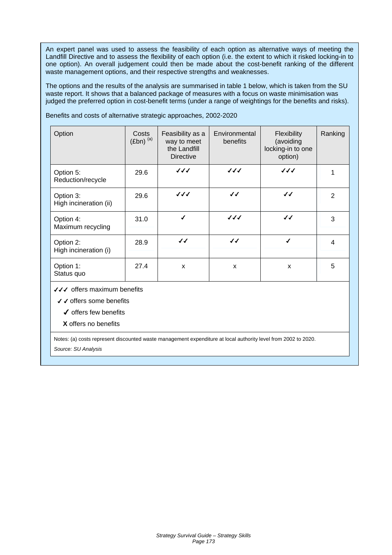An expert panel was used to assess the feasibility of each option as alternative ways of meeting the Landfill Directive and to assess the flexibility of each option (i.e. the extent to which it risked locking-in to one option). An overall judgement could then be made about the cost-benefit ranking of the different waste management options, and their respective strengths and weaknesses.

The options and the results of the analysis are summarised in table 1 below, which is taken from the SU waste report. It shows that a balanced package of measures with a focus on waste minimisation was judged the preferred option in cost-benefit terms (under a range of weightings for the benefits and risks).

Benefits and costs of alternative strategic approaches, 2002-2020

| Option                              | Costs<br>$(\text{\rm Ebn})^{(\text{a})}$ | Feasibility as a<br>way to meet<br>the Landfill<br><b>Directive</b> | Environmental<br>benefits  | Flexibility<br>(avoiding<br>locking-in to one<br>option) | Ranking        |
|-------------------------------------|------------------------------------------|---------------------------------------------------------------------|----------------------------|----------------------------------------------------------|----------------|
| Option 5:<br>Reduction/recycle      | 29.6                                     | $\sqrt{\sqrt{\sqrt{2}}}$                                            | $\sqrt{\sqrt{\ }}$         | $\sqrt{\sqrt{\}}$                                        | 1              |
| Option 3:<br>High incineration (ii) | 29.6                                     | $\sqrt{\sqrt{\}}$                                                   | $\boldsymbol{\mathcal{N}}$ | $\checkmark$                                             | $\overline{2}$ |
| Option 4:<br>Maximum recycling      | 31.0                                     | ✔                                                                   | $\sqrt{\sqrt{\}}$          | $\checkmark$                                             | 3              |
| Option 2:<br>High incineration (i)  | 28.9                                     | $\checkmark$                                                        | $\boldsymbol{\mathcal{N}}$ | ℐ                                                        | 4              |
| Option 1:<br>Status quo             | 27.4                                     | X                                                                   | X                          | X                                                        | 5              |

 $\sqrt{\checkmark}$  offers maximum benefits

 $\checkmark$   $\checkmark$  offers some benefits

 $\checkmark$  offers few benefits

**X** offers no benefits

Notes: (a) costs represent discounted waste management expenditure at local authority level from 2002 to 2020. *Source: SU Analysis* 

> *Strategy Survival Guide – Strategy Skills Page 173*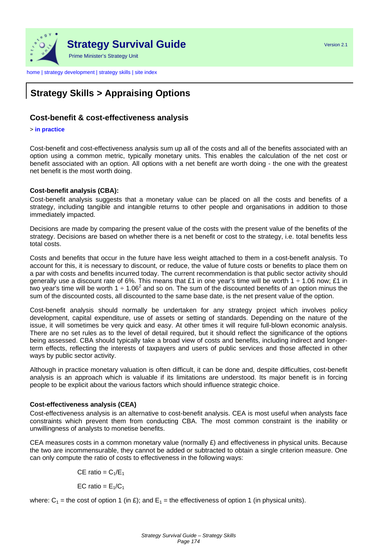

# **Strategy Skills > Appraising Options**

# **Cost-benefit & cost-effectiveness analysis**

#### > **in practice**

Cost-benefit and cost-effectiveness analysis sum up all of the costs and all of the benefits associated with an option using a common metric, typically monetary units. This enables the calculation of the net cost or benefit associated with an option. All options with a net benefit are worth doing - the one with the greatest net benefit is the most worth doing.

## **Cost-benefit analysis (CBA):**

Cost-benefit analysis suggests that a monetary value can be placed on all the costs and benefits of a strategy, including tangible and intangible returns to other people and organisations in addition to those immediately impacted.

Decisions are made by comparing the present value of the costs with the present value of the benefits of the strategy. Decisions are based on whether there is a net benefit or cost to the strategy, i.e. total benefits less total costs.

Costs and benefits that occur in the future have less weight attached to them in a cost-benefit analysis. To account for this, it is necessary to discount, or reduce, the value of future costs or benefits to place them on a par with costs and benefits incurred today. The current recommendation is that public sector activity should generally use a discount rate of 6%. This means that £1 in one year's time will be worth  $1 \div 1.06$  now; £1 in two year's time will be worth 1  $\div$  1.06<sup>2</sup> and so on. The sum of the discounted benefits of an option minus the sum of the discounted costs, all discounted to the same base date, is the net present value of the option.

Cost-benefit analysis should normally be undertaken for any strategy project which involves policy development, capital expenditure, use of assets or setting of standards. Depending on the nature of the issue, it will sometimes be very quick and easy. At other times it will require full-blown economic analysis. There are no set rules as to the level of detail required, but it should reflect the significance of the options being assessed. CBA should typically take a broad view of costs and benefits, including indirect and longerterm effects, reflecting the interests of taxpayers and users of public services and those affected in other ways by public sector activity.

Although in practice monetary valuation is often difficult, it can be done and, despite difficulties, cost-benefit analysis is an approach which is valuable if its limitations are understood. Its major benefit is in forcing people to be explicit about the various factors which should influence strategic choice.

## **Cost-effectiveness analysis (CEA)**

Cost-effectiveness analysis is an alternative to cost-benefit analysis. CEA is most useful when analysts face constraints which prevent them from conducting CBA. The most common constraint is the inability or unwillingness of analysts to monetise benefits.

CEA measures costs in a common monetary value (normally  $E$ ) and effectiveness in physical units. Because the two are incommensurable, they cannot be added or subtracted to obtain a single criterion measure. One can only compute the ratio of costs to effectiveness in the following ways:

> CE ratio =  $C_1/E_1$ EC ratio =  $E_1/C_1$

where:  $C_1$  = the cost of option 1 (in £); and  $E_1$  = the effectiveness of option 1 (in physical units).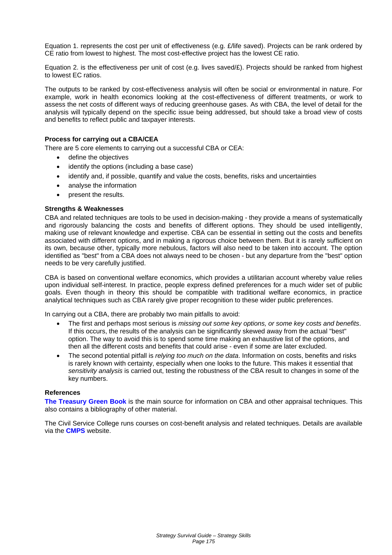Equation 1. represents the cost per unit of effectiveness (e.g. £/life saved). Projects can be rank ordered by CE ratio from lowest to highest. The most cost-effective project has the lowest CE ratio.

Equation 2. is the effectiveness per unit of cost (e.g. lives saved/£). Projects should be ranked from highest to lowest EC ratios.

The outputs to be ranked by cost-effectiveness analysis will often be social or environmental in nature. For example, work in health economics looking at the cost-effectiveness of different treatments, or work to assess the net costs of different ways of reducing greenhouse gases. As with CBA, the level of detail for the analysis will typically depend on the specific issue being addressed, but should take a broad view of costs and benefits to reflect public and taxpayer interests.

## **Process for carrying out a CBA/CEA**

There are 5 core elements to carrying out a successful CBA or CEA:

- define the objectives
- identify the options (including a base case)
- identify and, if possible, quantify and value the costs, benefits, risks and uncertainties
- analyse the information
- present the results.

#### **Strengths & Weaknesses**

CBA and related techniques are tools to be used in decision-making - they provide a means of systematically and rigorously balancing the costs and benefits of different options. They should be used intelligently, making use of relevant knowledge and expertise. CBA can be essential in setting out the costs and benefits associated with different options, and in making a rigorous choice between them. But it is rarely sufficient on its own, because other, typically more nebulous, factors will also need to be taken into account. The option identified as "best" from a CBA does not always need to be chosen - but any departure from the "best" option needs to be very carefully justified.

CBA is based on conventional welfare economics, which provides a utilitarian account whereby value relies upon individual self-interest. In practice, people express defined preferences for a much wider set of public goals. Even though in theory this should be compatible with traditional welfare economics, in practice analytical techniques such as CBA rarely give proper recognition to these wider public preferences.

In carrying out a CBA, there are probably two main pitfalls to avoid:

- The first and perhaps most serious is *missing out some key options, or some key costs and benefits*. If this occurs, the results of the analysis can be significantly skewed away from the actual "best" option. The way to avoid this is to spend some time making an exhaustive list of the options, and then all the different costs and benefits that could arise - even if some are later excluded.
- The second potential pitfall is *relying too much on the data*. Information on costs, benefits and risks is rarely known with certainty, especially when one looks to the future. This makes it essential that *sensitivity analysis* is carried out, testing the robustness of the CBA result to changes in some of the key numbers.

#### **References**

**The Treasury Green Book** is the main source for information on CBA and other appraisal techniques. This also contains a bibliography of other material.

The Civil Service College runs courses on cost-benefit analysis and related techniques. Details are available via the **CMPS** website.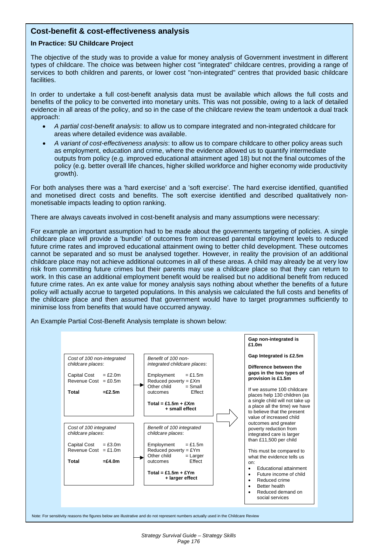# **Cost-benefit & cost-effectiveness analysis**

## **In Practice: SU Childcare Project**

The objective of the study was to provide a value for money analysis of Government investment in different types of childcare. The choice was between higher cost "integrated" childcare centres, providing a range of services to both children and parents, or lower cost "non-integrated" centres that provided basic childcare facilities.

In order to undertake a full cost-benefit analysis data must be available which allows the full costs and benefits of the policy to be converted into monetary units. This was not possible, owing to a lack of detailed evidence in all areas of the policy, and so in the case of the childcare review the team undertook a dual track approach:

- *A partial cost-benefit analysis*: to allow us to compare integrated and non-integrated childcare for areas where detailed evidence was available.
- *A variant of cost-effectiveness analysis*: to allow us to compare childcare to other policy areas such as employment, education and crime, where the evidence allowed us to quantify intermediate outputs from policy (e.g. improved educational attainment aged 18) but not the final outcomes of the policy (e.g. better overall life chances, higher skilled workforce and higher economy wide productivity growth).

For both analyses there was a 'hard exercise' and a 'soft exercise'. The hard exercise identified, quantified and monetised direct costs and benefits. The soft exercise identified and described qualitatively nonmonetisable impacts leading to option ranking.

There are always caveats involved in cost-benefit analysis and many assumptions were necessary:

For example an important assumption had to be made about the governments targeting of policies. A single childcare place will provide a 'bundle' of outcomes from increased parental employment levels to reduced future crime rates and improved educational attainment owing to better child development. These outcomes cannot be separated and so must be analysed together. However, in reality the provision of an additional childcare place may not achieve additional outcomes in all of these areas. A child may already be at very low risk from committing future crimes but their parents may use a childcare place so that they can return to work. In this case an additional employment benefit would be realised but no additional benefit from reduced future crime rates. An ex ante value for money analysis says nothing about whether the benefits of a future policy will actually accrue to targeted populations. In this analysis we calculated the full costs and benefits of the childcare place and then assumed that government would have to target programmes sufficiently to minimise loss from benefits that would have occurred anyway.

An Example Partial Cost-Benefit Analysis template is shown below:



*Strategy Survival Guide – Strategy Skills Page 176*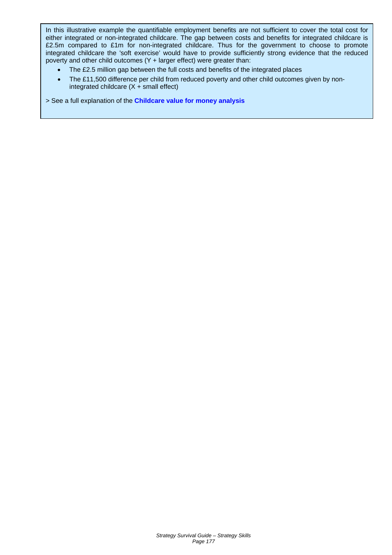In this illustrative example the quantifiable employment benefits are not sufficient to cover the total cost for either integrated or non-integrated childcare. The gap between costs and benefits for integrated childcare is £2.5m compared to £1m for non-integrated childcare. Thus for the government to choose to promote integrated childcare the 'soft exercise' would have to provide sufficiently strong evidence that the reduced poverty and other child outcomes (Y + larger effect) were greater than:

- The £2.5 million gap between the full costs and benefits of the integrated places
- The £11,500 difference per child from reduced poverty and other child outcomes given by nonintegrated childcare  $(X + small effect)$
- > See a full explanation of the **Childcare value for money analysis**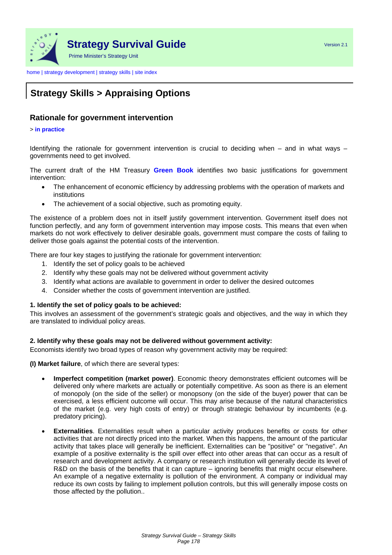

# **Strategy Skills > Appraising Options**

# **Rationale for government intervention**

#### > **in practice**

Identifying the rationale for government intervention is crucial to deciding when  $-$  and in what ways  $$ governments need to get involved.

The current draft of the HM Treasury **Green Book** identifies two basic justifications for government intervention:

- The enhancement of economic efficiency by addressing problems with the operation of markets and institutions
- The achievement of a social objective, such as promoting equity.

The existence of a problem does not in itself justify government intervention. Government itself does not function perfectly, and any form of government intervention may impose costs. This means that even when markets do not work effectively to deliver desirable goals, government must compare the costs of failing to deliver those goals against the potential costs of the intervention.

There are four key stages to justifying the rationale for government intervention:

- 1. Identify the set of policy goals to be achieved
- 2. Identify why these goals may not be delivered without government activity
- 3. Identify what actions are available to government in order to deliver the desired outcomes
- 4. Consider whether the costs of government intervention are justified.

## **1. Identify the set of policy goals to be achieved:**

This involves an assessment of the government's strategic goals and objectives, and the way in which they are translated to individual policy areas.

## **2. Identify why these goals may not be delivered without government activity:**

Economists identify two broad types of reason why government activity may be required:

**(I) Market failure**, of which there are several types:

- **Imperfect competition (market power)**. Economic theory demonstrates efficient outcomes will be delivered only where markets are actually or potentially competitive. As soon as there is an element of monopoly (on the side of the seller) or monopsony (on the side of the buyer) power that can be exercised, a less efficient outcome will occur. This may arise because of the natural characteristics of the market (e.g. very high costs of entry) or through strategic behaviour by incumbents (e.g. predatory pricing).
- **Externalities**. Externalities result when a particular activity produces benefits or costs for other activities that are not directly priced into the market. When this happens, the amount of the particular activity that takes place will generally be inefficient. Externalities can be "positive" or "negative". An example of a positive externality is the spill over effect into other areas that can occur as a result of research and development activity. A company or research institution will generally decide its level of R&D on the basis of the benefits that it can capture – ignoring benefits that might occur elsewhere. An example of a negative externality is pollution of the environment. A company or individual may reduce its own costs by failing to implement pollution controls, but this will generally impose costs on those affected by the pollution..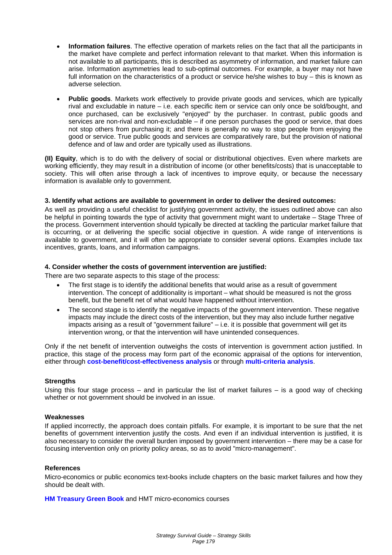- **Information failures**. The effective operation of markets relies on the fact that all the participants in the market have complete and perfect information relevant to that market. When this information is not available to all participants, this is described as asymmetry of information, and market failure can arise. Information asymmetries lead to sub-optimal outcomes. For example, a buyer may not have full information on the characteristics of a product or service he/she wishes to buy – this is known as adverse selection.
- **Public goods**. Markets work effectively to provide private goods and services, which are typically rival and excludable in nature – i.e. each specific item or service can only once be sold/bought, and once purchased, can be exclusively "enjoyed" by the purchaser. In contrast, public goods and services are non-rival and non-excludable – if one person purchases the good or service, that does not stop others from purchasing it; and there is generally no way to stop people from enjoying the good or service. True public goods and services are comparatively rare, but the provision of national defence and of law and order are typically used as illustrations.

**(II) Equity**, which is to do with the delivery of social or distributional objectives. Even where markets are working efficiently, they may result in a distribution of income (or other benefits/costs) that is unacceptable to society. This will often arise through a lack of incentives to improve equity, or because the necessary information is available only to government.

#### **3. Identify what actions are available to government in order to deliver the desired outcomes:**

As well as providing a useful checklist for justifying government activity, the issues outlined above can also be helpful in pointing towards the type of activity that government might want to undertake – Stage Three of the process. Government intervention should typically be directed at tackling the particular market failure that is occurring, or at delivering the specific social objective in question. A wide range of interventions is available to government, and it will often be appropriate to consider several options. Examples include tax incentives, grants, loans, and information campaigns.

#### **4. Consider whether the costs of government intervention are justified:**

There are two separate aspects to this stage of the process:

- The first stage is to identify the additional benefits that would arise as a result of government intervention. The concept of additionality is important – what should be measured is not the gross benefit, but the benefit net of what would have happened without intervention.
- The second stage is to identify the negative impacts of the government intervention. These negative impacts may include the direct costs of the intervention, but they may also include further negative impacts arising as a result of "government failure" – i.e. it is possible that government will get its intervention wrong, or that the intervention will have unintended consequences.

Only if the net benefit of intervention outweighs the costs of intervention is government action justified. In practice, this stage of the process may form part of the economic appraisal of the options for intervention, either through **cost-benefit/cost-effectiveness analysis** or through **multi-criteria analysis**.

#### **Strengths**

Using this four stage process – and in particular the list of market failures – is a good way of checking whether or not government should be involved in an issue.

#### **Weaknesses**

If applied incorrectly, the approach does contain pitfalls. For example, it is important to be sure that the net benefits of government intervention justify the costs. And even if an individual intervention is justified, it is also necessary to consider the overall burden imposed by government intervention – there may be a case for focusing intervention only on priority policy areas, so as to avoid "micro-management".

#### **References**

Micro-economics or public economics text-books include chapters on the basic market failures and how they should be dealt with.

**HM Treasury Green Book** and HMT micro-economics courses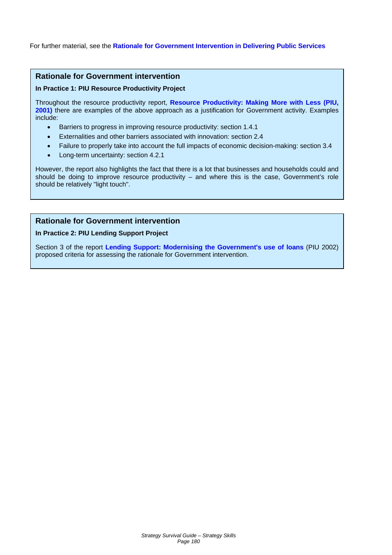For further material, see the **Rationale for Government Intervention in Delivering Public Services**

#### **Rationale for Government intervention**

#### **In Practice 1: PIU Resource Productivity Project**

Throughout the resource productivity report, **Resource Productivity: Making More with Less (PIU,**  2001) there are examples of the above approach as a justification for Government activity. Examples include:

- Barriers to progress in improving resource productivity: section 1.4.1
- Externalities and other barriers associated with innovation: section 2.4
- Failure to properly take into account the full impacts of economic decision-making: section 3.4
- Long-term uncertainty: section 4.2.1

However, the report also highlights the fact that there is a lot that businesses and households could and should be doing to improve resource productivity – and where this is the case, Government's role should be relatively "light touch".

#### **Rationale for Government intervention**

#### **In Practice 2: PIU Lending Support Project**

Section 3 of the report **Lending Support: Modernising the Government's use of loans** (PIU 2002) proposed criteria for assessing the rationale for Government intervention.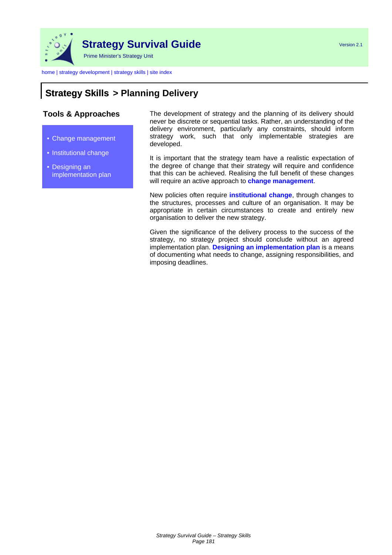

# **Strategy Skills > Planning Delivery**

## **Tools & Approaches**

- Change management
- Institutional change
- Designing an implementation plan

The development of strategy and the planning of its delivery should never be discrete or sequential tasks. Rather, an understanding of the delivery environment, particularly any constraints, should inform strategy work, such that only implementable strategies are developed.

It is important that the strategy team have a realistic expectation of the degree of change that their strategy will require and confidence that this can be achieved. Realising the full benefit of these changes will require an active approach to **change management**.

New policies often require **institutional change**, through changes to the structures, processes and culture of an organisation. It may be appropriate in certain circumstances to create and entirely new organisation to deliver the new strategy.

Given the significance of the delivery process to the success of the strategy, no strategy project should conclude without an agreed implementation plan. **Designing an implementation plan** is a means of documenting what needs to change, assigning responsibilities, and imposing deadlines.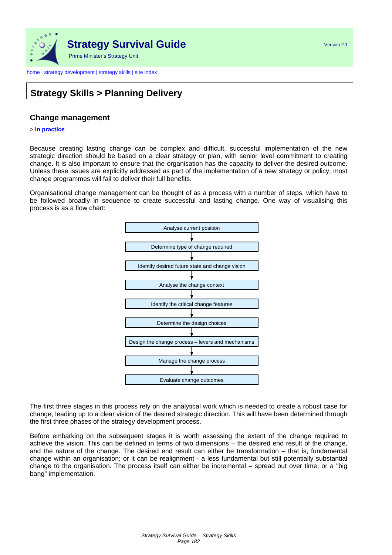

# **Strategy Skills > Planning Delivery**

#### **Change management**

#### > **in practice**

Because creating lasting change can be complex and difficult, successful implementation of the new strategic direction should be based on a clear strategy or plan, with senior level commitment to creating change. It is also important to ensure that the organisation has the capacity to deliver the desired outcome. Unless these issues are explicitly addressed as part of the implementation of a new strategy or policy, most change programmes will fail to deliver their full benefits.

Organisational change management can be thought of as a process with a number of steps, which have to be followed broadly in sequence to create successful and lasting change. One way of visualising this process is as a flow chart:



The first three stages in this process rely on the analytical work which is needed to create a robust case for change, leading up to a clear vision of the desired strategic direction. This will have been determined through the first three phases of the strategy development process.

Before embarking on the subsequent stages it is worth assessing the extent of the change required to achieve the vision. This can be defined in terms of two dimensions – the desired end result of the change, and the nature of the change. The desired end result can either be transformation – that is, fundamental change within an organisation; or it can be realignment - a less fundamental but still potentially substantial change to the organisation. The process itself can either be incremental – spread out over time; or a "big bang" implementation.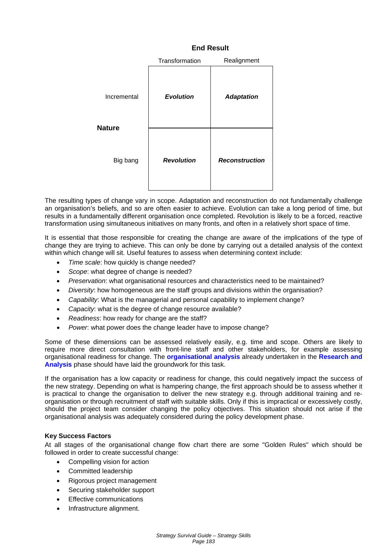

The resulting types of change vary in scope. Adaptation and reconstruction do not fundamentally challenge an organisation's beliefs, and so are often easier to achieve. Evolution can take a long period of time, but results in a fundamentally different organisation once completed. Revolution is likely to be a forced, reactive transformation using simultaneous initiatives on many fronts, and often in a relatively short space of time.

It is essential that those responsible for creating the change are aware of the implications of the type of change they are trying to achieve. This can only be done by carrying out a detailed analysis of the context within which change will sit. Useful features to assess when determining context include:

- *Time scale*: how quickly is change needed?
- *Scope*: what degree of change is needed?
- *Preservation*: what organisational resources and characteristics need to be maintained?
- *Diversity*: how homogeneous are the staff groups and divisions within the organisation?
- *Capability*: What is the managerial and personal capability to implement change?
- *Capacity*: what is the degree of change resource available?
- *Readiness*: how ready for change are the staff?
- *Power*: what power does the change leader have to impose change?

Some of these dimensions can be assessed relatively easily, e.g. time and scope. Others are likely to require more direct consultation with front-line staff and other stakeholders, for example assessing organisational readiness for change. The **organisational analysis** already undertaken in the **Research and Analysis** phase should have laid the groundwork for this task.

If the organisation has a low capacity or readiness for change, this could negatively impact the success of the new strategy. Depending on what is hampering change, the first approach should be to assess whether it is practical to change the organisation to deliver the new strategy e.g. through additional training and reorganisation or through recruitment of staff with suitable skills. Only if this is impractical or excessively costly, should the project team consider changing the policy objectives. This situation should not arise if the organisational analysis was adequately considered during the policy development phase.

#### **Key Success Factors**

At all stages of the organisational change flow chart there are some "Golden Rules" which should be followed in order to create successful change:

- Compelling vision for action
- Committed leadership
- Rigorous project management
- Securing stakeholder support
- **Effective communications**
- Infrastructure alignment.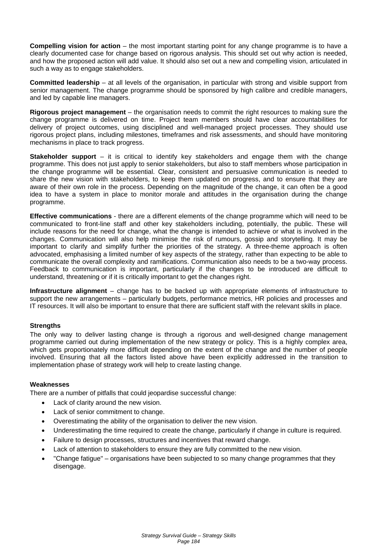**Compelling vision for action** – the most important starting point for any change programme is to have a clearly documented case for change based on rigorous analysis. This should set out why action is needed, and how the proposed action will add value. It should also set out a new and compelling vision, articulated in such a way as to engage stakeholders.

**Committed leadership** – at all levels of the organisation, in particular with strong and visible support from senior management. The change programme should be sponsored by high calibre and credible managers, and led by capable line managers.

**Rigorous project management** – the organisation needs to commit the right resources to making sure the change programme is delivered on time. Project team members should have clear accountabilities for delivery of project outcomes, using disciplined and well-managed project processes. They should use rigorous project plans, including milestones, timeframes and risk assessments, and should have monitoring mechanisms in place to track progress.

**Stakeholder support** – it is critical to identify key stakeholders and engage them with the change programme. This does not just apply to senior stakeholders, but also to staff members whose participation in the change programme will be essential. Clear, consistent and persuasive communication is needed to share the new vision with stakeholders, to keep them updated on progress, and to ensure that they are aware of their own role in the process. Depending on the magnitude of the change, it can often be a good idea to have a system in place to monitor morale and attitudes in the organisation during the change programme.

**Effective communications** - there are a different elements of the change programme which will need to be communicated to front-line staff and other key stakeholders including, potentially, the public. These will include reasons for the need for change, what the change is intended to achieve or what is involved in the changes. Communication will also help minimise the risk of rumours, gossip and storytelling. It may be important to clarify and simplify further the priorities of the strategy. A three-theme approach is often advocated, emphasising a limited number of key aspects of the strategy, rather than expecting to be able to communicate the overall complexity and ramifications. Communication also needs to be a two-way process. Feedback to communication is important, particularly if the changes to be introduced are difficult to understand, threatening or if it is critically important to get the changes right.

**Infrastructure alignment** – change has to be backed up with appropriate elements of infrastructure to support the new arrangements – particularly budgets, performance metrics, HR policies and processes and IT resources. It will also be important to ensure that there are sufficient staff with the relevant skills in place.

#### **Strengths**

The only way to deliver lasting change is through a rigorous and well-designed change management programme carried out during implementation of the new strategy or policy. This is a highly complex area, which gets proportionately more difficult depending on the extent of the change and the number of people involved. Ensuring that all the factors listed above have been explicitly addressed in the transition to implementation phase of strategy work will help to create lasting change.

#### **Weaknesses**

There are a number of pitfalls that could jeopardise successful change:

- Lack of clarity around the new vision.
- Lack of senior commitment to change.
- Overestimating the ability of the organisation to deliver the new vision.
- Underestimating the time required to create the change, particularly if change in culture is required.
- Failure to design processes, structures and incentives that reward change.
- Lack of attention to stakeholders to ensure they are fully committed to the new vision.
- "Change fatigue" organisations have been subjected to so many change programmes that they disengage.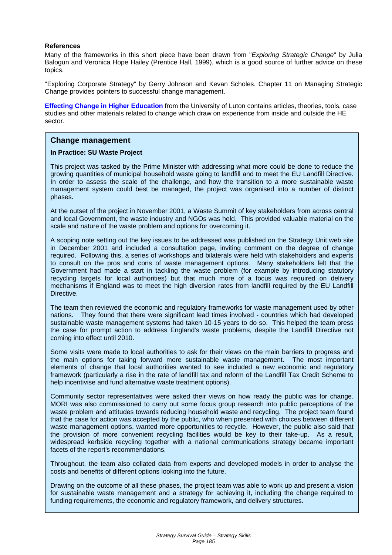#### **References**

Many of the frameworks in this short piece have been drawn from "*Exploring Strategic Change*" by Julia Balogun and Veronica Hope Hailey (Prentice Hall, 1999), which is a good source of further advice on these topics.

"Exploring Corporate Strategy" by Gerry Johnson and Kevan Scholes. Chapter 11 on Managing Strategic Change provides pointers to successful change management.

**Effecting Change in Higher Education** from the University of Luton contains articles, theories, tools, case studies and other materials related to change which draw on experience from inside and outside the HE sector.

#### **Change management**

#### **In Practice: SU Waste Project**

This project was tasked by the Prime Minister with addressing what more could be done to reduce the growing quantities of municipal household waste going to landfill and to meet the EU Landfill Directive. In order to assess the scale of the challenge, and how the transition to a more sustainable waste management system could best be managed, the project was organised into a number of distinct phases.

At the outset of the project in November 2001, a Waste Summit of key stakeholders from across central and local Government, the waste industry and NGOs was held. This provided valuable material on the scale and nature of the waste problem and options for overcoming it.

A scoping note setting out the key issues to be addressed was published on the Strategy Unit web site in December 2001 and included a consultation page, inviting comment on the degree of change required. Following this, a series of workshops and bilaterals were held with stakeholders and experts to consult on the pros and cons of waste management options. Many stakeholders felt that the Government had made a start in tackling the waste problem (for example by introducing statutory recycling targets for local authorities) but that much more of a focus was required on delivery mechanisms if England was to meet the high diversion rates from landfill required by the EU Landfill **Directive** 

The team then reviewed the economic and regulatory frameworks for waste management used by other nations. They found that there were significant lead times involved - countries which had developed sustainable waste management systems had taken 10-15 years to do so. This helped the team press the case for prompt action to address England's waste problems, despite the Landfill Directive not coming into effect until 2010.

Some visits were made to local authorities to ask for their views on the main barriers to progress and the main options for taking forward more sustainable waste management. The most important elements of change that local authorities wanted to see included a new economic and regulatory framework (particularly a rise in the rate of landfill tax and reform of the Landfill Tax Credit Scheme to help incentivise and fund alternative waste treatment options).

Community sector representatives were asked their views on how ready the public was for change. MORI was also commissioned to carry out some focus group research into public perceptions of the waste problem and attitudes towards reducing household waste and recycling. The project team found that the case for action was accepted by the public, who when presented with choices between different waste management options, wanted more opportunities to recycle. However, the public also said that the provision of more convenient recycling facilities would be key to their take-up. As a result, widespread kerbside recycling together with a national communications strategy became important facets of the report's recommendations.

Throughout, the team also collated data from experts and developed models in order to analyse the costs and benefits of different options looking into the future.

Drawing on the outcome of all these phases, the project team was able to work up and present a vision for sustainable waste management and a strategy for achieving it, including the change required to funding requirements, the economic and regulatory framework, and delivery structures.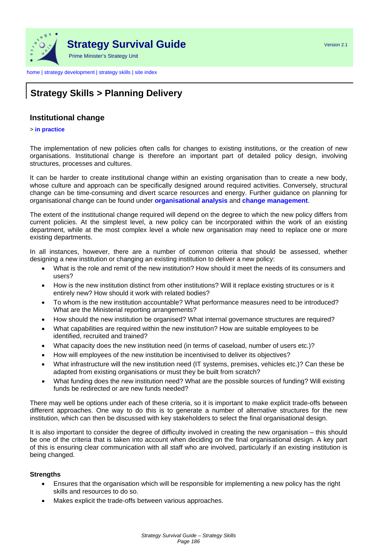

# **Strategy Skills > Planning Delivery**

### **Institutional change**

#### > **in practice**

The implementation of new policies often calls for changes to existing institutions, or the creation of new organisations. Institutional change is therefore an important part of detailed policy design, involving structures, processes and cultures.

It can be harder to create institutional change within an existing organisation than to create a new body, whose culture and approach can be specifically designed around required activities. Conversely, structural change can be time-consuming and divert scarce resources and energy. Further guidance on planning for organisational change can be found under **organisational analysis** and **change management**.

The extent of the institutional change required will depend on the degree to which the new policy differs from current policies. At the simplest level, a new policy can be incorporated within the work of an existing department, while at the most complex level a whole new organisation may need to replace one or more existing departments.

In all instances, however, there are a number of common criteria that should be assessed, whether designing a new institution or changing an existing institution to deliver a new policy:

- What is the role and remit of the new institution? How should it meet the needs of its consumers and  $\frac{1}{2}$
- How is the new institution distinct from other institutions? Will it replace existing structures or is it entirely new? How should it work with related bodies?
- To whom is the new institution accountable? What performance measures need to be introduced? What are the Ministerial reporting arrangements?
- How should the new institution be organised? What internal governance structures are required?
- What capabilities are required within the new institution? How are suitable employees to be identified, recruited and trained?
- What capacity does the new institution need (in terms of caseload, number of users etc.)?
- How will employees of the new institution be incentivised to deliver its objectives?
- What infrastructure will the new institution need (IT systems, premises, vehicles etc.)? Can these be adapted from existing organisations or must they be built from scratch?
- What funding does the new institution need? What are the possible sources of funding? Will existing funds be redirected or are new funds needed?

There may well be options under each of these criteria, so it is important to make explicit trade-offs between different approaches. One way to do this is to generate a number of alternative structures for the new institution, which can then be discussed with key stakeholders to select the final organisational design.

It is also important to consider the degree of difficulty involved in creating the new organisation – this should be one of the criteria that is taken into account when deciding on the final organisational design. A key part of this is ensuring clear communication with all staff who are involved, particularly if an existing institution is being changed.

#### **Strengths**

- Ensures that the organisation which will be responsible for implementing a new policy has the right skills and resources to do so.
- Makes explicit the trade-offs between various approaches.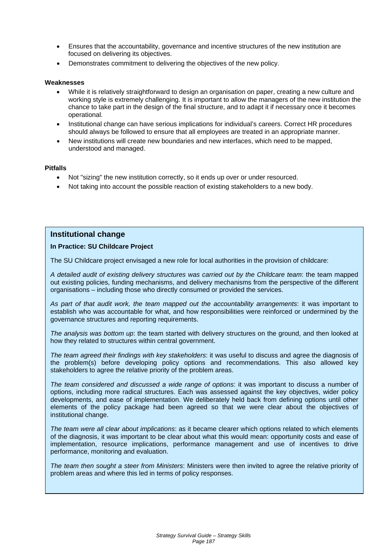- Ensures that the accountability, governance and incentive structures of the new institution are focused on delivering its objectives.
- Demonstrates commitment to delivering the objectives of the new policy.

#### **Weaknesses**

- While it is relatively straightforward to design an organisation on paper, creating a new culture and working style is extremely challenging. It is important to allow the managers of the new institution the chance to take part in the design of the final structure, and to adapt it if necessary once it becomes operational.
- Institutional change can have serious implications for individual's careers. Correct HR procedures should always be followed to ensure that all employees are treated in an appropriate manner.
- New institutions will create new boundaries and new interfaces, which need to be mapped, understood and managed.

#### **Pitfalls**

- Not "sizing" the new institution correctly, so it ends up over or under resourced.
- Not taking into account the possible reaction of existing stakeholders to a new body.

#### **Institutional change**

#### **In Practice: SU Childcare Project**

The SU Childcare project envisaged a new role for local authorities in the provision of childcare:

*A detailed audit of existing delivery structures was carried out by the Childcare team*: the team mapped out existing policies, funding mechanisms, and delivery mechanisms from the perspective of the different organisations – including those who directly consumed or provided the services.

*As part of that audit work, the team mapped out the accountability arrangements*: it was important to establish who was accountable for what, and how responsibilities were reinforced or undermined by the governance structures and reporting requirements.

*The analysis was bottom up*: the team started with delivery structures on the ground, and then looked at how they related to structures within central government.

*The team agreed their findings with key stakeholders*: it was useful to discuss and agree the diagnosis of the problem(s) before developing policy options and recommendations. This also allowed key stakeholders to agree the relative priority of the problem areas.

*The team considered and discussed a wide range of options*: it was important to discuss a number of options, including more radical structures. Each was assessed against the key objectives, wider policy developments, and ease of implementation. We deliberately held back from defining options until other elements of the policy package had been agreed so that we were clear about the objectives of institutional change.

*The team were all clear about implications*: as it became clearer which options related to which elements of the diagnosis, it was important to be clear about what this would mean: opportunity costs and ease of implementation, resource implications, performance management and use of incentives to drive performance, monitoring and evaluation.

*The team then sought a steer from Ministers*: Ministers were then invited to agree the relative priority of problem areas and where this led in terms of policy responses.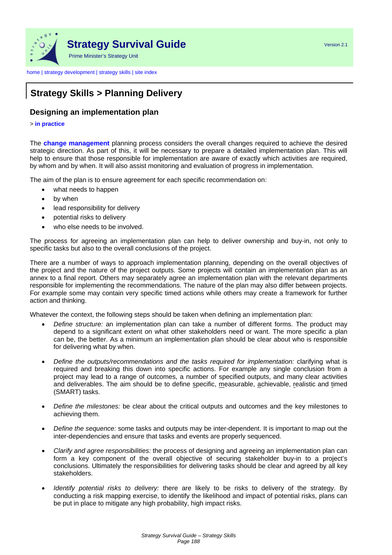

# **Strategy Skills > Planning Delivery**

## **Designing an implementation plan**

> **in practice** 

The **change management** planning process considers the overall changes required to achieve the desired strategic direction. As part of this, it will be necessary to prepare a detailed implementation plan. This will help to ensure that those responsible for implementation are aware of exactly which activities are required, by whom and by when. It will also assist monitoring and evaluation of progress in implementation.

The aim of the plan is to ensure agreement for each specific recommendation on:

- what needs to happen
- by when
- lead responsibility for delivery
- potential risks to delivery
- who else needs to be involved.

The process for agreeing an implementation plan can help to deliver ownership and buy-in, not only to specific tasks but also to the overall conclusions of the project.

There are a number of ways to approach implementation planning, depending on the overall objectives of the project and the nature of the project outputs. Some projects will contain an implementation plan as an annex to a final report. Others may separately agree an implementation plan with the relevant departments responsible for implementing the recommendations. The nature of the plan may also differ between projects. For example some may contain very specific timed actions while others may create a framework for further action and thinking.

Whatever the context, the following steps should be taken when defining an implementation plan:

- *Define structure:* an implementation plan can take a number of different forms. The product may depend to a significant extent on what other stakeholders need or want. The more specific a plan can be, the better. As a minimum an implementation plan should be clear about who is responsible for delivering what by when.
- *Define the outputs/recommendations and the tasks required for implementation:* clarifying what is required and breaking this down into specific actions. For example any single conclusion from a project may lead to a range of outcomes, a number of specified outputs, and many clear activities and deliverables. The aim should be to define specific, measurable, achievable, realistic and timed (SMART) tasks.
- *Define the milestones:* be clear about the critical outputs and outcomes and the key milestones to achieving them.
- *Define the sequence:* some tasks and outputs may be inter-dependent. It is important to map out the inter-dependencies and ensure that tasks and events are properly sequenced.
- *Clarify and agree responsibilities:* the process of designing and agreeing an implementation plan can form a key component of the overall objective of securing stakeholder buy-in to a project's conclusions. Ultimately the responsibilities for delivering tasks should be clear and agreed by all key stakeholders.
- *Identify potential risks to delivery:* there are likely to be risks to delivery of the strategy. By conducting a risk mapping exercise, to identify the likelihood and impact of potential risks, plans can be put in place to mitigate any high probability, high impact risks.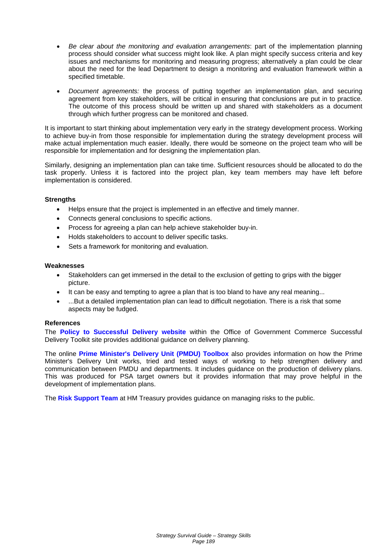- *Be clear about the monitoring and evaluation arrangements*: part of the implementation planning process should consider what success might look like. A plan might specify success criteria and key issues and mechanisms for monitoring and measuring progress; alternatively a plan could be clear about the need for the lead Department to design a monitoring and evaluation framework within a specified timetable.
- *Document agreements:* the process of putting together an implementation plan, and securing agreement from key stakeholders, will be critical in ensuring that conclusions are put in to practice. The outcome of this process should be written up and shared with stakeholders as a document through which further progress can be monitored and chased.

It is important to start thinking about implementation very early in the strategy development process. Working to achieve buy-in from those responsible for implementation during the strategy development process will make actual implementation much easier. Ideally, there would be someone on the project team who will be responsible for implementation and for designing the implementation plan.

Similarly, designing an implementation plan can take time. Sufficient resources should be allocated to do the task properly. Unless it is factored into the project plan, key team members may have left before implementation is considered.

#### **Strengths**

- Helps ensure that the project is implemented in an effective and timely manner.
- Connects general conclusions to specific actions.
- Process for agreeing a plan can help achieve stakeholder buy-in.
- Holds stakeholders to account to deliver specific tasks.
- Sets a framework for monitoring and evaluation.

#### **Weaknesses**

- Stakeholders can get immersed in the detail to the exclusion of getting to grips with the bigger picture.
- It can be easy and tempting to agree a plan that is too bland to have any real meaning...
- ...But a detailed implementation plan can lead to difficult negotiation. There is a risk that some aspects may be fudged.

#### **References**

The **Policy to Successful Delivery website** within the Office of Government Commerce Successful Delivery Toolkit site provides additional guidance on delivery planning.

The online **Prime Minister's Delivery Unit (PMDU) Toolbox** also provides information on how the Prime Minister's Delivery Unit works, tried and tested ways of working to help strengthen delivery and communication between PMDU and departments. It includes guidance on the production of delivery plans. This was produced for PSA target owners but it provides information that may prove helpful in the development of implementation plans.

The **Risk Support Team** at HM Treasury provides guidance on managing risks to the public.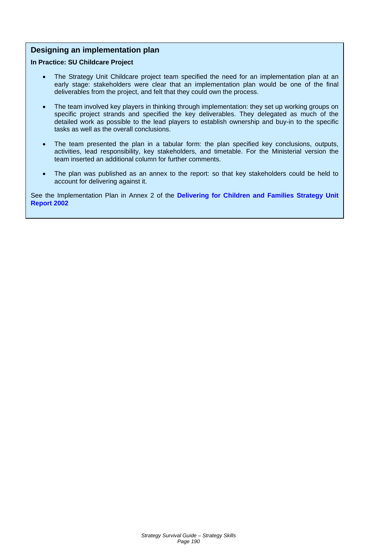### **Designing an implementation plan**

#### **In Practice: SU Childcare Project**

- The Strategy Unit Childcare project team specified the need for an implementation plan at an early stage: stakeholders were clear that an implementation plan would be one of the final deliverables from the project, and felt that they could own the process.
- The team involved key players in thinking through implementation: they set up working groups on specific project strands and specified the key deliverables. They delegated as much of the detailed work as possible to the lead players to establish ownership and buy-in to the specific tasks as well as the overall conclusions.
- The team presented the plan in a tabular form: the plan specified key conclusions, outputs, activities, lead responsibility, key stakeholders, and timetable. For the Ministerial version the team inserted an additional column for further comments.
- The plan was published as an annex to the report: so that key stakeholders could be held to account for delivering against it.

See the Implementation Plan in Annex 2 of the **Delivering for Children and Families Strategy Unit Report 2002**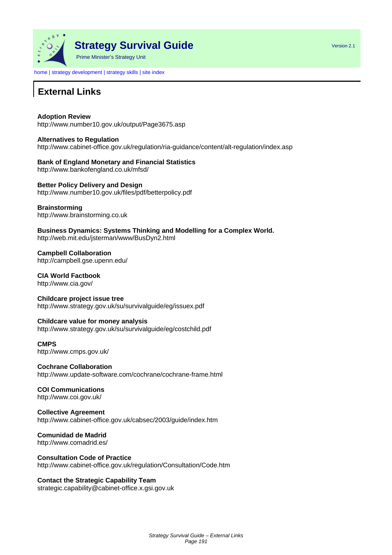

## **External Links**

**Adoption Review**  http://www.number10.gov.uk/output/Page3675.asp

**Alternatives to Regulation**  http://www.cabinet-office.gov.uk/regulation/ria-guidance/content/alt-regulation/index.asp

**Bank of England Monetary and Financial Statistics**  http://www.bankofengland.co.uk/mfsd/

**Better Policy Delivery and Design**  http://www.number10.gov.uk/files/pdf/betterpolicy.pdf

**Brainstorming**  http://www.brainstorming.co.uk

**Business Dynamics: Systems Thinking and Modelling for a Complex World.**  http://web.mit.edu/jsterman/www/BusDyn2.html

**Campbell Collaboration**  http://campbell.gse.upenn.edu/

**CIA World Factbook**  http://www.cia.gov/

**Childcare project issue tree**  http://www.strategy.gov.uk/su/survivalguide/eg/issuex.pdf

**Childcare value for money analysis**  http://www.strategy.gov.uk/su/survivalguide/eg/costchild.pdf

**CMPS**  http://www.cmps.gov.uk/

**Cochrane Collaboration**  http://www.update-software.com/cochrane/cochrane-frame.html

## **COI Communications**

http://www.coi.gov.uk/

**Collective Agreement**  http://www.cabinet-office.gov.uk/cabsec/2003/guide/index.htm

**Comunidad de Madrid**  http://www.comadrid.es/

**Consultation Code of Practice** 

http://www.cabinet-office.gov.uk/regulation/Consultation/Code.htm

#### **Contact the Strategic Capability Team**

strategic.capability@cabinet-office.x.gsi.gov.uk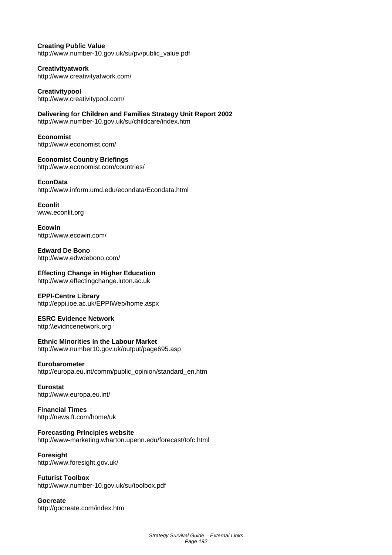**Creating Public Value**  http://www.number-10.gov.uk/su/pv/public\_value.pdf

**Creativityatwork**  http://www.creativityatwork.com/

**Creativitypool**  http://www.creativitypool.com/

**Delivering for Children and Families Strategy Unit Report 2002**  http://www.number-10.gov.uk/su/childcare/index.htm

**Economist**  http://www.economist.com/

**Economist Country Briefings**  http://www.economist.com/countries/

**EconData**  http://www.inform.umd.edu/econdata/Econdata.html

**Econlit**  www.econlit.org

**Ecowin**  http://www.ecowin.com/

**Edward De Bono**  http://www.edwdebono.com/

**Effecting Change in Higher Education**  http://www.effectingchange.luton.ac.uk

**EPPI-Centre Library**  http://eppi.ioe.ac.uk/EPPIWeb/home.aspx

**ESRC Evidence Network**  http:\\evidncenetwork.org

**Ethnic Minorities in the Labour Market**  http://www.number10.gov.uk/output/page695.asp

**Eurobarometer** 

http://europa.eu.int/comm/public\_opinion/standard\_en.htm

#### **Eurostat**

http://www.europa.eu.int/

**Financial Times**  http://news.ft.com/home/uk

**Forecasting Principles website**  http://www-marketing.wharton.upenn.edu/forecast/tofc.html

**Foresight**  http://www.foresight.gov.uk/

**Futurist Toolbox**  http://www.number-10.gov.uk/su/toolbox.pdf

**Gocreate**  http://gocreate.com/index.htm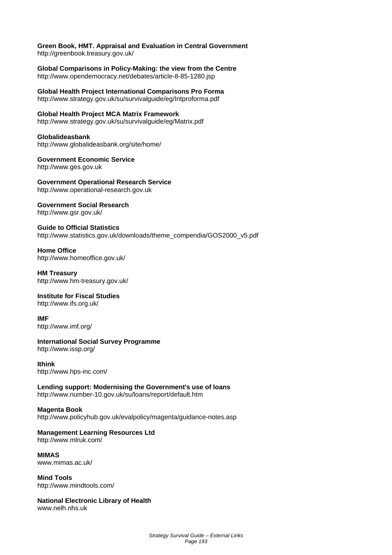**Green Book, HMT. Appraisal and Evaluation in Central Government**  http://greenbook.treasury.gov.uk/

**Global Comparisons in Policy-Making: the view from the Centre**  http://www.opendemocracy.net/debates/article-8-85-1280.jsp

**Global Health Project International Comparisons Pro Forma**  http://www.strategy.gov.uk/su/survivalguide/eg/Intproforma.pdf

**Global Health Project MCA Matrix Framework**  http://www.strategy.gov.uk/su/survivalguide/eg/Matrix.pdf

**Globalideasbank**  http://www.globalideasbank.org/site/home/

**Government Economic Service**  http://www.ges.gov.uk

**Government Operational Research Service**  http://www.operational-research.gov.uk

**Government Social Research** 

http://www.gsr.gov.uk/

**Guide to Official Statistics**  http://www.statistics.gov.uk/downloads/theme\_compendia/GOS2000\_v5.pdf

**Home Office**  http://www.homeoffice.gov.uk/

**HM Treasury**  http://www.hm-treasury.gov.uk/

**Institute for Fiscal Studies** 

http://www.ifs.org.uk/

**IMF**  http://www.imf.org/

**International Social Survey Programme** 

http://www.issp.org/

**Ithink**  http://www.hps-inc.com/

**Lending support: Modernising the Government's use of loans**  http://www.number-10.gov.uk/su/loans/report/default.htm

#### **Magenta Book**

http://www.policyhub.gov.uk/evalpolicy/magenta/guidance-notes.asp

**Management Learning Resources Ltd**  http://www.mlruk.com/

**MIMAS**  www.mimas.ac.uk/

**Mind Tools**  http://www.mindtools.com/

**National Electronic Library of Health**  www.nelh.nhs.uk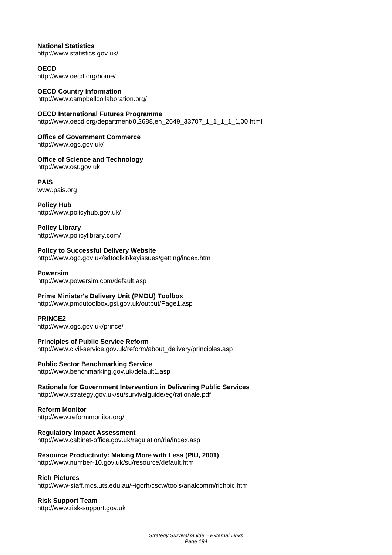#### **National Statistics**

http://www.statistics.gov.uk/

**OECD**  http://www.oecd.org/home/

#### **OECD Country Information**

http://www.campbellcollaboration.org/

#### **OECD International Futures Programme**

http://www.oecd.org/department/0,2688,en\_2649\_33707\_1\_1\_1\_1\_1,00.html

## **Office of Government Commerce**

http://www.ogc.gov.uk/

**Office of Science and Technology**  http://www.ost.gov.uk

**PAIS**  www.pais.org

**Policy Hub**  http://www.policyhub.gov.uk/

**Policy Library**  http://www.policylibrary.com/

**Policy to Successful Delivery Website**  http://www.ogc.gov.uk/sdtoolkit/keyissues/getting/index.htm

#### **Powersim**

http://www.powersim.com/default.asp

## **Prime Minister's Delivery Unit (PMDU) Toolbox**

http://www.pmdutoolbox.gsi.gov.uk/output/Page1.asp

#### **PRINCE2**

http://www.ogc.gov.uk/prince/

#### **Principles of Public Service Reform**  http://www.civil-service.gov.uk/reform/about\_delivery/principles.asp

#### **Public Sector Benchmarking Service**

http://www.benchmarking.gov.uk/default1.asp

**Rationale for Government Intervention in Delivering Public Services**  http://www.strategy.gov.uk/su/survivalguide/eg/rationale.pdf

#### **Reform Monitor**  http://www.reformmonitor.org/

**Regulatory Impact Assessment**  http://www.cabinet-office.gov.uk/regulation/ria/index.asp

#### **Resource Productivity: Making More with Less (PIU, 2001)**

http://www.number-10.gov.uk/su/resource/default.htm

#### **Rich Pictures**

http://www-staff.mcs.uts.edu.au/~igorh/cscw/tools/analcomm/richpic.htm

## **Risk Support Team**

http://www.risk-support.gov.uk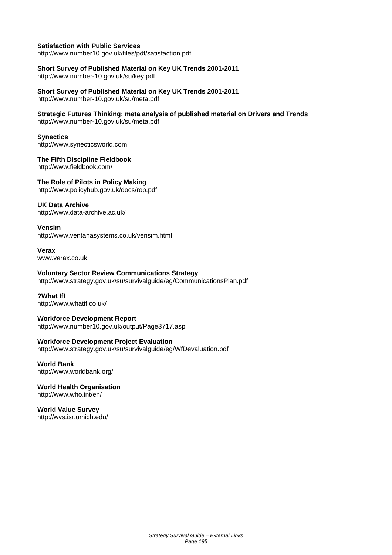#### **Satisfaction with Public Services**

http://www.number10.gov.uk/files/pdf/satisfaction.pdf

#### **Short Survey of Published Material on Key UK Trends 2001-2011**

http://www.number-10.gov.uk/su/key.pdf

#### **Short Survey of Published Material on Key UK Trends 2001-2011**

http://www.number-10.gov.uk/su/meta.pdf

#### **Strategic Futures Thinking: meta analysis of published material on Drivers and Trends**  http://www.number-10.gov.uk/su/meta.pdf

**Synectics** 

http://www.synecticsworld.com

**The Fifth Discipline Fieldbook**  http://www.fieldbook.com/

## **The Role of Pilots in Policy Making**

http://www.policyhub.gov.uk/docs/rop.pdf

#### **UK Data Archive**

http://www.data-archive.ac.uk/

#### **Vensim**

http://www.ventanasystems.co.uk/vensim.html

#### **Verax**

www.verax.co.uk

#### **Voluntary Sector Review Communications Strategy**

http://www.strategy.gov.uk/su/survivalguide/eg/CommunicationsPlan.pdf

#### **?What If!**

http://www.whatif.co.uk/

#### **Workforce Development Report**

http://www.number10.gov.uk/output/Page3717.asp

#### **Workforce Development Project Evaluation**

http://www.strategy.gov.uk/su/survivalguide/eg/WfDevaluation.pdf

#### **World Bank**

http://www.worldbank.org/

#### **World Health Organisation**  http://www.who.int/en/

#### **World Value Survey**  http://wvs.isr.umich.edu/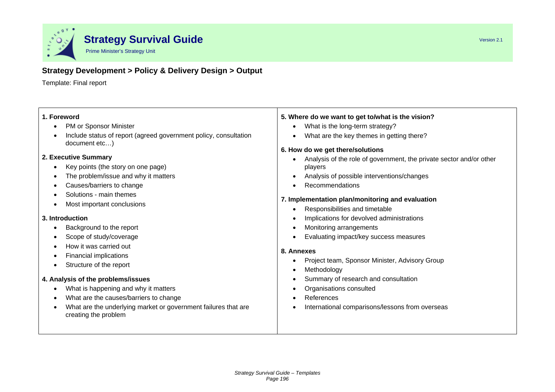

## **Strategy Development > Policy & Delivery Design > Output**

Template: Final report

| 1. Foreword                                                                            | 5. Where do we want to get to/what is the vision?                                |
|----------------------------------------------------------------------------------------|----------------------------------------------------------------------------------|
| PM or Sponsor Minister                                                                 | What is the long-term strategy?<br>$\bullet$                                     |
| Include status of report (agreed government policy, consultation<br>document etc)      | What are the key themes in getting there?<br>$\bullet$                           |
|                                                                                        | 6. How do we get there/solutions                                                 |
| 2. Executive Summary                                                                   | Analysis of the role of government, the private sector and/or other<br>$\bullet$ |
| Key points (the story on one page)                                                     | players                                                                          |
| The problem/issue and why it matters                                                   | Analysis of possible interventions/changes<br>$\bullet$                          |
| Causes/barriers to change                                                              | Recommendations<br>$\bullet$                                                     |
| Solutions - main themes                                                                | 7. Implementation plan/monitoring and evaluation                                 |
| Most important conclusions                                                             | Responsibilities and timetable<br>$\bullet$                                      |
| 3. Introduction                                                                        |                                                                                  |
|                                                                                        | Implications for devolved administrations<br>$\bullet$                           |
| Background to the report                                                               | Monitoring arrangements<br>٠                                                     |
| Scope of study/coverage                                                                | Evaluating impact/key success measures<br>$\bullet$                              |
| How it was carried out                                                                 | 8. Annexes                                                                       |
| Financial implications                                                                 | Project team, Sponsor Minister, Advisory Group<br>$\bullet$                      |
| Structure of the report                                                                |                                                                                  |
|                                                                                        | Methodology<br>$\bullet$                                                         |
| 4. Analysis of the problems/issues                                                     | Summary of research and consultation<br>$\bullet$                                |
| What is happening and why it matters                                                   | Organisations consulted<br>$\bullet$                                             |
| What are the causes/barriers to change                                                 | References                                                                       |
| What are the underlying market or government failures that are<br>creating the problem | International comparisons/lessons from overseas<br>$\bullet$                     |
|                                                                                        |                                                                                  |
|                                                                                        |                                                                                  |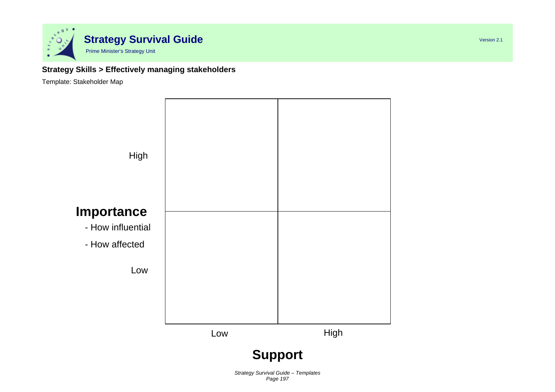

## **Strategy Skills > Effectively managing stakeholders**

Template: Stakeholder Map



**Support**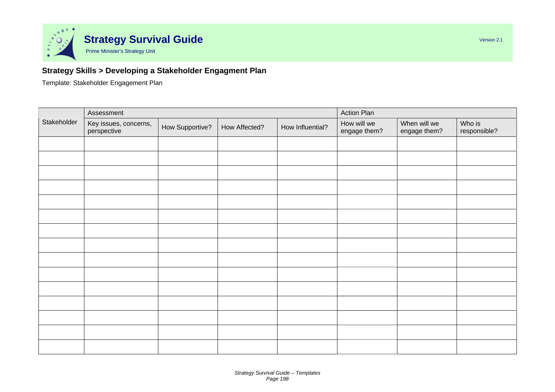

## **Strategy Skills > Developing a Stakeholder Engagment Plan**

Template: Stakeholder Engagement Plan

|             | Assessment                           |                 |               | <b>Action Plan</b> |                             |                              |                        |
|-------------|--------------------------------------|-----------------|---------------|--------------------|-----------------------------|------------------------------|------------------------|
| Stakeholder | Key issues, concerns,<br>perspective | How Supportive? | How Affected? | How Influential?   | How will we<br>engage them? | When will we<br>engage them? | Who is<br>responsible? |
|             |                                      |                 |               |                    |                             |                              |                        |
|             |                                      |                 |               |                    |                             |                              |                        |
|             |                                      |                 |               |                    |                             |                              |                        |
|             |                                      |                 |               |                    |                             |                              |                        |
|             |                                      |                 |               |                    |                             |                              |                        |
|             |                                      |                 |               |                    |                             |                              |                        |
|             |                                      |                 |               |                    |                             |                              |                        |
|             |                                      |                 |               |                    |                             |                              |                        |
|             |                                      |                 |               |                    |                             |                              |                        |
|             |                                      |                 |               |                    |                             |                              |                        |
|             |                                      |                 |               |                    |                             |                              |                        |
|             |                                      |                 |               |                    |                             |                              |                        |
|             |                                      |                 |               |                    |                             |                              |                        |
|             |                                      |                 |               |                    |                             |                              |                        |
|             |                                      |                 |               |                    |                             |                              |                        |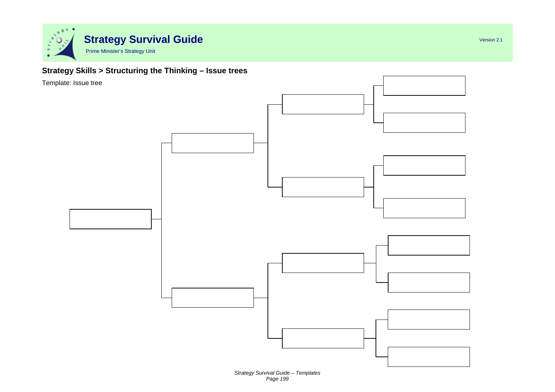

## **Strategy Skills > Structuring the Thinking – Issue trees**



*Page 199*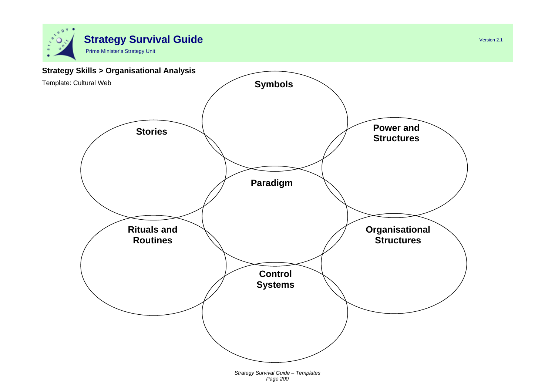

## **Strategy Skills > Organisational Analysis**

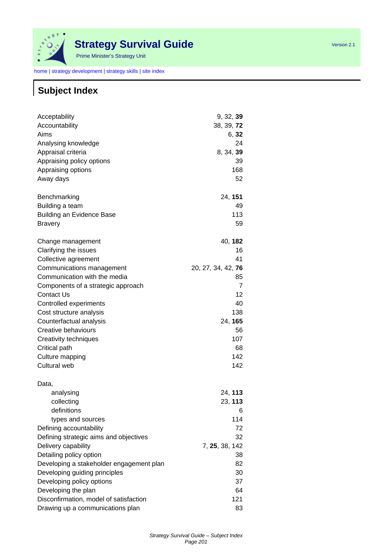

Prime Minister's Strategy Unit

home | strategy development | strategy skills | site index

# **Subject Index**

| Acceptability                                                                                                                                                                                                                                                                                                                                                                                              | 9, 32, 39                                                                                               |
|------------------------------------------------------------------------------------------------------------------------------------------------------------------------------------------------------------------------------------------------------------------------------------------------------------------------------------------------------------------------------------------------------------|---------------------------------------------------------------------------------------------------------|
| Accountability                                                                                                                                                                                                                                                                                                                                                                                             | 38, 39, 72                                                                                              |
| Aims                                                                                                                                                                                                                                                                                                                                                                                                       | 6, 32                                                                                                   |
| Analysing knowledge                                                                                                                                                                                                                                                                                                                                                                                        | 24                                                                                                      |
| Appraisal criteria                                                                                                                                                                                                                                                                                                                                                                                         | 8, 34, 39                                                                                               |
| Appraising policy options                                                                                                                                                                                                                                                                                                                                                                                  | 39                                                                                                      |
| Appraising options                                                                                                                                                                                                                                                                                                                                                                                         | 168                                                                                                     |
| Away days                                                                                                                                                                                                                                                                                                                                                                                                  | 52                                                                                                      |
| Benchmarking                                                                                                                                                                                                                                                                                                                                                                                               | 24, 151                                                                                                 |
| Building a team                                                                                                                                                                                                                                                                                                                                                                                            | 49                                                                                                      |
| <b>Building an Evidence Base</b>                                                                                                                                                                                                                                                                                                                                                                           | 113                                                                                                     |
| <b>Bravery</b>                                                                                                                                                                                                                                                                                                                                                                                             | 59                                                                                                      |
| Change management                                                                                                                                                                                                                                                                                                                                                                                          | 40, 182                                                                                                 |
| Clarifying the issues                                                                                                                                                                                                                                                                                                                                                                                      | 16                                                                                                      |
| Collective agreement                                                                                                                                                                                                                                                                                                                                                                                       | 41                                                                                                      |
| Communications management                                                                                                                                                                                                                                                                                                                                                                                  | 20, 27, 34, 42, 76                                                                                      |
| Communication with the media                                                                                                                                                                                                                                                                                                                                                                               | 85                                                                                                      |
| Components of a strategic approach                                                                                                                                                                                                                                                                                                                                                                         | $\overline{7}$                                                                                          |
| <b>Contact Us</b>                                                                                                                                                                                                                                                                                                                                                                                          | 12                                                                                                      |
| Controlled experiments                                                                                                                                                                                                                                                                                                                                                                                     | 40                                                                                                      |
| Cost structure analysis                                                                                                                                                                                                                                                                                                                                                                                    | 138                                                                                                     |
| Counterfactual analysis                                                                                                                                                                                                                                                                                                                                                                                    | 24, 165                                                                                                 |
| Creative behaviours                                                                                                                                                                                                                                                                                                                                                                                        | 56                                                                                                      |
| Creativity techniques                                                                                                                                                                                                                                                                                                                                                                                      | 107                                                                                                     |
| Critical path                                                                                                                                                                                                                                                                                                                                                                                              | 68                                                                                                      |
| Culture mapping                                                                                                                                                                                                                                                                                                                                                                                            | 142                                                                                                     |
| <b>Cultural web</b>                                                                                                                                                                                                                                                                                                                                                                                        | 142                                                                                                     |
| Data,<br>analysing<br>collecting<br>definitions<br>types and sources<br>Defining accountability<br>Defining strategic aims and objectives<br>Delivery capability<br>Detailing policy option<br>Developing a stakeholder engagement plan<br>Developing guiding principles<br>Developing policy options<br>Developing the plan<br>Disconfirmation, model of satisfaction<br>Drawing up a communications plan | 24, 113<br>23, 113<br>6<br>114<br>72<br>32<br>7, 25, 38, 142<br>38<br>82<br>30<br>37<br>64<br>121<br>83 |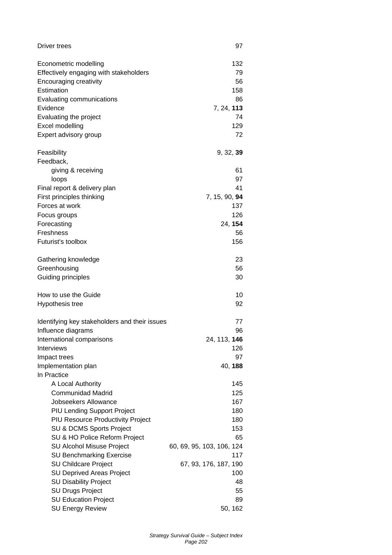| Driver trees                                  | 97                        |
|-----------------------------------------------|---------------------------|
| Econometric modelling                         | 132                       |
| Effectively engaging with stakeholders        | 79                        |
| Encouraging creativity                        | 56                        |
| Estimation                                    | 158                       |
| Evaluating communications                     | 86                        |
| Evidence                                      | 7, 24, 113                |
| Evaluating the project                        | 74                        |
| Excel modelling                               | 129                       |
| Expert advisory group                         | 72                        |
| Feasibility                                   | 9, 32, 39                 |
| Feedback,                                     |                           |
| giving & receiving                            | 61                        |
| loops                                         | 97                        |
| Final report & delivery plan                  | 41                        |
| First principles thinking                     | 7, 15, 90, 94             |
| Forces at work                                | 137                       |
| Focus groups                                  | 126                       |
| Forecasting                                   | 24, 154                   |
| Freshness                                     | 56                        |
| Futurist's toolbox                            | 156                       |
|                                               |                           |
| Gathering knowledge                           | 23                        |
| Greenhousing                                  | 56                        |
| Guiding principles                            | 30                        |
| How to use the Guide                          | 10                        |
| Hypothesis tree                               | 92                        |
| Identifying key stakeholders and their issues | 77                        |
| Influence diagrams                            | 96                        |
| International comparisons                     | 24, 113, 146              |
| Interviews                                    | 126                       |
| Impact trees                                  | 97                        |
| Implementation plan                           | 40, 188                   |
| In Practice                                   |                           |
| A Local Authority                             | 145                       |
| <b>Communidad Madrid</b>                      | 125                       |
| Jobseekers Allowance                          | 167                       |
| <b>PIU Lending Support Project</b>            | 180                       |
| PIU Resource Productivity Project             | 180                       |
| SU & DCMS Sports Project                      | 153                       |
| SU & HO Police Reform Project                 | 65                        |
| <b>SU Alcohol Misuse Project</b>              | 60, 69, 95, 103, 106, 124 |
| <b>SU Benchmarking Exercise</b>               | 117                       |
| <b>SU Childcare Project</b>                   | 67, 93, 176, 187, 190     |
| <b>SU Deprived Areas Project</b>              | 100                       |
| <b>SU Disability Project</b>                  | 48                        |
| <b>SU Drugs Project</b>                       | 55                        |
| <b>SU Education Project</b>                   | 89                        |
| <b>SU Energy Review</b>                       | 50, 162                   |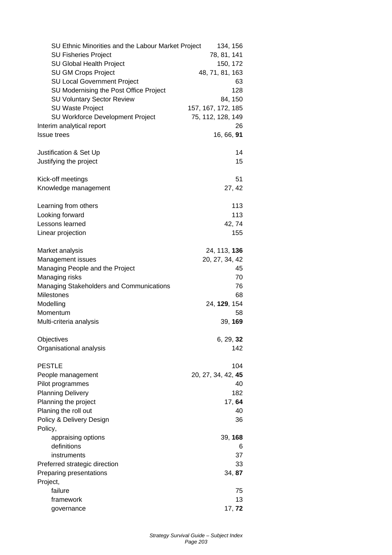| SU Ethnic Minorities and the Labour Market Project | 134, 156           |
|----------------------------------------------------|--------------------|
| <b>SU Fisheries Project</b>                        | 78, 81, 141        |
| SU Global Health Project                           | 150, 172           |
| <b>SU GM Crops Project</b>                         | 48, 71, 81, 163    |
| <b>SU Local Government Project</b>                 | 63                 |
| SU Modernising the Post Office Project             | 128                |
| <b>SU Voluntary Sector Review</b>                  | 84, 150            |
| <b>SU Waste Project</b>                            | 157, 167, 172, 185 |
| SU Workforce Development Project                   | 75, 112, 128, 149  |
| Interim analytical report                          | 26                 |
| <b>Issue trees</b>                                 | 16, 66, 91         |
| Justification & Set Up                             | 14                 |
| Justifying the project                             | 15                 |
| Kick-off meetings                                  | 51                 |
| Knowledge management                               | 27, 42             |
| Learning from others                               | 113                |
| Looking forward                                    | 113                |
| Lessons learned                                    | 42, 74             |
| Linear projection                                  | 155                |
| Market analysis                                    | 24, 113, 136       |
| Management issues                                  | 20, 27, 34, 42     |
| Managing People and the Project                    | 45                 |
| Managing risks                                     | 70                 |
| <b>Managing Stakeholders and Communications</b>    | 76                 |
| Milestones                                         | 68                 |
| Modelling                                          | 24, 129, 154       |
| Momentum                                           | 58                 |
| Multi-criteria analysis                            | 39, 169            |
| Objectives                                         | 6, 29, 32          |
| Organisational analysis                            | 142                |
| <b>PESTLE</b>                                      | 104                |
| People management                                  | 20, 27, 34, 42, 45 |
| Pilot programmes                                   | 40                 |
| <b>Planning Delivery</b>                           | 182                |
| Planning the project                               | 17,64              |
| Planing the roll out                               | 40                 |
| Policy & Delivery Design                           | 36                 |
| Policy,                                            |                    |
| appraising options                                 | 39, 168            |
| definitions                                        | 6                  |
| instruments                                        | 37                 |
| Preferred strategic direction                      | 33                 |
| Preparing presentations                            | 34, 87             |
| Project,                                           |                    |
| failure                                            | 75                 |
| framework                                          | 13                 |
| governance                                         | 17, 72             |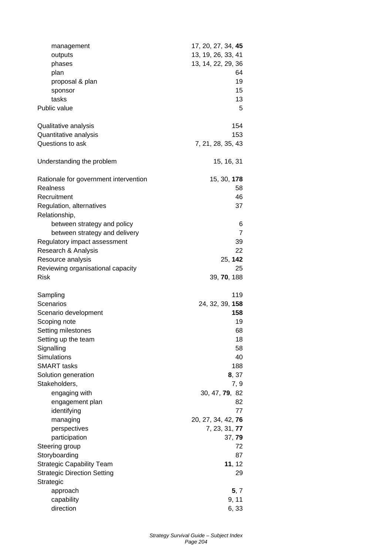| management                            | 17, 20, 27, 34, 45 |
|---------------------------------------|--------------------|
| outputs                               | 13, 19, 26, 33, 41 |
| phases                                | 13, 14, 22, 29, 36 |
| plan                                  | 64                 |
| proposal & plan                       | 19                 |
| sponsor                               | 15                 |
| tasks                                 | 13                 |
| Public value                          | 5                  |
|                                       |                    |
| Qualitative analysis                  | 154                |
| Quantitative analysis                 | 153                |
| Questions to ask                      | 7, 21, 28, 35, 43  |
| Understanding the problem             | 15, 16, 31         |
| Rationale for government intervention | 15, 30, 178        |
| <b>Realness</b>                       | 58                 |
| Recruitment                           | 46                 |
| Regulation, alternatives              | 37                 |
| Relationship,                         |                    |
| between strategy and policy           | 6                  |
| between strategy and delivery         | $\overline{7}$     |
| Regulatory impact assessment          | 39                 |
| Research & Analysis                   | 22                 |
|                                       |                    |
| Resource analysis                     | 25, 142            |
| Reviewing organisational capacity     | 25                 |
| <b>Risk</b>                           | 39, 70, 188        |
| Sampling                              | 119                |
| Scenarios                             | 24, 32, 39, 158    |
| Scenario development                  | 158                |
| Scoping note                          | 19                 |
| Setting milestones                    | 68                 |
| Setting up the team                   | 18                 |
| Signalling                            | 58                 |
| Simulations                           | 40                 |
| <b>SMART</b> tasks                    | 188                |
| Solution generation                   | 8, 37              |
| Stakeholders,                         | 7, 9               |
|                                       |                    |
| engaging with                         | 30, 47, 79, 82     |
| engagement plan                       | 82                 |
| identifying                           | 77                 |
| managing                              | 20, 27, 34, 42, 76 |
| perspectives                          | 7, 23, 31, 77      |
| participation                         | 37,79              |
| Steering group                        | 72                 |
| Storyboarding                         | 87                 |
| <b>Strategic Capability Team</b>      | 11, 12             |
| <b>Strategic Direction Setting</b>    | 29                 |
| Strategic                             |                    |
| approach                              | 5, 7               |
| capability                            | 9, 11              |
| direction                             | 6, 33              |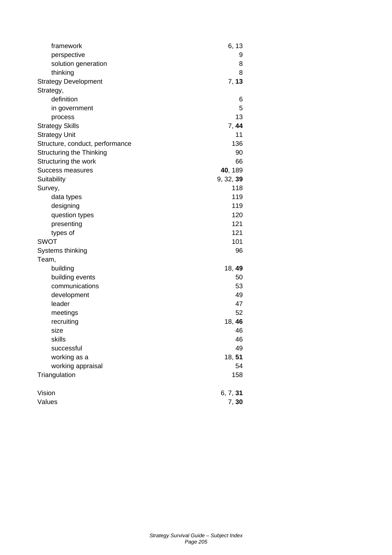| framework                       | 6, 13     |
|---------------------------------|-----------|
| perspective                     | 9         |
| solution generation             | 8         |
| thinking                        | 8         |
| <b>Strategy Development</b>     | 7, 13     |
| Strategy,                       |           |
| definition                      | 6         |
| in government                   | 5         |
| process                         | 13        |
| <b>Strategy Skills</b>          | 7, 44     |
| <b>Strategy Unit</b>            | 11        |
| Structure, conduct, performance | 136       |
| <b>Structuring the Thinking</b> | 90        |
| Structuring the work            | 66        |
| Success measures                | 40, 189   |
| Suitability                     | 9, 32, 39 |
| Survey,                         | 118       |
| data types                      | 119       |
| designing                       | 119       |
| question types                  | 120       |
| presenting                      | 121       |
| types of                        | 121       |
| <b>SWOT</b>                     | 101       |
| Systems thinking                | 96        |
| Team,                           |           |
| building                        | 18, 49    |
| building events                 | 50        |
| communications                  | 53        |
| development                     | 49        |
| leader                          | 47        |
| meetings                        | 52        |
| recruiting                      | 18, 46    |
| size                            | 46        |
| skills                          | 46        |
| successful                      | 49        |
| working as a                    | 18, 51    |
| working appraisal               | 54        |
| Triangulation                   | 158       |
| Vision                          | 6, 7, 31  |
| Values                          | 7, 30     |